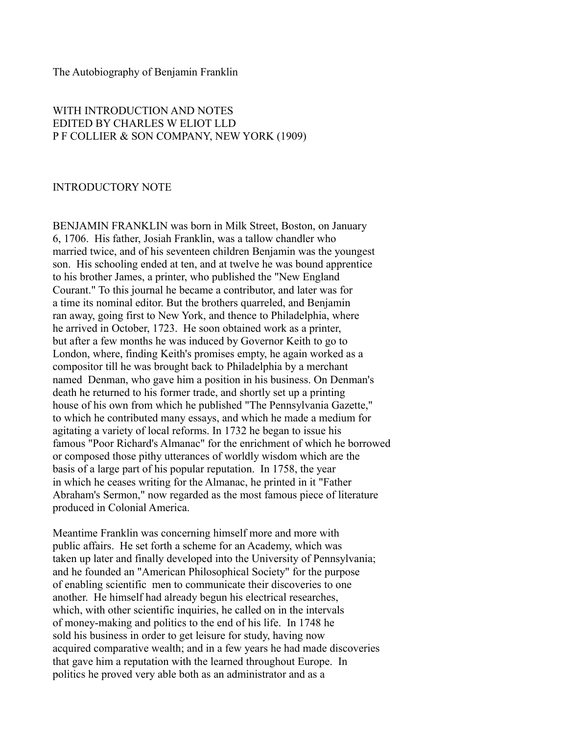## The Autobiography of Benjamin Franklin

## WITH INTRODUCTION AND NOTES EDITED BY CHARLES W ELIOT LLD P F COLLIER & SON COMPANY, NEW YORK (1909)

## INTRODUCTORY NOTE

BENJAMIN FRANKLIN was born in Milk Street, Boston, on January 6, 1706. His father, Josiah Franklin, was a tallow chandler who married twice, and of his seventeen children Benjamin was the youngest son. His schooling ended at ten, and at twelve he was bound apprentice to his brother James, a printer, who published the "New England Courant." To this journal he became a contributor, and later was for a time its nominal editor. But the brothers quarreled, and Benjamin ran away, going first to New York, and thence to Philadelphia, where he arrived in October, 1723. He soon obtained work as a printer, but after a few months he was induced by Governor Keith to go to London, where, finding Keith's promises empty, he again worked as a compositor till he was brought back to Philadelphia by a merchant named Denman, who gave him a position in his business. On Denman's death he returned to his former trade, and shortly set up a printing house of his own from which he published "The Pennsylvania Gazette," to which he contributed many essays, and which he made a medium for agitating a variety of local reforms. In 1732 he began to issue his famous "Poor Richard's Almanac" for the enrichment of which he borrowed or composed those pithy utterances of worldly wisdom which are the basis of a large part of his popular reputation. In 1758, the year in which he ceases writing for the Almanac, he printed in it "Father Abraham's Sermon," now regarded as the most famous piece of literature produced in Colonial America.

Meantime Franklin was concerning himself more and more with public affairs. He set forth a scheme for an Academy, which was taken up later and finally developed into the University of Pennsylvania; and he founded an "American Philosophical Society" for the purpose of enabling scientific men to communicate their discoveries to one another. He himself had already begun his electrical researches, which, with other scientific inquiries, he called on in the intervals of money-making and politics to the end of his life. In 1748 he sold his business in order to get leisure for study, having now acquired comparative wealth; and in a few years he had made discoveries that gave him a reputation with the learned throughout Europe. In politics he proved very able both as an administrator and as a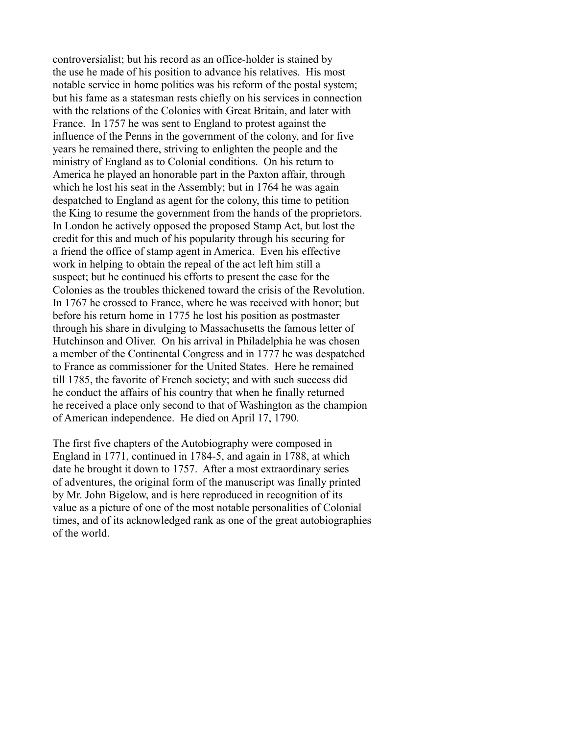controversialist; but his record as an office-holder is stained by the use he made of his position to advance his relatives. His most notable service in home politics was his reform of the postal system; but his fame as a statesman rests chiefly on his services in connection with the relations of the Colonies with Great Britain, and later with France. In 1757 he was sent to England to protest against the influence of the Penns in the government of the colony, and for five years he remained there, striving to enlighten the people and the ministry of England as to Colonial conditions. On his return to America he played an honorable part in the Paxton affair, through which he lost his seat in the Assembly; but in 1764 he was again despatched to England as agent for the colony, this time to petition the King to resume the government from the hands of the proprietors. In London he actively opposed the proposed Stamp Act, but lost the credit for this and much of his popularity through his securing for a friend the office of stamp agent in America. Even his effective work in helping to obtain the repeal of the act left him still a suspect; but he continued his efforts to present the case for the Colonies as the troubles thickened toward the crisis of the Revolution. In 1767 he crossed to France, where he was received with honor; but before his return home in 1775 he lost his position as postmaster through his share in divulging to Massachusetts the famous letter of Hutchinson and Oliver. On his arrival in Philadelphia he was chosen a member of the Continental Congress and in 1777 he was despatched to France as commissioner for the United States. Here he remained till 1785, the favorite of French society; and with such success did he conduct the affairs of his country that when he finally returned he received a place only second to that of Washington as the champion of American independence. He died on April 17, 1790.

The first five chapters of the Autobiography were composed in England in 1771, continued in 1784-5, and again in 1788, at which date he brought it down to 1757. After a most extraordinary series of adventures, the original form of the manuscript was finally printed by Mr. John Bigelow, and is here reproduced in recognition of its value as a picture of one of the most notable personalities of Colonial times, and of its acknowledged rank as one of the great autobiographies of the world.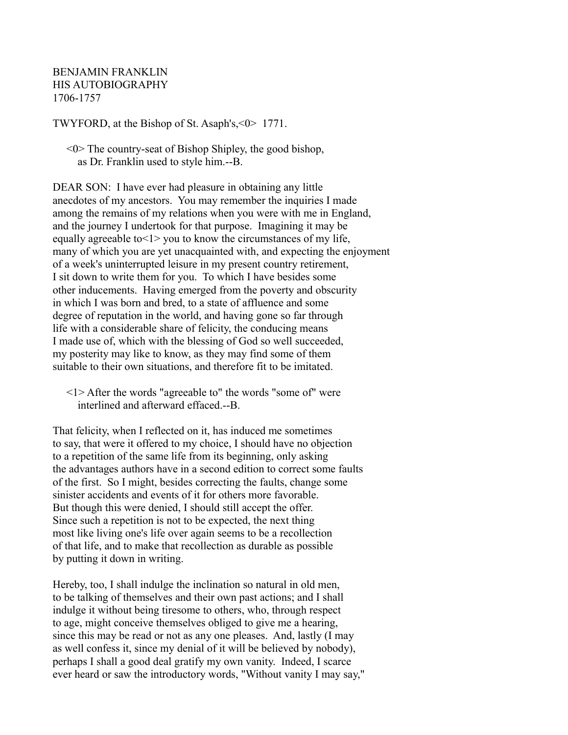BENJAMIN FRANKLIN HIS AUTOBIOGRAPHY 1706-1757

TWYFORD, at the Bishop of St. Asaph's,<0> 1771.

 $\leq 0$  The country-seat of Bishop Shipley, the good bishop, as Dr. Franklin used to style him.--B.

DEAR SON: I have ever had pleasure in obtaining any little anecdotes of my ancestors. You may remember the inquiries I made among the remains of my relations when you were with me in England, and the journey I undertook for that purpose. Imagining it may be equally agreeable to<1> you to know the circumstances of my life, many of which you are yet unacquainted with, and expecting the enjoyment of a week's uninterrupted leisure in my present country retirement, I sit down to write them for you. To which I have besides some other inducements. Having emerged from the poverty and obscurity in which I was born and bred, to a state of affluence and some degree of reputation in the world, and having gone so far through life with a considerable share of felicity, the conducing means I made use of, which with the blessing of God so well succeeded, my posterity may like to know, as they may find some of them suitable to their own situations, and therefore fit to be imitated.

That felicity, when I reflected on it, has induced me sometimes to say, that were it offered to my choice, I should have no objection to a repetition of the same life from its beginning, only asking the advantages authors have in a second edition to correct some faults of the first. So I might, besides correcting the faults, change some sinister accidents and events of it for others more favorable. But though this were denied, I should still accept the offer. Since such a repetition is not to be expected, the next thing most like living one's life over again seems to be a recollection of that life, and to make that recollection as durable as possible by putting it down in writing.

Hereby, too, I shall indulge the inclination so natural in old men, to be talking of themselves and their own past actions; and I shall indulge it without being tiresome to others, who, through respect to age, might conceive themselves obliged to give me a hearing, since this may be read or not as any one pleases. And, lastly (I may as well confess it, since my denial of it will be believed by nobody), perhaps I shall a good deal gratify my own vanity. Indeed, I scarce ever heard or saw the introductory words, "Without vanity I may say,"

 <sup>&</sup>lt;1> After the words "agreeable to" the words "some of" were interlined and afterward effaced.--B.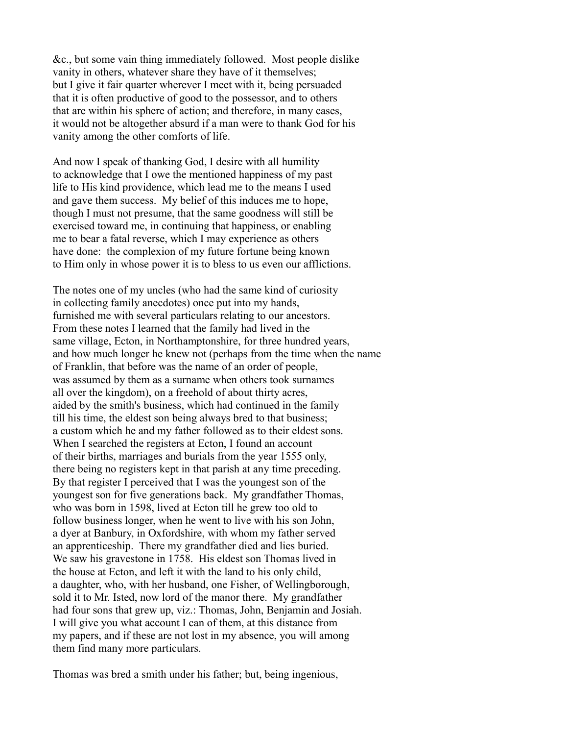&c., but some vain thing immediately followed. Most people dislike vanity in others, whatever share they have of it themselves; but I give it fair quarter wherever I meet with it, being persuaded that it is often productive of good to the possessor, and to others that are within his sphere of action; and therefore, in many cases, it would not be altogether absurd if a man were to thank God for his vanity among the other comforts of life.

And now I speak of thanking God, I desire with all humility to acknowledge that I owe the mentioned happiness of my past life to His kind providence, which lead me to the means I used and gave them success. My belief of this induces me to hope, though I must not presume, that the same goodness will still be exercised toward me, in continuing that happiness, or enabling me to bear a fatal reverse, which I may experience as others have done: the complexion of my future fortune being known to Him only in whose power it is to bless to us even our afflictions.

The notes one of my uncles (who had the same kind of curiosity in collecting family anecdotes) once put into my hands, furnished me with several particulars relating to our ancestors. From these notes I learned that the family had lived in the same village, Ecton, in Northamptonshire, for three hundred years, and how much longer he knew not (perhaps from the time when the name of Franklin, that before was the name of an order of people, was assumed by them as a surname when others took surnames all over the kingdom), on a freehold of about thirty acres, aided by the smith's business, which had continued in the family till his time, the eldest son being always bred to that business; a custom which he and my father followed as to their eldest sons. When I searched the registers at Ecton, I found an account of their births, marriages and burials from the year 1555 only, there being no registers kept in that parish at any time preceding. By that register I perceived that I was the youngest son of the youngest son for five generations back. My grandfather Thomas, who was born in 1598, lived at Ecton till he grew too old to follow business longer, when he went to live with his son John, a dyer at Banbury, in Oxfordshire, with whom my father served an apprenticeship. There my grandfather died and lies buried. We saw his gravestone in 1758. His eldest son Thomas lived in the house at Ecton, and left it with the land to his only child, a daughter, who, with her husband, one Fisher, of Wellingborough, sold it to Mr. Isted, now lord of the manor there. My grandfather had four sons that grew up, viz.: Thomas, John, Benjamin and Josiah. I will give you what account I can of them, at this distance from my papers, and if these are not lost in my absence, you will among them find many more particulars.

Thomas was bred a smith under his father; but, being ingenious,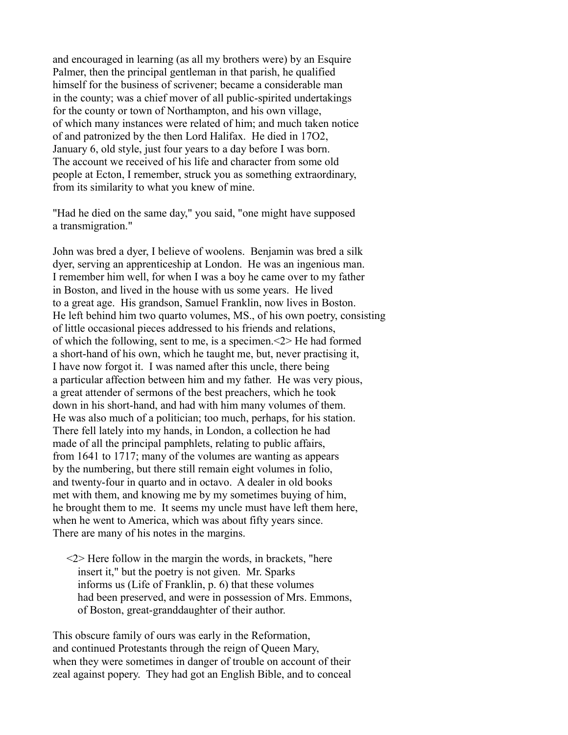and encouraged in learning (as all my brothers were) by an Esquire Palmer, then the principal gentleman in that parish, he qualified himself for the business of scrivener; became a considerable man in the county; was a chief mover of all public-spirited undertakings for the county or town of Northampton, and his own village, of which many instances were related of him; and much taken notice of and patronized by the then Lord Halifax. He died in 17O2, January 6, old style, just four years to a day before I was born. The account we received of his life and character from some old people at Ecton, I remember, struck you as something extraordinary, from its similarity to what you knew of mine.

"Had he died on the same day," you said, "one might have supposed a transmigration."

John was bred a dyer, I believe of woolens. Benjamin was bred a silk dyer, serving an apprenticeship at London. He was an ingenious man. I remember him well, for when I was a boy he came over to my father in Boston, and lived in the house with us some years. He lived to a great age. His grandson, Samuel Franklin, now lives in Boston. He left behind him two quarto volumes, MS., of his own poetry, consisting of little occasional pieces addressed to his friends and relations, of which the following, sent to me, is a specimen.<2> He had formed a short-hand of his own, which he taught me, but, never practising it, I have now forgot it. I was named after this uncle, there being a particular affection between him and my father. He was very pious, a great attender of sermons of the best preachers, which he took down in his short-hand, and had with him many volumes of them. He was also much of a politician; too much, perhaps, for his station. There fell lately into my hands, in London, a collection he had made of all the principal pamphlets, relating to public affairs, from 1641 to 1717; many of the volumes are wanting as appears by the numbering, but there still remain eight volumes in folio, and twenty-four in quarto and in octavo. A dealer in old books met with them, and knowing me by my sometimes buying of him, he brought them to me. It seems my uncle must have left them here, when he went to America, which was about fifty years since. There are many of his notes in the margins.

 <2> Here follow in the margin the words, in brackets, "here insert it," but the poetry is not given. Mr. Sparks informs us (Life of Franklin, p. 6) that these volumes had been preserved, and were in possession of Mrs. Emmons, of Boston, great-granddaughter of their author.

This obscure family of ours was early in the Reformation, and continued Protestants through the reign of Queen Mary, when they were sometimes in danger of trouble on account of their zeal against popery. They had got an English Bible, and to conceal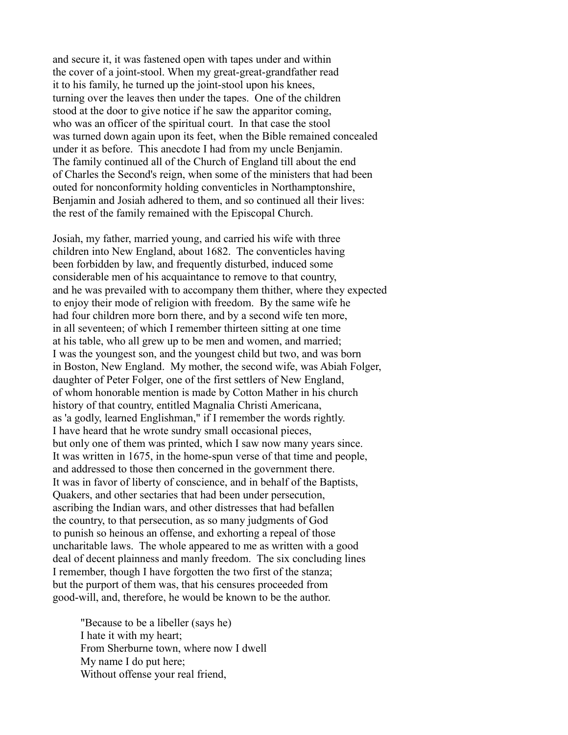and secure it, it was fastened open with tapes under and within the cover of a joint-stool. When my great-great-grandfather read it to his family, he turned up the joint-stool upon his knees, turning over the leaves then under the tapes. One of the children stood at the door to give notice if he saw the apparitor coming, who was an officer of the spiritual court. In that case the stool was turned down again upon its feet, when the Bible remained concealed under it as before. This anecdote I had from my uncle Benjamin. The family continued all of the Church of England till about the end of Charles the Second's reign, when some of the ministers that had been outed for nonconformity holding conventicles in Northamptonshire, Benjamin and Josiah adhered to them, and so continued all their lives: the rest of the family remained with the Episcopal Church.

Josiah, my father, married young, and carried his wife with three children into New England, about 1682. The conventicles having been forbidden by law, and frequently disturbed, induced some considerable men of his acquaintance to remove to that country, and he was prevailed with to accompany them thither, where they expected to enjoy their mode of religion with freedom. By the same wife he had four children more born there, and by a second wife ten more, in all seventeen; of which I remember thirteen sitting at one time at his table, who all grew up to be men and women, and married; I was the youngest son, and the youngest child but two, and was born in Boston, New England. My mother, the second wife, was Abiah Folger, daughter of Peter Folger, one of the first settlers of New England, of whom honorable mention is made by Cotton Mather in his church history of that country, entitled Magnalia Christi Americana, as 'a godly, learned Englishman," if I remember the words rightly. I have heard that he wrote sundry small occasional pieces, but only one of them was printed, which I saw now many years since. It was written in 1675, in the home-spun verse of that time and people, and addressed to those then concerned in the government there. It was in favor of liberty of conscience, and in behalf of the Baptists, Quakers, and other sectaries that had been under persecution, ascribing the Indian wars, and other distresses that had befallen the country, to that persecution, as so many judgments of God to punish so heinous an offense, and exhorting a repeal of those uncharitable laws. The whole appeared to me as written with a good deal of decent plainness and manly freedom. The six concluding lines I remember, though I have forgotten the two first of the stanza; but the purport of them was, that his censures proceeded from good-will, and, therefore, he would be known to be the author.

 "Because to be a libeller (says he) I hate it with my heart; From Sherburne town, where now I dwell My name I do put here; Without offense your real friend,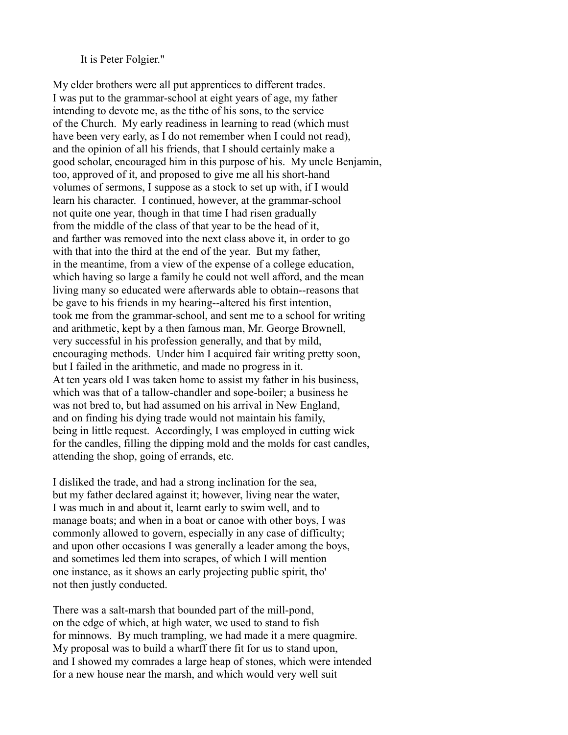It is Peter Folgier."

My elder brothers were all put apprentices to different trades. I was put to the grammar-school at eight years of age, my father intending to devote me, as the tithe of his sons, to the service of the Church. My early readiness in learning to read (which must have been very early, as I do not remember when I could not read), and the opinion of all his friends, that I should certainly make a good scholar, encouraged him in this purpose of his. My uncle Benjamin, too, approved of it, and proposed to give me all his short-hand volumes of sermons, I suppose as a stock to set up with, if I would learn his character. I continued, however, at the grammar-school not quite one year, though in that time I had risen gradually from the middle of the class of that year to be the head of it, and farther was removed into the next class above it, in order to go with that into the third at the end of the year. But my father, in the meantime, from a view of the expense of a college education, which having so large a family he could not well afford, and the mean living many so educated were afterwards able to obtain--reasons that be gave to his friends in my hearing--altered his first intention, took me from the grammar-school, and sent me to a school for writing and arithmetic, kept by a then famous man, Mr. George Brownell, very successful in his profession generally, and that by mild, encouraging methods. Under him I acquired fair writing pretty soon, but I failed in the arithmetic, and made no progress in it. At ten years old I was taken home to assist my father in his business, which was that of a tallow-chandler and sope-boiler; a business he was not bred to, but had assumed on his arrival in New England, and on finding his dying trade would not maintain his family, being in little request. Accordingly, I was employed in cutting wick for the candles, filling the dipping mold and the molds for cast candles, attending the shop, going of errands, etc.

I disliked the trade, and had a strong inclination for the sea, but my father declared against it; however, living near the water, I was much in and about it, learnt early to swim well, and to manage boats; and when in a boat or canoe with other boys, I was commonly allowed to govern, especially in any case of difficulty; and upon other occasions I was generally a leader among the boys, and sometimes led them into scrapes, of which I will mention one instance, as it shows an early projecting public spirit, tho' not then justly conducted.

There was a salt-marsh that bounded part of the mill-pond, on the edge of which, at high water, we used to stand to fish for minnows. By much trampling, we had made it a mere quagmire. My proposal was to build a wharff there fit for us to stand upon, and I showed my comrades a large heap of stones, which were intended for a new house near the marsh, and which would very well suit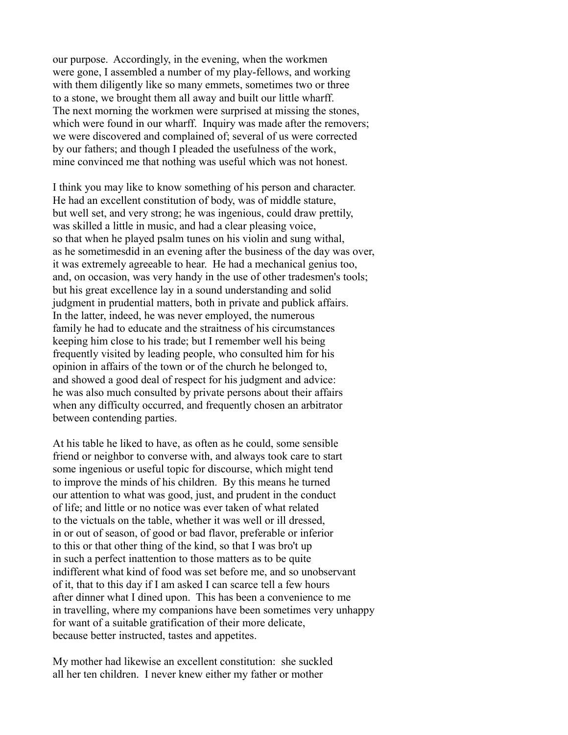our purpose. Accordingly, in the evening, when the workmen were gone, I assembled a number of my play-fellows, and working with them diligently like so many emmets, sometimes two or three to a stone, we brought them all away and built our little wharff. The next morning the workmen were surprised at missing the stones, which were found in our wharff. Inquiry was made after the removers; we were discovered and complained of; several of us were corrected by our fathers; and though I pleaded the usefulness of the work, mine convinced me that nothing was useful which was not honest.

I think you may like to know something of his person and character. He had an excellent constitution of body, was of middle stature, but well set, and very strong; he was ingenious, could draw prettily, was skilled a little in music, and had a clear pleasing voice, so that when he played psalm tunes on his violin and sung withal, as he sometimesdid in an evening after the business of the day was over, it was extremely agreeable to hear. He had a mechanical genius too, and, on occasion, was very handy in the use of other tradesmen's tools; but his great excellence lay in a sound understanding and solid judgment in prudential matters, both in private and publick affairs. In the latter, indeed, he was never employed, the numerous family he had to educate and the straitness of his circumstances keeping him close to his trade; but I remember well his being frequently visited by leading people, who consulted him for his opinion in affairs of the town or of the church he belonged to, and showed a good deal of respect for his judgment and advice: he was also much consulted by private persons about their affairs when any difficulty occurred, and frequently chosen an arbitrator between contending parties.

At his table he liked to have, as often as he could, some sensible friend or neighbor to converse with, and always took care to start some ingenious or useful topic for discourse, which might tend to improve the minds of his children. By this means he turned our attention to what was good, just, and prudent in the conduct of life; and little or no notice was ever taken of what related to the victuals on the table, whether it was well or ill dressed, in or out of season, of good or bad flavor, preferable or inferior to this or that other thing of the kind, so that I was bro't up in such a perfect inattention to those matters as to be quite indifferent what kind of food was set before me, and so unobservant of it, that to this day if I am asked I can scarce tell a few hours after dinner what I dined upon. This has been a convenience to me in travelling, where my companions have been sometimes very unhappy for want of a suitable gratification of their more delicate, because better instructed, tastes and appetites.

My mother had likewise an excellent constitution: she suckled all her ten children. I never knew either my father or mother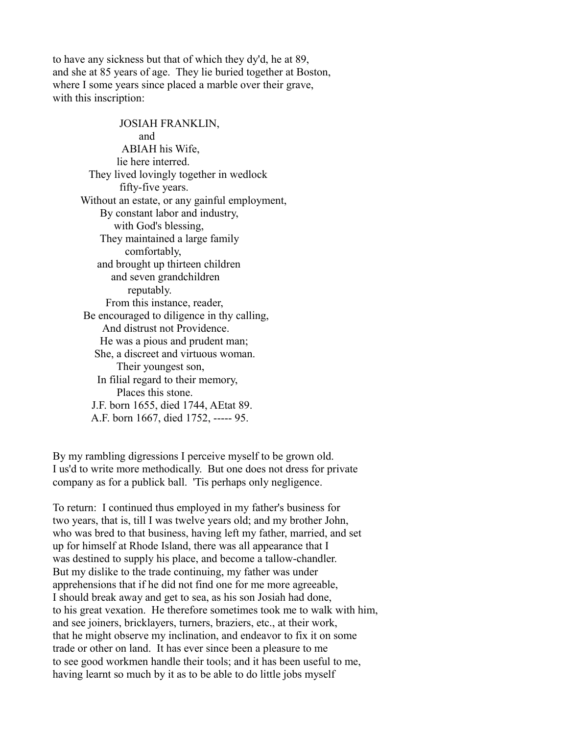to have any sickness but that of which they dy'd, he at 89, and she at 85 years of age. They lie buried together at Boston, where I some years since placed a marble over their grave, with this inscription:

 JOSIAH FRANKLIN, and ABIAH his Wife, lie here interred. They lived lovingly together in wedlock fifty-five years. Without an estate, or any gainful employment, By constant labor and industry, with God's blessing, They maintained a large family comfortably, and brought up thirteen children and seven grandchildren reputably. From this instance, reader, Be encouraged to diligence in thy calling, And distrust not Providence. He was a pious and prudent man; She, a discreet and virtuous woman. Their youngest son, In filial regard to their memory, Places this stone. J.F. born 1655, died 1744, AEtat 89. A.F. born 1667, died 1752, ----- 95.

By my rambling digressions I perceive myself to be grown old. I us'd to write more methodically. But one does not dress for private company as for a publick ball. 'Tis perhaps only negligence.

To return: I continued thus employed in my father's business for two years, that is, till I was twelve years old; and my brother John, who was bred to that business, having left my father, married, and set up for himself at Rhode Island, there was all appearance that I was destined to supply his place, and become a tallow-chandler. But my dislike to the trade continuing, my father was under apprehensions that if he did not find one for me more agreeable, I should break away and get to sea, as his son Josiah had done, to his great vexation. He therefore sometimes took me to walk with him, and see joiners, bricklayers, turners, braziers, etc., at their work, that he might observe my inclination, and endeavor to fix it on some trade or other on land. It has ever since been a pleasure to me to see good workmen handle their tools; and it has been useful to me, having learnt so much by it as to be able to do little jobs myself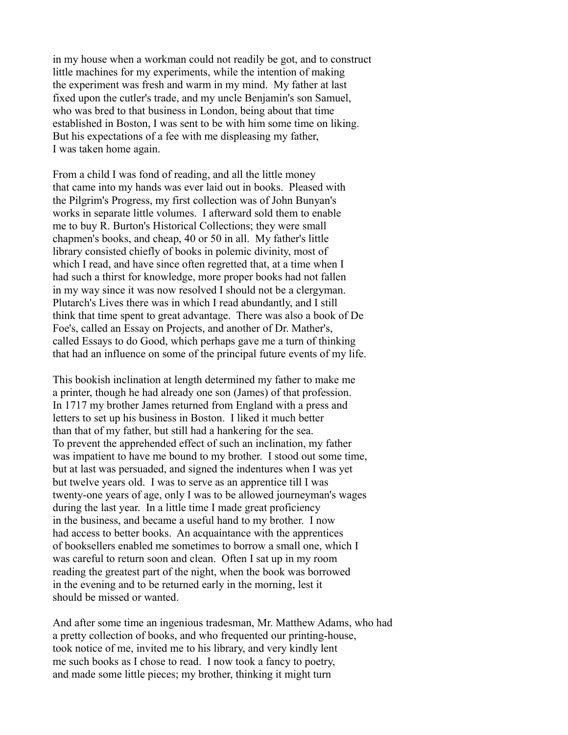in my house when a workman could not readily be got, and to construct little machines for my experiments, while the intention of making the experiment was fresh and warm in my mind. My father at last fixed upon the cutler's trade, and my uncle Benjamin's son Samuel, who was bred to that business in London, being about that time established in Boston, I was sent to be with him some time on liking. But his expectations of a fee with me displeasing my father, I was taken home again.

From a child I was fond of reading, and all the little money that came into my hands was ever laid out in books. Pleased with the Pilgrim's Progress, my first collection was of John Bunyan's works in separate little volumes. I afterward sold them to enable me to buy R. Burton's Historical Collections; they were small chapmen's books, and cheap, 40 or 50 in all. My father's little library consisted chiefly of books in polemic divinity, most of which I read, and have since often regretted that, at a time when I had such a thirst for knowledge, more proper books had not fallen in my way since it was now resolved I should not be a clergyman. Plutarch's Lives there was in which I read abundantly, and I still think that time spent to great advantage. There was also a book of De Foe's, called an Essay on Projects, and another of Dr. Mather's, called Essays to do Good, which perhaps gave me a turn of thinking that had an influence on some of the principal future events of my life.

This bookish inclination at length determined my father to make me a printer, though he had already one son (James) of that profession. In 1717 my brother James returned from England with a press and letters to set up his business in Boston. I liked it much better than that of my father, but still had a hankering for the sea. To prevent the apprehended effect of such an inclination, my father was impatient to have me bound to my brother. I stood out some time, but at last was persuaded, and signed the indentures when I was yet but twelve years old. I was to serve as an apprentice till I was twenty-one years of age, only I was to be allowed journeyman's wages during the last year. In a little time I made great proficiency in the business, and became a useful hand to my brother. I now had access to better books. An acquaintance with the apprentices of booksellers enabled me sometimes to borrow a small one, which I was careful to return soon and clean. Often I sat up in my room reading the greatest part of the night, when the book was borrowed in the evening and to be returned early in the morning, lest it should be missed or wanted.

And after some time an ingenious tradesman, Mr. Matthew Adams, who had a pretty collection of books, and who frequented our printing-house, took notice of me, invited me to his library, and very kindly lent me such books as I chose to read. I now took a fancy to poetry, and made some little pieces; my brother, thinking it might turn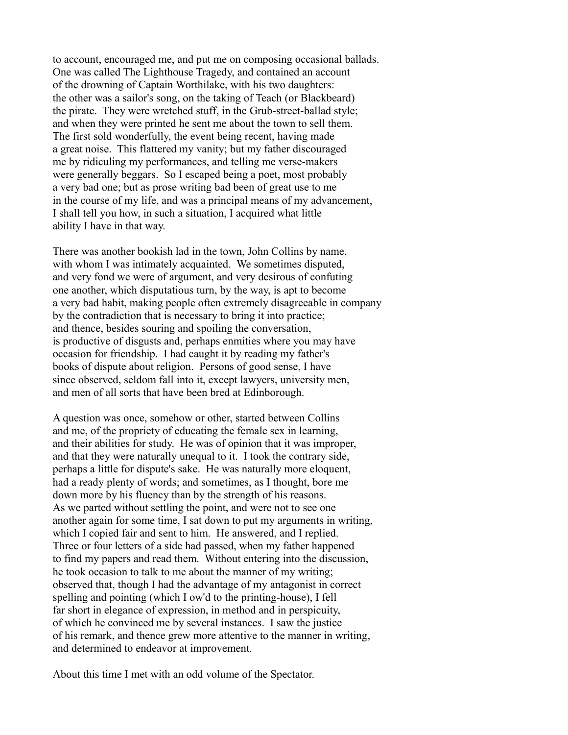to account, encouraged me, and put me on composing occasional ballads. One was called The Lighthouse Tragedy, and contained an account of the drowning of Captain Worthilake, with his two daughters: the other was a sailor's song, on the taking of Teach (or Blackbeard) the pirate. They were wretched stuff, in the Grub-street-ballad style; and when they were printed he sent me about the town to sell them. The first sold wonderfully, the event being recent, having made a great noise. This flattered my vanity; but my father discouraged me by ridiculing my performances, and telling me verse-makers were generally beggars. So I escaped being a poet, most probably a very bad one; but as prose writing bad been of great use to me in the course of my life, and was a principal means of my advancement, I shall tell you how, in such a situation, I acquired what little ability I have in that way.

There was another bookish lad in the town, John Collins by name, with whom I was intimately acquainted. We sometimes disputed, and very fond we were of argument, and very desirous of confuting one another, which disputatious turn, by the way, is apt to become a very bad habit, making people often extremely disagreeable in company by the contradiction that is necessary to bring it into practice; and thence, besides souring and spoiling the conversation, is productive of disgusts and, perhaps enmities where you may have occasion for friendship. I had caught it by reading my father's books of dispute about religion. Persons of good sense, I have since observed, seldom fall into it, except lawyers, university men, and men of all sorts that have been bred at Edinborough.

A question was once, somehow or other, started between Collins and me, of the propriety of educating the female sex in learning, and their abilities for study. He was of opinion that it was improper, and that they were naturally unequal to it. I took the contrary side, perhaps a little for dispute's sake. He was naturally more eloquent, had a ready plenty of words; and sometimes, as I thought, bore me down more by his fluency than by the strength of his reasons. As we parted without settling the point, and were not to see one another again for some time, I sat down to put my arguments in writing, which I copied fair and sent to him. He answered, and I replied. Three or four letters of a side had passed, when my father happened to find my papers and read them. Without entering into the discussion, he took occasion to talk to me about the manner of my writing; observed that, though I had the advantage of my antagonist in correct spelling and pointing (which I ow'd to the printing-house), I fell far short in elegance of expression, in method and in perspicuity, of which he convinced me by several instances. I saw the justice of his remark, and thence grew more attentive to the manner in writing, and determined to endeavor at improvement.

About this time I met with an odd volume of the Spectator.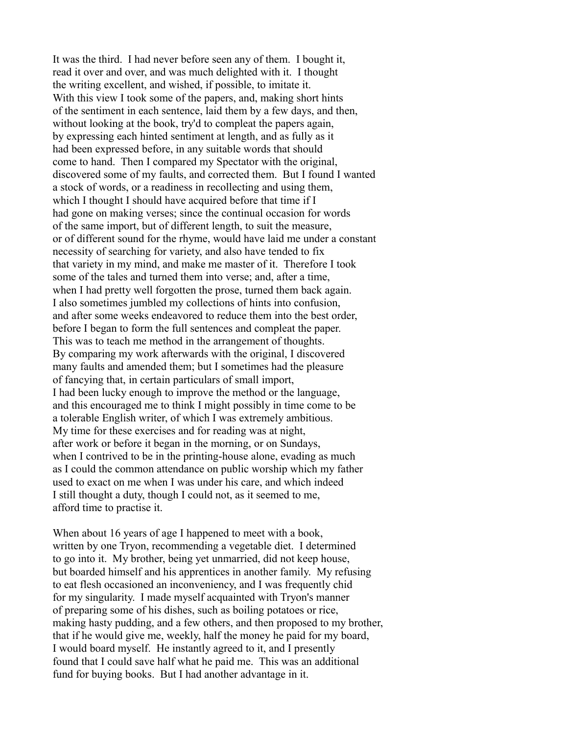It was the third. I had never before seen any of them. I bought it, read it over and over, and was much delighted with it. I thought the writing excellent, and wished, if possible, to imitate it. With this view I took some of the papers, and, making short hints of the sentiment in each sentence, laid them by a few days, and then, without looking at the book, try'd to compleat the papers again, by expressing each hinted sentiment at length, and as fully as it had been expressed before, in any suitable words that should come to hand. Then I compared my Spectator with the original, discovered some of my faults, and corrected them. But I found I wanted a stock of words, or a readiness in recollecting and using them, which I thought I should have acquired before that time if I had gone on making verses; since the continual occasion for words of the same import, but of different length, to suit the measure, or of different sound for the rhyme, would have laid me under a constant necessity of searching for variety, and also have tended to fix that variety in my mind, and make me master of it. Therefore I took some of the tales and turned them into verse; and, after a time, when I had pretty well forgotten the prose, turned them back again. I also sometimes jumbled my collections of hints into confusion, and after some weeks endeavored to reduce them into the best order, before I began to form the full sentences and compleat the paper. This was to teach me method in the arrangement of thoughts. By comparing my work afterwards with the original, I discovered many faults and amended them; but I sometimes had the pleasure of fancying that, in certain particulars of small import, I had been lucky enough to improve the method or the language, and this encouraged me to think I might possibly in time come to be a tolerable English writer, of which I was extremely ambitious. My time for these exercises and for reading was at night, after work or before it began in the morning, or on Sundays, when I contrived to be in the printing-house alone, evading as much as I could the common attendance on public worship which my father used to exact on me when I was under his care, and which indeed I still thought a duty, though I could not, as it seemed to me, afford time to practise it.

When about 16 years of age I happened to meet with a book, written by one Tryon, recommending a vegetable diet. I determined to go into it. My brother, being yet unmarried, did not keep house, but boarded himself and his apprentices in another family. My refusing to eat flesh occasioned an inconveniency, and I was frequently chid for my singularity. I made myself acquainted with Tryon's manner of preparing some of his dishes, such as boiling potatoes or rice, making hasty pudding, and a few others, and then proposed to my brother, that if he would give me, weekly, half the money he paid for my board, I would board myself. He instantly agreed to it, and I presently found that I could save half what he paid me. This was an additional fund for buying books. But I had another advantage in it.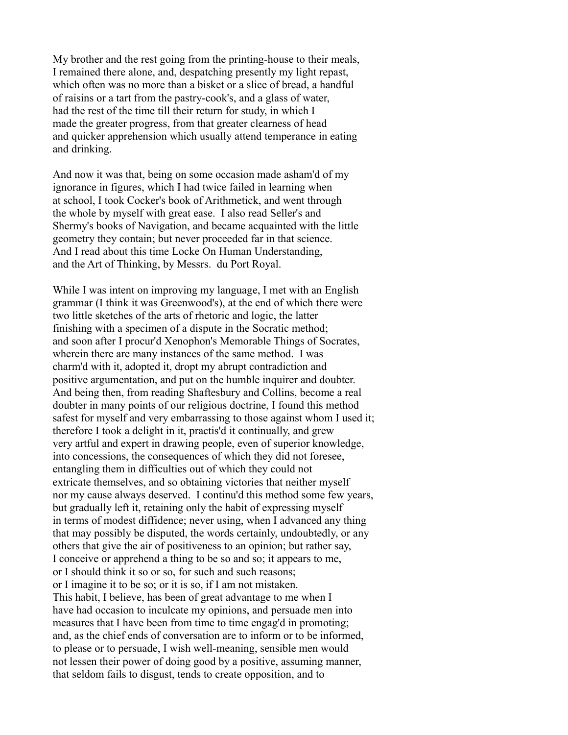My brother and the rest going from the printing-house to their meals, I remained there alone, and, despatching presently my light repast, which often was no more than a bisket or a slice of bread, a handful of raisins or a tart from the pastry-cook's, and a glass of water, had the rest of the time till their return for study, in which I made the greater progress, from that greater clearness of head and quicker apprehension which usually attend temperance in eating and drinking.

And now it was that, being on some occasion made asham'd of my ignorance in figures, which I had twice failed in learning when at school, I took Cocker's book of Arithmetick, and went through the whole by myself with great ease. I also read Seller's and Shermy's books of Navigation, and became acquainted with the little geometry they contain; but never proceeded far in that science. And I read about this time Locke On Human Understanding, and the Art of Thinking, by Messrs. du Port Royal.

While I was intent on improving my language, I met with an English grammar (I think it was Greenwood's), at the end of which there were two little sketches of the arts of rhetoric and logic, the latter finishing with a specimen of a dispute in the Socratic method; and soon after I procur'd Xenophon's Memorable Things of Socrates, wherein there are many instances of the same method. I was charm'd with it, adopted it, dropt my abrupt contradiction and positive argumentation, and put on the humble inquirer and doubter. And being then, from reading Shaftesbury and Collins, become a real doubter in many points of our religious doctrine, I found this method safest for myself and very embarrassing to those against whom I used it; therefore I took a delight in it, practis'd it continually, and grew very artful and expert in drawing people, even of superior knowledge, into concessions, the consequences of which they did not foresee, entangling them in difficulties out of which they could not extricate themselves, and so obtaining victories that neither myself nor my cause always deserved. I continu'd this method some few years, but gradually left it, retaining only the habit of expressing myself in terms of modest diffidence; never using, when I advanced any thing that may possibly be disputed, the words certainly, undoubtedly, or any others that give the air of positiveness to an opinion; but rather say, I conceive or apprehend a thing to be so and so; it appears to me, or I should think it so or so, for such and such reasons; or I imagine it to be so; or it is so, if I am not mistaken. This habit, I believe, has been of great advantage to me when I have had occasion to inculcate my opinions, and persuade men into measures that I have been from time to time engag'd in promoting; and, as the chief ends of conversation are to inform or to be informed, to please or to persuade, I wish well-meaning, sensible men would not lessen their power of doing good by a positive, assuming manner, that seldom fails to disgust, tends to create opposition, and to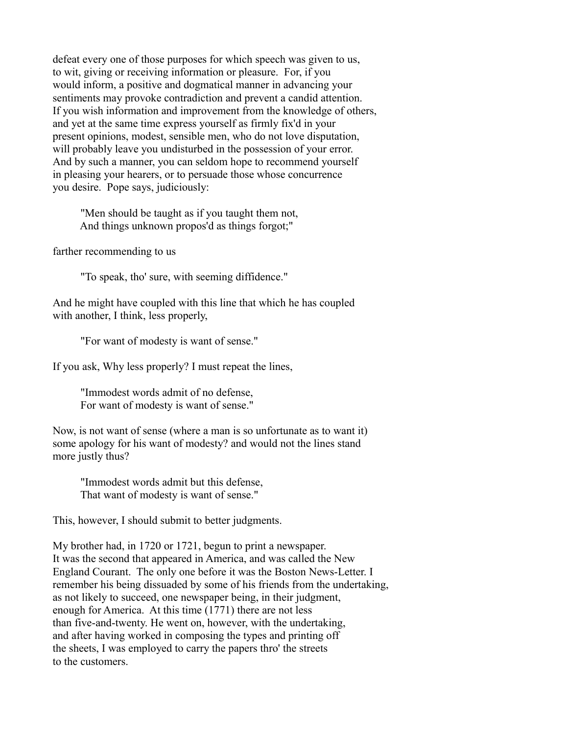defeat every one of those purposes for which speech was given to us, to wit, giving or receiving information or pleasure. For, if you would inform, a positive and dogmatical manner in advancing your sentiments may provoke contradiction and prevent a candid attention. If you wish information and improvement from the knowledge of others, and yet at the same time express yourself as firmly fix'd in your present opinions, modest, sensible men, who do not love disputation, will probably leave you undisturbed in the possession of your error. And by such a manner, you can seldom hope to recommend yourself in pleasing your hearers, or to persuade those whose concurrence you desire. Pope says, judiciously:

 "Men should be taught as if you taught them not, And things unknown propos'd as things forgot;"

farther recommending to us

"To speak, tho' sure, with seeming diffidence."

And he might have coupled with this line that which he has coupled with another, I think, less properly,

"For want of modesty is want of sense."

If you ask, Why less properly? I must repeat the lines,

 "Immodest words admit of no defense, For want of modesty is want of sense."

Now, is not want of sense (where a man is so unfortunate as to want it) some apology for his want of modesty? and would not the lines stand more justly thus?

 "Immodest words admit but this defense, That want of modesty is want of sense."

This, however, I should submit to better judgments.

My brother had, in 1720 or 1721, begun to print a newspaper. It was the second that appeared in America, and was called the New England Courant. The only one before it was the Boston News-Letter. I remember his being dissuaded by some of his friends from the undertaking, as not likely to succeed, one newspaper being, in their judgment, enough for America. At this time (1771) there are not less than five-and-twenty. He went on, however, with the undertaking, and after having worked in composing the types and printing off the sheets, I was employed to carry the papers thro' the streets to the customers.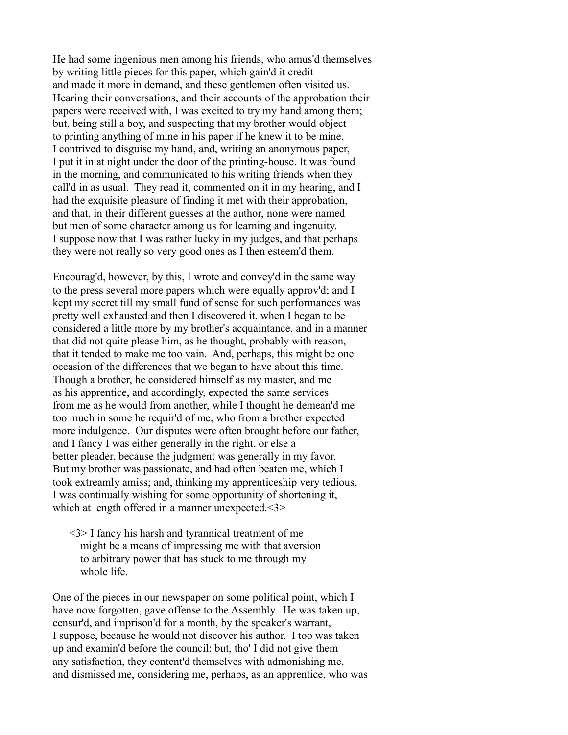He had some ingenious men among his friends, who amus'd themselves by writing little pieces for this paper, which gain'd it credit and made it more in demand, and these gentlemen often visited us. Hearing their conversations, and their accounts of the approbation their papers were received with, I was excited to try my hand among them; but, being still a boy, and suspecting that my brother would object to printing anything of mine in his paper if he knew it to be mine, I contrived to disguise my hand, and, writing an anonymous paper, I put it in at night under the door of the printing-house. It was found in the morning, and communicated to his writing friends when they call'd in as usual. They read it, commented on it in my hearing, and I had the exquisite pleasure of finding it met with their approbation. and that, in their different guesses at the author, none were named but men of some character among us for learning and ingenuity. I suppose now that I was rather lucky in my judges, and that perhaps they were not really so very good ones as I then esteem'd them.

Encourag'd, however, by this, I wrote and convey'd in the same way to the press several more papers which were equally approv'd; and I kept my secret till my small fund of sense for such performances was pretty well exhausted and then I discovered it, when I began to be considered a little more by my brother's acquaintance, and in a manner that did not quite please him, as he thought, probably with reason, that it tended to make me too vain. And, perhaps, this might be one occasion of the differences that we began to have about this time. Though a brother, he considered himself as my master, and me as his apprentice, and accordingly, expected the same services from me as he would from another, while I thought he demean'd me too much in some he requir'd of me, who from a brother expected more indulgence. Our disputes were often brought before our father, and I fancy I was either generally in the right, or else a better pleader, because the judgment was generally in my favor. But my brother was passionate, and had often beaten me, which I took extreamly amiss; and, thinking my apprenticeship very tedious, I was continually wishing for some opportunity of shortening it, which at length offered in a manner unexpected.<3>

 <3> I fancy his harsh and tyrannical treatment of me might be a means of impressing me with that aversion to arbitrary power that has stuck to me through my whole life.

One of the pieces in our newspaper on some political point, which I have now forgotten, gave offense to the Assembly. He was taken up, censur'd, and imprison'd for a month, by the speaker's warrant, I suppose, because he would not discover his author. I too was taken up and examin'd before the council; but, tho' I did not give them any satisfaction, they content'd themselves with admonishing me, and dismissed me, considering me, perhaps, as an apprentice, who was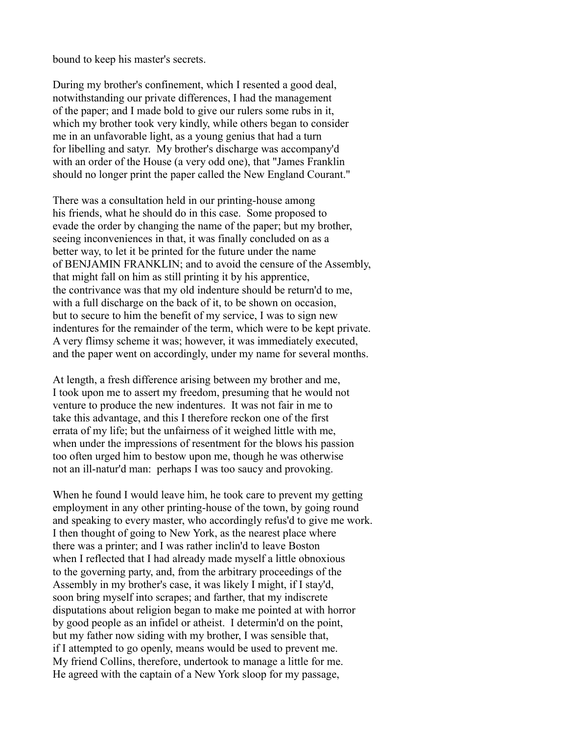bound to keep his master's secrets.

During my brother's confinement, which I resented a good deal, notwithstanding our private differences, I had the management of the paper; and I made bold to give our rulers some rubs in it, which my brother took very kindly, while others began to consider me in an unfavorable light, as a young genius that had a turn for libelling and satyr. My brother's discharge was accompany'd with an order of the House (a very odd one), that "James Franklin should no longer print the paper called the New England Courant."

There was a consultation held in our printing-house among his friends, what he should do in this case. Some proposed to evade the order by changing the name of the paper; but my brother, seeing inconveniences in that, it was finally concluded on as a better way, to let it be printed for the future under the name of BENJAMIN FRANKLIN; and to avoid the censure of the Assembly, that might fall on him as still printing it by his apprentice, the contrivance was that my old indenture should be return'd to me, with a full discharge on the back of it, to be shown on occasion, but to secure to him the benefit of my service, I was to sign new indentures for the remainder of the term, which were to be kept private. A very flimsy scheme it was; however, it was immediately executed, and the paper went on accordingly, under my name for several months.

At length, a fresh difference arising between my brother and me, I took upon me to assert my freedom, presuming that he would not venture to produce the new indentures. It was not fair in me to take this advantage, and this I therefore reckon one of the first errata of my life; but the unfairness of it weighed little with me, when under the impressions of resentment for the blows his passion too often urged him to bestow upon me, though he was otherwise not an ill-natur'd man: perhaps I was too saucy and provoking.

When he found I would leave him, he took care to prevent my getting employment in any other printing-house of the town, by going round and speaking to every master, who accordingly refus'd to give me work. I then thought of going to New York, as the nearest place where there was a printer; and I was rather inclin'd to leave Boston when I reflected that I had already made myself a little obnoxious to the governing party, and, from the arbitrary proceedings of the Assembly in my brother's case, it was likely I might, if I stay'd, soon bring myself into scrapes; and farther, that my indiscrete disputations about religion began to make me pointed at with horror by good people as an infidel or atheist. I determin'd on the point, but my father now siding with my brother, I was sensible that, if I attempted to go openly, means would be used to prevent me. My friend Collins, therefore, undertook to manage a little for me. He agreed with the captain of a New York sloop for my passage,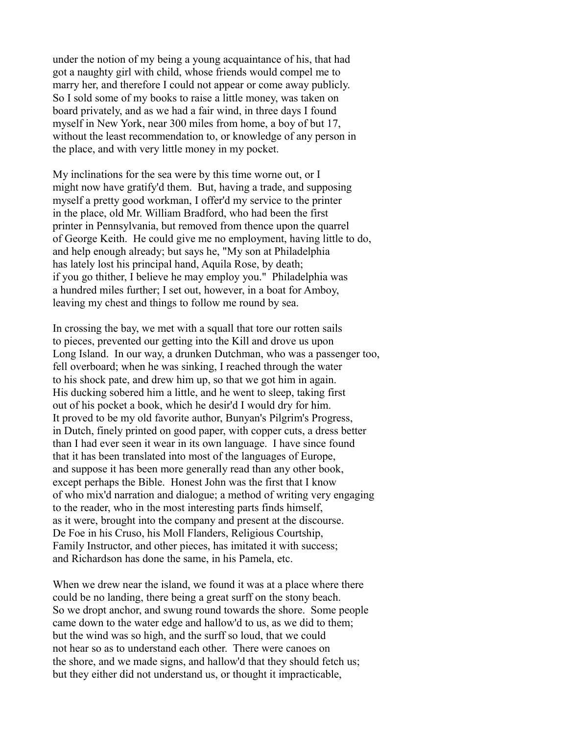under the notion of my being a young acquaintance of his, that had got a naughty girl with child, whose friends would compel me to marry her, and therefore I could not appear or come away publicly. So I sold some of my books to raise a little money, was taken on board privately, and as we had a fair wind, in three days I found myself in New York, near 300 miles from home, a boy of but 17, without the least recommendation to, or knowledge of any person in the place, and with very little money in my pocket.

My inclinations for the sea were by this time worne out, or I might now have gratify'd them. But, having a trade, and supposing myself a pretty good workman, I offer'd my service to the printer in the place, old Mr. William Bradford, who had been the first printer in Pennsylvania, but removed from thence upon the quarrel of George Keith. He could give me no employment, having little to do, and help enough already; but says he, "My son at Philadelphia has lately lost his principal hand, Aquila Rose, by death; if you go thither, I believe he may employ you." Philadelphia was a hundred miles further; I set out, however, in a boat for Amboy, leaving my chest and things to follow me round by sea.

In crossing the bay, we met with a squall that tore our rotten sails to pieces, prevented our getting into the Kill and drove us upon Long Island. In our way, a drunken Dutchman, who was a passenger too, fell overboard; when he was sinking, I reached through the water to his shock pate, and drew him up, so that we got him in again. His ducking sobered him a little, and he went to sleep, taking first out of his pocket a book, which he desir'd I would dry for him. It proved to be my old favorite author, Bunyan's Pilgrim's Progress, in Dutch, finely printed on good paper, with copper cuts, a dress better than I had ever seen it wear in its own language. I have since found that it has been translated into most of the languages of Europe, and suppose it has been more generally read than any other book, except perhaps the Bible. Honest John was the first that I know of who mix'd narration and dialogue; a method of writing very engaging to the reader, who in the most interesting parts finds himself, as it were, brought into the company and present at the discourse. De Foe in his Cruso, his Moll Flanders, Religious Courtship, Family Instructor, and other pieces, has imitated it with success; and Richardson has done the same, in his Pamela, etc.

When we drew near the island, we found it was at a place where there could be no landing, there being a great surff on the stony beach. So we dropt anchor, and swung round towards the shore. Some people came down to the water edge and hallow'd to us, as we did to them; but the wind was so high, and the surff so loud, that we could not hear so as to understand each other. There were canoes on the shore, and we made signs, and hallow'd that they should fetch us; but they either did not understand us, or thought it impracticable,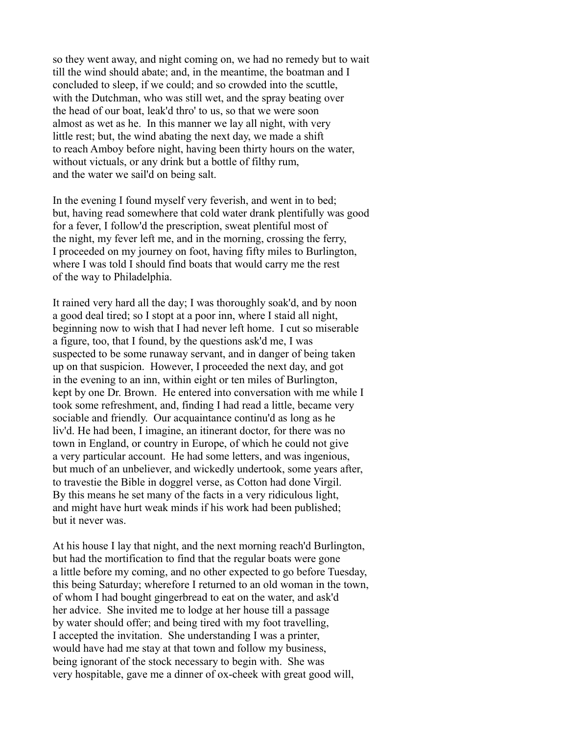so they went away, and night coming on, we had no remedy but to wait till the wind should abate; and, in the meantime, the boatman and I concluded to sleep, if we could; and so crowded into the scuttle, with the Dutchman, who was still wet, and the spray beating over the head of our boat, leak'd thro' to us, so that we were soon almost as wet as he. In this manner we lay all night, with very little rest; but, the wind abating the next day, we made a shift to reach Amboy before night, having been thirty hours on the water, without victuals, or any drink but a bottle of filthy rum, and the water we sail'd on being salt.

In the evening I found myself very feverish, and went in to bed; but, having read somewhere that cold water drank plentifully was good for a fever, I follow'd the prescription, sweat plentiful most of the night, my fever left me, and in the morning, crossing the ferry, I proceeded on my journey on foot, having fifty miles to Burlington, where I was told I should find boats that would carry me the rest of the way to Philadelphia.

It rained very hard all the day; I was thoroughly soak'd, and by noon a good deal tired; so I stopt at a poor inn, where I staid all night, beginning now to wish that I had never left home. I cut so miserable a figure, too, that I found, by the questions ask'd me, I was suspected to be some runaway servant, and in danger of being taken up on that suspicion. However, I proceeded the next day, and got in the evening to an inn, within eight or ten miles of Burlington, kept by one Dr. Brown. He entered into conversation with me while I took some refreshment, and, finding I had read a little, became very sociable and friendly. Our acquaintance continu'd as long as he liv'd. He had been, I imagine, an itinerant doctor, for there was no town in England, or country in Europe, of which he could not give a very particular account. He had some letters, and was ingenious, but much of an unbeliever, and wickedly undertook, some years after, to travestie the Bible in doggrel verse, as Cotton had done Virgil. By this means he set many of the facts in a very ridiculous light, and might have hurt weak minds if his work had been published; but it never was.

At his house I lay that night, and the next morning reach'd Burlington, but had the mortification to find that the regular boats were gone a little before my coming, and no other expected to go before Tuesday, this being Saturday; wherefore I returned to an old woman in the town, of whom I had bought gingerbread to eat on the water, and ask'd her advice. She invited me to lodge at her house till a passage by water should offer; and being tired with my foot travelling, I accepted the invitation. She understanding I was a printer, would have had me stay at that town and follow my business, being ignorant of the stock necessary to begin with. She was very hospitable, gave me a dinner of ox-cheek with great good will,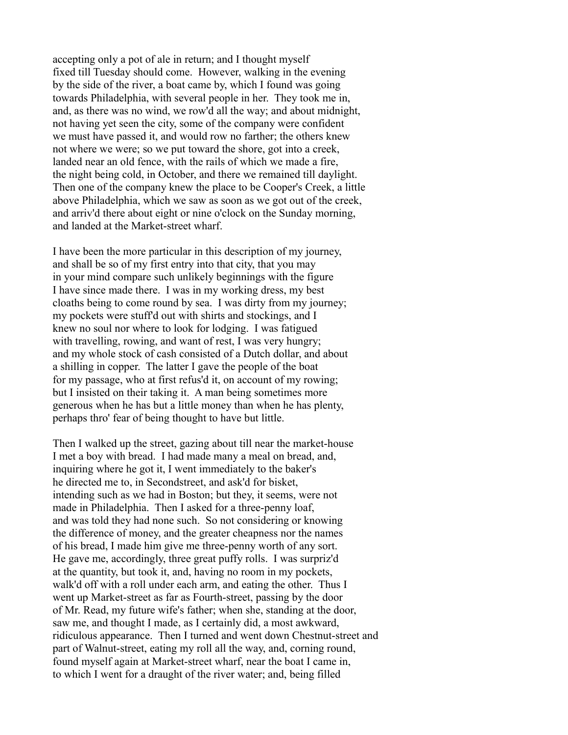accepting only a pot of ale in return; and I thought myself fixed till Tuesday should come. However, walking in the evening by the side of the river, a boat came by, which I found was going towards Philadelphia, with several people in her. They took me in, and, as there was no wind, we row'd all the way; and about midnight, not having yet seen the city, some of the company were confident we must have passed it, and would row no farther; the others knew not where we were; so we put toward the shore, got into a creek, landed near an old fence, with the rails of which we made a fire, the night being cold, in October, and there we remained till daylight. Then one of the company knew the place to be Cooper's Creek, a little above Philadelphia, which we saw as soon as we got out of the creek, and arriv'd there about eight or nine o'clock on the Sunday morning, and landed at the Market-street wharf.

I have been the more particular in this description of my journey, and shall be so of my first entry into that city, that you may in your mind compare such unlikely beginnings with the figure I have since made there. I was in my working dress, my best cloaths being to come round by sea. I was dirty from my journey; my pockets were stuff'd out with shirts and stockings, and I knew no soul nor where to look for lodging. I was fatigued with travelling, rowing, and want of rest, I was very hungry; and my whole stock of cash consisted of a Dutch dollar, and about a shilling in copper. The latter I gave the people of the boat for my passage, who at first refus'd it, on account of my rowing; but I insisted on their taking it. A man being sometimes more generous when he has but a little money than when he has plenty, perhaps thro' fear of being thought to have but little.

Then I walked up the street, gazing about till near the market-house I met a boy with bread. I had made many a meal on bread, and, inquiring where he got it, I went immediately to the baker's he directed me to, in Secondstreet, and ask'd for bisket, intending such as we had in Boston; but they, it seems, were not made in Philadelphia. Then I asked for a three-penny loaf, and was told they had none such. So not considering or knowing the difference of money, and the greater cheapness nor the names of his bread, I made him give me three-penny worth of any sort. He gave me, accordingly, three great puffy rolls. I was surpriz'd at the quantity, but took it, and, having no room in my pockets, walk'd off with a roll under each arm, and eating the other. Thus I went up Market-street as far as Fourth-street, passing by the door of Mr. Read, my future wife's father; when she, standing at the door, saw me, and thought I made, as I certainly did, a most awkward, ridiculous appearance. Then I turned and went down Chestnut-street and part of Walnut-street, eating my roll all the way, and, corning round, found myself again at Market-street wharf, near the boat I came in, to which I went for a draught of the river water; and, being filled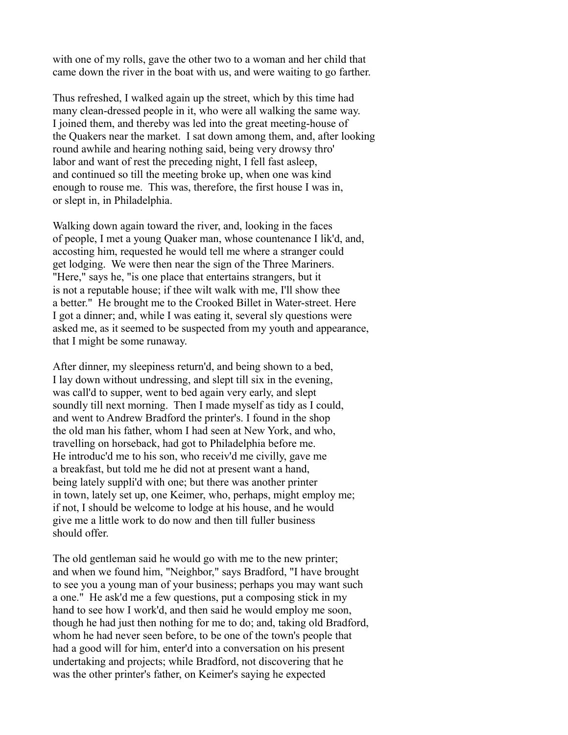with one of my rolls, gave the other two to a woman and her child that came down the river in the boat with us, and were waiting to go farther.

Thus refreshed, I walked again up the street, which by this time had many clean-dressed people in it, who were all walking the same way. I joined them, and thereby was led into the great meeting-house of the Quakers near the market. I sat down among them, and, after looking round awhile and hearing nothing said, being very drowsy thro' labor and want of rest the preceding night, I fell fast asleep, and continued so till the meeting broke up, when one was kind enough to rouse me. This was, therefore, the first house I was in, or slept in, in Philadelphia.

Walking down again toward the river, and, looking in the faces of people, I met a young Quaker man, whose countenance I lik'd, and, accosting him, requested he would tell me where a stranger could get lodging. We were then near the sign of the Three Mariners. "Here," says he, "is one place that entertains strangers, but it is not a reputable house; if thee wilt walk with me, I'll show thee a better." He brought me to the Crooked Billet in Water-street. Here I got a dinner; and, while I was eating it, several sly questions were asked me, as it seemed to be suspected from my youth and appearance, that I might be some runaway.

After dinner, my sleepiness return'd, and being shown to a bed, I lay down without undressing, and slept till six in the evening, was call'd to supper, went to bed again very early, and slept soundly till next morning. Then I made myself as tidy as I could, and went to Andrew Bradford the printer's. I found in the shop the old man his father, whom I had seen at New York, and who, travelling on horseback, had got to Philadelphia before me. He introduc'd me to his son, who receiv'd me civilly, gave me a breakfast, but told me he did not at present want a hand, being lately suppli'd with one; but there was another printer in town, lately set up, one Keimer, who, perhaps, might employ me; if not, I should be welcome to lodge at his house, and he would give me a little work to do now and then till fuller business should offer.

The old gentleman said he would go with me to the new printer; and when we found him, "Neighbor," says Bradford, "I have brought to see you a young man of your business; perhaps you may want such a one." He ask'd me a few questions, put a composing stick in my hand to see how I work'd, and then said he would employ me soon, though he had just then nothing for me to do; and, taking old Bradford, whom he had never seen before, to be one of the town's people that had a good will for him, enter'd into a conversation on his present undertaking and projects; while Bradford, not discovering that he was the other printer's father, on Keimer's saying he expected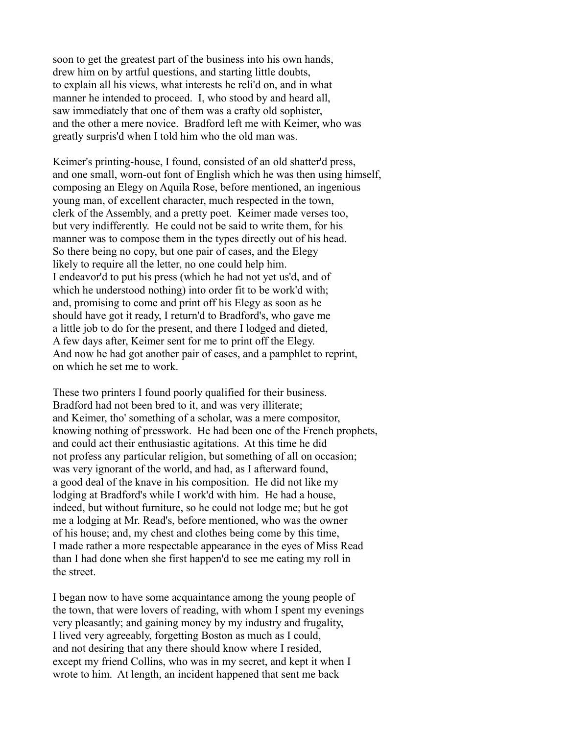soon to get the greatest part of the business into his own hands, drew him on by artful questions, and starting little doubts, to explain all his views, what interests he reli'd on, and in what manner he intended to proceed. I, who stood by and heard all, saw immediately that one of them was a crafty old sophister, and the other a mere novice. Bradford left me with Keimer, who was greatly surpris'd when I told him who the old man was.

Keimer's printing-house, I found, consisted of an old shatter'd press, and one small, worn-out font of English which he was then using himself, composing an Elegy on Aquila Rose, before mentioned, an ingenious young man, of excellent character, much respected in the town, clerk of the Assembly, and a pretty poet. Keimer made verses too, but very indifferently. He could not be said to write them, for his manner was to compose them in the types directly out of his head. So there being no copy, but one pair of cases, and the Elegy likely to require all the letter, no one could help him. I endeavor'd to put his press (which he had not yet us'd, and of which he understood nothing) into order fit to be work'd with; and, promising to come and print off his Elegy as soon as he should have got it ready, I return'd to Bradford's, who gave me a little job to do for the present, and there I lodged and dieted, A few days after, Keimer sent for me to print off the Elegy. And now he had got another pair of cases, and a pamphlet to reprint, on which he set me to work.

These two printers I found poorly qualified for their business. Bradford had not been bred to it, and was very illiterate; and Keimer, tho' something of a scholar, was a mere compositor, knowing nothing of presswork. He had been one of the French prophets, and could act their enthusiastic agitations. At this time he did not profess any particular religion, but something of all on occasion; was very ignorant of the world, and had, as I afterward found, a good deal of the knave in his composition. He did not like my lodging at Bradford's while I work'd with him. He had a house, indeed, but without furniture, so he could not lodge me; but he got me a lodging at Mr. Read's, before mentioned, who was the owner of his house; and, my chest and clothes being come by this time, I made rather a more respectable appearance in the eyes of Miss Read than I had done when she first happen'd to see me eating my roll in the street.

I began now to have some acquaintance among the young people of the town, that were lovers of reading, with whom I spent my evenings very pleasantly; and gaining money by my industry and frugality, I lived very agreeably, forgetting Boston as much as I could, and not desiring that any there should know where I resided, except my friend Collins, who was in my secret, and kept it when I wrote to him. At length, an incident happened that sent me back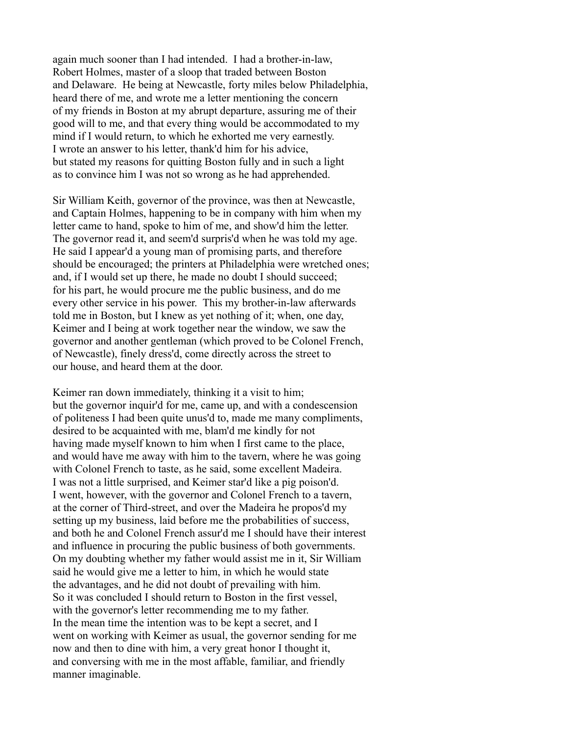again much sooner than I had intended. I had a brother-in-law, Robert Holmes, master of a sloop that traded between Boston and Delaware. He being at Newcastle, forty miles below Philadelphia, heard there of me, and wrote me a letter mentioning the concern of my friends in Boston at my abrupt departure, assuring me of their good will to me, and that every thing would be accommodated to my mind if I would return, to which he exhorted me very earnestly. I wrote an answer to his letter, thank'd him for his advice, but stated my reasons for quitting Boston fully and in such a light as to convince him I was not so wrong as he had apprehended.

Sir William Keith, governor of the province, was then at Newcastle, and Captain Holmes, happening to be in company with him when my letter came to hand, spoke to him of me, and show'd him the letter. The governor read it, and seem'd surpris'd when he was told my age. He said I appear'd a young man of promising parts, and therefore should be encouraged; the printers at Philadelphia were wretched ones; and, if I would set up there, he made no doubt I should succeed; for his part, he would procure me the public business, and do me every other service in his power. This my brother-in-law afterwards told me in Boston, but I knew as yet nothing of it; when, one day, Keimer and I being at work together near the window, we saw the governor and another gentleman (which proved to be Colonel French, of Newcastle), finely dress'd, come directly across the street to our house, and heard them at the door.

Keimer ran down immediately, thinking it a visit to him; but the governor inquir'd for me, came up, and with a condescension of politeness I had been quite unus'd to, made me many compliments, desired to be acquainted with me, blam'd me kindly for not having made myself known to him when I first came to the place, and would have me away with him to the tavern, where he was going with Colonel French to taste, as he said, some excellent Madeira. I was not a little surprised, and Keimer star'd like a pig poison'd. I went, however, with the governor and Colonel French to a tavern, at the corner of Third-street, and over the Madeira he propos'd my setting up my business, laid before me the probabilities of success, and both he and Colonel French assur'd me I should have their interest and influence in procuring the public business of both governments. On my doubting whether my father would assist me in it, Sir William said he would give me a letter to him, in which he would state the advantages, and he did not doubt of prevailing with him. So it was concluded I should return to Boston in the first vessel, with the governor's letter recommending me to my father. In the mean time the intention was to be kept a secret, and I went on working with Keimer as usual, the governor sending for me now and then to dine with him, a very great honor I thought it, and conversing with me in the most affable, familiar, and friendly manner imaginable.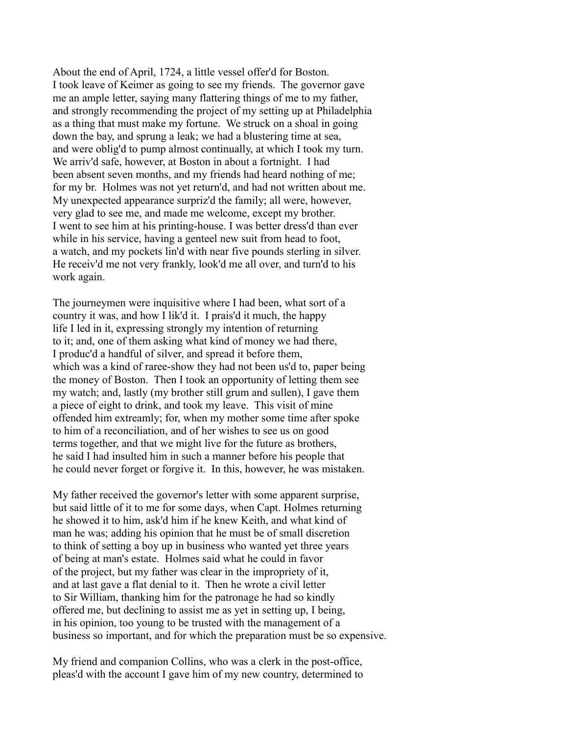About the end of April, 1724, a little vessel offer'd for Boston. I took leave of Keimer as going to see my friends. The governor gave me an ample letter, saying many flattering things of me to my father, and strongly recommending the project of my setting up at Philadelphia as a thing that must make my fortune. We struck on a shoal in going down the bay, and sprung a leak; we had a blustering time at sea, and were oblig'd to pump almost continually, at which I took my turn. We arriv'd safe, however, at Boston in about a fortnight. I had been absent seven months, and my friends had heard nothing of me; for my br. Holmes was not yet return'd, and had not written about me. My unexpected appearance surpriz'd the family; all were, however, very glad to see me, and made me welcome, except my brother. I went to see him at his printing-house. I was better dress'd than ever while in his service, having a genteel new suit from head to foot, a watch, and my pockets lin'd with near five pounds sterling in silver. He receiv'd me not very frankly, look'd me all over, and turn'd to his work again.

The journeymen were inquisitive where I had been, what sort of a country it was, and how I lik'd it. I prais'd it much, the happy life I led in it, expressing strongly my intention of returning to it; and, one of them asking what kind of money we had there, I produc'd a handful of silver, and spread it before them, which was a kind of raree-show they had not been us'd to, paper being the money of Boston. Then I took an opportunity of letting them see my watch; and, lastly (my brother still grum and sullen), I gave them a piece of eight to drink, and took my leave. This visit of mine offended him extreamly; for, when my mother some time after spoke to him of a reconciliation, and of her wishes to see us on good terms together, and that we might live for the future as brothers, he said I had insulted him in such a manner before his people that he could never forget or forgive it. In this, however, he was mistaken.

My father received the governor's letter with some apparent surprise, but said little of it to me for some days, when Capt. Holmes returning he showed it to him, ask'd him if he knew Keith, and what kind of man he was; adding his opinion that he must be of small discretion to think of setting a boy up in business who wanted yet three years of being at man's estate. Holmes said what he could in favor of the project, but my father was clear in the impropriety of it, and at last gave a flat denial to it. Then he wrote a civil letter to Sir William, thanking him for the patronage he had so kindly offered me, but declining to assist me as yet in setting up, I being, in his opinion, too young to be trusted with the management of a business so important, and for which the preparation must be so expensive.

My friend and companion Collins, who was a clerk in the post-office, pleas'd with the account I gave him of my new country, determined to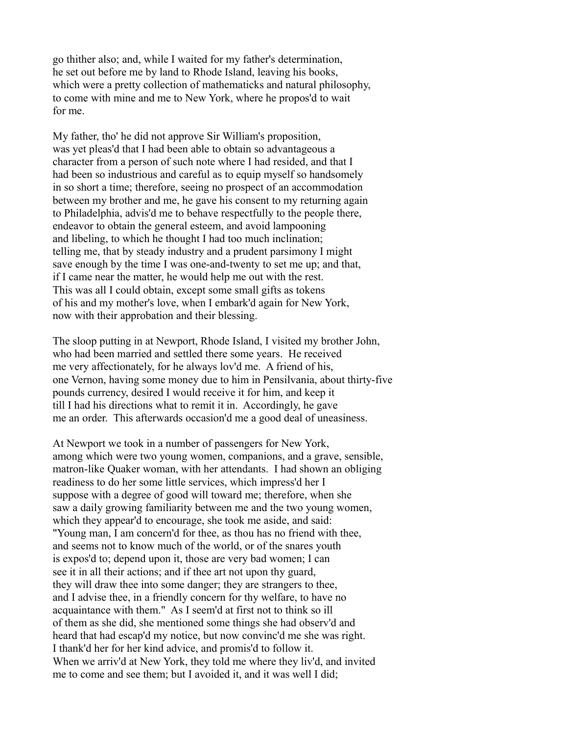go thither also; and, while I waited for my father's determination, he set out before me by land to Rhode Island, leaving his books, which were a pretty collection of mathematicks and natural philosophy, to come with mine and me to New York, where he propos'd to wait for me.

My father, tho' he did not approve Sir William's proposition, was yet pleas'd that I had been able to obtain so advantageous a character from a person of such note where I had resided, and that I had been so industrious and careful as to equip myself so handsomely in so short a time; therefore, seeing no prospect of an accommodation between my brother and me, he gave his consent to my returning again to Philadelphia, advis'd me to behave respectfully to the people there, endeavor to obtain the general esteem, and avoid lampooning and libeling, to which he thought I had too much inclination; telling me, that by steady industry and a prudent parsimony I might save enough by the time I was one-and-twenty to set me up; and that, if I came near the matter, he would help me out with the rest. This was all I could obtain, except some small gifts as tokens of his and my mother's love, when I embark'd again for New York, now with their approbation and their blessing.

The sloop putting in at Newport, Rhode Island, I visited my brother John, who had been married and settled there some years. He received me very affectionately, for he always lov'd me. A friend of his, one Vernon, having some money due to him in Pensilvania, about thirty-five pounds currency, desired I would receive it for him, and keep it till I had his directions what to remit it in. Accordingly, he gave me an order. This afterwards occasion'd me a good deal of uneasiness.

At Newport we took in a number of passengers for New York, among which were two young women, companions, and a grave, sensible, matron-like Quaker woman, with her attendants. I had shown an obliging readiness to do her some little services, which impress'd her I suppose with a degree of good will toward me; therefore, when she saw a daily growing familiarity between me and the two young women, which they appear'd to encourage, she took me aside, and said: "Young man, I am concern'd for thee, as thou has no friend with thee, and seems not to know much of the world, or of the snares youth is expos'd to; depend upon it, those are very bad women; I can see it in all their actions; and if thee art not upon thy guard, they will draw thee into some danger; they are strangers to thee, and I advise thee, in a friendly concern for thy welfare, to have no acquaintance with them." As I seem'd at first not to think so ill of them as she did, she mentioned some things she had observ'd and heard that had escap'd my notice, but now convinc'd me she was right. I thank'd her for her kind advice, and promis'd to follow it. When we arriv'd at New York, they told me where they liv'd, and invited me to come and see them; but I avoided it, and it was well I did;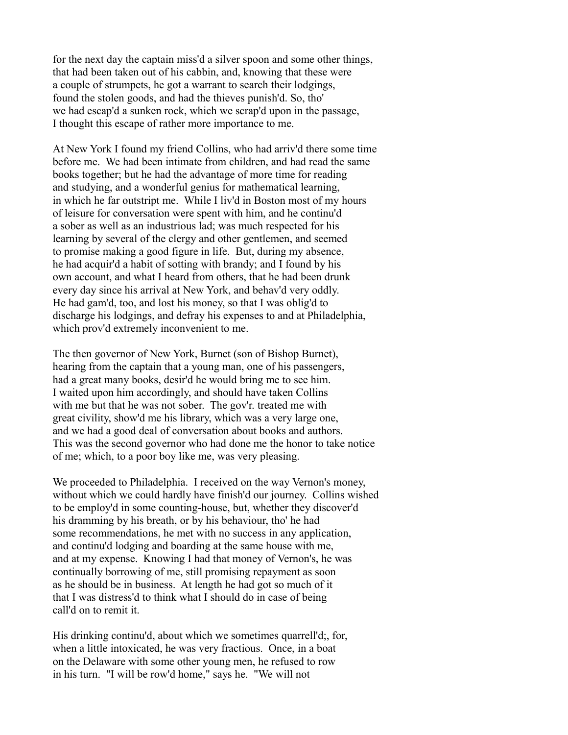for the next day the captain miss'd a silver spoon and some other things, that had been taken out of his cabbin, and, knowing that these were a couple of strumpets, he got a warrant to search their lodgings, found the stolen goods, and had the thieves punish'd. So, tho' we had escap'd a sunken rock, which we scrap'd upon in the passage, I thought this escape of rather more importance to me.

At New York I found my friend Collins, who had arriv'd there some time before me. We had been intimate from children, and had read the same books together; but he had the advantage of more time for reading and studying, and a wonderful genius for mathematical learning, in which he far outstript me. While I liv'd in Boston most of my hours of leisure for conversation were spent with him, and he continu'd a sober as well as an industrious lad; was much respected for his learning by several of the clergy and other gentlemen, and seemed to promise making a good figure in life. But, during my absence, he had acquir'd a habit of sotting with brandy; and I found by his own account, and what I heard from others, that he had been drunk every day since his arrival at New York, and behav'd very oddly. He had gam'd, too, and lost his money, so that I was oblig'd to discharge his lodgings, and defray his expenses to and at Philadelphia, which prov'd extremely inconvenient to me.

The then governor of New York, Burnet (son of Bishop Burnet), hearing from the captain that a young man, one of his passengers, had a great many books, desir'd he would bring me to see him. I waited upon him accordingly, and should have taken Collins with me but that he was not sober. The gov'r. treated me with great civility, show'd me his library, which was a very large one, and we had a good deal of conversation about books and authors. This was the second governor who had done me the honor to take notice of me; which, to a poor boy like me, was very pleasing.

We proceeded to Philadelphia. I received on the way Vernon's money, without which we could hardly have finish'd our journey. Collins wished to be employ'd in some counting-house, but, whether they discover'd his dramming by his breath, or by his behaviour, tho' he had some recommendations, he met with no success in any application, and continu'd lodging and boarding at the same house with me, and at my expense. Knowing I had that money of Vernon's, he was continually borrowing of me, still promising repayment as soon as he should be in business. At length he had got so much of it that I was distress'd to think what I should do in case of being call'd on to remit it.

His drinking continu'd, about which we sometimes quarrell'd;, for, when a little intoxicated, he was very fractious. Once, in a boat on the Delaware with some other young men, he refused to row in his turn. "I will be row'd home," says he. "We will not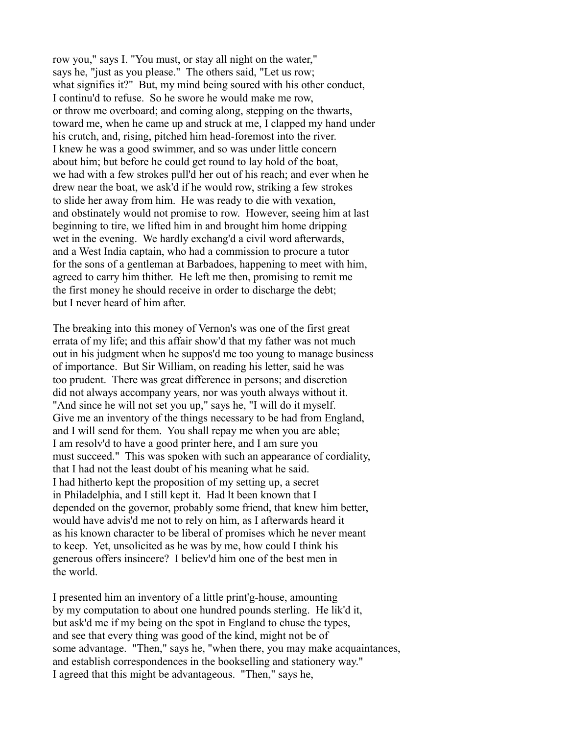row you," says I. "You must, or stay all night on the water," says he, "just as you please." The others said, "Let us row; what signifies it?" But, my mind being soured with his other conduct, I continu'd to refuse. So he swore he would make me row, or throw me overboard; and coming along, stepping on the thwarts, toward me, when he came up and struck at me, I clapped my hand under his crutch, and, rising, pitched him head-foremost into the river. I knew he was a good swimmer, and so was under little concern about him; but before he could get round to lay hold of the boat, we had with a few strokes pull'd her out of his reach; and ever when he drew near the boat, we ask'd if he would row, striking a few strokes to slide her away from him. He was ready to die with vexation, and obstinately would not promise to row. However, seeing him at last beginning to tire, we lifted him in and brought him home dripping wet in the evening. We hardly exchang'd a civil word afterwards, and a West India captain, who had a commission to procure a tutor for the sons of a gentleman at Barbadoes, happening to meet with him, agreed to carry him thither. He left me then, promising to remit me the first money he should receive in order to discharge the debt; but I never heard of him after.

The breaking into this money of Vernon's was one of the first great errata of my life; and this affair show'd that my father was not much out in his judgment when he suppos'd me too young to manage business of importance. But Sir William, on reading his letter, said he was too prudent. There was great difference in persons; and discretion did not always accompany years, nor was youth always without it. "And since he will not set you up," says he, "I will do it myself. Give me an inventory of the things necessary to be had from England, and I will send for them. You shall repay me when you are able; I am resolv'd to have a good printer here, and I am sure you must succeed." This was spoken with such an appearance of cordiality, that I had not the least doubt of his meaning what he said. I had hitherto kept the proposition of my setting up, a secret in Philadelphia, and I still kept it. Had lt been known that I depended on the governor, probably some friend, that knew him better, would have advis'd me not to rely on him, as I afterwards heard it as his known character to be liberal of promises which he never meant to keep. Yet, unsolicited as he was by me, how could I think his generous offers insincere? I believ'd him one of the best men in the world.

I presented him an inventory of a little print'g-house, amounting by my computation to about one hundred pounds sterling. He lik'd it, but ask'd me if my being on the spot in England to chuse the types, and see that every thing was good of the kind, might not be of some advantage. "Then," says he, "when there, you may make acquaintances, and establish correspondences in the bookselling and stationery way." I agreed that this might be advantageous. "Then," says he,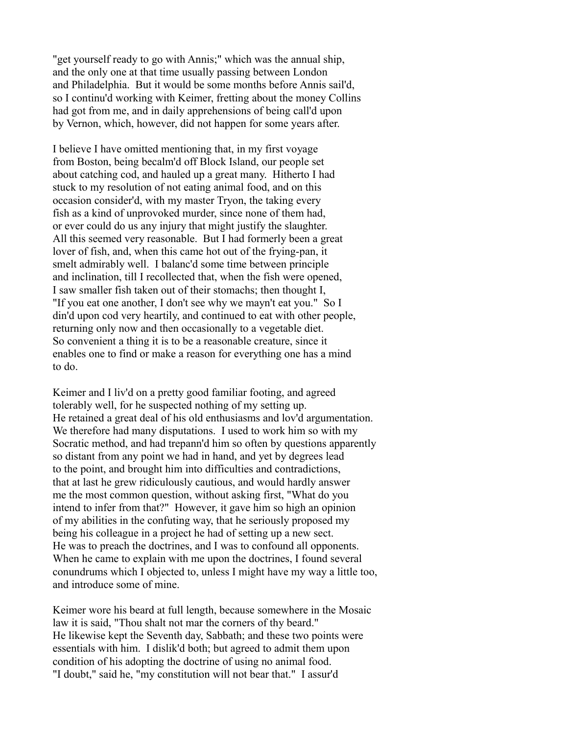"get yourself ready to go with Annis;" which was the annual ship, and the only one at that time usually passing between London and Philadelphia. But it would be some months before Annis sail'd, so I continu'd working with Keimer, fretting about the money Collins had got from me, and in daily apprehensions of being call'd upon by Vernon, which, however, did not happen for some years after.

I believe I have omitted mentioning that, in my first voyage from Boston, being becalm'd off Block Island, our people set about catching cod, and hauled up a great many. Hitherto I had stuck to my resolution of not eating animal food, and on this occasion consider'd, with my master Tryon, the taking every fish as a kind of unprovoked murder, since none of them had, or ever could do us any injury that might justify the slaughter. All this seemed very reasonable. But I had formerly been a great lover of fish, and, when this came hot out of the frying-pan, it smelt admirably well. I balanc'd some time between principle and inclination, till I recollected that, when the fish were opened, I saw smaller fish taken out of their stomachs; then thought I, "If you eat one another, I don't see why we mayn't eat you." So I din'd upon cod very heartily, and continued to eat with other people, returning only now and then occasionally to a vegetable diet. So convenient a thing it is to be a reasonable creature, since it enables one to find or make a reason for everything one has a mind to do.

Keimer and I liv'd on a pretty good familiar footing, and agreed tolerably well, for he suspected nothing of my setting up. He retained a great deal of his old enthusiasms and lov'd argumentation. We therefore had many disputations. I used to work him so with my Socratic method, and had trepann'd him so often by questions apparently so distant from any point we had in hand, and yet by degrees lead to the point, and brought him into difficulties and contradictions, that at last he grew ridiculously cautious, and would hardly answer me the most common question, without asking first, "What do you intend to infer from that?" However, it gave him so high an opinion of my abilities in the confuting way, that he seriously proposed my being his colleague in a project he had of setting up a new sect. He was to preach the doctrines, and I was to confound all opponents. When he came to explain with me upon the doctrines, I found several conundrums which I objected to, unless I might have my way a little too, and introduce some of mine.

Keimer wore his beard at full length, because somewhere in the Mosaic law it is said, "Thou shalt not mar the corners of thy beard." He likewise kept the Seventh day, Sabbath; and these two points were essentials with him. I dislik'd both; but agreed to admit them upon condition of his adopting the doctrine of using no animal food. "I doubt," said he, "my constitution will not bear that." I assur'd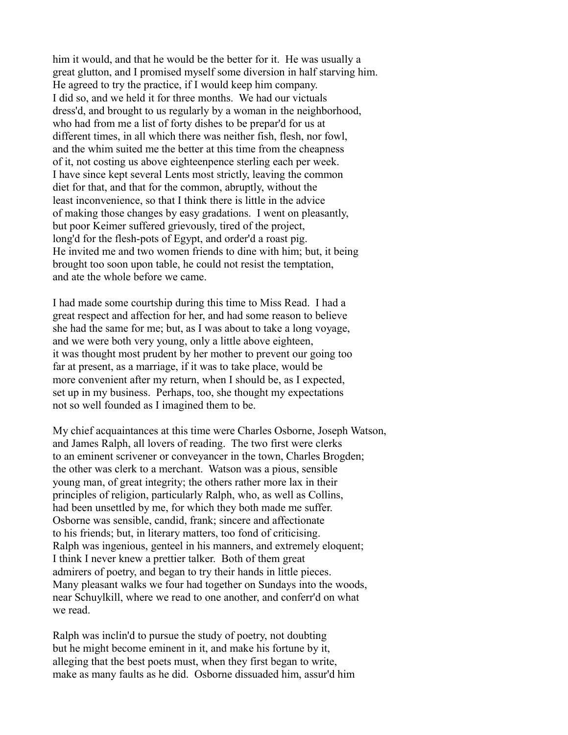him it would, and that he would be the better for it. He was usually a great glutton, and I promised myself some diversion in half starving him. He agreed to try the practice, if I would keep him company. I did so, and we held it for three months. We had our victuals dress'd, and brought to us regularly by a woman in the neighborhood, who had from me a list of forty dishes to be prepar'd for us at different times, in all which there was neither fish, flesh, nor fowl, and the whim suited me the better at this time from the cheapness of it, not costing us above eighteenpence sterling each per week. I have since kept several Lents most strictly, leaving the common diet for that, and that for the common, abruptly, without the least inconvenience, so that I think there is little in the advice of making those changes by easy gradations. I went on pleasantly, but poor Keimer suffered grievously, tired of the project, long'd for the flesh-pots of Egypt, and order'd a roast pig. He invited me and two women friends to dine with him; but, it being brought too soon upon table, he could not resist the temptation, and ate the whole before we came.

I had made some courtship during this time to Miss Read. I had a great respect and affection for her, and had some reason to believe she had the same for me; but, as I was about to take a long voyage, and we were both very young, only a little above eighteen, it was thought most prudent by her mother to prevent our going too far at present, as a marriage, if it was to take place, would be more convenient after my return, when I should be, as I expected, set up in my business. Perhaps, too, she thought my expectations not so well founded as I imagined them to be.

My chief acquaintances at this time were Charles Osborne, Joseph Watson, and James Ralph, all lovers of reading. The two first were clerks to an eminent scrivener or conveyancer in the town, Charles Brogden; the other was clerk to a merchant. Watson was a pious, sensible young man, of great integrity; the others rather more lax in their principles of religion, particularly Ralph, who, as well as Collins, had been unsettled by me, for which they both made me suffer. Osborne was sensible, candid, frank; sincere and affectionate to his friends; but, in literary matters, too fond of criticising. Ralph was ingenious, genteel in his manners, and extremely eloquent; I think I never knew a prettier talker. Both of them great admirers of poetry, and began to try their hands in little pieces. Many pleasant walks we four had together on Sundays into the woods, near Schuylkill, where we read to one another, and conferr'd on what we read.

Ralph was inclin'd to pursue the study of poetry, not doubting but he might become eminent in it, and make his fortune by it, alleging that the best poets must, when they first began to write, make as many faults as he did. Osborne dissuaded him, assur'd him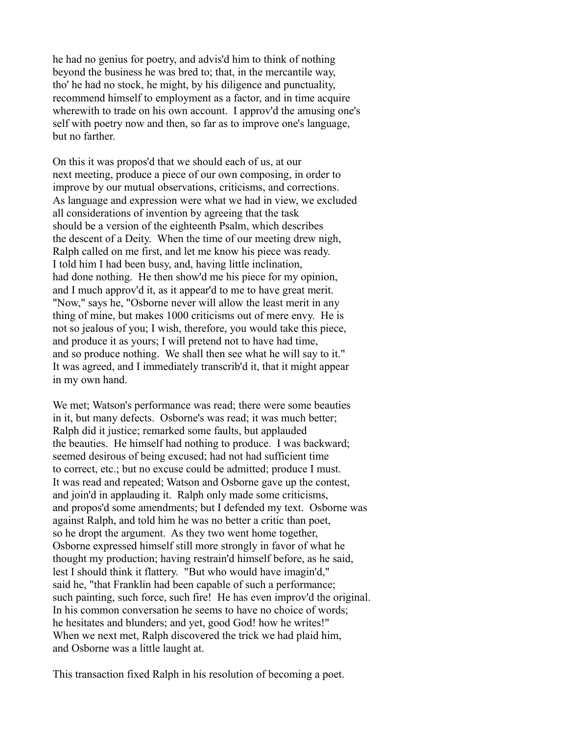he had no genius for poetry, and advis'd him to think of nothing beyond the business he was bred to; that, in the mercantile way, tho' he had no stock, he might, by his diligence and punctuality, recommend himself to employment as a factor, and in time acquire wherewith to trade on his own account. I approv'd the amusing one's self with poetry now and then, so far as to improve one's language, but no farther.

On this it was propos'd that we should each of us, at our next meeting, produce a piece of our own composing, in order to improve by our mutual observations, criticisms, and corrections. As language and expression were what we had in view, we excluded all considerations of invention by agreeing that the task should be a version of the eighteenth Psalm, which describes the descent of a Deity. When the time of our meeting drew nigh, Ralph called on me first, and let me know his piece was ready. I told him I had been busy, and, having little inclination, had done nothing. He then show'd me his piece for my opinion, and I much approv'd it, as it appear'd to me to have great merit. "Now," says he, "Osborne never will allow the least merit in any thing of mine, but makes 1000 criticisms out of mere envy. He is not so jealous of you; I wish, therefore, you would take this piece, and produce it as yours; I will pretend not to have had time, and so produce nothing. We shall then see what he will say to it." It was agreed, and I immediately transcrib'd it, that it might appear in my own hand.

We met; Watson's performance was read; there were some beauties in it, but many defects. Osborne's was read; it was much better; Ralph did it justice; remarked some faults, but applauded the beauties. He himself had nothing to produce. I was backward; seemed desirous of being excused; had not had sufficient time to correct, etc.; but no excuse could be admitted; produce I must. It was read and repeated; Watson and Osborne gave up the contest, and join'd in applauding it. Ralph only made some criticisms, and propos'd some amendments; but I defended my text. Osborne was against Ralph, and told him he was no better a critic than poet, so he dropt the argument. As they two went home together, Osborne expressed himself still more strongly in favor of what he thought my production; having restrain'd himself before, as he said, lest I should think it flattery. "But who would have imagin'd," said he, "that Franklin had been capable of such a performance; such painting, such force, such fire! He has even improv'd the original. In his common conversation he seems to have no choice of words; he hesitates and blunders; and yet, good God! how he writes!" When we next met, Ralph discovered the trick we had plaid him, and Osborne was a little laught at.

This transaction fixed Ralph in his resolution of becoming a poet.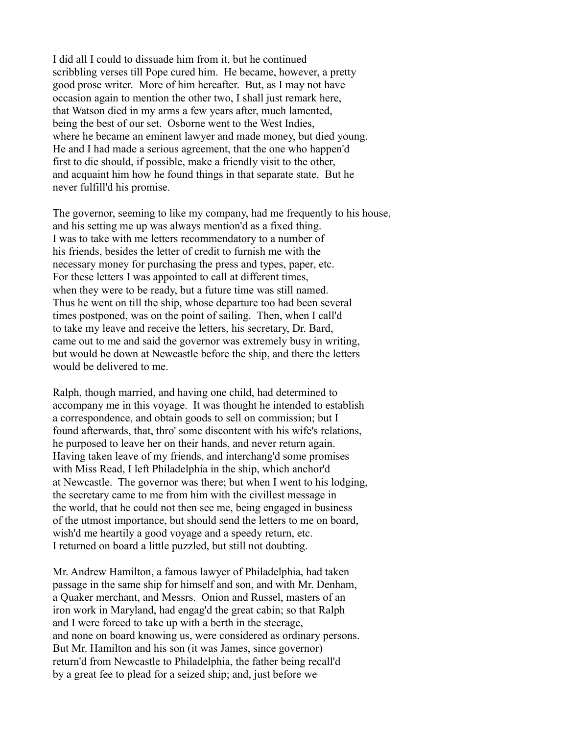I did all I could to dissuade him from it, but he continued scribbling verses till Pope cured him. He became, however, a pretty good prose writer. More of him hereafter. But, as I may not have occasion again to mention the other two, I shall just remark here, that Watson died in my arms a few years after, much lamented, being the best of our set. Osborne went to the West Indies, where he became an eminent lawyer and made money, but died young. He and I had made a serious agreement, that the one who happen'd first to die should, if possible, make a friendly visit to the other, and acquaint him how he found things in that separate state. But he never fulfill'd his promise.

The governor, seeming to like my company, had me frequently to his house, and his setting me up was always mention'd as a fixed thing. I was to take with me letters recommendatory to a number of his friends, besides the letter of credit to furnish me with the necessary money for purchasing the press and types, paper, etc. For these letters I was appointed to call at different times, when they were to be ready, but a future time was still named. Thus he went on till the ship, whose departure too had been several times postponed, was on the point of sailing. Then, when I call'd to take my leave and receive the letters, his secretary, Dr. Bard, came out to me and said the governor was extremely busy in writing, but would be down at Newcastle before the ship, and there the letters would be delivered to me.

Ralph, though married, and having one child, had determined to accompany me in this voyage. It was thought he intended to establish a correspondence, and obtain goods to sell on commission; but I found afterwards, that, thro' some discontent with his wife's relations, he purposed to leave her on their hands, and never return again. Having taken leave of my friends, and interchang'd some promises with Miss Read, I left Philadelphia in the ship, which anchor'd at Newcastle. The governor was there; but when I went to his lodging, the secretary came to me from him with the civillest message in the world, that he could not then see me, being engaged in business of the utmost importance, but should send the letters to me on board, wish'd me heartily a good voyage and a speedy return, etc. I returned on board a little puzzled, but still not doubting.

Mr. Andrew Hamilton, a famous lawyer of Philadelphia, had taken passage in the same ship for himself and son, and with Mr. Denham, a Quaker merchant, and Messrs. Onion and Russel, masters of an iron work in Maryland, had engag'd the great cabin; so that Ralph and I were forced to take up with a berth in the steerage, and none on board knowing us, were considered as ordinary persons. But Mr. Hamilton and his son (it was James, since governor) return'd from Newcastle to Philadelphia, the father being recall'd by a great fee to plead for a seized ship; and, just before we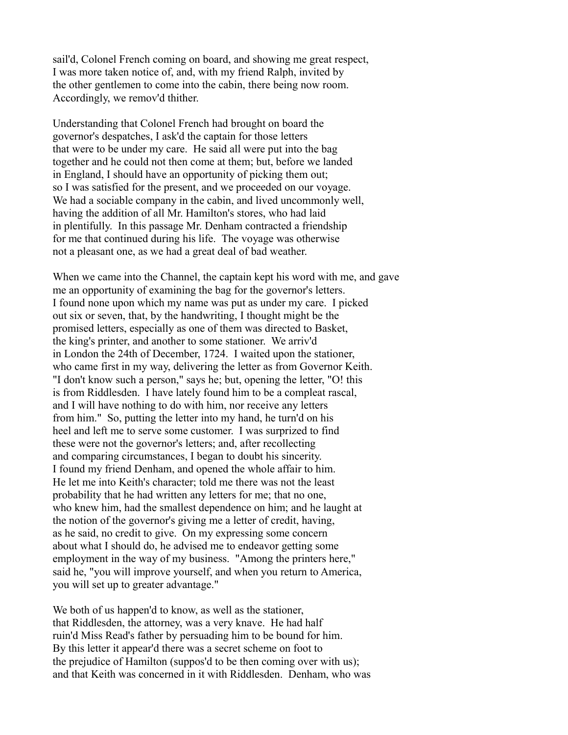sail'd, Colonel French coming on board, and showing me great respect, I was more taken notice of, and, with my friend Ralph, invited by the other gentlemen to come into the cabin, there being now room. Accordingly, we remov'd thither.

Understanding that Colonel French had brought on board the governor's despatches, I ask'd the captain for those letters that were to be under my care. He said all were put into the bag together and he could not then come at them; but, before we landed in England, I should have an opportunity of picking them out; so I was satisfied for the present, and we proceeded on our voyage. We had a sociable company in the cabin, and lived uncommonly well. having the addition of all Mr. Hamilton's stores, who had laid in plentifully. In this passage Mr. Denham contracted a friendship for me that continued during his life. The voyage was otherwise not a pleasant one, as we had a great deal of bad weather.

When we came into the Channel, the captain kept his word with me, and gave me an opportunity of examining the bag for the governor's letters. I found none upon which my name was put as under my care. I picked out six or seven, that, by the handwriting, I thought might be the promised letters, especially as one of them was directed to Basket, the king's printer, and another to some stationer. We arriv'd in London the 24th of December, 1724. I waited upon the stationer, who came first in my way, delivering the letter as from Governor Keith. "I don't know such a person," says he; but, opening the letter, "O! this is from Riddlesden. I have lately found him to be a compleat rascal, and I will have nothing to do with him, nor receive any letters from him." So, putting the letter into my hand, he turn'd on his heel and left me to serve some customer. I was surprized to find these were not the governor's letters; and, after recollecting and comparing circumstances, I began to doubt his sincerity. I found my friend Denham, and opened the whole affair to him. He let me into Keith's character; told me there was not the least probability that he had written any letters for me; that no one, who knew him, had the smallest dependence on him; and he laught at the notion of the governor's giving me a letter of credit, having, as he said, no credit to give. On my expressing some concern about what I should do, he advised me to endeavor getting some employment in the way of my business. "Among the printers here," said he, "you will improve yourself, and when you return to America, you will set up to greater advantage."

We both of us happen'd to know, as well as the stationer, that Riddlesden, the attorney, was a very knave. He had half ruin'd Miss Read's father by persuading him to be bound for him. By this letter it appear'd there was a secret scheme on foot to the prejudice of Hamilton (suppos'd to be then coming over with us); and that Keith was concerned in it with Riddlesden. Denham, who was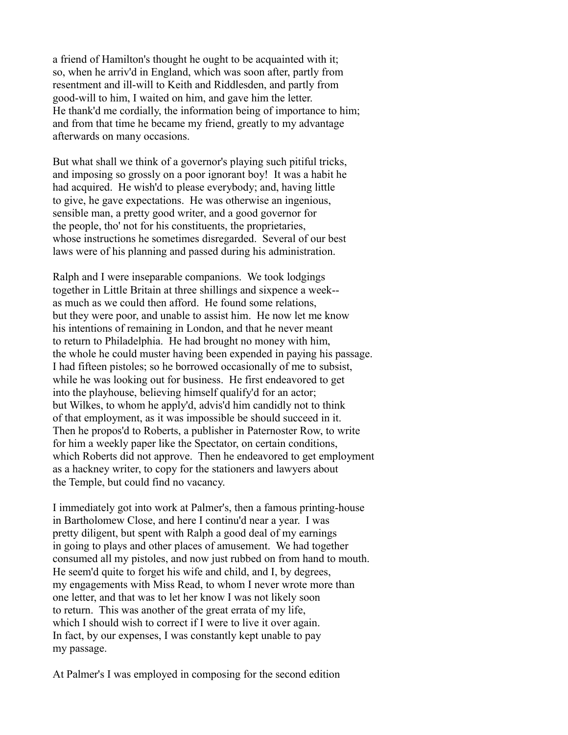a friend of Hamilton's thought he ought to be acquainted with it; so, when he arriv'd in England, which was soon after, partly from resentment and ill-will to Keith and Riddlesden, and partly from good-will to him, I waited on him, and gave him the letter. He thank'd me cordially, the information being of importance to him; and from that time he became my friend, greatly to my advantage afterwards on many occasions.

But what shall we think of a governor's playing such pitiful tricks, and imposing so grossly on a poor ignorant boy! It was a habit he had acquired. He wish'd to please everybody; and, having little to give, he gave expectations. He was otherwise an ingenious, sensible man, a pretty good writer, and a good governor for the people, tho' not for his constituents, the proprietaries, whose instructions he sometimes disregarded. Several of our best laws were of his planning and passed during his administration.

Ralph and I were inseparable companions. We took lodgings together in Little Britain at three shillings and sixpence a week- as much as we could then afford. He found some relations, but they were poor, and unable to assist him. He now let me know his intentions of remaining in London, and that he never meant to return to Philadelphia. He had brought no money with him, the whole he could muster having been expended in paying his passage. I had fifteen pistoles; so he borrowed occasionally of me to subsist, while he was looking out for business. He first endeavored to get into the playhouse, believing himself qualify'd for an actor; but Wilkes, to whom he apply'd, advis'd him candidly not to think of that employment, as it was impossible be should succeed in it. Then he propos'd to Roberts, a publisher in Paternoster Row, to write for him a weekly paper like the Spectator, on certain conditions, which Roberts did not approve. Then he endeavored to get employment as a hackney writer, to copy for the stationers and lawyers about the Temple, but could find no vacancy.

I immediately got into work at Palmer's, then a famous printing-house in Bartholomew Close, and here I continu'd near a year. I was pretty diligent, but spent with Ralph a good deal of my earnings in going to plays and other places of amusement. We had together consumed all my pistoles, and now just rubbed on from hand to mouth. He seem'd quite to forget his wife and child, and I, by degrees, my engagements with Miss Read, to whom I never wrote more than one letter, and that was to let her know I was not likely soon to return. This was another of the great errata of my life, which I should wish to correct if I were to live it over again. In fact, by our expenses, I was constantly kept unable to pay my passage.

At Palmer's I was employed in composing for the second edition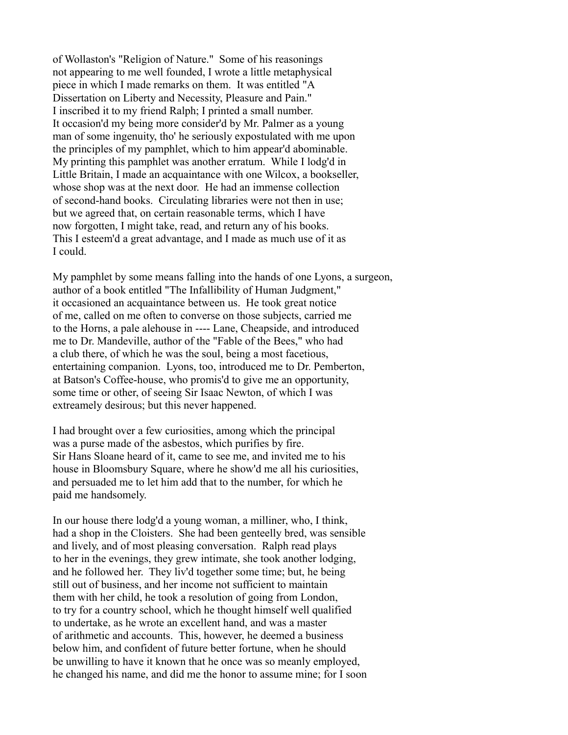of Wollaston's "Religion of Nature." Some of his reasonings not appearing to me well founded, I wrote a little metaphysical piece in which I made remarks on them. It was entitled "A Dissertation on Liberty and Necessity, Pleasure and Pain." I inscribed it to my friend Ralph; I printed a small number. It occasion'd my being more consider'd by Mr. Palmer as a young man of some ingenuity, tho' he seriously expostulated with me upon the principles of my pamphlet, which to him appear'd abominable. My printing this pamphlet was another erratum. While I lodg'd in Little Britain, I made an acquaintance with one Wilcox, a bookseller, whose shop was at the next door. He had an immense collection of second-hand books. Circulating libraries were not then in use; but we agreed that, on certain reasonable terms, which I have now forgotten, I might take, read, and return any of his books. This I esteem'd a great advantage, and I made as much use of it as I could.

My pamphlet by some means falling into the hands of one Lyons, a surgeon, author of a book entitled "The Infallibility of Human Judgment," it occasioned an acquaintance between us. He took great notice of me, called on me often to converse on those subjects, carried me to the Horns, a pale alehouse in ---- Lane, Cheapside, and introduced me to Dr. Mandeville, author of the "Fable of the Bees," who had a club there, of which he was the soul, being a most facetious, entertaining companion. Lyons, too, introduced me to Dr. Pemberton, at Batson's Coffee-house, who promis'd to give me an opportunity, some time or other, of seeing Sir Isaac Newton, of which I was extreamely desirous; but this never happened.

I had brought over a few curiosities, among which the principal was a purse made of the asbestos, which purifies by fire. Sir Hans Sloane heard of it, came to see me, and invited me to his house in Bloomsbury Square, where he show'd me all his curiosities, and persuaded me to let him add that to the number, for which he paid me handsomely.

In our house there lodg'd a young woman, a milliner, who, I think, had a shop in the Cloisters. She had been genteelly bred, was sensible and lively, and of most pleasing conversation. Ralph read plays to her in the evenings, they grew intimate, she took another lodging, and he followed her. They liv'd together some time; but, he being still out of business, and her income not sufficient to maintain them with her child, he took a resolution of going from London, to try for a country school, which he thought himself well qualified to undertake, as he wrote an excellent hand, and was a master of arithmetic and accounts. This, however, he deemed a business below him, and confident of future better fortune, when he should be unwilling to have it known that he once was so meanly employed, he changed his name, and did me the honor to assume mine; for I soon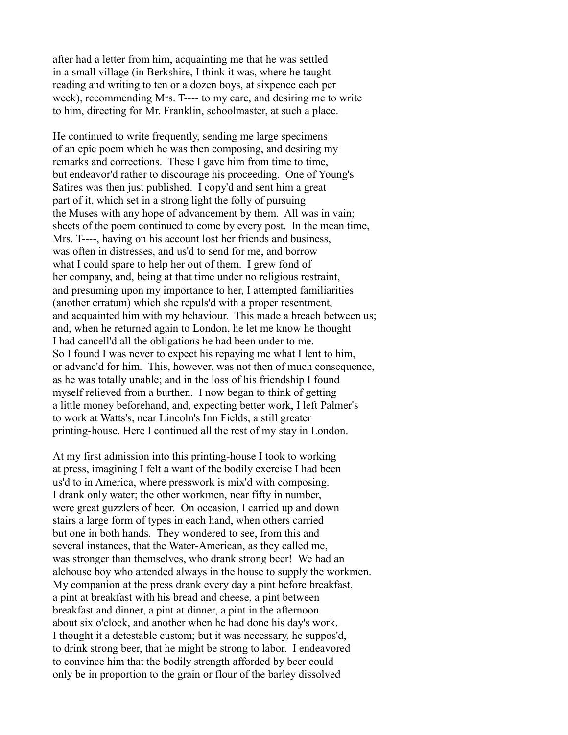after had a letter from him, acquainting me that he was settled in a small village (in Berkshire, I think it was, where he taught reading and writing to ten or a dozen boys, at sixpence each per week), recommending Mrs. T---- to my care, and desiring me to write to him, directing for Mr. Franklin, schoolmaster, at such a place.

He continued to write frequently, sending me large specimens of an epic poem which he was then composing, and desiring my remarks and corrections. These I gave him from time to time, but endeavor'd rather to discourage his proceeding. One of Young's Satires was then just published. I copy'd and sent him a great part of it, which set in a strong light the folly of pursuing the Muses with any hope of advancement by them. All was in vain; sheets of the poem continued to come by every post. In the mean time, Mrs. T----, having on his account lost her friends and business, was often in distresses, and us'd to send for me, and borrow what I could spare to help her out of them. I grew fond of her company, and, being at that time under no religious restraint, and presuming upon my importance to her, I attempted familiarities (another erratum) which she repuls'd with a proper resentment, and acquainted him with my behaviour. This made a breach between us; and, when he returned again to London, he let me know he thought I had cancell'd all the obligations he had been under to me. So I found I was never to expect his repaying me what I lent to him, or advanc'd for him. This, however, was not then of much consequence, as he was totally unable; and in the loss of his friendship I found myself relieved from a burthen. I now began to think of getting a little money beforehand, and, expecting better work, I left Palmer's to work at Watts's, near Lincoln's Inn Fields, a still greater printing-house. Here I continued all the rest of my stay in London.

At my first admission into this printing-house I took to working at press, imagining I felt a want of the bodily exercise I had been us'd to in America, where presswork is mix'd with composing. I drank only water; the other workmen, near fifty in number, were great guzzlers of beer. On occasion, I carried up and down stairs a large form of types in each hand, when others carried but one in both hands. They wondered to see, from this and several instances, that the Water-American, as they called me, was stronger than themselves, who drank strong beer! We had an alehouse boy who attended always in the house to supply the workmen. My companion at the press drank every day a pint before breakfast, a pint at breakfast with his bread and cheese, a pint between breakfast and dinner, a pint at dinner, a pint in the afternoon about six o'clock, and another when he had done his day's work. I thought it a detestable custom; but it was necessary, he suppos'd, to drink strong beer, that he might be strong to labor. I endeavored to convince him that the bodily strength afforded by beer could only be in proportion to the grain or flour of the barley dissolved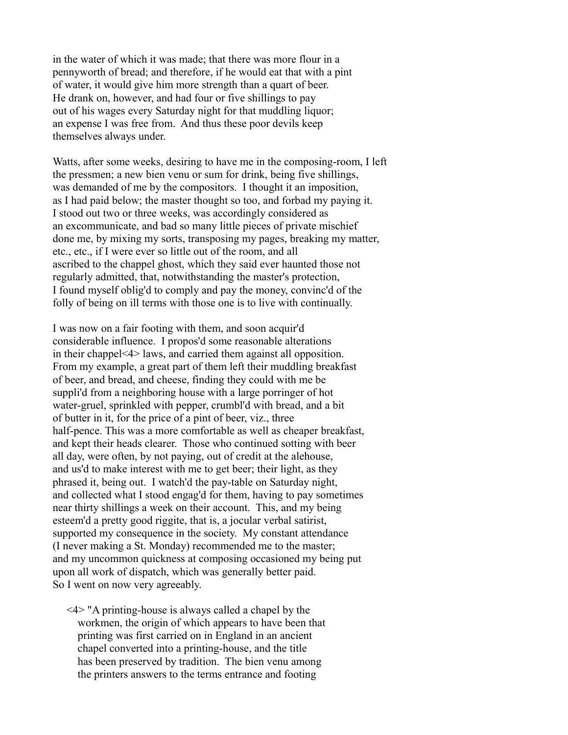in the water of which it was made; that there was more flour in a pennyworth of bread; and therefore, if he would eat that with a pint of water, it would give him more strength than a quart of beer. He drank on, however, and had four or five shillings to pay out of his wages every Saturday night for that muddling liquor; an expense I was free from. And thus these poor devils keep themselves always under.

Watts, after some weeks, desiring to have me in the composing-room, I left the pressmen; a new bien venu or sum for drink, being five shillings, was demanded of me by the compositors. I thought it an imposition, as I had paid below; the master thought so too, and forbad my paying it. I stood out two or three weeks, was accordingly considered as an excommunicate, and bad so many little pieces of private mischief done me, by mixing my sorts, transposing my pages, breaking my matter, etc., etc., if I were ever so little out of the room, and all ascribed to the chappel ghost, which they said ever haunted those not regularly admitted, that, notwithstanding the master's protection, I found myself oblig'd to comply and pay the money, convinc'd of the folly of being on ill terms with those one is to live with continually.

I was now on a fair footing with them, and soon acquir'd considerable influence. I propos'd some reasonable alterations in their chappel<4> laws, and carried them against all opposition. From my example, a great part of them left their muddling breakfast of beer, and bread, and cheese, finding they could with me be suppli'd from a neighboring house with a large porringer of hot water-gruel, sprinkled with pepper, crumbl'd with bread, and a bit of butter in it, for the price of a pint of beer, viz., three half-pence. This was a more comfortable as well as cheaper breakfast, and kept their heads clearer. Those who continued sotting with beer all day, were often, by not paying, out of credit at the alehouse, and us'd to make interest with me to get beer; their light, as they phrased it, being out. I watch'd the pay-table on Saturday night, and collected what I stood engag'd for them, having to pay sometimes near thirty shillings a week on their account. This, and my being esteem'd a pretty good riggite, that is, a jocular verbal satirist, supported my consequence in the society. My constant attendance (I never making a St. Monday) recommended me to the master; and my uncommon quickness at composing occasioned my being put upon all work of dispatch, which was generally better paid. So I went on now very agreeably.

 <4> "A printing-house is always called a chapel by the workmen, the origin of which appears to have been that printing was first carried on in England in an ancient chapel converted into a printing-house, and the title has been preserved by tradition. The bien venu among the printers answers to the terms entrance and footing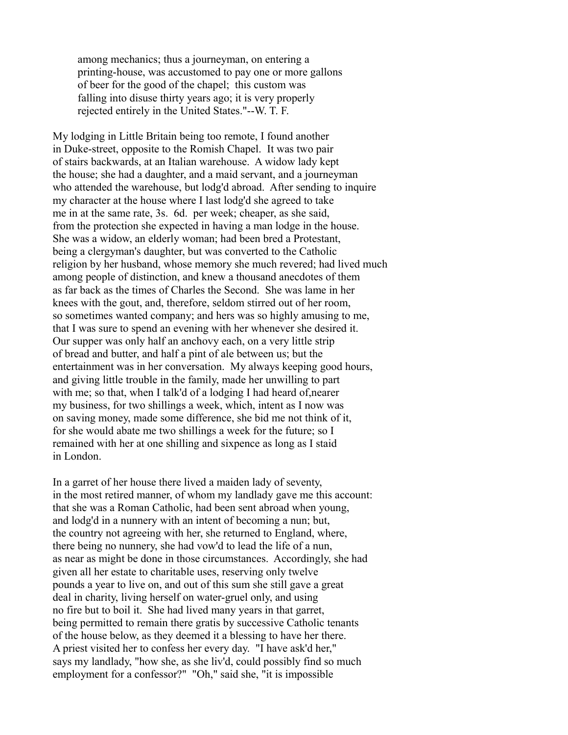among mechanics; thus a journeyman, on entering a printing-house, was accustomed to pay one or more gallons of beer for the good of the chapel; this custom was falling into disuse thirty years ago; it is very properly rejected entirely in the United States."--W. T. F.

My lodging in Little Britain being too remote, I found another in Duke-street, opposite to the Romish Chapel. It was two pair of stairs backwards, at an Italian warehouse. A widow lady kept the house; she had a daughter, and a maid servant, and a journeyman who attended the warehouse, but lodg'd abroad. After sending to inquire my character at the house where I last lodg'd she agreed to take me in at the same rate, 3s. 6d. per week; cheaper, as she said, from the protection she expected in having a man lodge in the house. She was a widow, an elderly woman; had been bred a Protestant, being a clergyman's daughter, but was converted to the Catholic religion by her husband, whose memory she much revered; had lived much among people of distinction, and knew a thousand anecdotes of them as far back as the times of Charles the Second. She was lame in her knees with the gout, and, therefore, seldom stirred out of her room, so sometimes wanted company; and hers was so highly amusing to me, that I was sure to spend an evening with her whenever she desired it. Our supper was only half an anchovy each, on a very little strip of bread and butter, and half a pint of ale between us; but the entertainment was in her conversation. My always keeping good hours, and giving little trouble in the family, made her unwilling to part with me; so that, when I talk'd of a lodging I had heard of, nearer my business, for two shillings a week, which, intent as I now was on saving money, made some difference, she bid me not think of it, for she would abate me two shillings a week for the future; so I remained with her at one shilling and sixpence as long as I staid in London.

In a garret of her house there lived a maiden lady of seventy, in the most retired manner, of whom my landlady gave me this account: that she was a Roman Catholic, had been sent abroad when young, and lodg'd in a nunnery with an intent of becoming a nun; but, the country not agreeing with her, she returned to England, where, there being no nunnery, she had vow'd to lead the life of a nun, as near as might be done in those circumstances. Accordingly, she had given all her estate to charitable uses, reserving only twelve pounds a year to live on, and out of this sum she still gave a great deal in charity, living herself on water-gruel only, and using no fire but to boil it. She had lived many years in that garret, being permitted to remain there gratis by successive Catholic tenants of the house below, as they deemed it a blessing to have her there. A priest visited her to confess her every day. "I have ask'd her," says my landlady, "how she, as she liv'd, could possibly find so much employment for a confessor?" "Oh," said she, "it is impossible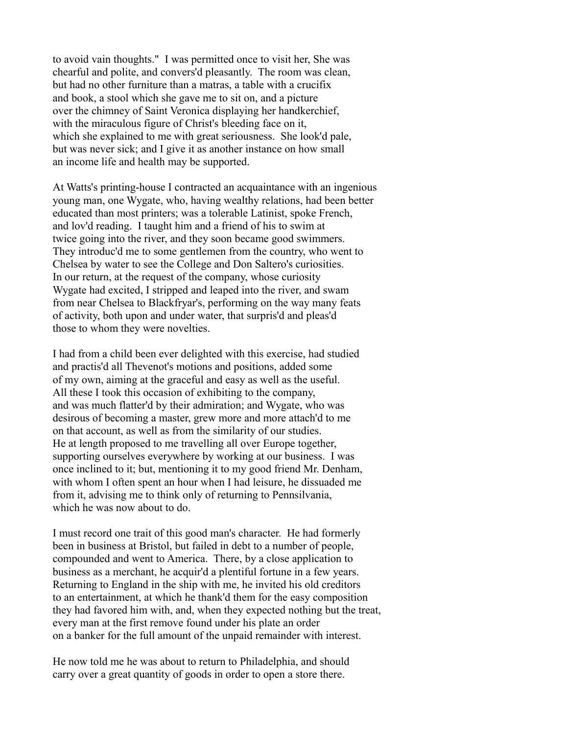to avoid vain thoughts." I was permitted once to visit her, She was chearful and polite, and convers'd pleasantly. The room was clean, but had no other furniture than a matras, a table with a crucifix and book, a stool which she gave me to sit on, and a picture over the chimney of Saint Veronica displaying her handkerchief, with the miraculous figure of Christ's bleeding face on it, which she explained to me with great seriousness. She look'd pale, but was never sick; and I give it as another instance on how small an income life and health may be supported.

At Watts's printing-house I contracted an acquaintance with an ingenious young man, one Wygate, who, having wealthy relations, had been better educated than most printers; was a tolerable Latinist, spoke French, and lov'd reading. I taught him and a friend of his to swim at twice going into the river, and they soon became good swimmers. They introduc'd me to some gentlemen from the country, who went to Chelsea by water to see the College and Don Saltero's curiosities. In our return, at the request of the company, whose curiosity Wygate had excited, I stripped and leaped into the river, and swam from near Chelsea to Blackfryar's, performing on the way many feats of activity, both upon and under water, that surpris'd and pleas'd those to whom they were novelties.

I had from a child been ever delighted with this exercise, had studied and practis'd all Thevenot's motions and positions, added some of my own, aiming at the graceful and easy as well as the useful. All these I took this occasion of exhibiting to the company, and was much flatter'd by their admiration; and Wygate, who was desirous of becoming a master, grew more and more attach'd to me on that account, as well as from the similarity of our studies. He at length proposed to me travelling all over Europe together, supporting ourselves everywhere by working at our business. I was once inclined to it; but, mentioning it to my good friend Mr. Denham, with whom I often spent an hour when I had leisure, he dissuaded me from it, advising me to think only of returning to Pennsilvania, which he was now about to do.

I must record one trait of this good man's character. He had formerly been in business at Bristol, but failed in debt to a number of people, compounded and went to America. There, by a close application to business as a merchant, he acquir'd a plentiful fortune in a few years. Returning to England in the ship with me, he invited his old creditors to an entertainment, at which he thank'd them for the easy composition they had favored him with, and, when they expected nothing but the treat, every man at the first remove found under his plate an order on a banker for the full amount of the unpaid remainder with interest.

He now told me he was about to return to Philadelphia, and should carry over a great quantity of goods in order to open a store there.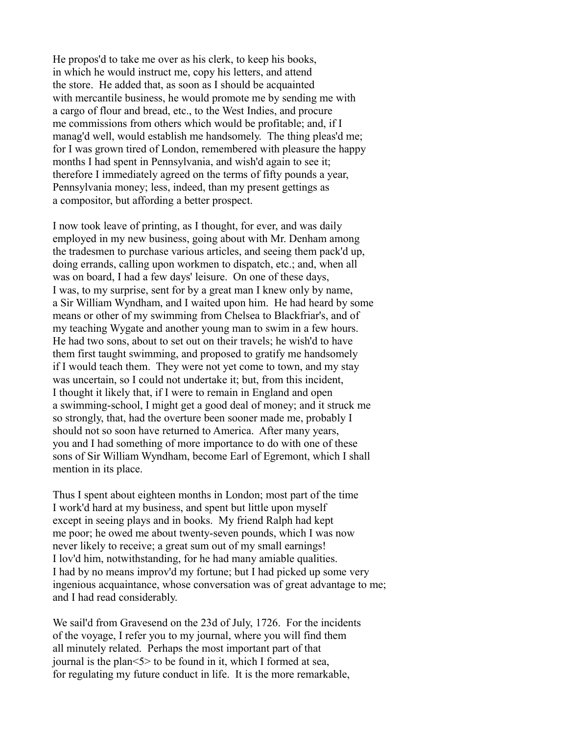He propos'd to take me over as his clerk, to keep his books, in which he would instruct me, copy his letters, and attend the store. He added that, as soon as I should be acquainted with mercantile business, he would promote me by sending me with a cargo of flour and bread, etc., to the West Indies, and procure me commissions from others which would be profitable; and, if I manag'd well, would establish me handsomely. The thing pleas'd me; for I was grown tired of London, remembered with pleasure the happy months I had spent in Pennsylvania, and wish'd again to see it; therefore I immediately agreed on the terms of fifty pounds a year, Pennsylvania money; less, indeed, than my present gettings as a compositor, but affording a better prospect.

I now took leave of printing, as I thought, for ever, and was daily employed in my new business, going about with Mr. Denham among the tradesmen to purchase various articles, and seeing them pack'd up, doing errands, calling upon workmen to dispatch, etc.; and, when all was on board, I had a few days' leisure. On one of these days, I was, to my surprise, sent for by a great man I knew only by name, a Sir William Wyndham, and I waited upon him. He had heard by some means or other of my swimming from Chelsea to Blackfriar's, and of my teaching Wygate and another young man to swim in a few hours. He had two sons, about to set out on their travels; he wish'd to have them first taught swimming, and proposed to gratify me handsomely if I would teach them. They were not yet come to town, and my stay was uncertain, so I could not undertake it; but, from this incident, I thought it likely that, if I were to remain in England and open a swimming-school, I might get a good deal of money; and it struck me so strongly, that, had the overture been sooner made me, probably I should not so soon have returned to America. After many years, you and I had something of more importance to do with one of these sons of Sir William Wyndham, become Earl of Egremont, which I shall mention in its place.

Thus I spent about eighteen months in London; most part of the time I work'd hard at my business, and spent but little upon myself except in seeing plays and in books. My friend Ralph had kept me poor; he owed me about twenty-seven pounds, which I was now never likely to receive; a great sum out of my small earnings! I lov'd him, notwithstanding, for he had many amiable qualities. I had by no means improv'd my fortune; but I had picked up some very ingenious acquaintance, whose conversation was of great advantage to me; and I had read considerably.

We sail'd from Gravesend on the 23d of July, 1726. For the incidents of the voyage, I refer you to my journal, where you will find them all minutely related. Perhaps the most important part of that journal is the plan<5> to be found in it, which I formed at sea, for regulating my future conduct in life. It is the more remarkable,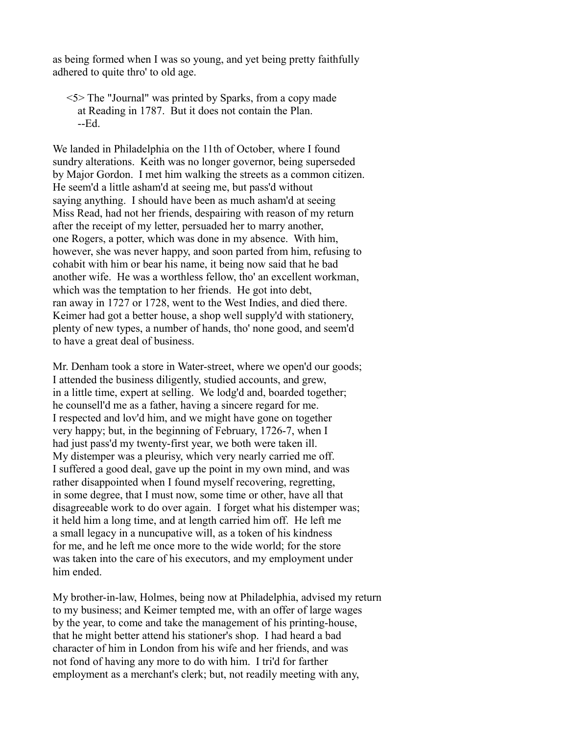as being formed when I was so young, and yet being pretty faithfully adhered to quite thro' to old age.

 <5> The "Journal" was printed by Sparks, from a copy made at Reading in 1787. But it does not contain the Plan. --Ed.

We landed in Philadelphia on the 11th of October, where I found sundry alterations. Keith was no longer governor, being superseded by Major Gordon. I met him walking the streets as a common citizen. He seem'd a little asham'd at seeing me, but pass'd without saying anything. I should have been as much asham'd at seeing Miss Read, had not her friends, despairing with reason of my return after the receipt of my letter, persuaded her to marry another, one Rogers, a potter, which was done in my absence. With him, however, she was never happy, and soon parted from him, refusing to cohabit with him or bear his name, it being now said that he bad another wife. He was a worthless fellow, tho' an excellent workman, which was the temptation to her friends. He got into debt, ran away in 1727 or 1728, went to the West Indies, and died there. Keimer had got a better house, a shop well supply'd with stationery, plenty of new types, a number of hands, tho' none good, and seem'd to have a great deal of business.

Mr. Denham took a store in Water-street, where we open'd our goods; I attended the business diligently, studied accounts, and grew, in a little time, expert at selling. We lodg'd and, boarded together; he counsell'd me as a father, having a sincere regard for me. I respected and lov'd him, and we might have gone on together very happy; but, in the beginning of February, 1726-7, when I had just pass'd my twenty-first year, we both were taken ill. My distemper was a pleurisy, which very nearly carried me off. I suffered a good deal, gave up the point in my own mind, and was rather disappointed when I found myself recovering, regretting, in some degree, that I must now, some time or other, have all that disagreeable work to do over again. I forget what his distemper was; it held him a long time, and at length carried him off. He left me a small legacy in a nuncupative will, as a token of his kindness for me, and he left me once more to the wide world; for the store was taken into the care of his executors, and my employment under him ended.

My brother-in-law, Holmes, being now at Philadelphia, advised my return to my business; and Keimer tempted me, with an offer of large wages by the year, to come and take the management of his printing-house, that he might better attend his stationer's shop. I had heard a bad character of him in London from his wife and her friends, and was not fond of having any more to do with him. I tri'd for farther employment as a merchant's clerk; but, not readily meeting with any,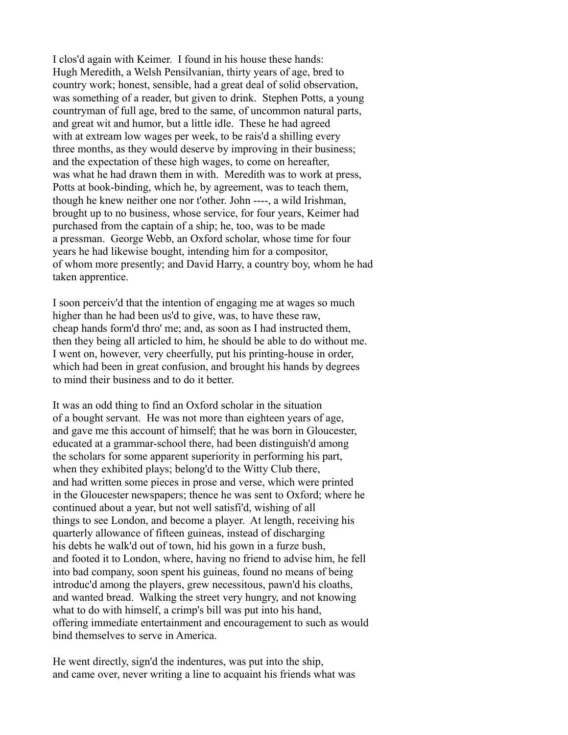I clos'd again with Keimer. I found in his house these hands: Hugh Meredith, a Welsh Pensilvanian, thirty years of age, bred to country work; honest, sensible, had a great deal of solid observation, was something of a reader, but given to drink. Stephen Potts, a young countryman of full age, bred to the same, of uncommon natural parts, and great wit and humor, but a little idle. These he had agreed with at extream low wages per week, to be rais'd a shilling every three months, as they would deserve by improving in their business; and the expectation of these high wages, to come on hereafter, was what he had drawn them in with. Meredith was to work at press, Potts at book-binding, which he, by agreement, was to teach them, though he knew neither one nor t'other. John ----, a wild Irishman, brought up to no business, whose service, for four years, Keimer had purchased from the captain of a ship; he, too, was to be made a pressman. George Webb, an Oxford scholar, whose time for four years he had likewise bought, intending him for a compositor, of whom more presently; and David Harry, a country boy, whom he had taken apprentice.

I soon perceiv'd that the intention of engaging me at wages so much higher than he had been us'd to give, was, to have these raw, cheap hands form'd thro' me; and, as soon as I had instructed them, then they being all articled to him, he should be able to do without me. I went on, however, very cheerfully, put his printing-house in order, which had been in great confusion, and brought his hands by degrees to mind their business and to do it better.

It was an odd thing to find an Oxford scholar in the situation of a bought servant. He was not more than eighteen years of age, and gave me this account of himself; that he was born in Gloucester, educated at a grammar-school there, had been distinguish'd among the scholars for some apparent superiority in performing his part, when they exhibited plays; belong'd to the Witty Club there, and had written some pieces in prose and verse, which were printed in the Gloucester newspapers; thence he was sent to Oxford; where he continued about a year, but not well satisfi'd, wishing of all things to see London, and become a player. At length, receiving his quarterly allowance of fifteen guineas, instead of discharging his debts he walk'd out of town, hid his gown in a furze bush, and footed it to London, where, having no friend to advise him, he fell into bad company, soon spent his guineas, found no means of being introduc'd among the players, grew necessitous, pawn'd his cloaths, and wanted bread. Walking the street very hungry, and not knowing what to do with himself, a crimp's bill was put into his hand, offering immediate entertainment and encouragement to such as would bind themselves to serve in America.

He went directly, sign'd the indentures, was put into the ship, and came over, never writing a line to acquaint his friends what was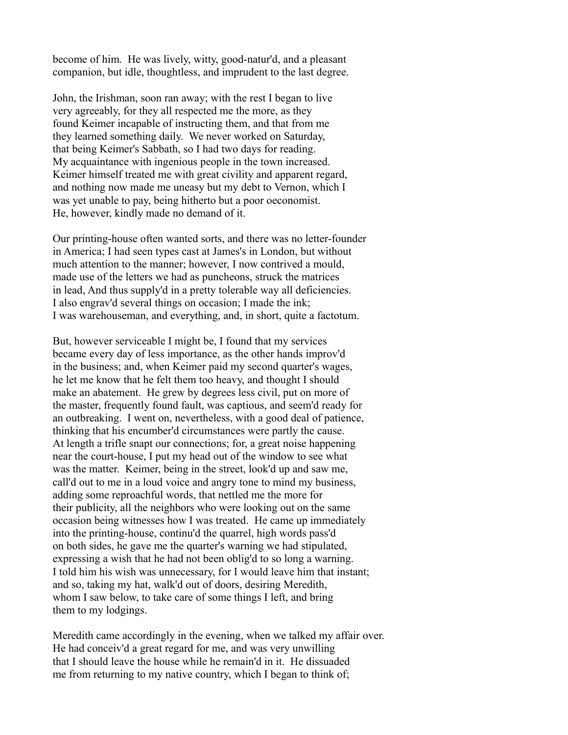become of him. He was lively, witty, good-natur'd, and a pleasant companion, but idle, thoughtless, and imprudent to the last degree.

John, the Irishman, soon ran away; with the rest I began to live very agreeably, for they all respected me the more, as they found Keimer incapable of instructing them, and that from me they learned something daily. We never worked on Saturday, that being Keimer's Sabbath, so I had two days for reading. My acquaintance with ingenious people in the town increased. Keimer himself treated me with great civility and apparent regard, and nothing now made me uneasy but my debt to Vernon, which I was yet unable to pay, being hitherto but a poor oeconomist. He, however, kindly made no demand of it.

Our printing-house often wanted sorts, and there was no letter-founder in America; I had seen types cast at James's in London, but without much attention to the manner; however, I now contrived a mould, made use of the letters we had as puncheons, struck the matrices in lead, And thus supply'd in a pretty tolerable way all deficiencies. I also engrav'd several things on occasion; I made the ink; I was warehouseman, and everything, and, in short, quite a factotum.

But, however serviceable I might be, I found that my services became every day of less importance, as the other hands improv'd in the business; and, when Keimer paid my second quarter's wages, he let me know that he felt them too heavy, and thought I should make an abatement. He grew by degrees less civil, put on more of the master, frequently found fault, was captious, and seem'd ready for an outbreaking. I went on, nevertheless, with a good deal of patience, thinking that his encumber'd circumstances were partly the cause. At length a trifle snapt our connections; for, a great noise happening near the court-house, I put my head out of the window to see what was the matter. Keimer, being in the street, look'd up and saw me, call'd out to me in a loud voice and angry tone to mind my business, adding some reproachful words, that nettled me the more for their publicity, all the neighbors who were looking out on the same occasion being witnesses how I was treated. He came up immediately into the printing-house, continu'd the quarrel, high words pass'd on both sides, he gave me the quarter's warning we had stipulated, expressing a wish that he had not been oblig'd to so long a warning. I told him his wish was unnecessary, for I would leave him that instant; and so, taking my hat, walk'd out of doors, desiring Meredith, whom I saw below, to take care of some things I left, and bring them to my lodgings.

Meredith came accordingly in the evening, when we talked my affair over. He had conceiv'd a great regard for me, and was very unwilling that I should leave the house while he remain'd in it. He dissuaded me from returning to my native country, which I began to think of;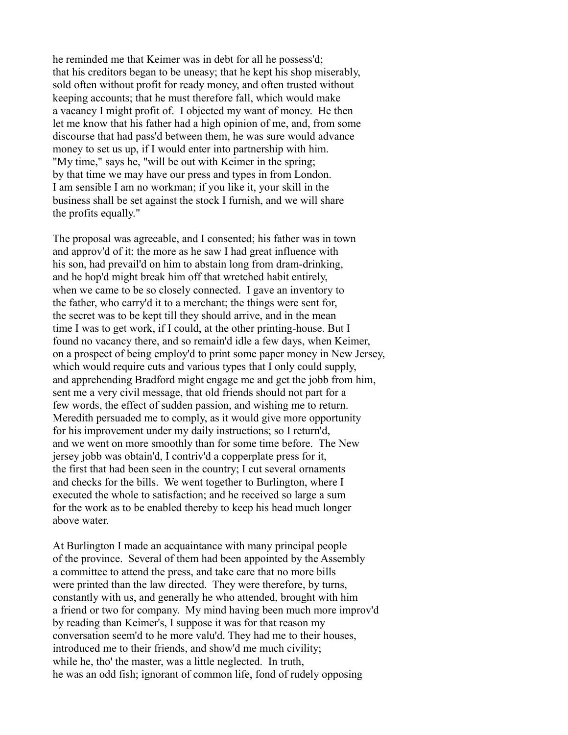he reminded me that Keimer was in debt for all he possess'd; that his creditors began to be uneasy; that he kept his shop miserably, sold often without profit for ready money, and often trusted without keeping accounts; that he must therefore fall, which would make a vacancy I might profit of. I objected my want of money. He then let me know that his father had a high opinion of me, and, from some discourse that had pass'd between them, he was sure would advance money to set us up, if I would enter into partnership with him. "My time," says he, "will be out with Keimer in the spring; by that time we may have our press and types in from London. I am sensible I am no workman; if you like it, your skill in the business shall be set against the stock I furnish, and we will share the profits equally."

The proposal was agreeable, and I consented; his father was in town and approv'd of it; the more as he saw I had great influence with his son, had prevail'd on him to abstain long from dram-drinking, and he hop'd might break him off that wretched habit entirely, when we came to be so closely connected. I gave an inventory to the father, who carry'd it to a merchant; the things were sent for, the secret was to be kept till they should arrive, and in the mean time I was to get work, if I could, at the other printing-house. But I found no vacancy there, and so remain'd idle a few days, when Keimer, on a prospect of being employ'd to print some paper money in New Jersey, which would require cuts and various types that I only could supply, and apprehending Bradford might engage me and get the jobb from him, sent me a very civil message, that old friends should not part for a few words, the effect of sudden passion, and wishing me to return. Meredith persuaded me to comply, as it would give more opportunity for his improvement under my daily instructions; so I return'd, and we went on more smoothly than for some time before. The New jersey jobb was obtain'd, I contriv'd a copperplate press for it, the first that had been seen in the country; I cut several ornaments and checks for the bills. We went together to Burlington, where I executed the whole to satisfaction; and he received so large a sum for the work as to be enabled thereby to keep his head much longer above water.

At Burlington I made an acquaintance with many principal people of the province. Several of them had been appointed by the Assembly a committee to attend the press, and take care that no more bills were printed than the law directed. They were therefore, by turns, constantly with us, and generally he who attended, brought with him a friend or two for company. My mind having been much more improv'd by reading than Keimer's, I suppose it was for that reason my conversation seem'd to he more valu'd. They had me to their houses, introduced me to their friends, and show'd me much civility; while he, tho' the master, was a little neglected. In truth, he was an odd fish; ignorant of common life, fond of rudely opposing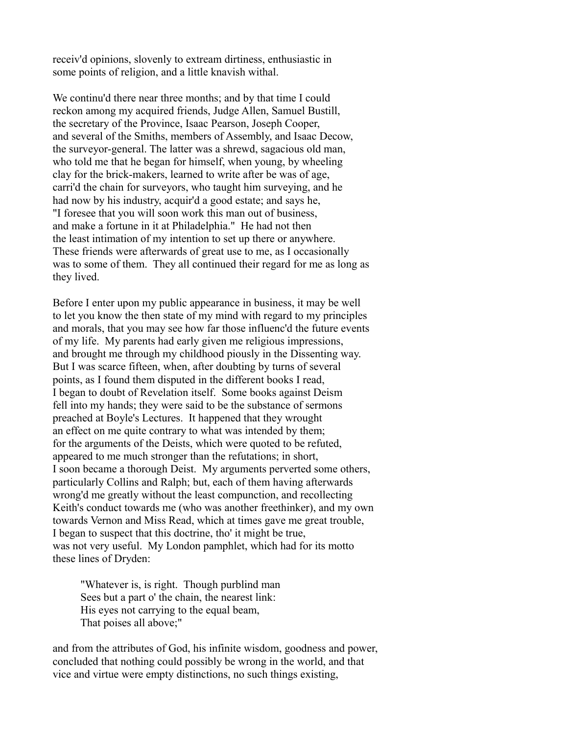receiv'd opinions, slovenly to extream dirtiness, enthusiastic in some points of religion, and a little knavish withal.

We continu'd there near three months; and by that time I could reckon among my acquired friends, Judge Allen, Samuel Bustill, the secretary of the Province, Isaac Pearson, Joseph Cooper, and several of the Smiths, members of Assembly, and Isaac Decow, the surveyor-general. The latter was a shrewd, sagacious old man, who told me that he began for himself, when young, by wheeling clay for the brick-makers, learned to write after be was of age, carri'd the chain for surveyors, who taught him surveying, and he had now by his industry, acquir'd a good estate; and says he, "I foresee that you will soon work this man out of business, and make a fortune in it at Philadelphia." He had not then the least intimation of my intention to set up there or anywhere. These friends were afterwards of great use to me, as I occasionally was to some of them. They all continued their regard for me as long as they lived.

Before I enter upon my public appearance in business, it may be well to let you know the then state of my mind with regard to my principles and morals, that you may see how far those influenc'd the future events of my life. My parents had early given me religious impressions, and brought me through my childhood piously in the Dissenting way. But I was scarce fifteen, when, after doubting by turns of several points, as I found them disputed in the different books I read, I began to doubt of Revelation itself. Some books against Deism fell into my hands; they were said to be the substance of sermons preached at Boyle's Lectures. It happened that they wrought an effect on me quite contrary to what was intended by them; for the arguments of the Deists, which were quoted to be refuted, appeared to me much stronger than the refutations; in short, I soon became a thorough Deist. My arguments perverted some others, particularly Collins and Ralph; but, each of them having afterwards wrong'd me greatly without the least compunction, and recollecting Keith's conduct towards me (who was another freethinker), and my own towards Vernon and Miss Read, which at times gave me great trouble, I began to suspect that this doctrine, tho' it might be true, was not very useful. My London pamphlet, which had for its motto these lines of Dryden:

 "Whatever is, is right. Though purblind man Sees but a part o' the chain, the nearest link: His eyes not carrying to the equal beam, That poises all above;"

and from the attributes of God, his infinite wisdom, goodness and power, concluded that nothing could possibly be wrong in the world, and that vice and virtue were empty distinctions, no such things existing,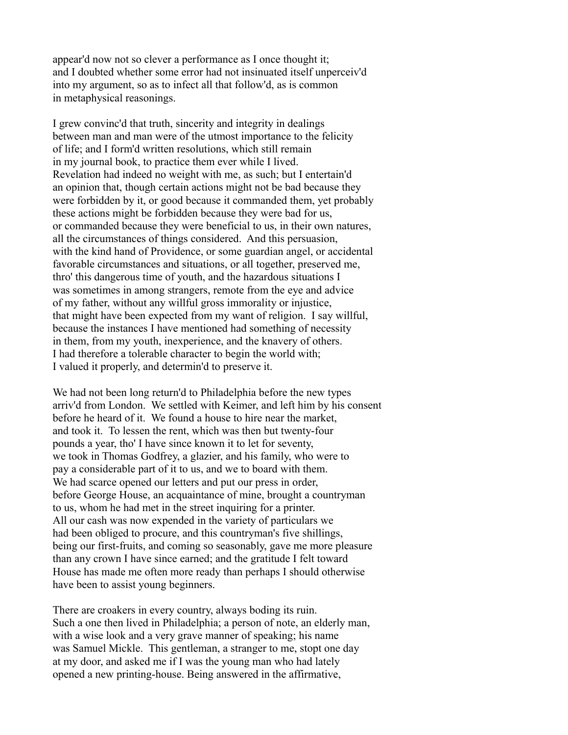appear'd now not so clever a performance as I once thought it; and I doubted whether some error had not insinuated itself unperceiv'd into my argument, so as to infect all that follow'd, as is common in metaphysical reasonings.

I grew convinc'd that truth, sincerity and integrity in dealings between man and man were of the utmost importance to the felicity of life; and I form'd written resolutions, which still remain in my journal book, to practice them ever while I lived. Revelation had indeed no weight with me, as such; but I entertain'd an opinion that, though certain actions might not be bad because they were forbidden by it, or good because it commanded them, yet probably these actions might be forbidden because they were bad for us, or commanded because they were beneficial to us, in their own natures, all the circumstances of things considered. And this persuasion, with the kind hand of Providence, or some guardian angel, or accidental favorable circumstances and situations, or all together, preserved me, thro' this dangerous time of youth, and the hazardous situations I was sometimes in among strangers, remote from the eye and advice of my father, without any willful gross immorality or injustice, that might have been expected from my want of religion. I say willful, because the instances I have mentioned had something of necessity in them, from my youth, inexperience, and the knavery of others. I had therefore a tolerable character to begin the world with; I valued it properly, and determin'd to preserve it.

We had not been long return'd to Philadelphia before the new types arriv'd from London. We settled with Keimer, and left him by his consent before he heard of it. We found a house to hire near the market, and took it. To lessen the rent, which was then but twenty-four pounds a year, tho' I have since known it to let for seventy, we took in Thomas Godfrey, a glazier, and his family, who were to pay a considerable part of it to us, and we to board with them. We had scarce opened our letters and put our press in order, before George House, an acquaintance of mine, brought a countryman to us, whom he had met in the street inquiring for a printer. All our cash was now expended in the variety of particulars we had been obliged to procure, and this countryman's five shillings, being our first-fruits, and coming so seasonably, gave me more pleasure than any crown I have since earned; and the gratitude I felt toward House has made me often more ready than perhaps I should otherwise have been to assist young beginners.

There are croakers in every country, always boding its ruin. Such a one then lived in Philadelphia; a person of note, an elderly man, with a wise look and a very grave manner of speaking; his name was Samuel Mickle. This gentleman, a stranger to me, stopt one day at my door, and asked me if I was the young man who had lately opened a new printing-house. Being answered in the affirmative,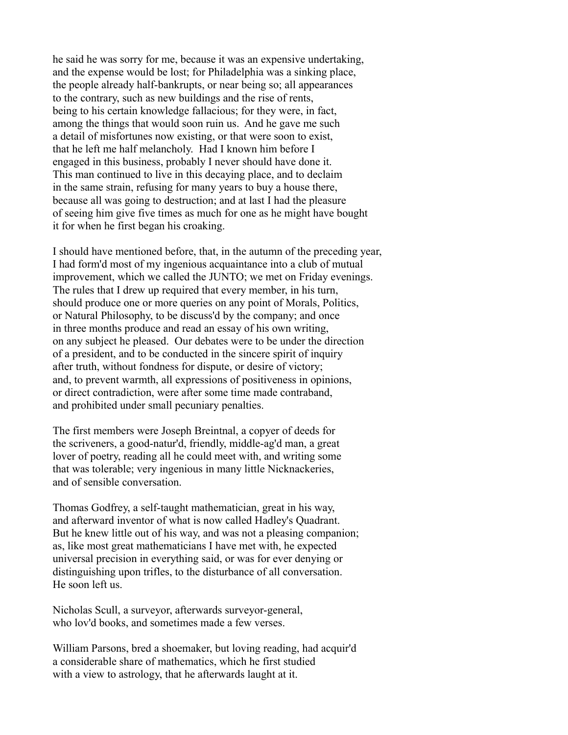he said he was sorry for me, because it was an expensive undertaking, and the expense would be lost; for Philadelphia was a sinking place, the people already half-bankrupts, or near being so; all appearances to the contrary, such as new buildings and the rise of rents, being to his certain knowledge fallacious; for they were, in fact, among the things that would soon ruin us. And he gave me such a detail of misfortunes now existing, or that were soon to exist, that he left me half melancholy. Had I known him before I engaged in this business, probably I never should have done it. This man continued to live in this decaying place, and to declaim in the same strain, refusing for many years to buy a house there, because all was going to destruction; and at last I had the pleasure of seeing him give five times as much for one as he might have bought it for when he first began his croaking.

I should have mentioned before, that, in the autumn of the preceding year, I had form'd most of my ingenious acquaintance into a club of mutual improvement, which we called the JUNTO; we met on Friday evenings. The rules that I drew up required that every member, in his turn, should produce one or more queries on any point of Morals, Politics, or Natural Philosophy, to be discuss'd by the company; and once in three months produce and read an essay of his own writing, on any subject he pleased. Our debates were to be under the direction of a president, and to be conducted in the sincere spirit of inquiry after truth, without fondness for dispute, or desire of victory; and, to prevent warmth, all expressions of positiveness in opinions, or direct contradiction, were after some time made contraband, and prohibited under small pecuniary penalties.

The first members were Joseph Breintnal, a copyer of deeds for the scriveners, a good-natur'd, friendly, middle-ag'd man, a great lover of poetry, reading all he could meet with, and writing some that was tolerable; very ingenious in many little Nicknackeries, and of sensible conversation.

Thomas Godfrey, a self-taught mathematician, great in his way, and afterward inventor of what is now called Hadley's Quadrant. But he knew little out of his way, and was not a pleasing companion; as, like most great mathematicians I have met with, he expected universal precision in everything said, or was for ever denying or distinguishing upon trifles, to the disturbance of all conversation. He soon left us.

Nicholas Scull, a surveyor, afterwards surveyor-general, who lov'd books, and sometimes made a few verses.

William Parsons, bred a shoemaker, but loving reading, had acquir'd a considerable share of mathematics, which he first studied with a view to astrology, that he afterwards laught at it.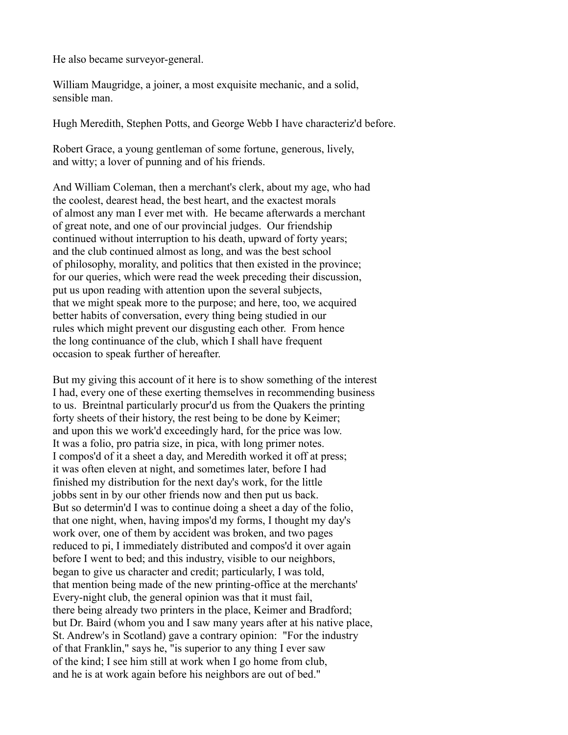He also became surveyor-general.

William Maugridge, a joiner, a most exquisite mechanic, and a solid, sensible man.

Hugh Meredith, Stephen Potts, and George Webb I have characteriz'd before.

Robert Grace, a young gentleman of some fortune, generous, lively, and witty; a lover of punning and of his friends.

And William Coleman, then a merchant's clerk, about my age, who had the coolest, dearest head, the best heart, and the exactest morals of almost any man I ever met with. He became afterwards a merchant of great note, and one of our provincial judges. Our friendship continued without interruption to his death, upward of forty years; and the club continued almost as long, and was the best school of philosophy, morality, and politics that then existed in the province; for our queries, which were read the week preceding their discussion, put us upon reading with attention upon the several subjects, that we might speak more to the purpose; and here, too, we acquired better habits of conversation, every thing being studied in our rules which might prevent our disgusting each other. From hence the long continuance of the club, which I shall have frequent occasion to speak further of hereafter.

But my giving this account of it here is to show something of the interest I had, every one of these exerting themselves in recommending business to us. Breintnal particularly procur'd us from the Quakers the printing forty sheets of their history, the rest being to be done by Keimer; and upon this we work'd exceedingly hard, for the price was low. It was a folio, pro patria size, in pica, with long primer notes. I compos'd of it a sheet a day, and Meredith worked it off at press; it was often eleven at night, and sometimes later, before I had finished my distribution for the next day's work, for the little jobbs sent in by our other friends now and then put us back. But so determin'd I was to continue doing a sheet a day of the folio, that one night, when, having impos'd my forms, I thought my day's work over, one of them by accident was broken, and two pages reduced to pi, I immediately distributed and compos'd it over again before I went to bed; and this industry, visible to our neighbors, began to give us character and credit; particularly, I was told, that mention being made of the new printing-office at the merchants' Every-night club, the general opinion was that it must fail, there being already two printers in the place, Keimer and Bradford; but Dr. Baird (whom you and I saw many years after at his native place, St. Andrew's in Scotland) gave a contrary opinion: "For the industry of that Franklin," says he, "is superior to any thing I ever saw of the kind; I see him still at work when I go home from club, and he is at work again before his neighbors are out of bed."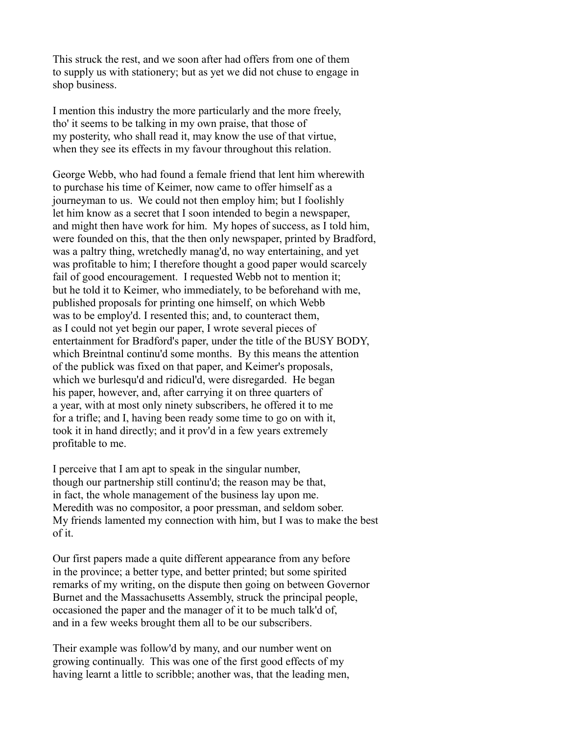This struck the rest, and we soon after had offers from one of them to supply us with stationery; but as yet we did not chuse to engage in shop business.

I mention this industry the more particularly and the more freely, tho' it seems to be talking in my own praise, that those of my posterity, who shall read it, may know the use of that virtue, when they see its effects in my favour throughout this relation.

George Webb, who had found a female friend that lent him wherewith to purchase his time of Keimer, now came to offer himself as a journeyman to us. We could not then employ him; but I foolishly let him know as a secret that I soon intended to begin a newspaper, and might then have work for him. My hopes of success, as I told him, were founded on this, that the then only newspaper, printed by Bradford, was a paltry thing, wretchedly manag'd, no way entertaining, and yet was profitable to him; I therefore thought a good paper would scarcely fail of good encouragement. I requested Webb not to mention it; but he told it to Keimer, who immediately, to be beforehand with me, published proposals for printing one himself, on which Webb was to be employ'd. I resented this; and, to counteract them, as I could not yet begin our paper, I wrote several pieces of entertainment for Bradford's paper, under the title of the BUSY BODY, which Breintnal continu'd some months. By this means the attention of the publick was fixed on that paper, and Keimer's proposals, which we burlesqu'd and ridicul'd, were disregarded. He began his paper, however, and, after carrying it on three quarters of a year, with at most only ninety subscribers, he offered it to me for a trifle; and I, having been ready some time to go on with it, took it in hand directly; and it prov'd in a few years extremely profitable to me.

I perceive that I am apt to speak in the singular number, though our partnership still continu'd; the reason may be that, in fact, the whole management of the business lay upon me. Meredith was no compositor, a poor pressman, and seldom sober. My friends lamented my connection with him, but I was to make the best of it.

Our first papers made a quite different appearance from any before in the province; a better type, and better printed; but some spirited remarks of my writing, on the dispute then going on between Governor Burnet and the Massachusetts Assembly, struck the principal people, occasioned the paper and the manager of it to be much talk'd of, and in a few weeks brought them all to be our subscribers.

Their example was follow'd by many, and our number went on growing continually. This was one of the first good effects of my having learnt a little to scribble; another was, that the leading men,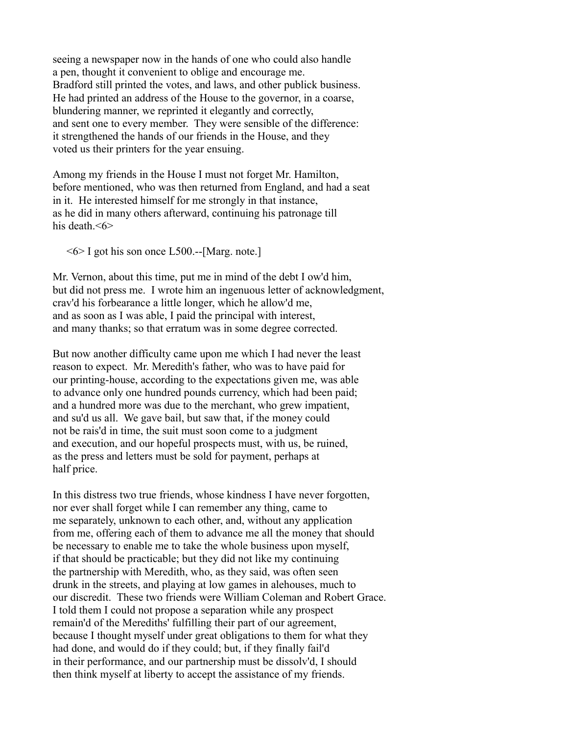seeing a newspaper now in the hands of one who could also handle a pen, thought it convenient to oblige and encourage me. Bradford still printed the votes, and laws, and other publick business. He had printed an address of the House to the governor, in a coarse, blundering manner, we reprinted it elegantly and correctly, and sent one to every member. They were sensible of the difference: it strengthened the hands of our friends in the House, and they voted us their printers for the year ensuing.

Among my friends in the House I must not forget Mr. Hamilton, before mentioned, who was then returned from England, and had a seat in it. He interested himself for me strongly in that instance, as he did in many others afterward, continuing his patronage till his death. <6>

 $\leq 6$  I got his son once L500.--[Marg. note.]

Mr. Vernon, about this time, put me in mind of the debt I ow'd him, but did not press me. I wrote him an ingenuous letter of acknowledgment, crav'd his forbearance a little longer, which he allow'd me, and as soon as I was able, I paid the principal with interest, and many thanks; so that erratum was in some degree corrected.

But now another difficulty came upon me which I had never the least reason to expect. Mr. Meredith's father, who was to have paid for our printing-house, according to the expectations given me, was able to advance only one hundred pounds currency, which had been paid; and a hundred more was due to the merchant, who grew impatient, and su'd us all. We gave bail, but saw that, if the money could not be rais'd in time, the suit must soon come to a judgment and execution, and our hopeful prospects must, with us, be ruined, as the press and letters must be sold for payment, perhaps at half price.

In this distress two true friends, whose kindness I have never forgotten, nor ever shall forget while I can remember any thing, came to me separately, unknown to each other, and, without any application from me, offering each of them to advance me all the money that should be necessary to enable me to take the whole business upon myself, if that should be practicable; but they did not like my continuing the partnership with Meredith, who, as they said, was often seen drunk in the streets, and playing at low games in alehouses, much to our discredit. These two friends were William Coleman and Robert Grace. I told them I could not propose a separation while any prospect remain'd of the Merediths' fulfilling their part of our agreement, because I thought myself under great obligations to them for what they had done, and would do if they could; but, if they finally fail'd in their performance, and our partnership must be dissolv'd, I should then think myself at liberty to accept the assistance of my friends.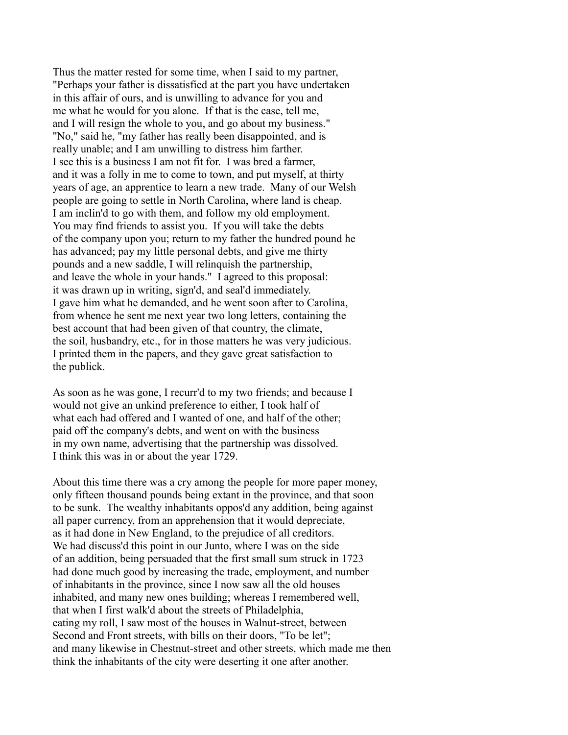Thus the matter rested for some time, when I said to my partner, "Perhaps your father is dissatisfied at the part you have undertaken in this affair of ours, and is unwilling to advance for you and me what he would for you alone. If that is the case, tell me, and I will resign the whole to you, and go about my business." "No," said he, "my father has really been disappointed, and is really unable; and I am unwilling to distress him farther. I see this is a business I am not fit for. I was bred a farmer, and it was a folly in me to come to town, and put myself, at thirty years of age, an apprentice to learn a new trade. Many of our Welsh people are going to settle in North Carolina, where land is cheap. I am inclin'd to go with them, and follow my old employment. You may find friends to assist you. If you will take the debts of the company upon you; return to my father the hundred pound he has advanced; pay my little personal debts, and give me thirty pounds and a new saddle, I will relinquish the partnership, and leave the whole in your hands." I agreed to this proposal: it was drawn up in writing, sign'd, and seal'd immediately. I gave him what he demanded, and he went soon after to Carolina, from whence he sent me next year two long letters, containing the best account that had been given of that country, the climate, the soil, husbandry, etc., for in those matters he was very judicious. I printed them in the papers, and they gave great satisfaction to the publick.

As soon as he was gone, I recurr'd to my two friends; and because I would not give an unkind preference to either, I took half of what each had offered and I wanted of one, and half of the other; paid off the company's debts, and went on with the business in my own name, advertising that the partnership was dissolved. I think this was in or about the year 1729.

About this time there was a cry among the people for more paper money, only fifteen thousand pounds being extant in the province, and that soon to be sunk. The wealthy inhabitants oppos'd any addition, being against all paper currency, from an apprehension that it would depreciate, as it had done in New England, to the prejudice of all creditors. We had discuss'd this point in our Junto, where I was on the side of an addition, being persuaded that the first small sum struck in 1723 had done much good by increasing the trade, employment, and number of inhabitants in the province, since I now saw all the old houses inhabited, and many new ones building; whereas I remembered well, that when I first walk'd about the streets of Philadelphia, eating my roll, I saw most of the houses in Walnut-street, between Second and Front streets, with bills on their doors, "To be let"; and many likewise in Chestnut-street and other streets, which made me then think the inhabitants of the city were deserting it one after another.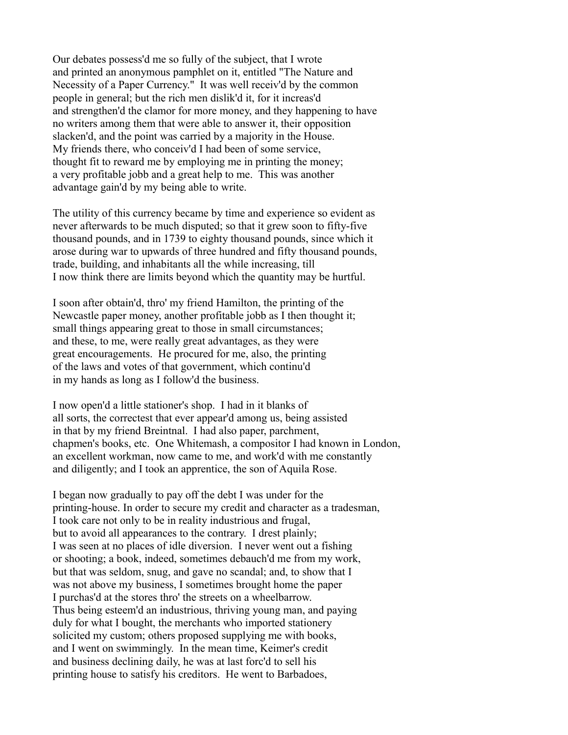Our debates possess'd me so fully of the subject, that I wrote and printed an anonymous pamphlet on it, entitled "The Nature and Necessity of a Paper Currency." It was well receiv'd by the common people in general; but the rich men dislik'd it, for it increas'd and strengthen'd the clamor for more money, and they happening to have no writers among them that were able to answer it, their opposition slacken'd, and the point was carried by a majority in the House. My friends there, who conceiv'd I had been of some service, thought fit to reward me by employing me in printing the money; a very profitable jobb and a great help to me. This was another advantage gain'd by my being able to write.

The utility of this currency became by time and experience so evident as never afterwards to be much disputed; so that it grew soon to fifty-five thousand pounds, and in 1739 to eighty thousand pounds, since which it arose during war to upwards of three hundred and fifty thousand pounds, trade, building, and inhabitants all the while increasing, till I now think there are limits beyond which the quantity may be hurtful.

I soon after obtain'd, thro' my friend Hamilton, the printing of the Newcastle paper money, another profitable jobb as I then thought it; small things appearing great to those in small circumstances; and these, to me, were really great advantages, as they were great encouragements. He procured for me, also, the printing of the laws and votes of that government, which continu'd in my hands as long as I follow'd the business.

I now open'd a little stationer's shop. I had in it blanks of all sorts, the correctest that ever appear'd among us, being assisted in that by my friend Breintnal. I had also paper, parchment, chapmen's books, etc. One Whitemash, a compositor I had known in London, an excellent workman, now came to me, and work'd with me constantly and diligently; and I took an apprentice, the son of Aquila Rose.

I began now gradually to pay off the debt I was under for the printing-house. In order to secure my credit and character as a tradesman, I took care not only to be in reality industrious and frugal, but to avoid all appearances to the contrary. I drest plainly; I was seen at no places of idle diversion. I never went out a fishing or shooting; a book, indeed, sometimes debauch'd me from my work, but that was seldom, snug, and gave no scandal; and, to show that I was not above my business, I sometimes brought home the paper I purchas'd at the stores thro' the streets on a wheelbarrow. Thus being esteem'd an industrious, thriving young man, and paying duly for what I bought, the merchants who imported stationery solicited my custom; others proposed supplying me with books, and I went on swimmingly. In the mean time, Keimer's credit and business declining daily, he was at last forc'd to sell his printing house to satisfy his creditors. He went to Barbadoes,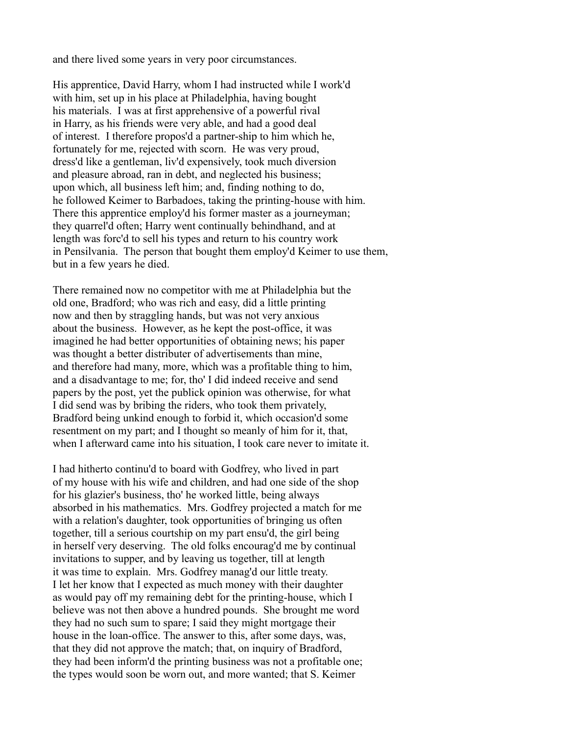and there lived some years in very poor circumstances.

His apprentice, David Harry, whom I had instructed while I work'd with him, set up in his place at Philadelphia, having bought his materials. I was at first apprehensive of a powerful rival in Harry, as his friends were very able, and had a good deal of interest. I therefore propos'd a partner-ship to him which he, fortunately for me, rejected with scorn. He was very proud, dress'd like a gentleman, liv'd expensively, took much diversion and pleasure abroad, ran in debt, and neglected his business; upon which, all business left him; and, finding nothing to do, he followed Keimer to Barbadoes, taking the printing-house with him. There this apprentice employ'd his former master as a journeyman; they quarrel'd often; Harry went continually behindhand, and at length was forc'd to sell his types and return to his country work in Pensilvania. The person that bought them employ'd Keimer to use them, but in a few years he died.

There remained now no competitor with me at Philadelphia but the old one, Bradford; who was rich and easy, did a little printing now and then by straggling hands, but was not very anxious about the business. However, as he kept the post-office, it was imagined he had better opportunities of obtaining news; his paper was thought a better distributer of advertisements than mine, and therefore had many, more, which was a profitable thing to him, and a disadvantage to me; for, tho' I did indeed receive and send papers by the post, yet the publick opinion was otherwise, for what I did send was by bribing the riders, who took them privately, Bradford being unkind enough to forbid it, which occasion'd some resentment on my part; and I thought so meanly of him for it, that, when I afterward came into his situation, I took care never to imitate it.

I had hitherto continu'd to board with Godfrey, who lived in part of my house with his wife and children, and had one side of the shop for his glazier's business, tho' he worked little, being always absorbed in his mathematics. Mrs. Godfrey projected a match for me with a relation's daughter, took opportunities of bringing us often together, till a serious courtship on my part ensu'd, the girl being in herself very deserving. The old folks encourag'd me by continual invitations to supper, and by leaving us together, till at length it was time to explain. Mrs. Godfrey manag'd our little treaty. I let her know that I expected as much money with their daughter as would pay off my remaining debt for the printing-house, which I believe was not then above a hundred pounds. She brought me word they had no such sum to spare; I said they might mortgage their house in the loan-office. The answer to this, after some days, was, that they did not approve the match; that, on inquiry of Bradford, they had been inform'd the printing business was not a profitable one; the types would soon be worn out, and more wanted; that S. Keimer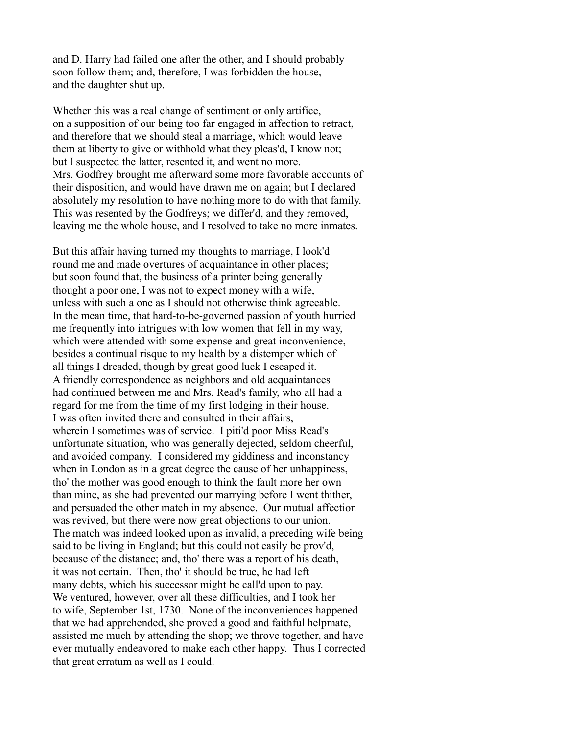and D. Harry had failed one after the other, and I should probably soon follow them; and, therefore, I was forbidden the house, and the daughter shut up.

Whether this was a real change of sentiment or only artifice, on a supposition of our being too far engaged in affection to retract, and therefore that we should steal a marriage, which would leave them at liberty to give or withhold what they pleas'd, I know not; but I suspected the latter, resented it, and went no more. Mrs. Godfrey brought me afterward some more favorable accounts of their disposition, and would have drawn me on again; but I declared absolutely my resolution to have nothing more to do with that family. This was resented by the Godfreys; we differ'd, and they removed, leaving me the whole house, and I resolved to take no more inmates.

But this affair having turned my thoughts to marriage, I look'd round me and made overtures of acquaintance in other places; but soon found that, the business of a printer being generally thought a poor one, I was not to expect money with a wife, unless with such a one as I should not otherwise think agreeable. In the mean time, that hard-to-be-governed passion of youth hurried me frequently into intrigues with low women that fell in my way, which were attended with some expense and great inconvenience, besides a continual risque to my health by a distemper which of all things I dreaded, though by great good luck I escaped it. A friendly correspondence as neighbors and old acquaintances had continued between me and Mrs. Read's family, who all had a regard for me from the time of my first lodging in their house. I was often invited there and consulted in their affairs, wherein I sometimes was of service. I piti'd poor Miss Read's unfortunate situation, who was generally dejected, seldom cheerful, and avoided company. I considered my giddiness and inconstancy when in London as in a great degree the cause of her unhappiness, tho' the mother was good enough to think the fault more her own than mine, as she had prevented our marrying before I went thither, and persuaded the other match in my absence. Our mutual affection was revived, but there were now great objections to our union. The match was indeed looked upon as invalid, a preceding wife being said to be living in England; but this could not easily be prov'd, because of the distance; and, tho' there was a report of his death, it was not certain. Then, tho' it should be true, he had left many debts, which his successor might be call'd upon to pay. We ventured, however, over all these difficulties, and I took her to wife, September 1st, 1730. None of the inconveniences happened that we had apprehended, she proved a good and faithful helpmate, assisted me much by attending the shop; we throve together, and have ever mutually endeavored to make each other happy. Thus I corrected that great erratum as well as I could.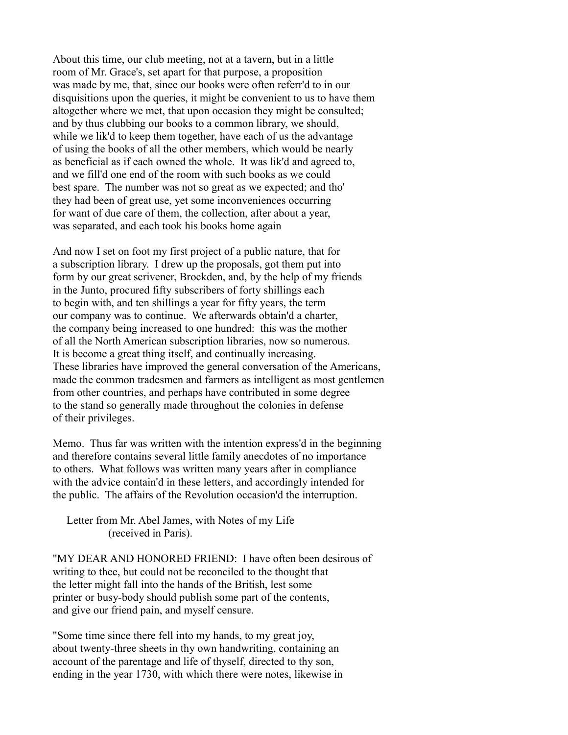About this time, our club meeting, not at a tavern, but in a little room of Mr. Grace's, set apart for that purpose, a proposition was made by me, that, since our books were often referr'd to in our disquisitions upon the queries, it might be convenient to us to have them altogether where we met, that upon occasion they might be consulted; and by thus clubbing our books to a common library, we should, while we lik'd to keep them together, have each of us the advantage of using the books of all the other members, which would be nearly as beneficial as if each owned the whole. It was lik'd and agreed to, and we fill'd one end of the room with such books as we could best spare. The number was not so great as we expected; and tho' they had been of great use, yet some inconveniences occurring for want of due care of them, the collection, after about a year, was separated, and each took his books home again

And now I set on foot my first project of a public nature, that for a subscription library. I drew up the proposals, got them put into form by our great scrivener, Brockden, and, by the help of my friends in the Junto, procured fifty subscribers of forty shillings each to begin with, and ten shillings a year for fifty years, the term our company was to continue. We afterwards obtain'd a charter, the company being increased to one hundred: this was the mother of all the North American subscription libraries, now so numerous. It is become a great thing itself, and continually increasing. These libraries have improved the general conversation of the Americans, made the common tradesmen and farmers as intelligent as most gentlemen from other countries, and perhaps have contributed in some degree to the stand so generally made throughout the colonies in defense of their privileges.

Memo. Thus far was written with the intention express'd in the beginning and therefore contains several little family anecdotes of no importance to others. What follows was written many years after in compliance with the advice contain'd in these letters, and accordingly intended for the public. The affairs of the Revolution occasion'd the interruption.

 Letter from Mr. Abel James, with Notes of my Life (received in Paris).

"MY DEAR AND HONORED FRIEND: I have often been desirous of writing to thee, but could not be reconciled to the thought that the letter might fall into the hands of the British, lest some printer or busy-body should publish some part of the contents, and give our friend pain, and myself censure.

"Some time since there fell into my hands, to my great joy, about twenty-three sheets in thy own handwriting, containing an account of the parentage and life of thyself, directed to thy son, ending in the year 1730, with which there were notes, likewise in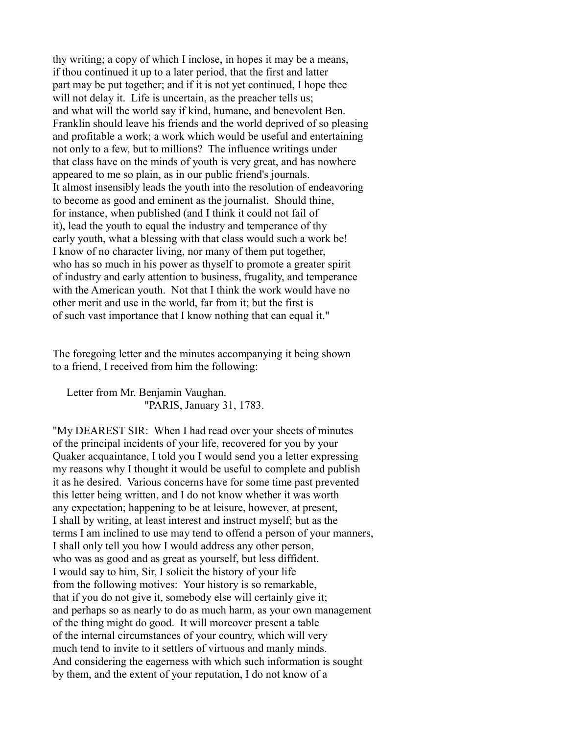thy writing; a copy of which I inclose, in hopes it may be a means, if thou continued it up to a later period, that the first and latter part may be put together; and if it is not yet continued, I hope thee will not delay it. Life is uncertain, as the preacher tells us; and what will the world say if kind, humane, and benevolent Ben. Franklin should leave his friends and the world deprived of so pleasing and profitable a work; a work which would be useful and entertaining not only to a few, but to millions? The influence writings under that class have on the minds of youth is very great, and has nowhere appeared to me so plain, as in our public friend's journals. It almost insensibly leads the youth into the resolution of endeavoring to become as good and eminent as the journalist. Should thine, for instance, when published (and I think it could not fail of it), lead the youth to equal the industry and temperance of thy early youth, what a blessing with that class would such a work be! I know of no character living, nor many of them put together, who has so much in his power as thyself to promote a greater spirit of industry and early attention to business, frugality, and temperance with the American youth. Not that I think the work would have no other merit and use in the world, far from it; but the first is of such vast importance that I know nothing that can equal it."

The foregoing letter and the minutes accompanying it being shown to a friend, I received from him the following:

 Letter from Mr. Benjamin Vaughan. "PARIS, January 31, 1783.

"My DEAREST SIR: When I had read over your sheets of minutes of the principal incidents of your life, recovered for you by your Quaker acquaintance, I told you I would send you a letter expressing my reasons why I thought it would be useful to complete and publish it as he desired. Various concerns have for some time past prevented this letter being written, and I do not know whether it was worth any expectation; happening to be at leisure, however, at present, I shall by writing, at least interest and instruct myself; but as the terms I am inclined to use may tend to offend a person of your manners, I shall only tell you how I would address any other person, who was as good and as great as yourself, but less diffident. I would say to him, Sir, I solicit the history of your life from the following motives: Your history is so remarkable, that if you do not give it, somebody else will certainly give it; and perhaps so as nearly to do as much harm, as your own management of the thing might do good. It will moreover present a table of the internal circumstances of your country, which will very much tend to invite to it settlers of virtuous and manly minds. And considering the eagerness with which such information is sought by them, and the extent of your reputation, I do not know of a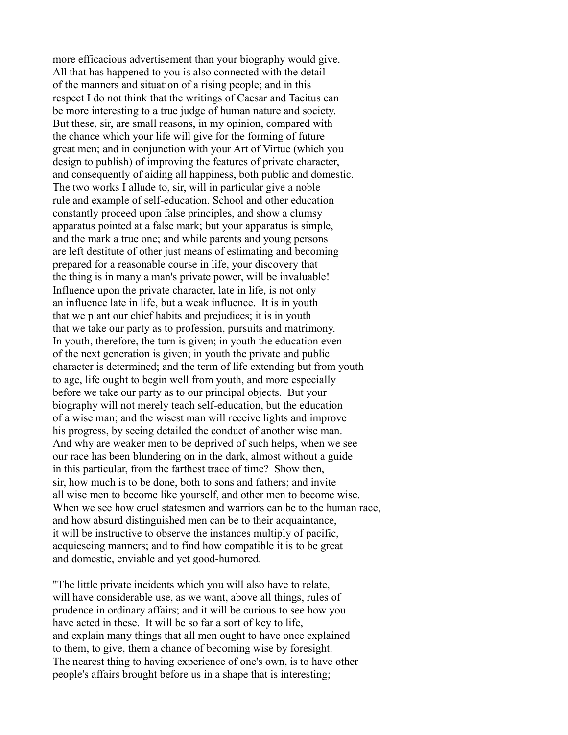more efficacious advertisement than your biography would give. All that has happened to you is also connected with the detail of the manners and situation of a rising people; and in this respect I do not think that the writings of Caesar and Tacitus can be more interesting to a true judge of human nature and society. But these, sir, are small reasons, in my opinion, compared with the chance which your life will give for the forming of future great men; and in conjunction with your Art of Virtue (which you design to publish) of improving the features of private character, and consequently of aiding all happiness, both public and domestic. The two works I allude to, sir, will in particular give a noble rule and example of self-education. School and other education constantly proceed upon false principles, and show a clumsy apparatus pointed at a false mark; but your apparatus is simple, and the mark a true one; and while parents and young persons are left destitute of other just means of estimating and becoming prepared for a reasonable course in life, your discovery that the thing is in many a man's private power, will be invaluable! Influence upon the private character, late in life, is not only an influence late in life, but a weak influence. It is in youth that we plant our chief habits and prejudices; it is in youth that we take our party as to profession, pursuits and matrimony. In youth, therefore, the turn is given; in youth the education even of the next generation is given; in youth the private and public character is determined; and the term of life extending but from youth to age, life ought to begin well from youth, and more especially before we take our party as to our principal objects. But your biography will not merely teach self-education, but the education of a wise man; and the wisest man will receive lights and improve his progress, by seeing detailed the conduct of another wise man. And why are weaker men to be deprived of such helps, when we see our race has been blundering on in the dark, almost without a guide in this particular, from the farthest trace of time? Show then, sir, how much is to be done, both to sons and fathers; and invite all wise men to become like yourself, and other men to become wise. When we see how cruel statesmen and warriors can be to the human race, and how absurd distinguished men can be to their acquaintance, it will be instructive to observe the instances multiply of pacific, acquiescing manners; and to find how compatible it is to be great and domestic, enviable and yet good-humored.

"The little private incidents which you will also have to relate, will have considerable use, as we want, above all things, rules of prudence in ordinary affairs; and it will be curious to see how you have acted in these. It will be so far a sort of key to life, and explain many things that all men ought to have once explained to them, to give, them a chance of becoming wise by foresight. The nearest thing to having experience of one's own, is to have other people's affairs brought before us in a shape that is interesting;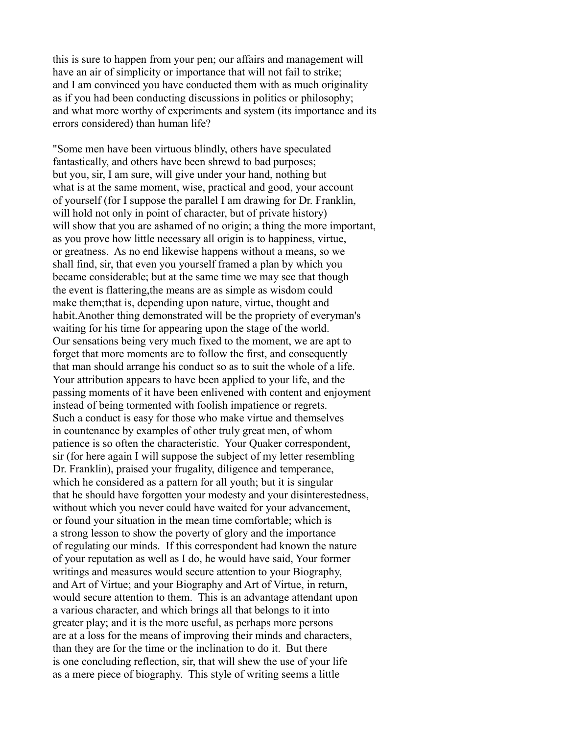this is sure to happen from your pen; our affairs and management will have an air of simplicity or importance that will not fail to strike; and I am convinced you have conducted them with as much originality as if you had been conducting discussions in politics or philosophy; and what more worthy of experiments and system (its importance and its errors considered) than human life?

"Some men have been virtuous blindly, others have speculated fantastically, and others have been shrewd to bad purposes; but you, sir, I am sure, will give under your hand, nothing but what is at the same moment, wise, practical and good, your account of yourself (for I suppose the parallel I am drawing for Dr. Franklin, will hold not only in point of character, but of private history) will show that you are ashamed of no origin; a thing the more important, as you prove how little necessary all origin is to happiness, virtue, or greatness. As no end likewise happens without a means, so we shall find, sir, that even you yourself framed a plan by which you became considerable; but at the same time we may see that though the event is flattering,the means are as simple as wisdom could make them;that is, depending upon nature, virtue, thought and habit.Another thing demonstrated will be the propriety of everyman's waiting for his time for appearing upon the stage of the world. Our sensations being very much fixed to the moment, we are apt to forget that more moments are to follow the first, and consequently that man should arrange his conduct so as to suit the whole of a life. Your attribution appears to have been applied to your life, and the passing moments of it have been enlivened with content and enjoyment instead of being tormented with foolish impatience or regrets. Such a conduct is easy for those who make virtue and themselves in countenance by examples of other truly great men, of whom patience is so often the characteristic. Your Quaker correspondent, sir (for here again I will suppose the subject of my letter resembling Dr. Franklin), praised your frugality, diligence and temperance, which he considered as a pattern for all youth; but it is singular that he should have forgotten your modesty and your disinterestedness, without which you never could have waited for your advancement, or found your situation in the mean time comfortable; which is a strong lesson to show the poverty of glory and the importance of regulating our minds. If this correspondent had known the nature of your reputation as well as I do, he would have said, Your former writings and measures would secure attention to your Biography, and Art of Virtue; and your Biography and Art of Virtue, in return, would secure attention to them. This is an advantage attendant upon a various character, and which brings all that belongs to it into greater play; and it is the more useful, as perhaps more persons are at a loss for the means of improving their minds and characters, than they are for the time or the inclination to do it. But there is one concluding reflection, sir, that will shew the use of your life as a mere piece of biography. This style of writing seems a little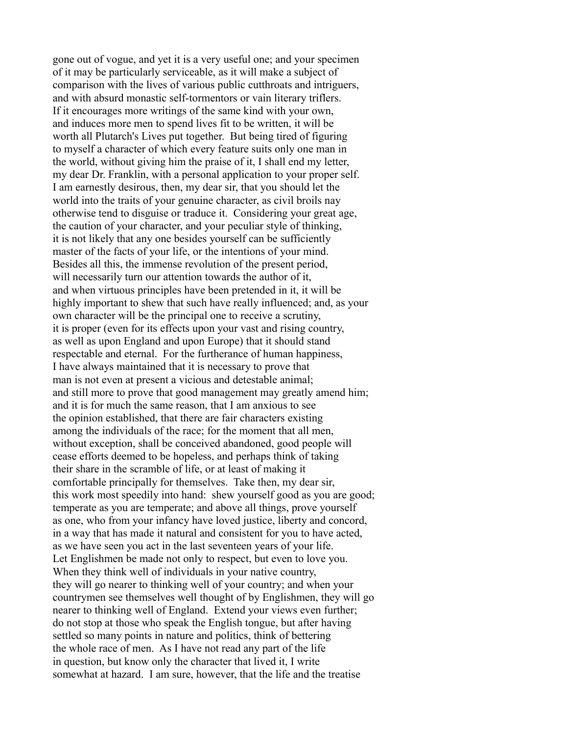gone out of vogue, and yet it is a very useful one; and your specimen of it may be particularly serviceable, as it will make a subject of comparison with the lives of various public cutthroats and intriguers, and with absurd monastic self-tormentors or vain literary triflers. If it encourages more writings of the same kind with your own, and induces more men to spend lives fit to be written, it will be worth all Plutarch's Lives put together. But being tired of figuring to myself a character of which every feature suits only one man in the world, without giving him the praise of it, I shall end my letter, my dear Dr. Franklin, with a personal application to your proper self. I am earnestly desirous, then, my dear sir, that you should let the world into the traits of your genuine character, as civil broils nay otherwise tend to disguise or traduce it. Considering your great age, the caution of your character, and your peculiar style of thinking, it is not likely that any one besides yourself can be sufficiently master of the facts of your life, or the intentions of your mind. Besides all this, the immense revolution of the present period, will necessarily turn our attention towards the author of it, and when virtuous principles have been pretended in it, it will be highly important to shew that such have really influenced; and, as your own character will be the principal one to receive a scrutiny, it is proper (even for its effects upon your vast and rising country, as well as upon England and upon Europe) that it should stand respectable and eternal. For the furtherance of human happiness, I have always maintained that it is necessary to prove that man is not even at present a vicious and detestable animal; and still more to prove that good management may greatly amend him; and it is for much the same reason, that I am anxious to see the opinion established, that there are fair characters existing among the individuals of the race; for the moment that all men, without exception, shall be conceived abandoned, good people will cease efforts deemed to be hopeless, and perhaps think of taking their share in the scramble of life, or at least of making it comfortable principally for themselves. Take then, my dear sir, this work most speedily into hand: shew yourself good as you are good; temperate as you are temperate; and above all things, prove yourself as one, who from your infancy have loved justice, liberty and concord, in a way that has made it natural and consistent for you to have acted, as we have seen you act in the last seventeen years of your life. Let Englishmen be made not only to respect, but even to love you. When they think well of individuals in your native country, they will go nearer to thinking well of your country; and when your countrymen see themselves well thought of by Englishmen, they will go nearer to thinking well of England. Extend your views even further; do not stop at those who speak the English tongue, but after having settled so many points in nature and politics, think of bettering the whole race of men. As I have not read any part of the life in question, but know only the character that lived it, I write somewhat at hazard. I am sure, however, that the life and the treatise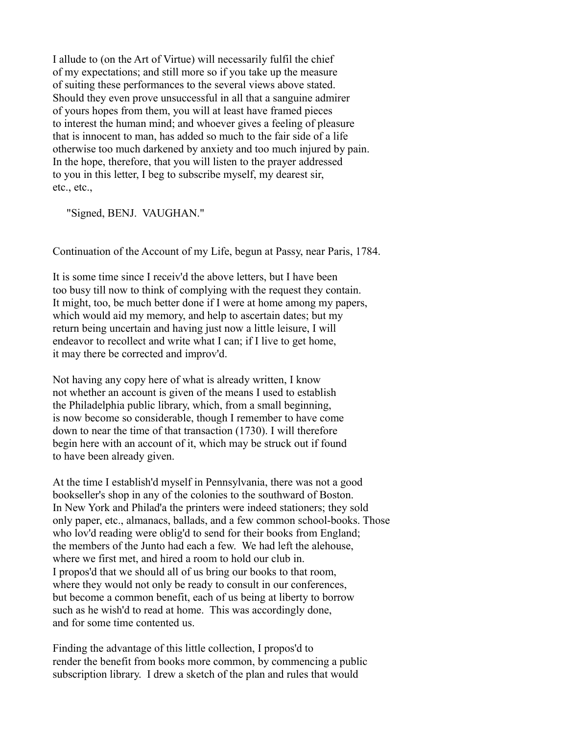I allude to (on the Art of Virtue) will necessarily fulfil the chief of my expectations; and still more so if you take up the measure of suiting these performances to the several views above stated. Should they even prove unsuccessful in all that a sanguine admirer of yours hopes from them, you will at least have framed pieces to interest the human mind; and whoever gives a feeling of pleasure that is innocent to man, has added so much to the fair side of a life otherwise too much darkened by anxiety and too much injured by pain. In the hope, therefore, that you will listen to the prayer addressed to you in this letter, I beg to subscribe myself, my dearest sir, etc., etc.,

"Signed, BENJ. VAUGHAN."

Continuation of the Account of my Life, begun at Passy, near Paris, 1784.

It is some time since I receiv'd the above letters, but I have been too busy till now to think of complying with the request they contain. It might, too, be much better done if I were at home among my papers, which would aid my memory, and help to ascertain dates; but my return being uncertain and having just now a little leisure, I will endeavor to recollect and write what I can; if I live to get home, it may there be corrected and improv'd.

Not having any copy here of what is already written, I know not whether an account is given of the means I used to establish the Philadelphia public library, which, from a small beginning, is now become so considerable, though I remember to have come down to near the time of that transaction (1730). I will therefore begin here with an account of it, which may be struck out if found to have been already given.

At the time I establish'd myself in Pennsylvania, there was not a good bookseller's shop in any of the colonies to the southward of Boston. In New York and Philad'a the printers were indeed stationers; they sold only paper, etc., almanacs, ballads, and a few common school-books. Those who lov'd reading were oblig'd to send for their books from England; the members of the Junto had each a few. We had left the alehouse, where we first met, and hired a room to hold our club in. I propos'd that we should all of us bring our books to that room, where they would not only be ready to consult in our conferences, but become a common benefit, each of us being at liberty to borrow such as he wish'd to read at home. This was accordingly done, and for some time contented us.

Finding the advantage of this little collection, I propos'd to render the benefit from books more common, by commencing a public subscription library. I drew a sketch of the plan and rules that would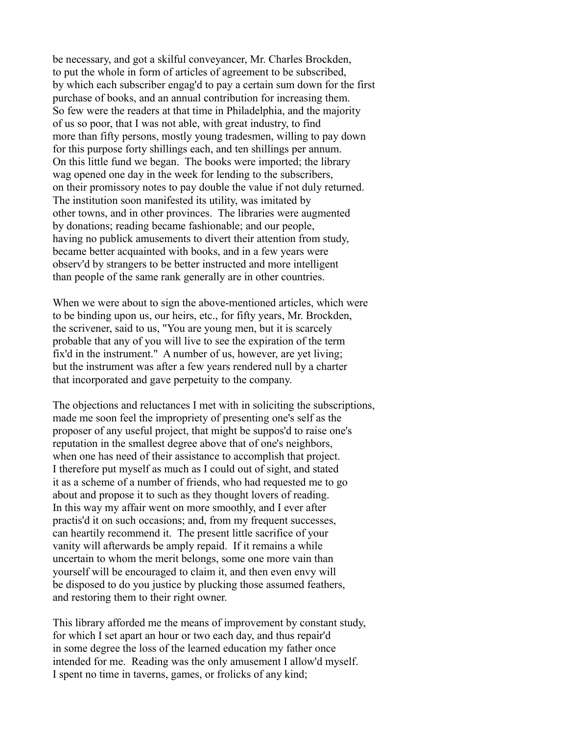be necessary, and got a skilful conveyancer, Mr. Charles Brockden, to put the whole in form of articles of agreement to be subscribed, by which each subscriber engag'd to pay a certain sum down for the first purchase of books, and an annual contribution for increasing them. So few were the readers at that time in Philadelphia, and the majority of us so poor, that I was not able, with great industry, to find more than fifty persons, mostly young tradesmen, willing to pay down for this purpose forty shillings each, and ten shillings per annum. On this little fund we began. The books were imported; the library wag opened one day in the week for lending to the subscribers, on their promissory notes to pay double the value if not duly returned. The institution soon manifested its utility, was imitated by other towns, and in other provinces. The libraries were augmented by donations; reading became fashionable; and our people, having no publick amusements to divert their attention from study, became better acquainted with books, and in a few years were observ'd by strangers to be better instructed and more intelligent than people of the same rank generally are in other countries.

When we were about to sign the above-mentioned articles, which were to be binding upon us, our heirs, etc., for fifty years, Mr. Brockden, the scrivener, said to us, "You are young men, but it is scarcely probable that any of you will live to see the expiration of the term fix'd in the instrument." A number of us, however, are yet living; but the instrument was after a few years rendered null by a charter that incorporated and gave perpetuity to the company.

The objections and reluctances I met with in soliciting the subscriptions, made me soon feel the impropriety of presenting one's self as the proposer of any useful project, that might be suppos'd to raise one's reputation in the smallest degree above that of one's neighbors, when one has need of their assistance to accomplish that project. I therefore put myself as much as I could out of sight, and stated it as a scheme of a number of friends, who had requested me to go about and propose it to such as they thought lovers of reading. In this way my affair went on more smoothly, and I ever after practis'd it on such occasions; and, from my frequent successes, can heartily recommend it. The present little sacrifice of your vanity will afterwards be amply repaid. If it remains a while uncertain to whom the merit belongs, some one more vain than yourself will be encouraged to claim it, and then even envy will be disposed to do you justice by plucking those assumed feathers, and restoring them to their right owner.

This library afforded me the means of improvement by constant study, for which I set apart an hour or two each day, and thus repair'd in some degree the loss of the learned education my father once intended for me. Reading was the only amusement I allow'd myself. I spent no time in taverns, games, or frolicks of any kind;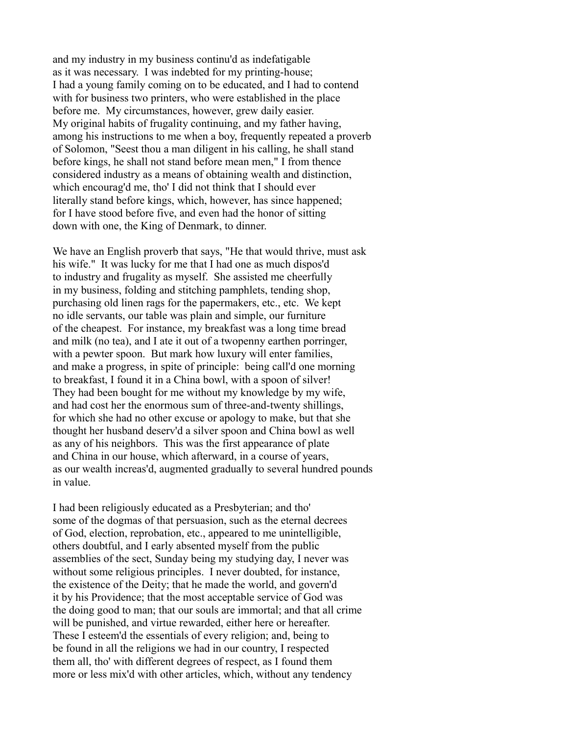and my industry in my business continu'd as indefatigable as it was necessary. I was indebted for my printing-house; I had a young family coming on to be educated, and I had to contend with for business two printers, who were established in the place before me. My circumstances, however, grew daily easier. My original habits of frugality continuing, and my father having, among his instructions to me when a boy, frequently repeated a proverb of Solomon, "Seest thou a man diligent in his calling, he shall stand before kings, he shall not stand before mean men," I from thence considered industry as a means of obtaining wealth and distinction, which encourag'd me, tho' I did not think that I should ever literally stand before kings, which, however, has since happened; for I have stood before five, and even had the honor of sitting down with one, the King of Denmark, to dinner.

We have an English proverb that says, "He that would thrive, must ask his wife." It was lucky for me that I had one as much dispos'd to industry and frugality as myself. She assisted me cheerfully in my business, folding and stitching pamphlets, tending shop, purchasing old linen rags for the papermakers, etc., etc. We kept no idle servants, our table was plain and simple, our furniture of the cheapest. For instance, my breakfast was a long time bread and milk (no tea), and I ate it out of a twopenny earthen porringer, with a pewter spoon. But mark how luxury will enter families, and make a progress, in spite of principle: being call'd one morning to breakfast, I found it in a China bowl, with a spoon of silver! They had been bought for me without my knowledge by my wife, and had cost her the enormous sum of three-and-twenty shillings, for which she had no other excuse or apology to make, but that she thought her husband deserv'd a silver spoon and China bowl as well as any of his neighbors. This was the first appearance of plate and China in our house, which afterward, in a course of years, as our wealth increas'd, augmented gradually to several hundred pounds in value.

I had been religiously educated as a Presbyterian; and tho' some of the dogmas of that persuasion, such as the eternal decrees of God, election, reprobation, etc., appeared to me unintelligible, others doubtful, and I early absented myself from the public assemblies of the sect, Sunday being my studying day, I never was without some religious principles. I never doubted, for instance, the existence of the Deity; that he made the world, and govern'd it by his Providence; that the most acceptable service of God was the doing good to man; that our souls are immortal; and that all crime will be punished, and virtue rewarded, either here or hereafter. These I esteem'd the essentials of every religion; and, being to be found in all the religions we had in our country, I respected them all, tho' with different degrees of respect, as I found them more or less mix'd with other articles, which, without any tendency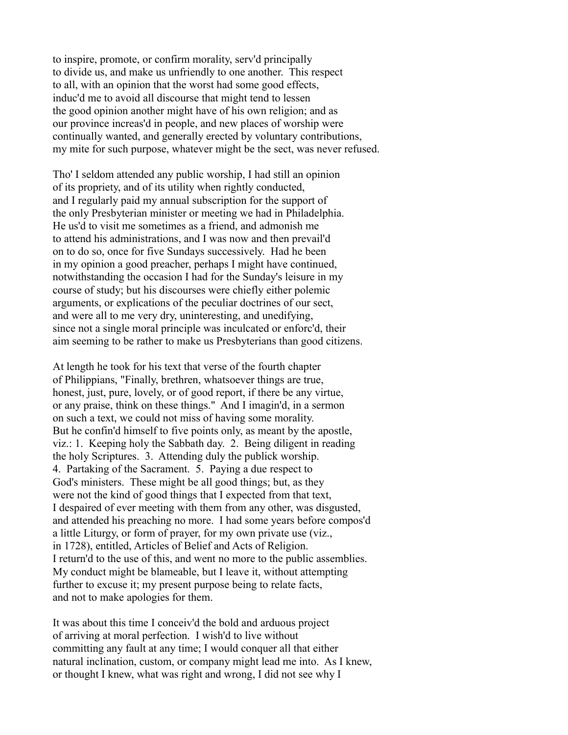to inspire, promote, or confirm morality, serv'd principally to divide us, and make us unfriendly to one another. This respect to all, with an opinion that the worst had some good effects, induc'd me to avoid all discourse that might tend to lessen the good opinion another might have of his own religion; and as our province increas'd in people, and new places of worship were continually wanted, and generally erected by voluntary contributions, my mite for such purpose, whatever might be the sect, was never refused.

Tho' I seldom attended any public worship, I had still an opinion of its propriety, and of its utility when rightly conducted, and I regularly paid my annual subscription for the support of the only Presbyterian minister or meeting we had in Philadelphia. He us'd to visit me sometimes as a friend, and admonish me to attend his administrations, and I was now and then prevail'd on to do so, once for five Sundays successively. Had he been in my opinion a good preacher, perhaps I might have continued, notwithstanding the occasion I had for the Sunday's leisure in my course of study; but his discourses were chiefly either polemic arguments, or explications of the peculiar doctrines of our sect, and were all to me very dry, uninteresting, and unedifying, since not a single moral principle was inculcated or enforc'd, their aim seeming to be rather to make us Presbyterians than good citizens.

At length he took for his text that verse of the fourth chapter of Philippians, "Finally, brethren, whatsoever things are true, honest, just, pure, lovely, or of good report, if there be any virtue, or any praise, think on these things." And I imagin'd, in a sermon on such a text, we could not miss of having some morality. But he confin'd himself to five points only, as meant by the apostle, viz.: 1. Keeping holy the Sabbath day. 2. Being diligent in reading the holy Scriptures. 3. Attending duly the publick worship. 4. Partaking of the Sacrament. 5. Paying a due respect to God's ministers. These might be all good things; but, as they were not the kind of good things that I expected from that text, I despaired of ever meeting with them from any other, was disgusted, and attended his preaching no more. I had some years before compos'd a little Liturgy, or form of prayer, for my own private use (viz., in 1728), entitled, Articles of Belief and Acts of Religion. I return'd to the use of this, and went no more to the public assemblies. My conduct might be blameable, but I leave it, without attempting further to excuse it; my present purpose being to relate facts, and not to make apologies for them.

It was about this time I conceiv'd the bold and arduous project of arriving at moral perfection. I wish'd to live without committing any fault at any time; I would conquer all that either natural inclination, custom, or company might lead me into. As I knew, or thought I knew, what was right and wrong, I did not see why I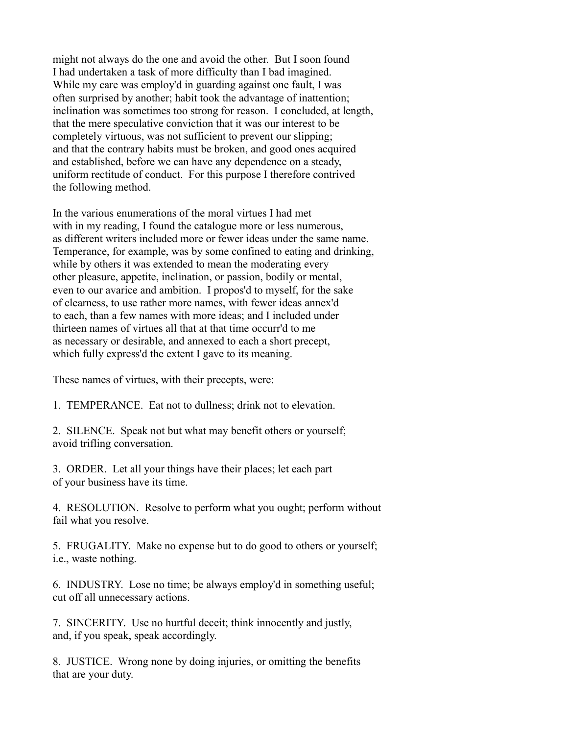might not always do the one and avoid the other. But I soon found I had undertaken a task of more difficulty than I bad imagined. While my care was employ'd in guarding against one fault, I was often surprised by another; habit took the advantage of inattention; inclination was sometimes too strong for reason. I concluded, at length, that the mere speculative conviction that it was our interest to be completely virtuous, was not sufficient to prevent our slipping; and that the contrary habits must be broken, and good ones acquired and established, before we can have any dependence on a steady, uniform rectitude of conduct. For this purpose I therefore contrived the following method.

In the various enumerations of the moral virtues I had met with in my reading, I found the catalogue more or less numerous, as different writers included more or fewer ideas under the same name. Temperance, for example, was by some confined to eating and drinking, while by others it was extended to mean the moderating every other pleasure, appetite, inclination, or passion, bodily or mental, even to our avarice and ambition. I propos'd to myself, for the sake of clearness, to use rather more names, with fewer ideas annex'd to each, than a few names with more ideas; and I included under thirteen names of virtues all that at that time occurr'd to me as necessary or desirable, and annexed to each a short precept, which fully express'd the extent I gave to its meaning.

These names of virtues, with their precepts, were:

1. TEMPERANCE. Eat not to dullness; drink not to elevation.

2. SILENCE. Speak not but what may benefit others or yourself; avoid trifling conversation.

3. ORDER. Let all your things have their places; let each part of your business have its time.

4. RESOLUTION. Resolve to perform what you ought; perform without fail what you resolve.

5. FRUGALITY. Make no expense but to do good to others or yourself; i.e., waste nothing.

6. INDUSTRY. Lose no time; be always employ'd in something useful; cut off all unnecessary actions.

7. SINCERITY. Use no hurtful deceit; think innocently and justly, and, if you speak, speak accordingly.

8. JUSTICE. Wrong none by doing injuries, or omitting the benefits that are your duty.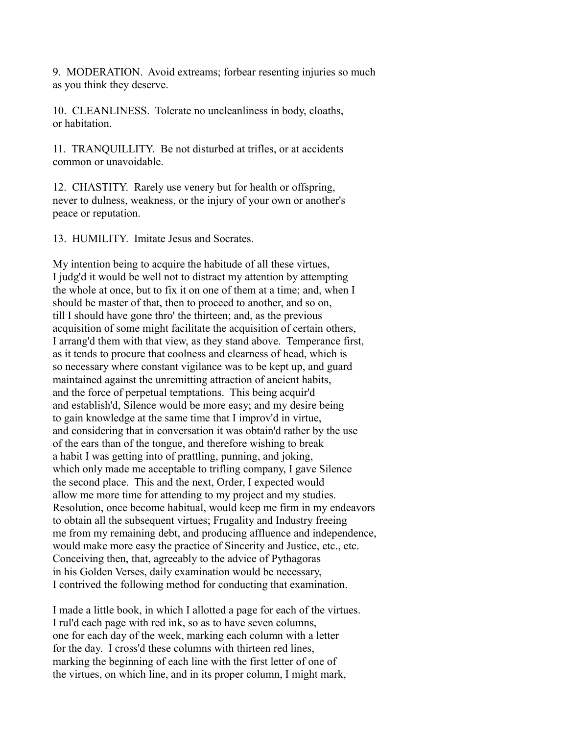9. MODERATION. Avoid extreams; forbear resenting injuries so much as you think they deserve.

10. CLEANLINESS. Tolerate no uncleanliness in body, cloaths, or habitation.

11. TRANQUILLITY. Be not disturbed at trifles, or at accidents common or unavoidable.

12. CHASTITY. Rarely use venery but for health or offspring, never to dulness, weakness, or the injury of your own or another's peace or reputation.

13. HUMILITY. Imitate Jesus and Socrates.

My intention being to acquire the habitude of all these virtues, I judg'd it would be well not to distract my attention by attempting the whole at once, but to fix it on one of them at a time; and, when I should be master of that, then to proceed to another, and so on, till I should have gone thro' the thirteen; and, as the previous acquisition of some might facilitate the acquisition of certain others, I arrang'd them with that view, as they stand above. Temperance first, as it tends to procure that coolness and clearness of head, which is so necessary where constant vigilance was to be kept up, and guard maintained against the unremitting attraction of ancient habits, and the force of perpetual temptations. This being acquir'd and establish'd, Silence would be more easy; and my desire being to gain knowledge at the same time that I improv'd in virtue, and considering that in conversation it was obtain'd rather by the use of the ears than of the tongue, and therefore wishing to break a habit I was getting into of prattling, punning, and joking, which only made me acceptable to trifling company, I gave Silence the second place. This and the next, Order, I expected would allow me more time for attending to my project and my studies. Resolution, once become habitual, would keep me firm in my endeavors to obtain all the subsequent virtues; Frugality and Industry freeing me from my remaining debt, and producing affluence and independence, would make more easy the practice of Sincerity and Justice, etc., etc. Conceiving then, that, agreeably to the advice of Pythagoras in his Golden Verses, daily examination would be necessary, I contrived the following method for conducting that examination.

I made a little book, in which I allotted a page for each of the virtues. I rul'd each page with red ink, so as to have seven columns, one for each day of the week, marking each column with a letter for the day. I cross'd these columns with thirteen red lines, marking the beginning of each line with the first letter of one of the virtues, on which line, and in its proper column, I might mark,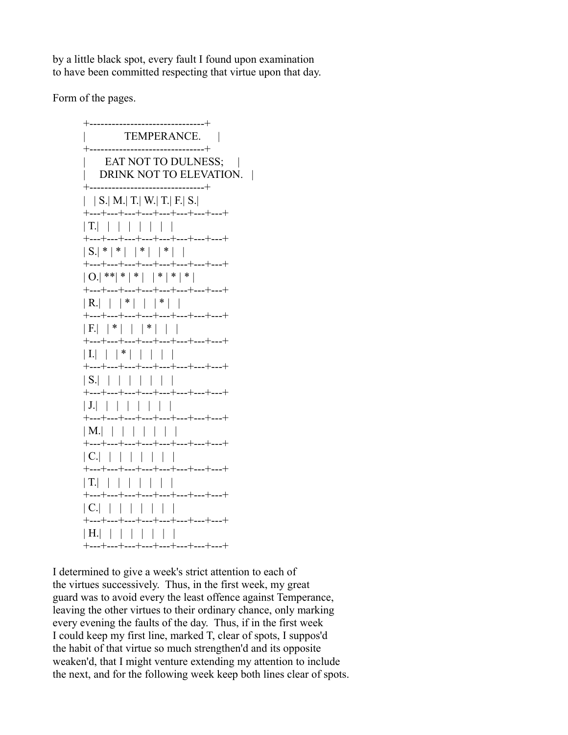by a little black spot, every fault I found upon examination to have been committed respecting that virtue upon that day.

Form of the pages.

 +-------------------------------+ TEMPERANCE. | +-------------------------------+ EAT NOT TO DULNESS; | DRINK NOT TO ELEVATION. | +-------------------------------+  $|$  | S.| M.| T.| W.| T.| F.| S.| +---+---+---+---+---+---+---+---+ | T.| | | | | | | | +---+---+---+---+---+---+---+---+  $| S | * | * | * | * | * | * |$  +---+---+---+---+---+---+---+---+  $| 0.1**| * | * | * | * | * | * |$  +---+---+---+---+---+---+---+---+  $|R.|$  | |\*| | |\*| | +---+---+---+---+---+---+---+---+  $|F|$   $| * | | * | * | |$  +---+---+---+---+---+---+---+---+  $| 1.|$   $| 1$   $| 1$   $| 1 1 1$  +---+---+---+---+---+---+---+---+ | S.| | | | | | | | +---+---+---+---+---+---+---+---+ | J.| | | | | | | | +---+---+---+---+---+---+---+---+ | M.| | | | | | | | +---+---+---+---+---+---+---+---+ | C.| | | | | | | | +---+---+---+---+---+---+---+---+ | T.| | | | | | | | +---+---+---+---+---+---+---+---+ | C.| | | | | | | | +---+---+---+---+---+---+---+---+ | H.| | | | | | | | +---+---+---+---+---+---+---+---+

I determined to give a week's strict attention to each of the virtues successively. Thus, in the first week, my great guard was to avoid every the least offence against Temperance, leaving the other virtues to their ordinary chance, only marking every evening the faults of the day. Thus, if in the first week I could keep my first line, marked T, clear of spots, I suppos'd the habit of that virtue so much strengthen'd and its opposite weaken'd, that I might venture extending my attention to include the next, and for the following week keep both lines clear of spots.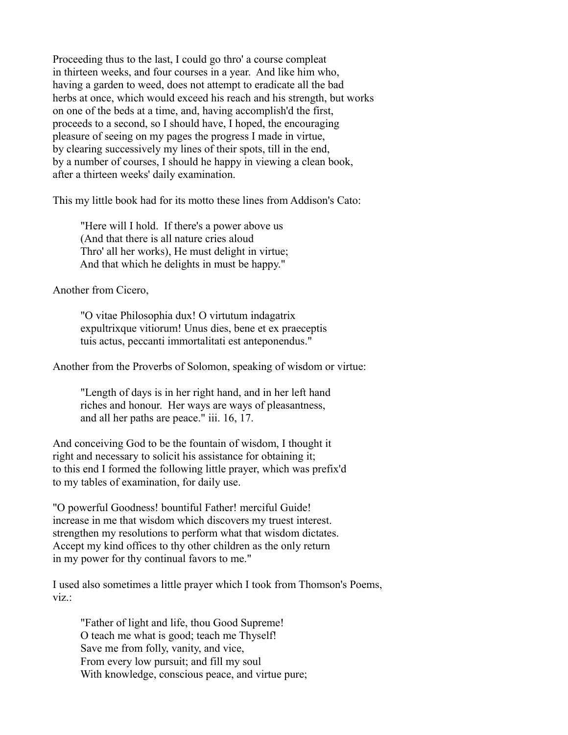Proceeding thus to the last, I could go thro' a course compleat in thirteen weeks, and four courses in a year. And like him who, having a garden to weed, does not attempt to eradicate all the bad herbs at once, which would exceed his reach and his strength, but works on one of the beds at a time, and, having accomplish'd the first, proceeds to a second, so I should have, I hoped, the encouraging pleasure of seeing on my pages the progress I made in virtue, by clearing successively my lines of their spots, till in the end, by a number of courses, I should he happy in viewing a clean book, after a thirteen weeks' daily examination.

This my little book had for its motto these lines from Addison's Cato:

 "Here will I hold. If there's a power above us (And that there is all nature cries aloud Thro' all her works), He must delight in virtue; And that which he delights in must be happy."

Another from Cicero,

 "O vitae Philosophia dux! O virtutum indagatrix expultrixque vitiorum! Unus dies, bene et ex praeceptis tuis actus, peccanti immortalitati est anteponendus."

Another from the Proverbs of Solomon, speaking of wisdom or virtue:

 "Length of days is in her right hand, and in her left hand riches and honour. Her ways are ways of pleasantness, and all her paths are peace." iii. 16, 17.

And conceiving God to be the fountain of wisdom, I thought it right and necessary to solicit his assistance for obtaining it; to this end I formed the following little prayer, which was prefix'd to my tables of examination, for daily use.

"O powerful Goodness! bountiful Father! merciful Guide! increase in me that wisdom which discovers my truest interest. strengthen my resolutions to perform what that wisdom dictates. Accept my kind offices to thy other children as the only return in my power for thy continual favors to me."

I used also sometimes a little prayer which I took from Thomson's Poems, viz.:

 "Father of light and life, thou Good Supreme! O teach me what is good; teach me Thyself! Save me from folly, vanity, and vice, From every low pursuit; and fill my soul With knowledge, conscious peace, and virtue pure;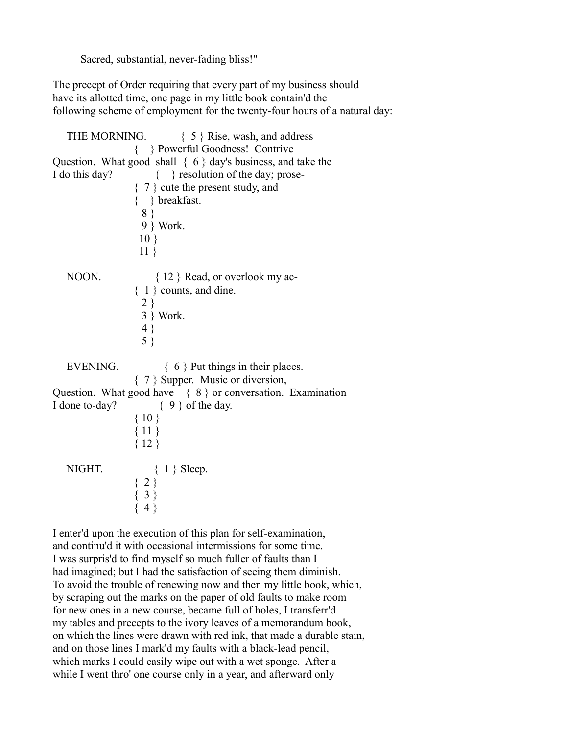Sacred, substantial, never-fading bliss!"

The precept of Order requiring that every part of my business should have its allotted time, one page in my little book contain'd the following scheme of employment for the twenty-four hours of a natural day:

|                 | THE MORNING. $\{5\}$ Rise, wash, and address                            |
|-----------------|-------------------------------------------------------------------------|
|                 | { } Powerful Goodness! Contrive                                         |
|                 | Question. What good shall $\{6\}$ day's business, and take the          |
| I do this day?  | { } resolution of the day; prose-                                       |
|                 | $\{7\}$ cute the present study, and                                     |
|                 | $\{\quad\}$ breakfast.                                                  |
|                 | 8 }                                                                     |
|                 | 9 } Work.                                                               |
|                 | $10 \}$                                                                 |
|                 | $11 \}$                                                                 |
|                 |                                                                         |
| NOON.           | $\{12\}$ Read, or overlook my ac-                                       |
|                 | $\{1\}$ counts, and dine.                                               |
|                 |                                                                         |
|                 | $\begin{array}{c} 2 \\ 3 \end{array}$ Work.                             |
|                 |                                                                         |
|                 | $\begin{array}{c} 4 \\ 5 \end{array}$                                   |
|                 |                                                                         |
| <b>EVENING.</b> | $\{6\}$ Put things in their places.                                     |
|                 | { 7 } Supper. Music or diversion,                                       |
|                 | Question. What good have $\{8\}$ or conversation. Examination           |
| I done to-day?  | $\{9\}$ of the day.                                                     |
|                 | ${10}$                                                                  |
|                 | ${11}$                                                                  |
|                 | ${12}$                                                                  |
|                 |                                                                         |
| NIGHT.          | $1 \}$ Sleep.                                                           |
|                 |                                                                         |
|                 | $\left\{ \begin{array}{c} 2 \\ 3 \\ \{3\} \\ \{4\} \end{array} \right.$ |
|                 |                                                                         |
|                 |                                                                         |

I enter'd upon the execution of this plan for self-examination, and continu'd it with occasional intermissions for some time. I was surpris'd to find myself so much fuller of faults than I had imagined; but I had the satisfaction of seeing them diminish. To avoid the trouble of renewing now and then my little book, which, by scraping out the marks on the paper of old faults to make room for new ones in a new course, became full of holes, I transferr'd my tables and precepts to the ivory leaves of a memorandum book, on which the lines were drawn with red ink, that made a durable stain, and on those lines I mark'd my faults with a black-lead pencil, which marks I could easily wipe out with a wet sponge. After a while I went thro' one course only in a year, and afterward only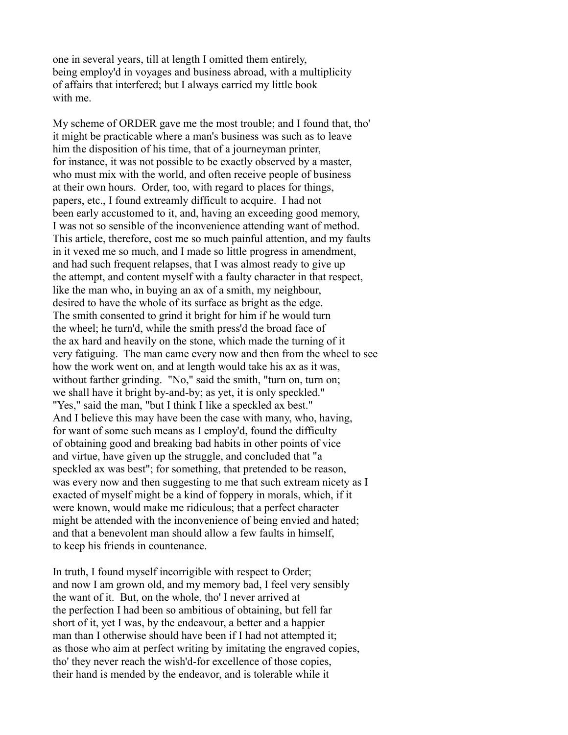one in several years, till at length I omitted them entirely, being employ'd in voyages and business abroad, with a multiplicity of affairs that interfered; but I always carried my little book with me.

My scheme of ORDER gave me the most trouble; and I found that, tho' it might be practicable where a man's business was such as to leave him the disposition of his time, that of a journeyman printer, for instance, it was not possible to be exactly observed by a master, who must mix with the world, and often receive people of business at their own hours. Order, too, with regard to places for things, papers, etc., I found extreamly difficult to acquire. I had not been early accustomed to it, and, having an exceeding good memory, I was not so sensible of the inconvenience attending want of method. This article, therefore, cost me so much painful attention, and my faults in it vexed me so much, and I made so little progress in amendment, and had such frequent relapses, that I was almost ready to give up the attempt, and content myself with a faulty character in that respect, like the man who, in buying an ax of a smith, my neighbour, desired to have the whole of its surface as bright as the edge. The smith consented to grind it bright for him if he would turn the wheel; he turn'd, while the smith press'd the broad face of the ax hard and heavily on the stone, which made the turning of it very fatiguing. The man came every now and then from the wheel to see how the work went on, and at length would take his ax as it was, without farther grinding. "No," said the smith, "turn on, turn on; we shall have it bright by-and-by; as yet, it is only speckled." "Yes," said the man, "but I think I like a speckled ax best." And I believe this may have been the case with many, who, having, for want of some such means as I employ'd, found the difficulty of obtaining good and breaking bad habits in other points of vice and virtue, have given up the struggle, and concluded that "a speckled ax was best"; for something, that pretended to be reason, was every now and then suggesting to me that such extream nicety as I exacted of myself might be a kind of foppery in morals, which, if it were known, would make me ridiculous; that a perfect character might be attended with the inconvenience of being envied and hated; and that a benevolent man should allow a few faults in himself, to keep his friends in countenance.

In truth, I found myself incorrigible with respect to Order; and now I am grown old, and my memory bad, I feel very sensibly the want of it. But, on the whole, tho' I never arrived at the perfection I had been so ambitious of obtaining, but fell far short of it, yet I was, by the endeavour, a better and a happier man than I otherwise should have been if I had not attempted it; as those who aim at perfect writing by imitating the engraved copies, tho' they never reach the wish'd-for excellence of those copies, their hand is mended by the endeavor, and is tolerable while it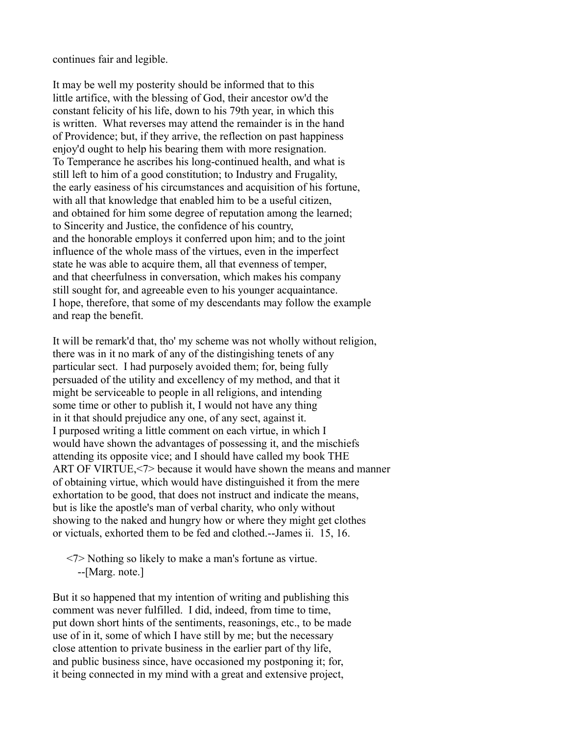continues fair and legible.

It may be well my posterity should be informed that to this little artifice, with the blessing of God, their ancestor ow'd the constant felicity of his life, down to his 79th year, in which this is written. What reverses may attend the remainder is in the hand of Providence; but, if they arrive, the reflection on past happiness enjoy'd ought to help his bearing them with more resignation. To Temperance he ascribes his long-continued health, and what is still left to him of a good constitution; to Industry and Frugality, the early easiness of his circumstances and acquisition of his fortune, with all that knowledge that enabled him to be a useful citizen. and obtained for him some degree of reputation among the learned; to Sincerity and Justice, the confidence of his country, and the honorable employs it conferred upon him; and to the joint influence of the whole mass of the virtues, even in the imperfect state he was able to acquire them, all that evenness of temper, and that cheerfulness in conversation, which makes his company still sought for, and agreeable even to his younger acquaintance. I hope, therefore, that some of my descendants may follow the example and reap the benefit.

It will be remark'd that, tho' my scheme was not wholly without religion, there was in it no mark of any of the distingishing tenets of any particular sect. I had purposely avoided them; for, being fully persuaded of the utility and excellency of my method, and that it might be serviceable to people in all religions, and intending some time or other to publish it, I would not have any thing in it that should prejudice any one, of any sect, against it. I purposed writing a little comment on each virtue, in which I would have shown the advantages of possessing it, and the mischiefs attending its opposite vice; and I should have called my book THE ART OF VIRTUE,<7> because it would have shown the means and manner of obtaining virtue, which would have distinguished it from the mere exhortation to be good, that does not instruct and indicate the means, but is like the apostle's man of verbal charity, who only without showing to the naked and hungry how or where they might get clothes or victuals, exhorted them to be fed and clothed.--James ii. 15, 16.

 <7> Nothing so likely to make a man's fortune as virtue. --[Marg. note.]

But it so happened that my intention of writing and publishing this comment was never fulfilled. I did, indeed, from time to time, put down short hints of the sentiments, reasonings, etc., to be made use of in it, some of which I have still by me; but the necessary close attention to private business in the earlier part of thy life, and public business since, have occasioned my postponing it; for, it being connected in my mind with a great and extensive project,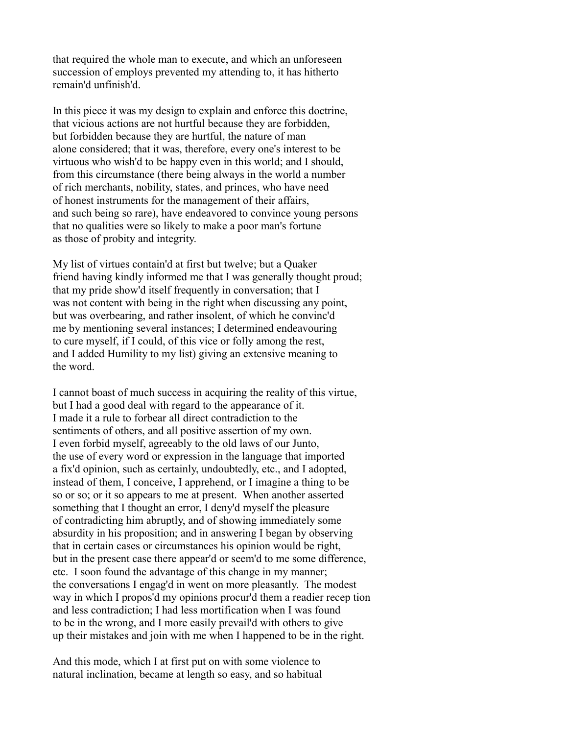that required the whole man to execute, and which an unforeseen succession of employs prevented my attending to, it has hitherto remain'd unfinish'd.

In this piece it was my design to explain and enforce this doctrine, that vicious actions are not hurtful because they are forbidden, but forbidden because they are hurtful, the nature of man alone considered; that it was, therefore, every one's interest to be virtuous who wish'd to be happy even in this world; and I should, from this circumstance (there being always in the world a number of rich merchants, nobility, states, and princes, who have need of honest instruments for the management of their affairs, and such being so rare), have endeavored to convince young persons that no qualities were so likely to make a poor man's fortune as those of probity and integrity.

My list of virtues contain'd at first but twelve; but a Quaker friend having kindly informed me that I was generally thought proud; that my pride show'd itself frequently in conversation; that I was not content with being in the right when discussing any point, but was overbearing, and rather insolent, of which he convinc'd me by mentioning several instances; I determined endeavouring to cure myself, if I could, of this vice or folly among the rest, and I added Humility to my list) giving an extensive meaning to the word.

I cannot boast of much success in acquiring the reality of this virtue, but I had a good deal with regard to the appearance of it. I made it a rule to forbear all direct contradiction to the sentiments of others, and all positive assertion of my own. I even forbid myself, agreeably to the old laws of our Junto, the use of every word or expression in the language that imported a fix'd opinion, such as certainly, undoubtedly, etc., and I adopted, instead of them, I conceive, I apprehend, or I imagine a thing to be so or so; or it so appears to me at present. When another asserted something that I thought an error, I deny'd myself the pleasure of contradicting him abruptly, and of showing immediately some absurdity in his proposition; and in answering I began by observing that in certain cases or circumstances his opinion would be right, but in the present case there appear'd or seem'd to me some difference, etc. I soon found the advantage of this change in my manner; the conversations I engag'd in went on more pleasantly. The modest way in which I propos'd my opinions procur'd them a readier recep tion and less contradiction; I had less mortification when I was found to be in the wrong, and I more easily prevail'd with others to give up their mistakes and join with me when I happened to be in the right.

And this mode, which I at first put on with some violence to natural inclination, became at length so easy, and so habitual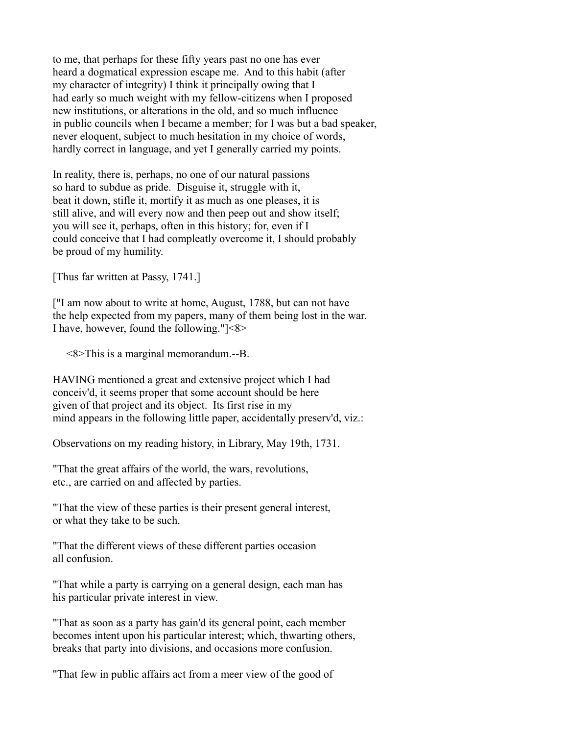to me, that perhaps for these fifty years past no one has ever heard a dogmatical expression escape me. And to this habit (after my character of integrity) I think it principally owing that I had early so much weight with my fellow-citizens when I proposed new institutions, or alterations in the old, and so much influence in public councils when I became a member; for I was but a bad speaker, never eloquent, subject to much hesitation in my choice of words, hardly correct in language, and yet I generally carried my points.

In reality, there is, perhaps, no one of our natural passions so hard to subdue as pride. Disguise it, struggle with it, beat it down, stifle it, mortify it as much as one pleases, it is still alive, and will every now and then peep out and show itself; you will see it, perhaps, often in this history; for, even if I could conceive that I had compleatly overcome it, I should probably be proud of my humility.

[Thus far written at Passy, 1741.]

["I am now about to write at home, August, 1788, but can not have the help expected from my papers, many of them being lost in the war. I have, however, found the following."]<8>

<8>This is a marginal memorandum.--B.

HAVING mentioned a great and extensive project which I had conceiv'd, it seems proper that some account should be here given of that project and its object. Its first rise in my mind appears in the following little paper, accidentally preserv'd, viz.:

Observations on my reading history, in Library, May 19th, 1731.

"That the great affairs of the world, the wars, revolutions, etc., are carried on and affected by parties.

"That the view of these parties is their present general interest, or what they take to be such.

"That the different views of these different parties occasion all confusion.

"That while a party is carrying on a general design, each man has his particular private interest in view.

"That as soon as a party has gain'd its general point, each member becomes intent upon his particular interest; which, thwarting others, breaks that party into divisions, and occasions more confusion.

"That few in public affairs act from a meer view of the good of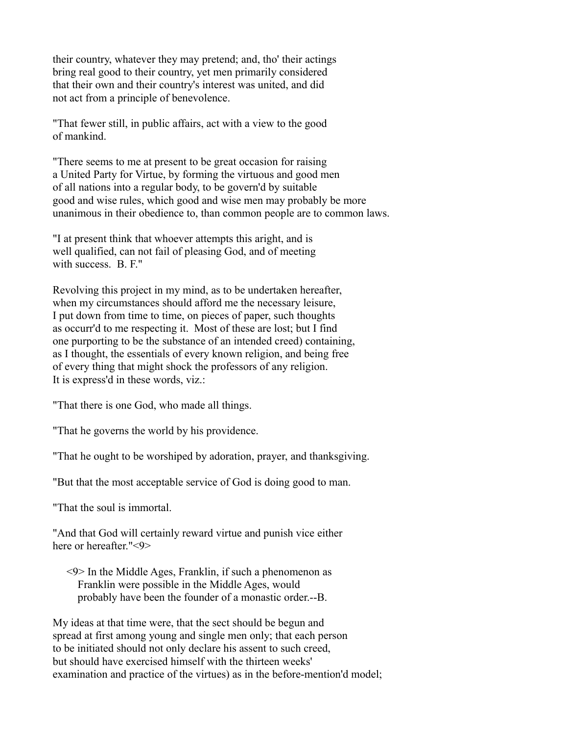their country, whatever they may pretend; and, tho' their actings bring real good to their country, yet men primarily considered that their own and their country's interest was united, and did not act from a principle of benevolence.

"That fewer still, in public affairs, act with a view to the good of mankind.

"There seems to me at present to be great occasion for raising a United Party for Virtue, by forming the virtuous and good men of all nations into a regular body, to be govern'd by suitable good and wise rules, which good and wise men may probably be more unanimous in their obedience to, than common people are to common laws.

"I at present think that whoever attempts this aright, and is well qualified, can not fail of pleasing God, and of meeting with success. B. F."

Revolving this project in my mind, as to be undertaken hereafter, when my circumstances should afford me the necessary leisure, I put down from time to time, on pieces of paper, such thoughts as occurr'd to me respecting it. Most of these are lost; but I find one purporting to be the substance of an intended creed) containing, as I thought, the essentials of every known religion, and being free of every thing that might shock the professors of any religion. It is express'd in these words, viz.:

"That there is one God, who made all things.

"That he governs the world by his providence.

"That he ought to be worshiped by adoration, prayer, and thanksgiving.

"But that the most acceptable service of God is doing good to man.

"That the soul is immortal.

"And that God will certainly reward virtue and punish vice either here or hereafter."<9>

 <9> In the Middle Ages, Franklin, if such a phenomenon as Franklin were possible in the Middle Ages, would probably have been the founder of a monastic order.--B.

My ideas at that time were, that the sect should be begun and spread at first among young and single men only; that each person to be initiated should not only declare his assent to such creed, but should have exercised himself with the thirteen weeks' examination and practice of the virtues) as in the before-mention'd model;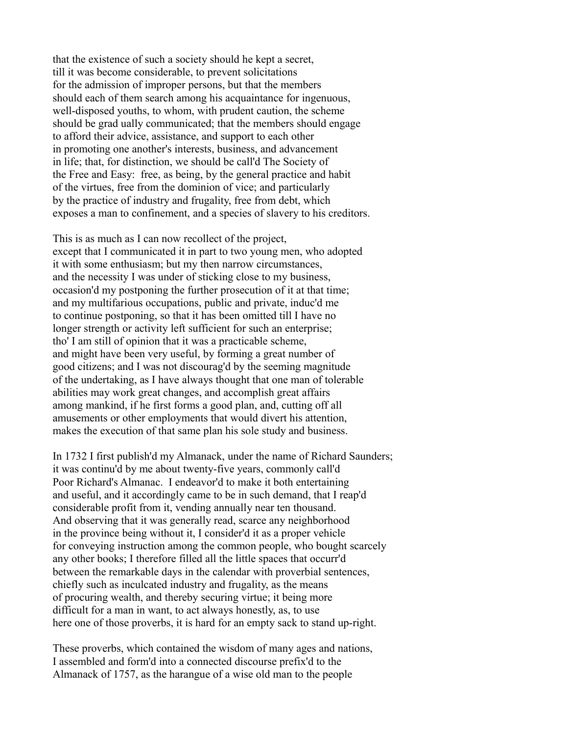that the existence of such a society should he kept a secret, till it was become considerable, to prevent solicitations for the admission of improper persons, but that the members should each of them search among his acquaintance for ingenuous, well-disposed youths, to whom, with prudent caution, the scheme should be grad ually communicated; that the members should engage to afford their advice, assistance, and support to each other in promoting one another's interests, business, and advancement in life; that, for distinction, we should be call'd The Society of the Free and Easy: free, as being, by the general practice and habit of the virtues, free from the dominion of vice; and particularly by the practice of industry and frugality, free from debt, which exposes a man to confinement, and a species of slavery to his creditors.

This is as much as I can now recollect of the project, except that I communicated it in part to two young men, who adopted it with some enthusiasm; but my then narrow circumstances, and the necessity I was under of sticking close to my business, occasion'd my postponing the further prosecution of it at that time; and my multifarious occupations, public and private, induc'd me to continue postponing, so that it has been omitted till I have no longer strength or activity left sufficient for such an enterprise; tho' I am still of opinion that it was a practicable scheme, and might have been very useful, by forming a great number of good citizens; and I was not discourag'd by the seeming magnitude of the undertaking, as I have always thought that one man of tolerable abilities may work great changes, and accomplish great affairs among mankind, if he first forms a good plan, and, cutting off all amusements or other employments that would divert his attention, makes the execution of that same plan his sole study and business.

In 1732 I first publish'd my Almanack, under the name of Richard Saunders; it was continu'd by me about twenty-five years, commonly call'd Poor Richard's Almanac. I endeavor'd to make it both entertaining and useful, and it accordingly came to be in such demand, that I reap'd considerable profit from it, vending annually near ten thousand. And observing that it was generally read, scarce any neighborhood in the province being without it, I consider'd it as a proper vehicle for conveying instruction among the common people, who bought scarcely any other books; I therefore filled all the little spaces that occurr'd between the remarkable days in the calendar with proverbial sentences, chiefly such as inculcated industry and frugality, as the means of procuring wealth, and thereby securing virtue; it being more difficult for a man in want, to act always honestly, as, to use here one of those proverbs, it is hard for an empty sack to stand up-right.

These proverbs, which contained the wisdom of many ages and nations, I assembled and form'd into a connected discourse prefix'd to the Almanack of 1757, as the harangue of a wise old man to the people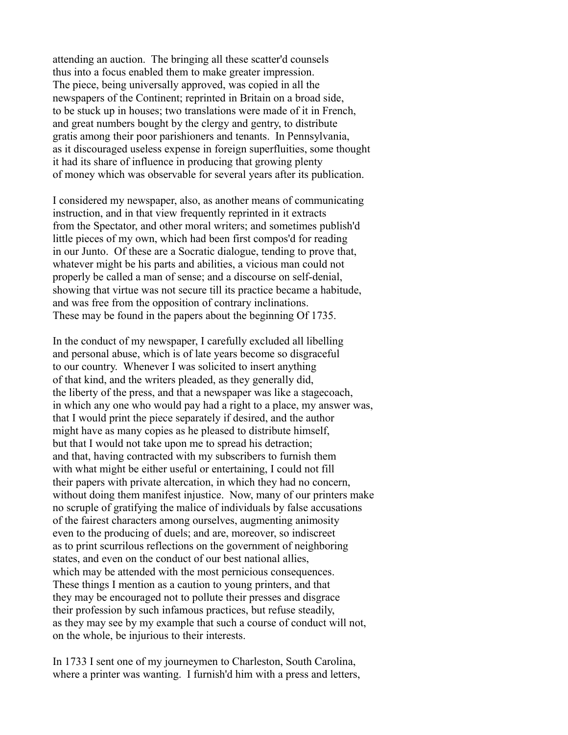attending an auction. The bringing all these scatter'd counsels thus into a focus enabled them to make greater impression. The piece, being universally approved, was copied in all the newspapers of the Continent; reprinted in Britain on a broad side, to be stuck up in houses; two translations were made of it in French, and great numbers bought by the clergy and gentry, to distribute gratis among their poor parishioners and tenants. In Pennsylvania, as it discouraged useless expense in foreign superfluities, some thought it had its share of influence in producing that growing plenty of money which was observable for several years after its publication.

I considered my newspaper, also, as another means of communicating instruction, and in that view frequently reprinted in it extracts from the Spectator, and other moral writers; and sometimes publish'd little pieces of my own, which had been first compos'd for reading in our Junto. Of these are a Socratic dialogue, tending to prove that, whatever might be his parts and abilities, a vicious man could not properly be called a man of sense; and a discourse on self-denial, showing that virtue was not secure till its practice became a habitude, and was free from the opposition of contrary inclinations. These may be found in the papers about the beginning Of 1735.

In the conduct of my newspaper, I carefully excluded all libelling and personal abuse, which is of late years become so disgraceful to our country. Whenever I was solicited to insert anything of that kind, and the writers pleaded, as they generally did, the liberty of the press, and that a newspaper was like a stagecoach, in which any one who would pay had a right to a place, my answer was, that I would print the piece separately if desired, and the author might have as many copies as he pleased to distribute himself, but that I would not take upon me to spread his detraction; and that, having contracted with my subscribers to furnish them with what might be either useful or entertaining, I could not fill their papers with private altercation, in which they had no concern, without doing them manifest injustice. Now, many of our printers make no scruple of gratifying the malice of individuals by false accusations of the fairest characters among ourselves, augmenting animosity even to the producing of duels; and are, moreover, so indiscreet as to print scurrilous reflections on the government of neighboring states, and even on the conduct of our best national allies, which may be attended with the most pernicious consequences. These things I mention as a caution to young printers, and that they may be encouraged not to pollute their presses and disgrace their profession by such infamous practices, but refuse steadily, as they may see by my example that such a course of conduct will not, on the whole, be injurious to their interests.

In 1733 I sent one of my journeymen to Charleston, South Carolina, where a printer was wanting. I furnish'd him with a press and letters,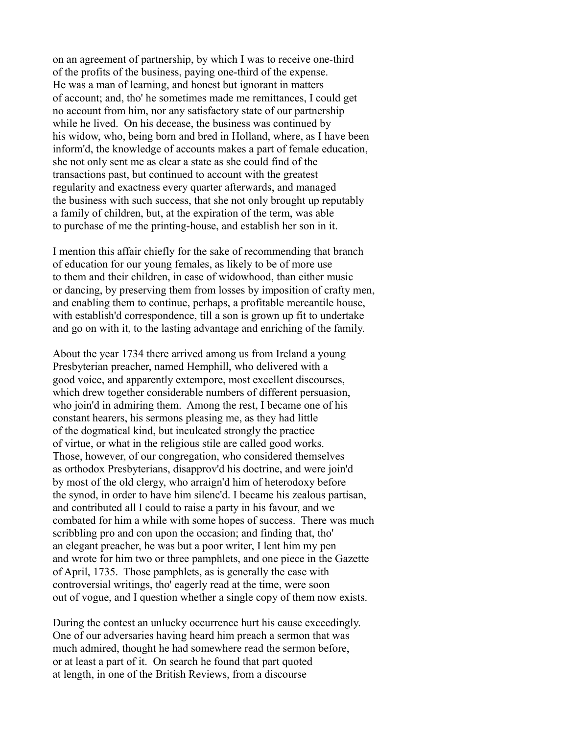on an agreement of partnership, by which I was to receive one-third of the profits of the business, paying one-third of the expense. He was a man of learning, and honest but ignorant in matters of account; and, tho' he sometimes made me remittances, I could get no account from him, nor any satisfactory state of our partnership while he lived. On his decease, the business was continued by his widow, who, being born and bred in Holland, where, as I have been inform'd, the knowledge of accounts makes a part of female education, she not only sent me as clear a state as she could find of the transactions past, but continued to account with the greatest regularity and exactness every quarter afterwards, and managed the business with such success, that she not only brought up reputably a family of children, but, at the expiration of the term, was able to purchase of me the printing-house, and establish her son in it.

I mention this affair chiefly for the sake of recommending that branch of education for our young females, as likely to be of more use to them and their children, in case of widowhood, than either music or dancing, by preserving them from losses by imposition of crafty men, and enabling them to continue, perhaps, a profitable mercantile house, with establish'd correspondence, till a son is grown up fit to undertake and go on with it, to the lasting advantage and enriching of the family.

About the year 1734 there arrived among us from Ireland a young Presbyterian preacher, named Hemphill, who delivered with a good voice, and apparently extempore, most excellent discourses, which drew together considerable numbers of different persuasion, who join'd in admiring them. Among the rest, I became one of his constant hearers, his sermons pleasing me, as they had little of the dogmatical kind, but inculcated strongly the practice of virtue, or what in the religious stile are called good works. Those, however, of our congregation, who considered themselves as orthodox Presbyterians, disapprov'd his doctrine, and were join'd by most of the old clergy, who arraign'd him of heterodoxy before the synod, in order to have him silenc'd. I became his zealous partisan, and contributed all I could to raise a party in his favour, and we combated for him a while with some hopes of success. There was much scribbling pro and con upon the occasion; and finding that, tho' an elegant preacher, he was but a poor writer, I lent him my pen and wrote for him two or three pamphlets, and one piece in the Gazette of April, 1735. Those pamphlets, as is generally the case with controversial writings, tho' eagerly read at the time, were soon out of vogue, and I question whether a single copy of them now exists.

During the contest an unlucky occurrence hurt his cause exceedingly. One of our adversaries having heard him preach a sermon that was much admired, thought he had somewhere read the sermon before, or at least a part of it. On search he found that part quoted at length, in one of the British Reviews, from a discourse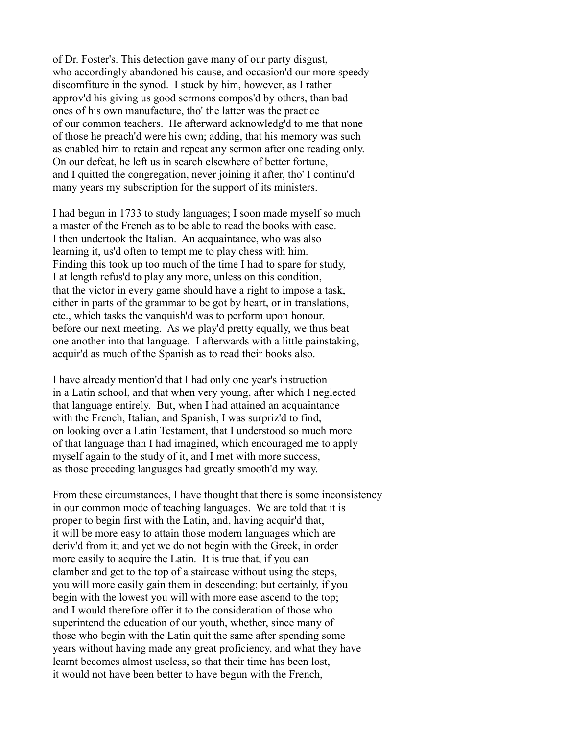of Dr. Foster's. This detection gave many of our party disgust, who accordingly abandoned his cause, and occasion'd our more speedy discomfiture in the synod. I stuck by him, however, as I rather approv'd his giving us good sermons compos'd by others, than bad ones of his own manufacture, tho' the latter was the practice of our common teachers. He afterward acknowledg'd to me that none of those he preach'd were his own; adding, that his memory was such as enabled him to retain and repeat any sermon after one reading only. On our defeat, he left us in search elsewhere of better fortune, and I quitted the congregation, never joining it after, tho' I continu'd many years my subscription for the support of its ministers.

I had begun in 1733 to study languages; I soon made myself so much a master of the French as to be able to read the books with ease. I then undertook the Italian. An acquaintance, who was also learning it, us'd often to tempt me to play chess with him. Finding this took up too much of the time I had to spare for study, I at length refus'd to play any more, unless on this condition, that the victor in every game should have a right to impose a task, either in parts of the grammar to be got by heart, or in translations, etc., which tasks the vanquish'd was to perform upon honour, before our next meeting. As we play'd pretty equally, we thus beat one another into that language. I afterwards with a little painstaking, acquir'd as much of the Spanish as to read their books also.

I have already mention'd that I had only one year's instruction in a Latin school, and that when very young, after which I neglected that language entirely. But, when I had attained an acquaintance with the French, Italian, and Spanish, I was surpriz'd to find, on looking over a Latin Testament, that I understood so much more of that language than I had imagined, which encouraged me to apply myself again to the study of it, and I met with more success, as those preceding languages had greatly smooth'd my way.

From these circumstances, I have thought that there is some inconsistency in our common mode of teaching languages. We are told that it is proper to begin first with the Latin, and, having acquir'd that, it will be more easy to attain those modern languages which are deriv'd from it; and yet we do not begin with the Greek, in order more easily to acquire the Latin. It is true that, if you can clamber and get to the top of a staircase without using the steps, you will more easily gain them in descending; but certainly, if you begin with the lowest you will with more ease ascend to the top; and I would therefore offer it to the consideration of those who superintend the education of our youth, whether, since many of those who begin with the Latin quit the same after spending some years without having made any great proficiency, and what they have learnt becomes almost useless, so that their time has been lost, it would not have been better to have begun with the French,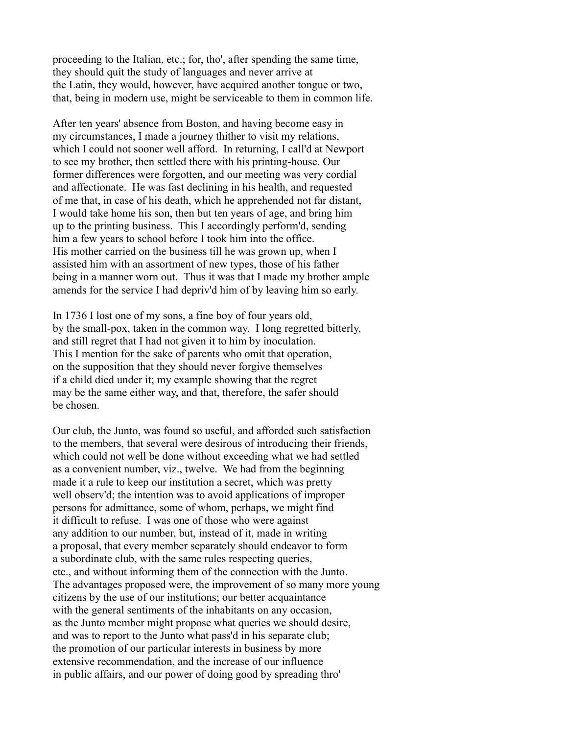proceeding to the Italian, etc.; for, tho', after spending the same time, they should quit the study of languages and never arrive at the Latin, they would, however, have acquired another tongue or two, that, being in modern use, might be serviceable to them in common life.

After ten years' absence from Boston, and having become easy in my circumstances, I made a journey thither to visit my relations, which I could not sooner well afford. In returning, I call'd at Newport to see my brother, then settled there with his printing-house. Our former differences were forgotten, and our meeting was very cordial and affectionate. He was fast declining in his health, and requested of me that, in case of his death, which he apprehended not far distant, I would take home his son, then but ten years of age, and bring him up to the printing business. This I accordingly perform'd, sending him a few years to school before I took him into the office. His mother carried on the business till he was grown up, when I assisted him with an assortment of new types, those of his father being in a manner worn out. Thus it was that I made my brother ample amends for the service I had depriv'd him of by leaving him so early.

In 1736 I lost one of my sons, a fine boy of four years old, by the small-pox, taken in the common way. I long regretted bitterly, and still regret that I had not given it to him by inoculation. This I mention for the sake of parents who omit that operation, on the supposition that they should never forgive themselves if a child died under it; my example showing that the regret may be the same either way, and that, therefore, the safer should be chosen.

Our club, the Junto, was found so useful, and afforded such satisfaction to the members, that several were desirous of introducing their friends, which could not well be done without exceeding what we had settled as a convenient number, viz., twelve. We had from the beginning made it a rule to keep our institution a secret, which was pretty well observ'd; the intention was to avoid applications of improper persons for admittance, some of whom, perhaps, we might find it difficult to refuse. I was one of those who were against any addition to our number, but, instead of it, made in writing a proposal, that every member separately should endeavor to form a subordinate club, with the same rules respecting queries, etc., and without informing them of the connection with the Junto. The advantages proposed were, the improvement of so many more young citizens by the use of our institutions; our better acquaintance with the general sentiments of the inhabitants on any occasion, as the Junto member might propose what queries we should desire, and was to report to the Junto what pass'd in his separate club; the promotion of our particular interests in business by more extensive recommendation, and the increase of our influence in public affairs, and our power of doing good by spreading thro'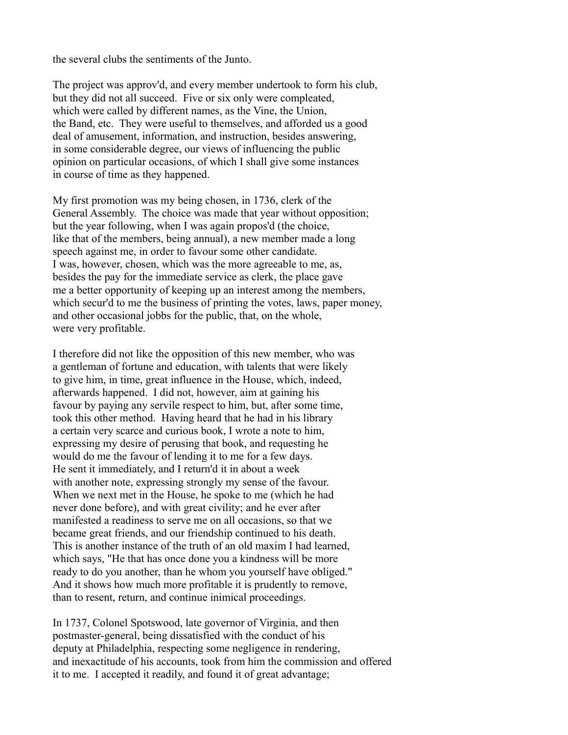the several clubs the sentiments of the Junto.

The project was approv'd, and every member undertook to form his club, but they did not all succeed. Five or six only were compleated, which were called by different names, as the Vine, the Union, the Band, etc. They were useful to themselves, and afforded us a good deal of amusement, information, and instruction, besides answering, in some considerable degree, our views of influencing the public opinion on particular occasions, of which I shall give some instances in course of time as they happened.

My first promotion was my being chosen, in 1736, clerk of the General Assembly. The choice was made that year without opposition; but the year following, when I was again propos'd (the choice, like that of the members, being annual), a new member made a long speech against me, in order to favour some other candidate. I was, however, chosen, which was the more agreeable to me, as, besides the pay for the immediate service as clerk, the place gave me a better opportunity of keeping up an interest among the members, which secur'd to me the business of printing the votes, laws, paper money, and other occasional jobbs for the public, that, on the whole, were very profitable.

I therefore did not like the opposition of this new member, who was a gentleman of fortune and education, with talents that were likely to give him, in time, great influence in the House, which, indeed, afterwards happened. I did not, however, aim at gaining his favour by paying any servile respect to him, but, after some time, took this other method. Having heard that he had in his library a certain very scarce and curious book, I wrote a note to him, expressing my desire of perusing that book, and requesting he would do me the favour of lending it to me for a few days. He sent it immediately, and I return'd it in about a week with another note, expressing strongly my sense of the favour. When we next met in the House, he spoke to me (which he had never done before), and with great civility; and he ever after manifested a readiness to serve me on all occasions, so that we became great friends, and our friendship continued to his death. This is another instance of the truth of an old maxim I had learned, which says, "He that has once done you a kindness will be more ready to do you another, than he whom you yourself have obliged." And it shows how much more profitable it is prudently to remove, than to resent, return, and continue inimical proceedings.

In 1737, Colonel Spotswood, late governor of Virginia, and then postmaster-general, being dissatisfied with the conduct of his deputy at Philadelphia, respecting some negligence in rendering, and inexactitude of his accounts, took from him the commission and offered it to me. I accepted it readily, and found it of great advantage;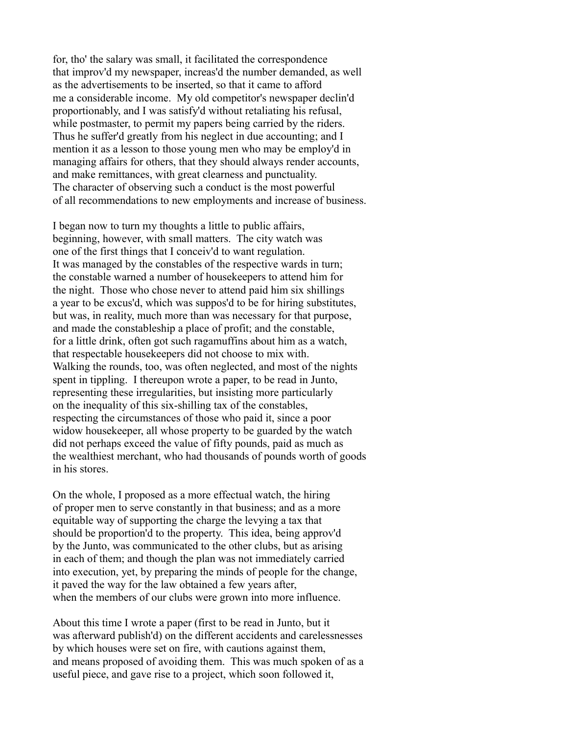for, tho' the salary was small, it facilitated the correspondence that improv'd my newspaper, increas'd the number demanded, as well as the advertisements to be inserted, so that it came to afford me a considerable income. My old competitor's newspaper declin'd proportionably, and I was satisfy'd without retaliating his refusal, while postmaster, to permit my papers being carried by the riders. Thus he suffer'd greatly from his neglect in due accounting; and I mention it as a lesson to those young men who may be employ'd in managing affairs for others, that they should always render accounts, and make remittances, with great clearness and punctuality. The character of observing such a conduct is the most powerful of all recommendations to new employments and increase of business.

I began now to turn my thoughts a little to public affairs, beginning, however, with small matters. The city watch was one of the first things that I conceiv'd to want regulation. It was managed by the constables of the respective wards in turn; the constable warned a number of housekeepers to attend him for the night. Those who chose never to attend paid him six shillings a year to be excus'd, which was suppos'd to be for hiring substitutes, but was, in reality, much more than was necessary for that purpose, and made the constableship a place of profit; and the constable, for a little drink, often got such ragamuffins about him as a watch, that respectable housekeepers did not choose to mix with. Walking the rounds, too, was often neglected, and most of the nights spent in tippling. I thereupon wrote a paper, to be read in Junto, representing these irregularities, but insisting more particularly on the inequality of this six-shilling tax of the constables, respecting the circumstances of those who paid it, since a poor widow housekeeper, all whose property to be guarded by the watch did not perhaps exceed the value of fifty pounds, paid as much as the wealthiest merchant, who had thousands of pounds worth of goods in his stores.

On the whole, I proposed as a more effectual watch, the hiring of proper men to serve constantly in that business; and as a more equitable way of supporting the charge the levying a tax that should be proportion'd to the property. This idea, being approv'd by the Junto, was communicated to the other clubs, but as arising in each of them; and though the plan was not immediately carried into execution, yet, by preparing the minds of people for the change, it paved the way for the law obtained a few years after, when the members of our clubs were grown into more influence.

About this time I wrote a paper (first to be read in Junto, but it was afterward publish'd) on the different accidents and carelessnesses by which houses were set on fire, with cautions against them, and means proposed of avoiding them. This was much spoken of as a useful piece, and gave rise to a project, which soon followed it,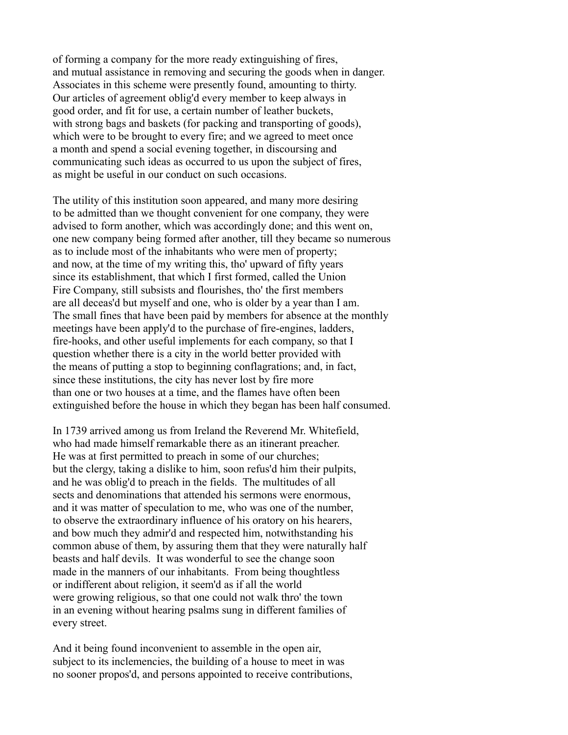of forming a company for the more ready extinguishing of fires, and mutual assistance in removing and securing the goods when in danger. Associates in this scheme were presently found, amounting to thirty. Our articles of agreement oblig'd every member to keep always in good order, and fit for use, a certain number of leather buckets, with strong bags and baskets (for packing and transporting of goods), which were to be brought to every fire; and we agreed to meet once a month and spend a social evening together, in discoursing and communicating such ideas as occurred to us upon the subject of fires, as might be useful in our conduct on such occasions.

The utility of this institution soon appeared, and many more desiring to be admitted than we thought convenient for one company, they were advised to form another, which was accordingly done; and this went on, one new company being formed after another, till they became so numerous as to include most of the inhabitants who were men of property; and now, at the time of my writing this, tho' upward of fifty years since its establishment, that which I first formed, called the Union Fire Company, still subsists and flourishes, tho' the first members are all deceas'd but myself and one, who is older by a year than I am. The small fines that have been paid by members for absence at the monthly meetings have been apply'd to the purchase of fire-engines, ladders, fire-hooks, and other useful implements for each company, so that I question whether there is a city in the world better provided with the means of putting a stop to beginning conflagrations; and, in fact, since these institutions, the city has never lost by fire more than one or two houses at a time, and the flames have often been extinguished before the house in which they began has been half consumed.

In 1739 arrived among us from Ireland the Reverend Mr. Whitefield, who had made himself remarkable there as an itinerant preacher. He was at first permitted to preach in some of our churches; but the clergy, taking a dislike to him, soon refus'd him their pulpits, and he was oblig'd to preach in the fields. The multitudes of all sects and denominations that attended his sermons were enormous, and it was matter of speculation to me, who was one of the number, to observe the extraordinary influence of his oratory on his hearers, and bow much they admir'd and respected him, notwithstanding his common abuse of them, by assuring them that they were naturally half beasts and half devils. It was wonderful to see the change soon made in the manners of our inhabitants. From being thoughtless or indifferent about religion, it seem'd as if all the world were growing religious, so that one could not walk thro' the town in an evening without hearing psalms sung in different families of every street.

And it being found inconvenient to assemble in the open air, subject to its inclemencies, the building of a house to meet in was no sooner propos'd, and persons appointed to receive contributions,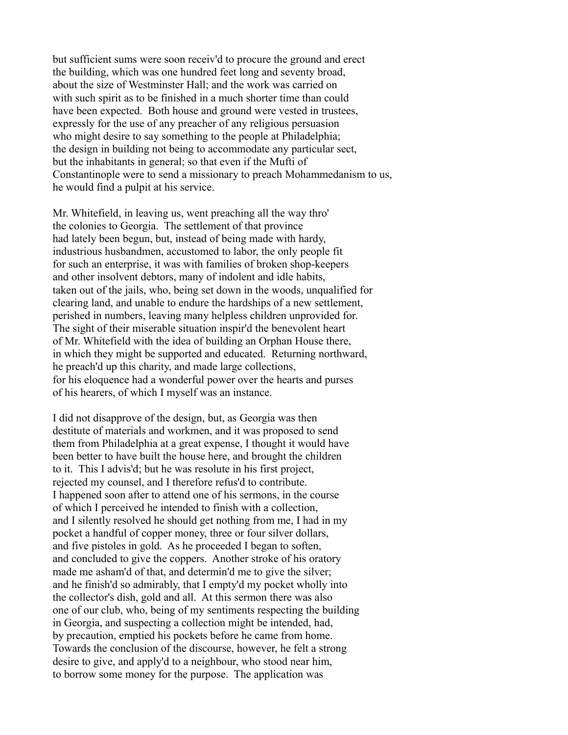but sufficient sums were soon receiv'd to procure the ground and erect the building, which was one hundred feet long and seventy broad, about the size of Westminster Hall; and the work was carried on with such spirit as to be finished in a much shorter time than could have been expected. Both house and ground were vested in trustees, expressly for the use of any preacher of any religious persuasion who might desire to say something to the people at Philadelphia; the design in building not being to accommodate any particular sect, but the inhabitants in general; so that even if the Mufti of Constantinople were to send a missionary to preach Mohammedanism to us, he would find a pulpit at his service.

Mr. Whitefield, in leaving us, went preaching all the way thro' the colonies to Georgia. The settlement of that province had lately been begun, but, instead of being made with hardy, industrious husbandmen, accustomed to labor, the only people fit for such an enterprise, it was with families of broken shop-keepers and other insolvent debtors, many of indolent and idle habits, taken out of the jails, who, being set down in the woods, unqualified for clearing land, and unable to endure the hardships of a new settlement, perished in numbers, leaving many helpless children unprovided for. The sight of their miserable situation inspir'd the benevolent heart of Mr. Whitefield with the idea of building an Orphan House there, in which they might be supported and educated. Returning northward, he preach'd up this charity, and made large collections, for his eloquence had a wonderful power over the hearts and purses of his hearers, of which I myself was an instance.

I did not disapprove of the design, but, as Georgia was then destitute of materials and workmen, and it was proposed to send them from Philadelphia at a great expense, I thought it would have been better to have built the house here, and brought the children to it. This I advis'd; but he was resolute in his first project, rejected my counsel, and I therefore refus'd to contribute. I happened soon after to attend one of his sermons, in the course of which I perceived he intended to finish with a collection, and I silently resolved he should get nothing from me, I had in my pocket a handful of copper money, three or four silver dollars, and five pistoles in gold. As he proceeded I began to soften, and concluded to give the coppers. Another stroke of his oratory made me asham'd of that, and determin'd me to give the silver; and he finish'd so admirably, that I empty'd my pocket wholly into the collector's dish, gold and all. At this sermon there was also one of our club, who, being of my sentiments respecting the building in Georgia, and suspecting a collection might be intended, had, by precaution, emptied his pockets before he came from home. Towards the conclusion of the discourse, however, he felt a strong desire to give, and apply'd to a neighbour, who stood near him, to borrow some money for the purpose. The application was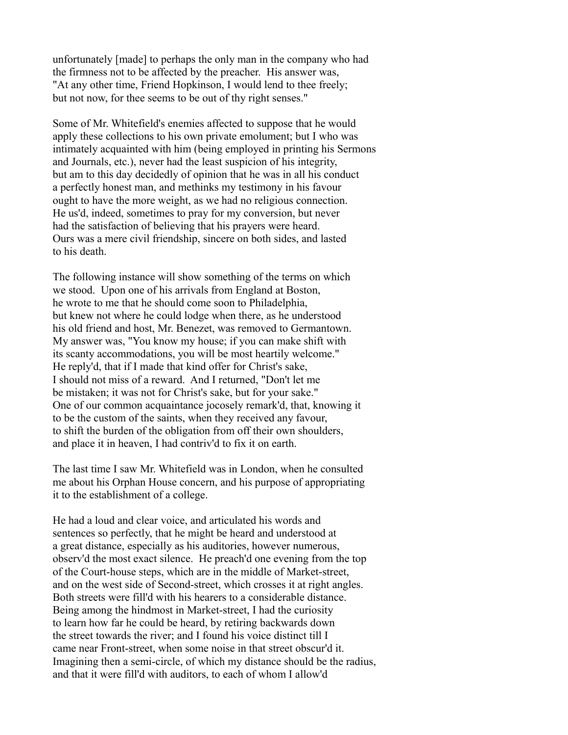unfortunately [made] to perhaps the only man in the company who had the firmness not to be affected by the preacher. His answer was, "At any other time, Friend Hopkinson, I would lend to thee freely; but not now, for thee seems to be out of thy right senses."

Some of Mr. Whitefield's enemies affected to suppose that he would apply these collections to his own private emolument; but I who was intimately acquainted with him (being employed in printing his Sermons and Journals, etc.), never had the least suspicion of his integrity, but am to this day decidedly of opinion that he was in all his conduct a perfectly honest man, and methinks my testimony in his favour ought to have the more weight, as we had no religious connection. He us'd, indeed, sometimes to pray for my conversion, but never had the satisfaction of believing that his prayers were heard. Ours was a mere civil friendship, sincere on both sides, and lasted to his death.

The following instance will show something of the terms on which we stood. Upon one of his arrivals from England at Boston, he wrote to me that he should come soon to Philadelphia, but knew not where he could lodge when there, as he understood his old friend and host, Mr. Benezet, was removed to Germantown. My answer was, "You know my house; if you can make shift with its scanty accommodations, you will be most heartily welcome." He reply'd, that if I made that kind offer for Christ's sake, I should not miss of a reward. And I returned, "Don't let me be mistaken; it was not for Christ's sake, but for your sake." One of our common acquaintance jocosely remark'd, that, knowing it to be the custom of the saints, when they received any favour, to shift the burden of the obligation from off their own shoulders, and place it in heaven, I had contriv'd to fix it on earth.

The last time I saw Mr. Whitefield was in London, when he consulted me about his Orphan House concern, and his purpose of appropriating it to the establishment of a college.

He had a loud and clear voice, and articulated his words and sentences so perfectly, that he might be heard and understood at a great distance, especially as his auditories, however numerous, observ'd the most exact silence. He preach'd one evening from the top of the Court-house steps, which are in the middle of Market-street, and on the west side of Second-street, which crosses it at right angles. Both streets were fill'd with his hearers to a considerable distance. Being among the hindmost in Market-street, I had the curiosity to learn how far he could be heard, by retiring backwards down the street towards the river; and I found his voice distinct till I came near Front-street, when some noise in that street obscur'd it. Imagining then a semi-circle, of which my distance should be the radius, and that it were fill'd with auditors, to each of whom I allow'd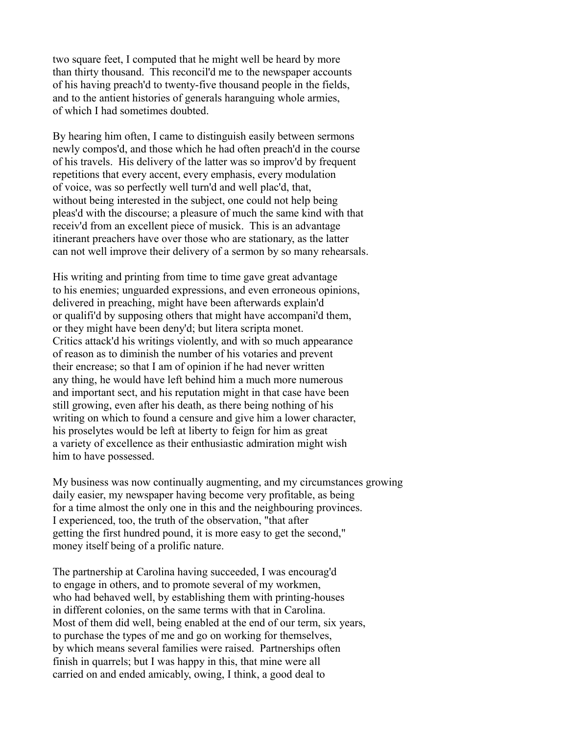two square feet, I computed that he might well be heard by more than thirty thousand. This reconcil'd me to the newspaper accounts of his having preach'd to twenty-five thousand people in the fields, and to the antient histories of generals haranguing whole armies, of which I had sometimes doubted.

By hearing him often, I came to distinguish easily between sermons newly compos'd, and those which he had often preach'd in the course of his travels. His delivery of the latter was so improv'd by frequent repetitions that every accent, every emphasis, every modulation of voice, was so perfectly well turn'd and well plac'd, that, without being interested in the subject, one could not help being pleas'd with the discourse; a pleasure of much the same kind with that receiv'd from an excellent piece of musick. This is an advantage itinerant preachers have over those who are stationary, as the latter can not well improve their delivery of a sermon by so many rehearsals.

His writing and printing from time to time gave great advantage to his enemies; unguarded expressions, and even erroneous opinions, delivered in preaching, might have been afterwards explain'd or qualifi'd by supposing others that might have accompani'd them, or they might have been deny'd; but litera scripta monet. Critics attack'd his writings violently, and with so much appearance of reason as to diminish the number of his votaries and prevent their encrease; so that I am of opinion if he had never written any thing, he would have left behind him a much more numerous and important sect, and his reputation might in that case have been still growing, even after his death, as there being nothing of his writing on which to found a censure and give him a lower character, his proselytes would be left at liberty to feign for him as great a variety of excellence as their enthusiastic admiration might wish him to have possessed.

My business was now continually augmenting, and my circumstances growing daily easier, my newspaper having become very profitable, as being for a time almost the only one in this and the neighbouring provinces. I experienced, too, the truth of the observation, "that after getting the first hundred pound, it is more easy to get the second," money itself being of a prolific nature.

The partnership at Carolina having succeeded, I was encourag'd to engage in others, and to promote several of my workmen, who had behaved well, by establishing them with printing-houses in different colonies, on the same terms with that in Carolina. Most of them did well, being enabled at the end of our term, six years, to purchase the types of me and go on working for themselves, by which means several families were raised. Partnerships often finish in quarrels; but I was happy in this, that mine were all carried on and ended amicably, owing, I think, a good deal to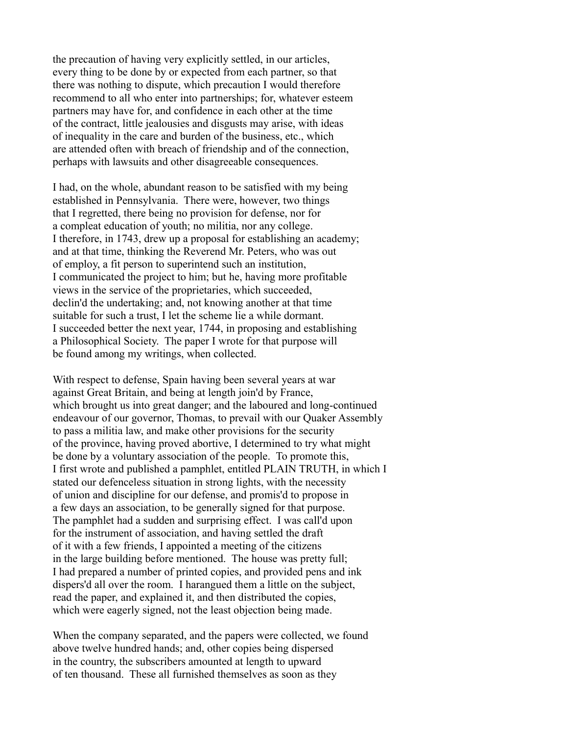the precaution of having very explicitly settled, in our articles, every thing to be done by or expected from each partner, so that there was nothing to dispute, which precaution I would therefore recommend to all who enter into partnerships; for, whatever esteem partners may have for, and confidence in each other at the time of the contract, little jealousies and disgusts may arise, with ideas of inequality in the care and burden of the business, etc., which are attended often with breach of friendship and of the connection, perhaps with lawsuits and other disagreeable consequences.

I had, on the whole, abundant reason to be satisfied with my being established in Pennsylvania. There were, however, two things that I regretted, there being no provision for defense, nor for a compleat education of youth; no militia, nor any college. I therefore, in 1743, drew up a proposal for establishing an academy; and at that time, thinking the Reverend Mr. Peters, who was out of employ, a fit person to superintend such an institution, I communicated the project to him; but he, having more profitable views in the service of the proprietaries, which succeeded, declin'd the undertaking; and, not knowing another at that time suitable for such a trust, I let the scheme lie a while dormant. I succeeded better the next year, 1744, in proposing and establishing a Philosophical Society. The paper I wrote for that purpose will be found among my writings, when collected.

With respect to defense, Spain having been several years at war against Great Britain, and being at length join'd by France, which brought us into great danger; and the laboured and long-continued endeavour of our governor, Thomas, to prevail with our Quaker Assembly to pass a militia law, and make other provisions for the security of the province, having proved abortive, I determined to try what might be done by a voluntary association of the people. To promote this, I first wrote and published a pamphlet, entitled PLAIN TRUTH, in which I stated our defenceless situation in strong lights, with the necessity of union and discipline for our defense, and promis'd to propose in a few days an association, to be generally signed for that purpose. The pamphlet had a sudden and surprising effect. I was call'd upon for the instrument of association, and having settled the draft of it with a few friends, I appointed a meeting of the citizens in the large building before mentioned. The house was pretty full; I had prepared a number of printed copies, and provided pens and ink dispers'd all over the room. I harangued them a little on the subject, read the paper, and explained it, and then distributed the copies, which were eagerly signed, not the least objection being made.

When the company separated, and the papers were collected, we found above twelve hundred hands; and, other copies being dispersed in the country, the subscribers amounted at length to upward of ten thousand. These all furnished themselves as soon as they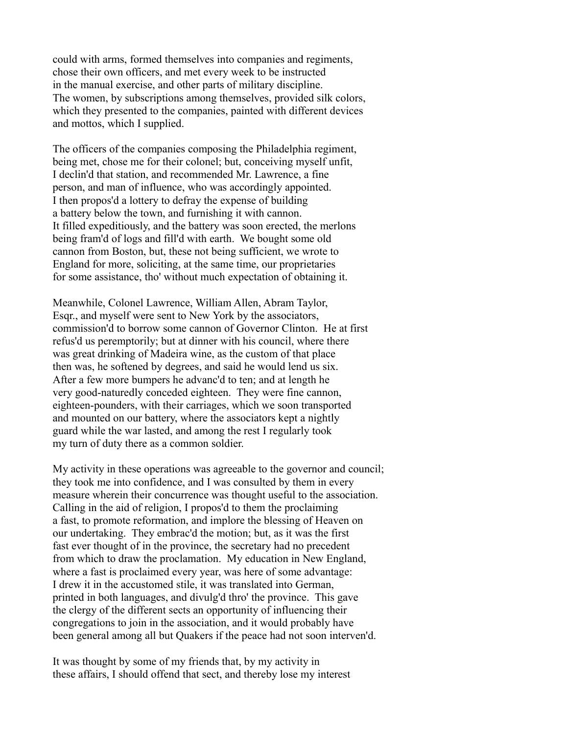could with arms, formed themselves into companies and regiments, chose their own officers, and met every week to be instructed in the manual exercise, and other parts of military discipline. The women, by subscriptions among themselves, provided silk colors, which they presented to the companies, painted with different devices and mottos, which I supplied.

The officers of the companies composing the Philadelphia regiment, being met, chose me for their colonel; but, conceiving myself unfit, I declin'd that station, and recommended Mr. Lawrence, a fine person, and man of influence, who was accordingly appointed. I then propos'd a lottery to defray the expense of building a battery below the town, and furnishing it with cannon. It filled expeditiously, and the battery was soon erected, the merlons being fram'd of logs and fill'd with earth. We bought some old cannon from Boston, but, these not being sufficient, we wrote to England for more, soliciting, at the same time, our proprietaries for some assistance, tho' without much expectation of obtaining it.

Meanwhile, Colonel Lawrence, William Allen, Abram Taylor, Esqr., and myself were sent to New York by the associators, commission'd to borrow some cannon of Governor Clinton. He at first refus'd us peremptorily; but at dinner with his council, where there was great drinking of Madeira wine, as the custom of that place then was, he softened by degrees, and said he would lend us six. After a few more bumpers he advanc'd to ten; and at length he very good-naturedly conceded eighteen. They were fine cannon, eighteen-pounders, with their carriages, which we soon transported and mounted on our battery, where the associators kept a nightly guard while the war lasted, and among the rest I regularly took my turn of duty there as a common soldier.

My activity in these operations was agreeable to the governor and council; they took me into confidence, and I was consulted by them in every measure wherein their concurrence was thought useful to the association. Calling in the aid of religion, I propos'd to them the proclaiming a fast, to promote reformation, and implore the blessing of Heaven on our undertaking. They embrac'd the motion; but, as it was the first fast ever thought of in the province, the secretary had no precedent from which to draw the proclamation. My education in New England, where a fast is proclaimed every year, was here of some advantage: I drew it in the accustomed stile, it was translated into German, printed in both languages, and divulg'd thro' the province. This gave the clergy of the different sects an opportunity of influencing their congregations to join in the association, and it would probably have been general among all but Quakers if the peace had not soon interven'd.

It was thought by some of my friends that, by my activity in these affairs, I should offend that sect, and thereby lose my interest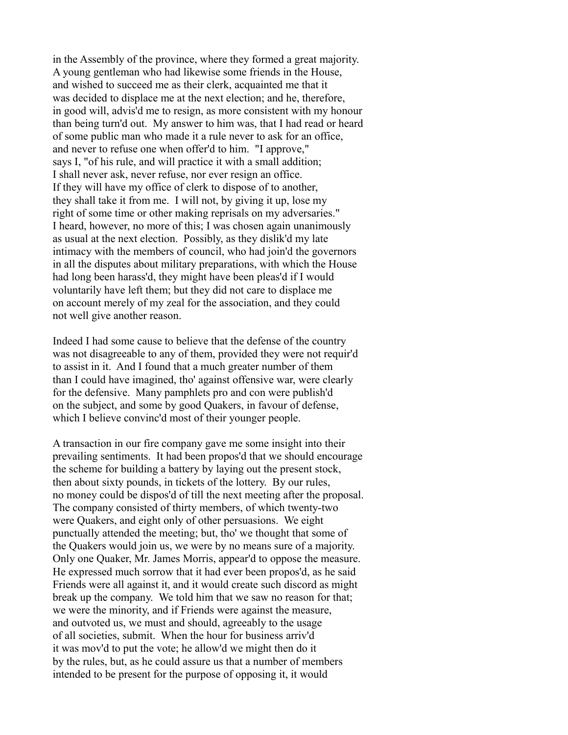in the Assembly of the province, where they formed a great majority. A young gentleman who had likewise some friends in the House, and wished to succeed me as their clerk, acquainted me that it was decided to displace me at the next election; and he, therefore, in good will, advis'd me to resign, as more consistent with my honour than being turn'd out. My answer to him was, that I had read or heard of some public man who made it a rule never to ask for an office, and never to refuse one when offer'd to him. "I approve," says I, "of his rule, and will practice it with a small addition; I shall never ask, never refuse, nor ever resign an office. If they will have my office of clerk to dispose of to another, they shall take it from me. I will not, by giving it up, lose my right of some time or other making reprisals on my adversaries." I heard, however, no more of this; I was chosen again unanimously as usual at the next election. Possibly, as they dislik'd my late intimacy with the members of council, who had join'd the governors in all the disputes about military preparations, with which the House had long been harass'd, they might have been pleas'd if I would voluntarily have left them; but they did not care to displace me on account merely of my zeal for the association, and they could not well give another reason.

Indeed I had some cause to believe that the defense of the country was not disagreeable to any of them, provided they were not requir'd to assist in it. And I found that a much greater number of them than I could have imagined, tho' against offensive war, were clearly for the defensive. Many pamphlets pro and con were publish'd on the subject, and some by good Quakers, in favour of defense, which I believe convinc'd most of their younger people.

A transaction in our fire company gave me some insight into their prevailing sentiments. It had been propos'd that we should encourage the scheme for building a battery by laying out the present stock, then about sixty pounds, in tickets of the lottery. By our rules, no money could be dispos'd of till the next meeting after the proposal. The company consisted of thirty members, of which twenty-two were Quakers, and eight only of other persuasions. We eight punctually attended the meeting; but, tho' we thought that some of the Quakers would join us, we were by no means sure of a majority. Only one Quaker, Mr. James Morris, appear'd to oppose the measure. He expressed much sorrow that it had ever been propos'd, as he said Friends were all against it, and it would create such discord as might break up the company. We told him that we saw no reason for that; we were the minority, and if Friends were against the measure, and outvoted us, we must and should, agreeably to the usage of all societies, submit. When the hour for business arriv'd it was mov'd to put the vote; he allow'd we might then do it by the rules, but, as he could assure us that a number of members intended to be present for the purpose of opposing it, it would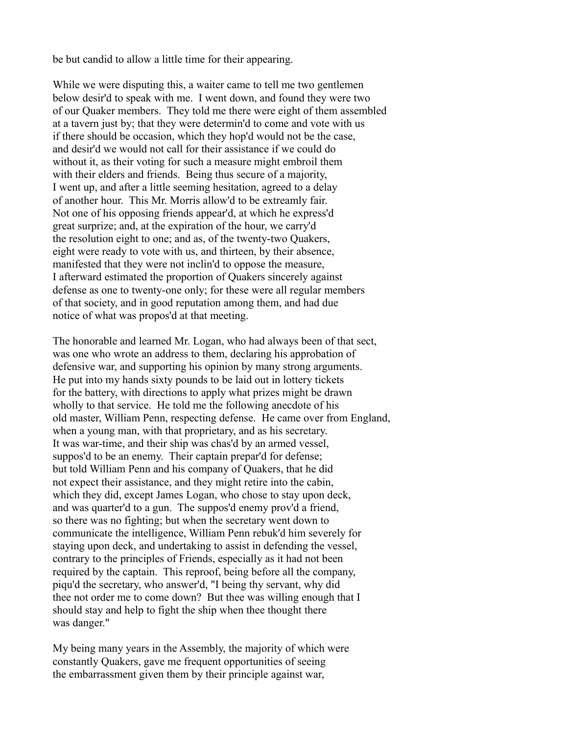be but candid to allow a little time for their appearing.

While we were disputing this, a waiter came to tell me two gentlemen below desir'd to speak with me. I went down, and found they were two of our Quaker members. They told me there were eight of them assembled at a tavern just by; that they were determin'd to come and vote with us if there should be occasion, which they hop'd would not be the case, and desir'd we would not call for their assistance if we could do without it, as their voting for such a measure might embroil them with their elders and friends. Being thus secure of a majority, I went up, and after a little seeming hesitation, agreed to a delay of another hour. This Mr. Morris allow'd to be extreamly fair. Not one of his opposing friends appear'd, at which he express'd great surprize; and, at the expiration of the hour, we carry'd the resolution eight to one; and as, of the twenty-two Quakers, eight were ready to vote with us, and thirteen, by their absence, manifested that they were not inclin'd to oppose the measure, I afterward estimated the proportion of Quakers sincerely against defense as one to twenty-one only; for these were all regular members of that society, and in good reputation among them, and had due notice of what was propos'd at that meeting.

The honorable and learned Mr. Logan, who had always been of that sect, was one who wrote an address to them, declaring his approbation of defensive war, and supporting his opinion by many strong arguments. He put into my hands sixty pounds to be laid out in lottery tickets for the battery, with directions to apply what prizes might be drawn wholly to that service. He told me the following anecdote of his old master, William Penn, respecting defense. He came over from England, when a young man, with that proprietary, and as his secretary. It was war-time, and their ship was chas'd by an armed vessel, suppos'd to be an enemy. Their captain prepar'd for defense; but told William Penn and his company of Quakers, that he did not expect their assistance, and they might retire into the cabin, which they did, except James Logan, who chose to stay upon deck, and was quarter'd to a gun. The suppos'd enemy prov'd a friend, so there was no fighting; but when the secretary went down to communicate the intelligence, William Penn rebuk'd him severely for staying upon deck, and undertaking to assist in defending the vessel, contrary to the principles of Friends, especially as it had not been required by the captain. This reproof, being before all the company, piqu'd the secretary, who answer'd, "I being thy servant, why did thee not order me to come down? But thee was willing enough that I should stay and help to fight the ship when thee thought there was danger."

My being many years in the Assembly, the majority of which were constantly Quakers, gave me frequent opportunities of seeing the embarrassment given them by their principle against war,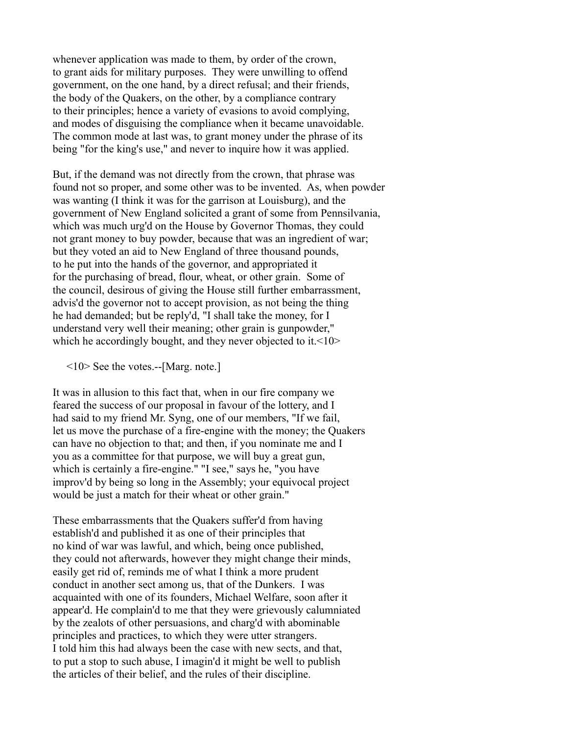whenever application was made to them, by order of the crown, to grant aids for military purposes. They were unwilling to offend government, on the one hand, by a direct refusal; and their friends, the body of the Quakers, on the other, by a compliance contrary to their principles; hence a variety of evasions to avoid complying, and modes of disguising the compliance when it became unavoidable. The common mode at last was, to grant money under the phrase of its being "for the king's use," and never to inquire how it was applied.

But, if the demand was not directly from the crown, that phrase was found not so proper, and some other was to be invented. As, when powder was wanting (I think it was for the garrison at Louisburg), and the government of New England solicited a grant of some from Pennsilvania, which was much urg'd on the House by Governor Thomas, they could not grant money to buy powder, because that was an ingredient of war; but they voted an aid to New England of three thousand pounds, to he put into the hands of the governor, and appropriated it for the purchasing of bread, flour, wheat, or other grain. Some of the council, desirous of giving the House still further embarrassment, advis'd the governor not to accept provision, as not being the thing he had demanded; but be reply'd, "I shall take the money, for I understand very well their meaning; other grain is gunpowder," which he accordingly bought, and they never objected to it. <10>

<10> See the votes.--[Marg. note.]

It was in allusion to this fact that, when in our fire company we feared the success of our proposal in favour of the lottery, and I had said to my friend Mr. Syng, one of our members, "If we fail, let us move the purchase of a fire-engine with the money; the Quakers can have no objection to that; and then, if you nominate me and I you as a committee for that purpose, we will buy a great gun, which is certainly a fire-engine." "I see," says he, "you have improv'd by being so long in the Assembly; your equivocal project would be just a match for their wheat or other grain."

These embarrassments that the Quakers suffer'd from having establish'd and published it as one of their principles that no kind of war was lawful, and which, being once published, they could not afterwards, however they might change their minds, easily get rid of, reminds me of what I think a more prudent conduct in another sect among us, that of the Dunkers. I was acquainted with one of its founders, Michael Welfare, soon after it appear'd. He complain'd to me that they were grievously calumniated by the zealots of other persuasions, and charg'd with abominable principles and practices, to which they were utter strangers. I told him this had always been the case with new sects, and that, to put a stop to such abuse, I imagin'd it might be well to publish the articles of their belief, and the rules of their discipline.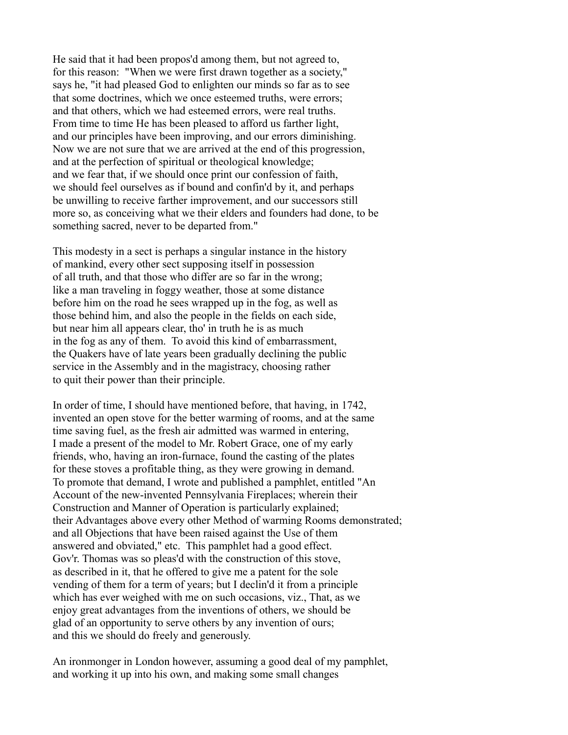He said that it had been propos'd among them, but not agreed to, for this reason: "When we were first drawn together as a society," says he, "it had pleased God to enlighten our minds so far as to see that some doctrines, which we once esteemed truths, were errors; and that others, which we had esteemed errors, were real truths. From time to time He has been pleased to afford us farther light, and our principles have been improving, and our errors diminishing. Now we are not sure that we are arrived at the end of this progression, and at the perfection of spiritual or theological knowledge; and we fear that, if we should once print our confession of faith, we should feel ourselves as if bound and confin'd by it, and perhaps be unwilling to receive farther improvement, and our successors still more so, as conceiving what we their elders and founders had done, to be something sacred, never to be departed from."

This modesty in a sect is perhaps a singular instance in the history of mankind, every other sect supposing itself in possession of all truth, and that those who differ are so far in the wrong; like a man traveling in foggy weather, those at some distance before him on the road he sees wrapped up in the fog, as well as those behind him, and also the people in the fields on each side, but near him all appears clear, tho' in truth he is as much in the fog as any of them. To avoid this kind of embarrassment, the Quakers have of late years been gradually declining the public service in the Assembly and in the magistracy, choosing rather to quit their power than their principle.

In order of time, I should have mentioned before, that having, in 1742, invented an open stove for the better warming of rooms, and at the same time saving fuel, as the fresh air admitted was warmed in entering, I made a present of the model to Mr. Robert Grace, one of my early friends, who, having an iron-furnace, found the casting of the plates for these stoves a profitable thing, as they were growing in demand. To promote that demand, I wrote and published a pamphlet, entitled "An Account of the new-invented Pennsylvania Fireplaces; wherein their Construction and Manner of Operation is particularly explained; their Advantages above every other Method of warming Rooms demonstrated; and all Objections that have been raised against the Use of them answered and obviated," etc. This pamphlet had a good effect. Gov'r. Thomas was so pleas'd with the construction of this stove, as described in it, that he offered to give me a patent for the sole vending of them for a term of years; but I declin'd it from a principle which has ever weighed with me on such occasions, viz., That, as we enjoy great advantages from the inventions of others, we should be glad of an opportunity to serve others by any invention of ours; and this we should do freely and generously.

An ironmonger in London however, assuming a good deal of my pamphlet, and working it up into his own, and making some small changes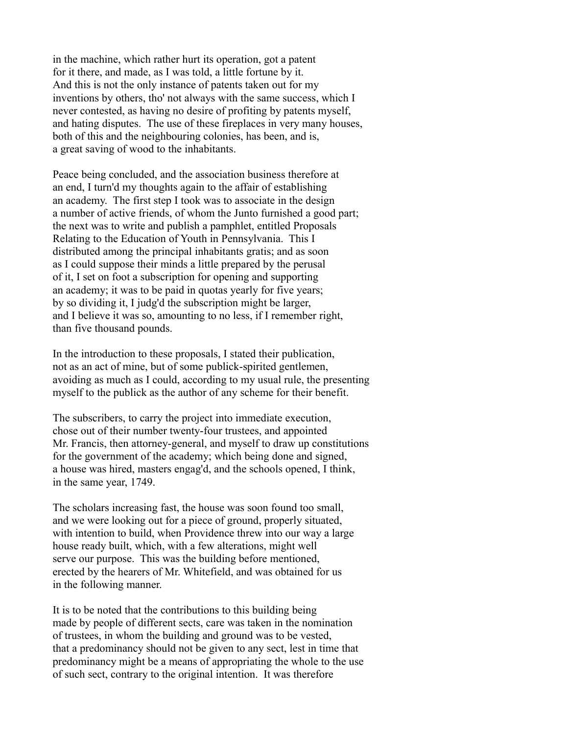in the machine, which rather hurt its operation, got a patent for it there, and made, as I was told, a little fortune by it. And this is not the only instance of patents taken out for my inventions by others, tho' not always with the same success, which I never contested, as having no desire of profiting by patents myself, and hating disputes. The use of these fireplaces in very many houses, both of this and the neighbouring colonies, has been, and is, a great saving of wood to the inhabitants.

Peace being concluded, and the association business therefore at an end, I turn'd my thoughts again to the affair of establishing an academy. The first step I took was to associate in the design a number of active friends, of whom the Junto furnished a good part; the next was to write and publish a pamphlet, entitled Proposals Relating to the Education of Youth in Pennsylvania. This I distributed among the principal inhabitants gratis; and as soon as I could suppose their minds a little prepared by the perusal of it, I set on foot a subscription for opening and supporting an academy; it was to be paid in quotas yearly for five years; by so dividing it, I judg'd the subscription might be larger, and I believe it was so, amounting to no less, if I remember right, than five thousand pounds.

In the introduction to these proposals, I stated their publication, not as an act of mine, but of some publick-spirited gentlemen, avoiding as much as I could, according to my usual rule, the presenting myself to the publick as the author of any scheme for their benefit.

The subscribers, to carry the project into immediate execution, chose out of their number twenty-four trustees, and appointed Mr. Francis, then attorney-general, and myself to draw up constitutions for the government of the academy; which being done and signed, a house was hired, masters engag'd, and the schools opened, I think, in the same year, 1749.

The scholars increasing fast, the house was soon found too small, and we were looking out for a piece of ground, properly situated, with intention to build, when Providence threw into our way a large house ready built, which, with a few alterations, might well serve our purpose. This was the building before mentioned, erected by the hearers of Mr. Whitefield, and was obtained for us in the following manner.

It is to be noted that the contributions to this building being made by people of different sects, care was taken in the nomination of trustees, in whom the building and ground was to be vested, that a predominancy should not be given to any sect, lest in time that predominancy might be a means of appropriating the whole to the use of such sect, contrary to the original intention. It was therefore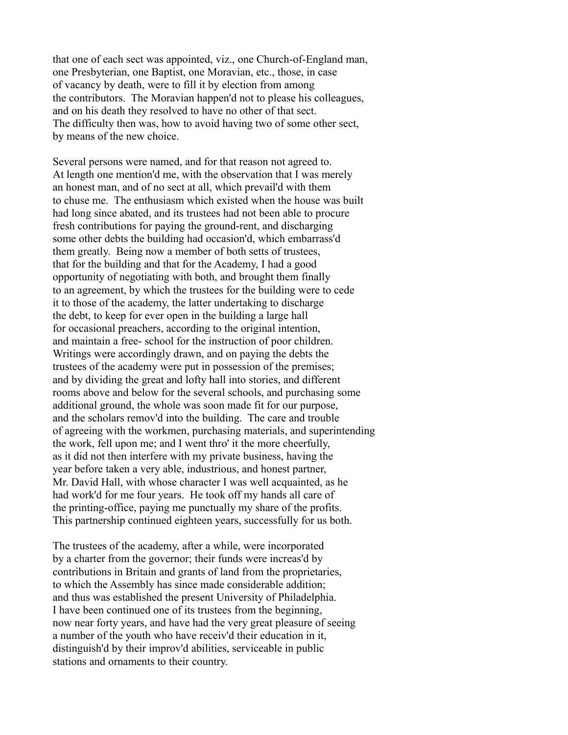that one of each sect was appointed, viz., one Church-of-England man, one Presbyterian, one Baptist, one Moravian, etc., those, in case of vacancy by death, were to fill it by election from among the contributors. The Moravian happen'd not to please his colleagues, and on his death they resolved to have no other of that sect. The difficulty then was, how to avoid having two of some other sect, by means of the new choice.

Several persons were named, and for that reason not agreed to. At length one mention'd me, with the observation that I was merely an honest man, and of no sect at all, which prevail'd with them to chuse me. The enthusiasm which existed when the house was built had long since abated, and its trustees had not been able to procure fresh contributions for paying the ground-rent, and discharging some other debts the building had occasion'd, which embarrass'd them greatly. Being now a member of both setts of trustees, that for the building and that for the Academy, I had a good opportunity of negotiating with both, and brought them finally to an agreement, by which the trustees for the building were to cede it to those of the academy, the latter undertaking to discharge the debt, to keep for ever open in the building a large hall for occasional preachers, according to the original intention, and maintain a free- school for the instruction of poor children. Writings were accordingly drawn, and on paying the debts the trustees of the academy were put in possession of the premises; and by dividing the great and lofty hall into stories, and different rooms above and below for the several schools, and purchasing some additional ground, the whole was soon made fit for our purpose, and the scholars remov'd into the building. The care and trouble of agreeing with the workmen, purchasing materials, and superintending the work, fell upon me; and I went thro' it the more cheerfully, as it did not then interfere with my private business, having the year before taken a very able, industrious, and honest partner, Mr. David Hall, with whose character I was well acquainted, as he had work'd for me four years. He took off my hands all care of the printing-office, paying me punctually my share of the profits. This partnership continued eighteen years, successfully for us both.

The trustees of the academy, after a while, were incorporated by a charter from the governor; their funds were increas'd by contributions in Britain and grants of land from the proprietaries, to which the Assembly has since made considerable addition; and thus was established the present University of Philadelphia. I have been continued one of its trustees from the beginning, now near forty years, and have had the very great pleasure of seeing a number of the youth who have receiv'd their education in it, distinguish'd by their improv'd abilities, serviceable in public stations and ornaments to their country.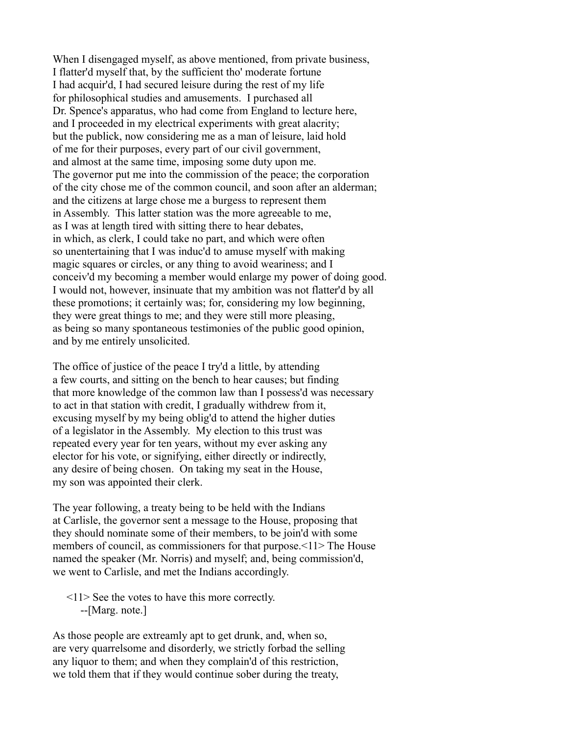When I disengaged myself, as above mentioned, from private business, I flatter'd myself that, by the sufficient tho' moderate fortune I had acquir'd, I had secured leisure during the rest of my life for philosophical studies and amusements. I purchased all Dr. Spence's apparatus, who had come from England to lecture here, and I proceeded in my electrical experiments with great alacrity; but the publick, now considering me as a man of leisure, laid hold of me for their purposes, every part of our civil government, and almost at the same time, imposing some duty upon me. The governor put me into the commission of the peace; the corporation of the city chose me of the common council, and soon after an alderman; and the citizens at large chose me a burgess to represent them in Assembly. This latter station was the more agreeable to me, as I was at length tired with sitting there to hear debates, in which, as clerk, I could take no part, and which were often so unentertaining that I was induc'd to amuse myself with making magic squares or circles, or any thing to avoid weariness; and I conceiv'd my becoming a member would enlarge my power of doing good. I would not, however, insinuate that my ambition was not flatter'd by all these promotions; it certainly was; for, considering my low beginning, they were great things to me; and they were still more pleasing, as being so many spontaneous testimonies of the public good opinion, and by me entirely unsolicited.

The office of justice of the peace I try'd a little, by attending a few courts, and sitting on the bench to hear causes; but finding that more knowledge of the common law than I possess'd was necessary to act in that station with credit, I gradually withdrew from it, excusing myself by my being oblig'd to attend the higher duties of a legislator in the Assembly. My election to this trust was repeated every year for ten years, without my ever asking any elector for his vote, or signifying, either directly or indirectly, any desire of being chosen. On taking my seat in the House, my son was appointed their clerk.

The year following, a treaty being to be held with the Indians at Carlisle, the governor sent a message to the House, proposing that they should nominate some of their members, to be join'd with some members of council, as commissioners for that purpose. <11> The House named the speaker (Mr. Norris) and myself; and, being commission'd, we went to Carlisle, and met the Indians accordingly.

 <11> See the votes to have this more correctly. --[Marg. note.]

As those people are extreamly apt to get drunk, and, when so, are very quarrelsome and disorderly, we strictly forbad the selling any liquor to them; and when they complain'd of this restriction, we told them that if they would continue sober during the treaty,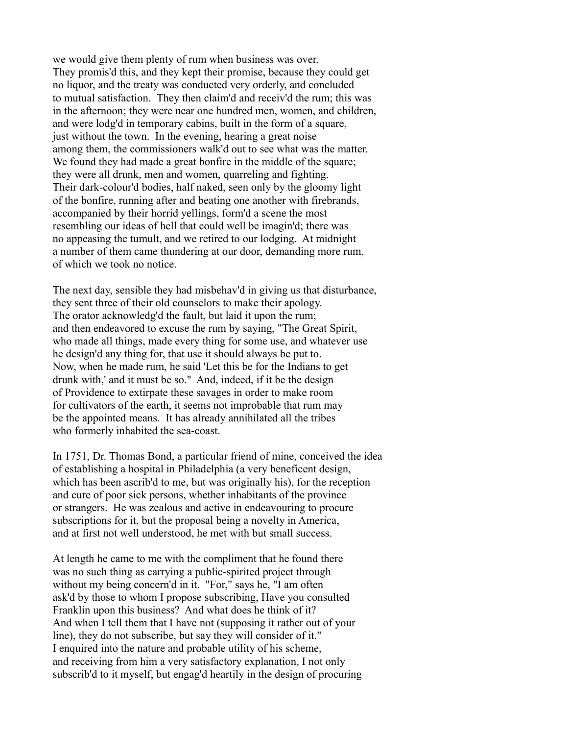we would give them plenty of rum when business was over. They promis'd this, and they kept their promise, because they could get no liquor, and the treaty was conducted very orderly, and concluded to mutual satisfaction. They then claim'd and receiv'd the rum; this was in the afternoon; they were near one hundred men, women, and children, and were lodg'd in temporary cabins, built in the form of a square, just without the town. In the evening, hearing a great noise among them, the commissioners walk'd out to see what was the matter. We found they had made a great bonfire in the middle of the square; they were all drunk, men and women, quarreling and fighting. Their dark-colour'd bodies, half naked, seen only by the gloomy light of the bonfire, running after and beating one another with firebrands, accompanied by their horrid yellings, form'd a scene the most resembling our ideas of hell that could well be imagin'd; there was no appeasing the tumult, and we retired to our lodging. At midnight a number of them came thundering at our door, demanding more rum, of which we took no notice.

The next day, sensible they had misbehav'd in giving us that disturbance, they sent three of their old counselors to make their apology. The orator acknowledg'd the fault, but laid it upon the rum; and then endeavored to excuse the rum by saying, "The Great Spirit, who made all things, made every thing for some use, and whatever use he design'd any thing for, that use it should always be put to. Now, when he made rum, he said 'Let this be for the Indians to get drunk with,' and it must be so." And, indeed, if it be the design of Providence to extirpate these savages in order to make room for cultivators of the earth, it seems not improbable that rum may be the appointed means. It has already annihilated all the tribes who formerly inhabited the sea-coast.

In 1751, Dr. Thomas Bond, a particular friend of mine, conceived the idea of establishing a hospital in Philadelphia (a very beneficent design, which has been ascrib'd to me, but was originally his), for the reception and cure of poor sick persons, whether inhabitants of the province or strangers. He was zealous and active in endeavouring to procure subscriptions for it, but the proposal being a novelty in America, and at first not well understood, he met with but small success.

At length he came to me with the compliment that he found there was no such thing as carrying a public-spirited project through without my being concern'd in it. "For," says he, "I am often ask'd by those to whom I propose subscribing, Have you consulted Franklin upon this business? And what does he think of it? And when I tell them that I have not (supposing it rather out of your line), they do not subscribe, but say they will consider of it." I enquired into the nature and probable utility of his scheme, and receiving from him a very satisfactory explanation, I not only subscrib'd to it myself, but engag'd heartily in the design of procuring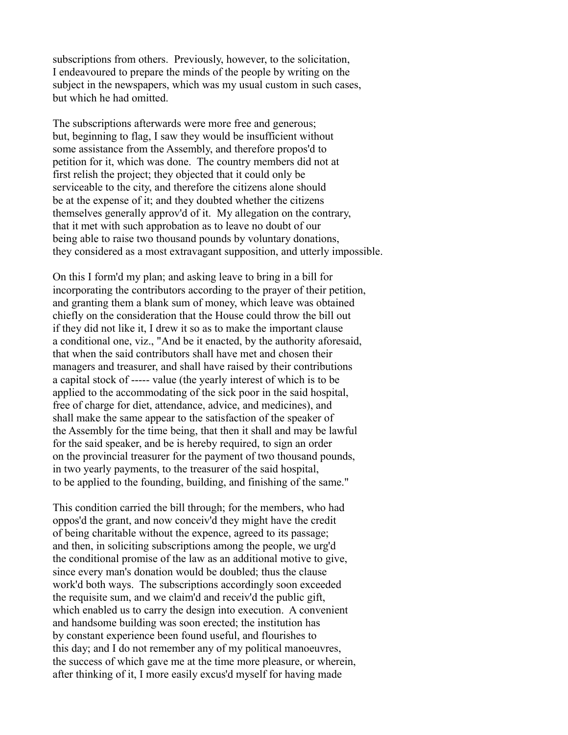subscriptions from others. Previously, however, to the solicitation, I endeavoured to prepare the minds of the people by writing on the subject in the newspapers, which was my usual custom in such cases, but which he had omitted.

The subscriptions afterwards were more free and generous; but, beginning to flag, I saw they would be insufficient without some assistance from the Assembly, and therefore propos'd to petition for it, which was done. The country members did not at first relish the project; they objected that it could only be serviceable to the city, and therefore the citizens alone should be at the expense of it; and they doubted whether the citizens themselves generally approv'd of it. My allegation on the contrary, that it met with such approbation as to leave no doubt of our being able to raise two thousand pounds by voluntary donations, they considered as a most extravagant supposition, and utterly impossible.

On this I form'd my plan; and asking leave to bring in a bill for incorporating the contributors according to the prayer of their petition, and granting them a blank sum of money, which leave was obtained chiefly on the consideration that the House could throw the bill out if they did not like it, I drew it so as to make the important clause a conditional one, viz., "And be it enacted, by the authority aforesaid, that when the said contributors shall have met and chosen their managers and treasurer, and shall have raised by their contributions a capital stock of ----- value (the yearly interest of which is to be applied to the accommodating of the sick poor in the said hospital, free of charge for diet, attendance, advice, and medicines), and shall make the same appear to the satisfaction of the speaker of the Assembly for the time being, that then it shall and may be lawful for the said speaker, and be is hereby required, to sign an order on the provincial treasurer for the payment of two thousand pounds, in two yearly payments, to the treasurer of the said hospital, to be applied to the founding, building, and finishing of the same."

This condition carried the bill through; for the members, who had oppos'd the grant, and now conceiv'd they might have the credit of being charitable without the expence, agreed to its passage; and then, in soliciting subscriptions among the people, we urg'd the conditional promise of the law as an additional motive to give, since every man's donation would be doubled; thus the clause work'd both ways. The subscriptions accordingly soon exceeded the requisite sum, and we claim'd and receiv'd the public gift, which enabled us to carry the design into execution. A convenient and handsome building was soon erected; the institution has by constant experience been found useful, and flourishes to this day; and I do not remember any of my political manoeuvres, the success of which gave me at the time more pleasure, or wherein, after thinking of it, I more easily excus'd myself for having made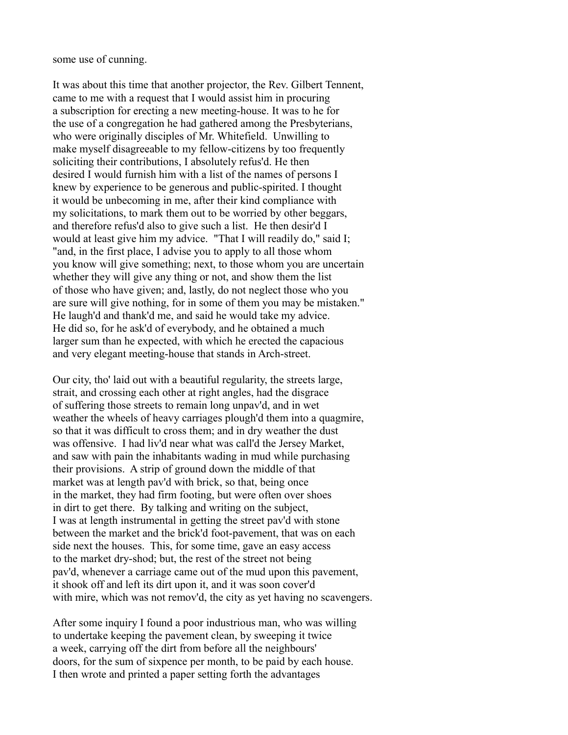some use of cunning.

It was about this time that another projector, the Rev. Gilbert Tennent, came to me with a request that I would assist him in procuring a subscription for erecting a new meeting-house. It was to he for the use of a congregation he had gathered among the Presbyterians, who were originally disciples of Mr. Whitefield. Unwilling to make myself disagreeable to my fellow-citizens by too frequently soliciting their contributions, I absolutely refus'd. He then desired I would furnish him with a list of the names of persons I knew by experience to be generous and public-spirited. I thought it would be unbecoming in me, after their kind compliance with my solicitations, to mark them out to be worried by other beggars, and therefore refus'd also to give such a list. He then desir'd I would at least give him my advice. "That I will readily do," said I; "and, in the first place, I advise you to apply to all those whom you know will give something; next, to those whom you are uncertain whether they will give any thing or not, and show them the list of those who have given; and, lastly, do not neglect those who you are sure will give nothing, for in some of them you may be mistaken." He laugh'd and thank'd me, and said he would take my advice. He did so, for he ask'd of everybody, and he obtained a much larger sum than he expected, with which he erected the capacious and very elegant meeting-house that stands in Arch-street.

Our city, tho' laid out with a beautiful regularity, the streets large, strait, and crossing each other at right angles, had the disgrace of suffering those streets to remain long unpav'd, and in wet weather the wheels of heavy carriages plough'd them into a quagmire, so that it was difficult to cross them; and in dry weather the dust was offensive. I had liv'd near what was call'd the Jersey Market, and saw with pain the inhabitants wading in mud while purchasing their provisions. A strip of ground down the middle of that market was at length pav'd with brick, so that, being once in the market, they had firm footing, but were often over shoes in dirt to get there. By talking and writing on the subject, I was at length instrumental in getting the street pav'd with stone between the market and the brick'd foot-pavement, that was on each side next the houses. This, for some time, gave an easy access to the market dry-shod; but, the rest of the street not being pav'd, whenever a carriage came out of the mud upon this pavement, it shook off and left its dirt upon it, and it was soon cover'd with mire, which was not remov'd, the city as yet having no scavengers.

After some inquiry I found a poor industrious man, who was willing to undertake keeping the pavement clean, by sweeping it twice a week, carrying off the dirt from before all the neighbours' doors, for the sum of sixpence per month, to be paid by each house. I then wrote and printed a paper setting forth the advantages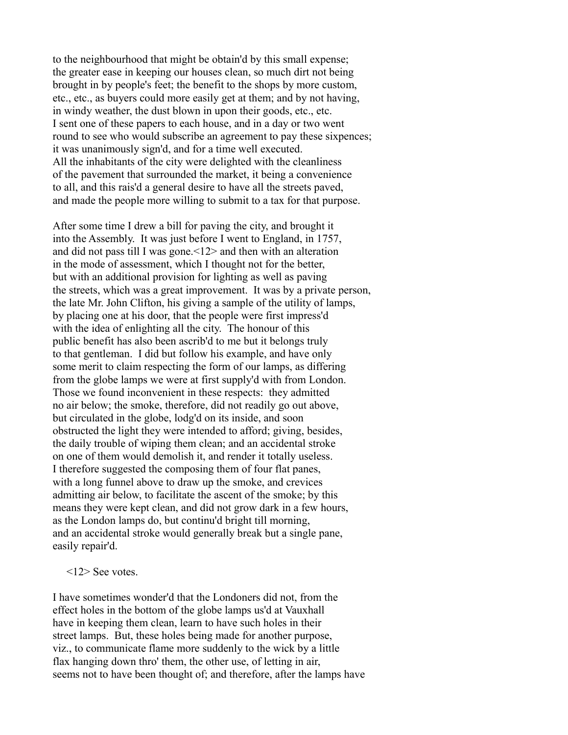to the neighbourhood that might be obtain'd by this small expense; the greater ease in keeping our houses clean, so much dirt not being brought in by people's feet; the benefit to the shops by more custom, etc., etc., as buyers could more easily get at them; and by not having, in windy weather, the dust blown in upon their goods, etc., etc. I sent one of these papers to each house, and in a day or two went round to see who would subscribe an agreement to pay these sixpences; it was unanimously sign'd, and for a time well executed. All the inhabitants of the city were delighted with the cleanliness of the pavement that surrounded the market, it being a convenience to all, and this rais'd a general desire to have all the streets paved, and made the people more willing to submit to a tax for that purpose.

After some time I drew a bill for paving the city, and brought it into the Assembly. It was just before I went to England, in 1757, and did not pass till I was gone.<12> and then with an alteration in the mode of assessment, which I thought not for the better, but with an additional provision for lighting as well as paving the streets, which was a great improvement. It was by a private person, the late Mr. John Clifton, his giving a sample of the utility of lamps, by placing one at his door, that the people were first impress'd with the idea of enlighting all the city. The honour of this public benefit has also been ascrib'd to me but it belongs truly to that gentleman. I did but follow his example, and have only some merit to claim respecting the form of our lamps, as differing from the globe lamps we were at first supply'd with from London. Those we found inconvenient in these respects: they admitted no air below; the smoke, therefore, did not readily go out above, but circulated in the globe, lodg'd on its inside, and soon obstructed the light they were intended to afford; giving, besides, the daily trouble of wiping them clean; and an accidental stroke on one of them would demolish it, and render it totally useless. I therefore suggested the composing them of four flat panes, with a long funnel above to draw up the smoke, and crevices admitting air below, to facilitate the ascent of the smoke; by this means they were kept clean, and did not grow dark in a few hours, as the London lamps do, but continu'd bright till morning, and an accidental stroke would generally break but a single pane, easily repair'd.

<12> See votes.

I have sometimes wonder'd that the Londoners did not, from the effect holes in the bottom of the globe lamps us'd at Vauxhall have in keeping them clean, learn to have such holes in their street lamps. But, these holes being made for another purpose, viz., to communicate flame more suddenly to the wick by a little flax hanging down thro' them, the other use, of letting in air, seems not to have been thought of; and therefore, after the lamps have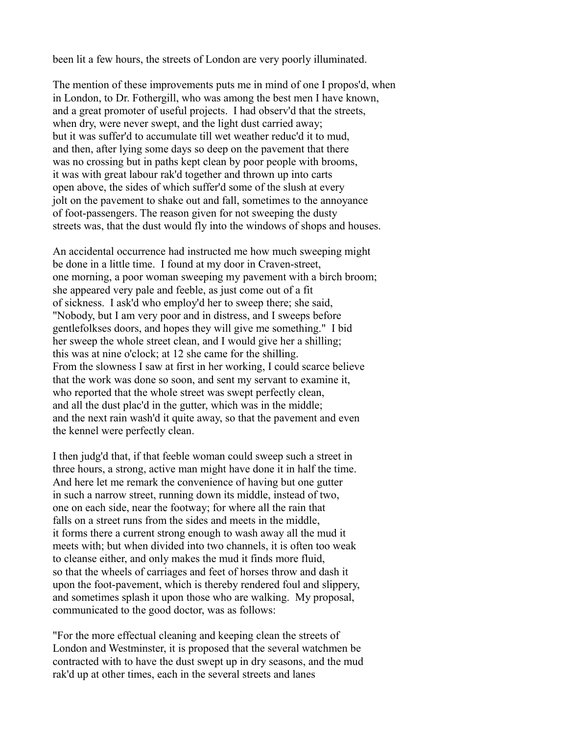been lit a few hours, the streets of London are very poorly illuminated.

The mention of these improvements puts me in mind of one I propos'd, when in London, to Dr. Fothergill, who was among the best men I have known, and a great promoter of useful projects. I had observ'd that the streets, when dry, were never swept, and the light dust carried away; but it was suffer'd to accumulate till wet weather reduc'd it to mud, and then, after lying some days so deep on the pavement that there was no crossing but in paths kept clean by poor people with brooms, it was with great labour rak'd together and thrown up into carts open above, the sides of which suffer'd some of the slush at every jolt on the pavement to shake out and fall, sometimes to the annoyance of foot-passengers. The reason given for not sweeping the dusty streets was, that the dust would fly into the windows of shops and houses.

An accidental occurrence had instructed me how much sweeping might be done in a little time. I found at my door in Craven-street, one morning, a poor woman sweeping my pavement with a birch broom; she appeared very pale and feeble, as just come out of a fit of sickness. I ask'd who employ'd her to sweep there; she said, "Nobody, but I am very poor and in distress, and I sweeps before gentlefolkses doors, and hopes they will give me something." I bid her sweep the whole street clean, and I would give her a shilling; this was at nine o'clock; at 12 she came for the shilling. From the slowness I saw at first in her working, I could scarce believe that the work was done so soon, and sent my servant to examine it, who reported that the whole street was swept perfectly clean, and all the dust plac'd in the gutter, which was in the middle; and the next rain wash'd it quite away, so that the pavement and even the kennel were perfectly clean.

I then judg'd that, if that feeble woman could sweep such a street in three hours, a strong, active man might have done it in half the time. And here let me remark the convenience of having but one gutter in such a narrow street, running down its middle, instead of two, one on each side, near the footway; for where all the rain that falls on a street runs from the sides and meets in the middle, it forms there a current strong enough to wash away all the mud it meets with; but when divided into two channels, it is often too weak to cleanse either, and only makes the mud it finds more fluid, so that the wheels of carriages and feet of horses throw and dash it upon the foot-pavement, which is thereby rendered foul and slippery, and sometimes splash it upon those who are walking. My proposal, communicated to the good doctor, was as follows:

"For the more effectual cleaning and keeping clean the streets of London and Westminster, it is proposed that the several watchmen be contracted with to have the dust swept up in dry seasons, and the mud rak'd up at other times, each in the several streets and lanes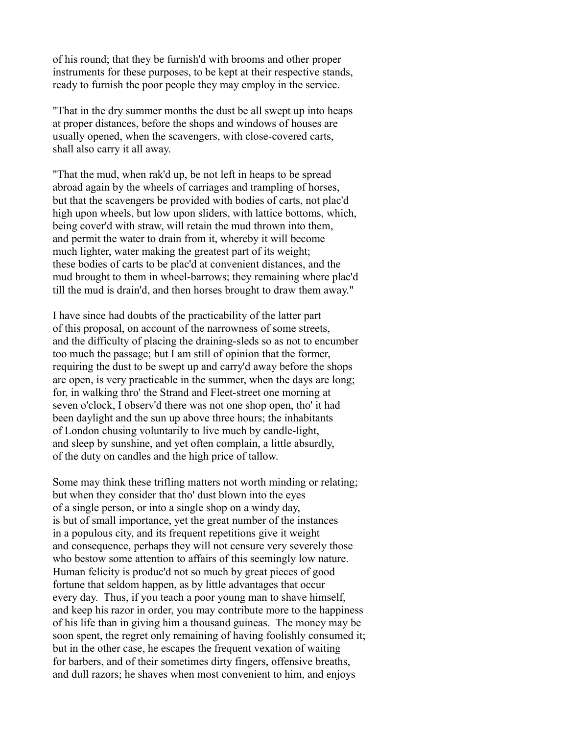of his round; that they be furnish'd with brooms and other proper instruments for these purposes, to be kept at their respective stands, ready to furnish the poor people they may employ in the service.

"That in the dry summer months the dust be all swept up into heaps at proper distances, before the shops and windows of houses are usually opened, when the scavengers, with close-covered carts, shall also carry it all away.

"That the mud, when rak'd up, be not left in heaps to be spread abroad again by the wheels of carriages and trampling of horses, but that the scavengers be provided with bodies of carts, not plac'd high upon wheels, but low upon sliders, with lattice bottoms, which, being cover'd with straw, will retain the mud thrown into them, and permit the water to drain from it, whereby it will become much lighter, water making the greatest part of its weight; these bodies of carts to be plac'd at convenient distances, and the mud brought to them in wheel-barrows; they remaining where plac'd till the mud is drain'd, and then horses brought to draw them away."

I have since had doubts of the practicability of the latter part of this proposal, on account of the narrowness of some streets, and the difficulty of placing the draining-sleds so as not to encumber too much the passage; but I am still of opinion that the former, requiring the dust to be swept up and carry'd away before the shops are open, is very practicable in the summer, when the days are long; for, in walking thro' the Strand and Fleet-street one morning at seven o'clock, I observ'd there was not one shop open, tho' it had been daylight and the sun up above three hours; the inhabitants of London chusing voluntarily to live much by candle-light, and sleep by sunshine, and yet often complain, a little absurdly, of the duty on candles and the high price of tallow.

Some may think these trifling matters not worth minding or relating; but when they consider that tho' dust blown into the eyes of a single person, or into a single shop on a windy day, is but of small importance, yet the great number of the instances in a populous city, and its frequent repetitions give it weight and consequence, perhaps they will not censure very severely those who bestow some attention to affairs of this seemingly low nature. Human felicity is produc'd not so much by great pieces of good fortune that seldom happen, as by little advantages that occur every day. Thus, if you teach a poor young man to shave himself, and keep his razor in order, you may contribute more to the happiness of his life than in giving him a thousand guineas. The money may be soon spent, the regret only remaining of having foolishly consumed it; but in the other case, he escapes the frequent vexation of waiting for barbers, and of their sometimes dirty fingers, offensive breaths, and dull razors; he shaves when most convenient to him, and enjoys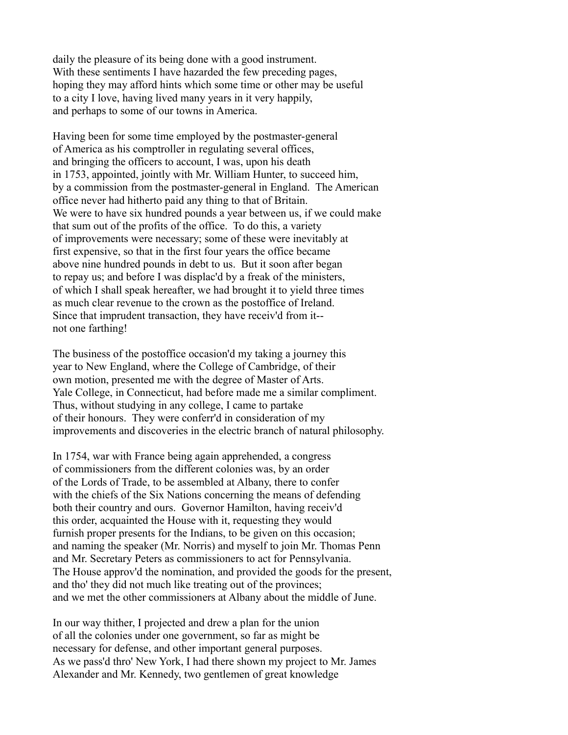daily the pleasure of its being done with a good instrument. With these sentiments I have hazarded the few preceding pages, hoping they may afford hints which some time or other may be useful to a city I love, having lived many years in it very happily, and perhaps to some of our towns in America.

Having been for some time employed by the postmaster-general of America as his comptroller in regulating several offices, and bringing the officers to account, I was, upon his death in 1753, appointed, jointly with Mr. William Hunter, to succeed him, by a commission from the postmaster-general in England. The American office never had hitherto paid any thing to that of Britain. We were to have six hundred pounds a year between us, if we could make that sum out of the profits of the office. To do this, a variety of improvements were necessary; some of these were inevitably at first expensive, so that in the first four years the office became above nine hundred pounds in debt to us. But it soon after began to repay us; and before I was displac'd by a freak of the ministers, of which I shall speak hereafter, we had brought it to yield three times as much clear revenue to the crown as the postoffice of Ireland. Since that imprudent transaction, they have receiv'd from it- not one farthing!

The business of the postoffice occasion'd my taking a journey this year to New England, where the College of Cambridge, of their own motion, presented me with the degree of Master of Arts. Yale College, in Connecticut, had before made me a similar compliment. Thus, without studying in any college, I came to partake of their honours. They were conferr'd in consideration of my improvements and discoveries in the electric branch of natural philosophy.

In 1754, war with France being again apprehended, a congress of commissioners from the different colonies was, by an order of the Lords of Trade, to be assembled at Albany, there to confer with the chiefs of the Six Nations concerning the means of defending both their country and ours. Governor Hamilton, having receiv'd this order, acquainted the House with it, requesting they would furnish proper presents for the Indians, to be given on this occasion; and naming the speaker (Mr. Norris) and myself to join Mr. Thomas Penn and Mr. Secretary Peters as commissioners to act for Pennsylvania. The House approv'd the nomination, and provided the goods for the present, and tho' they did not much like treating out of the provinces; and we met the other commissioners at Albany about the middle of June.

In our way thither, I projected and drew a plan for the union of all the colonies under one government, so far as might be necessary for defense, and other important general purposes. As we pass'd thro' New York, I had there shown my project to Mr. James Alexander and Mr. Kennedy, two gentlemen of great knowledge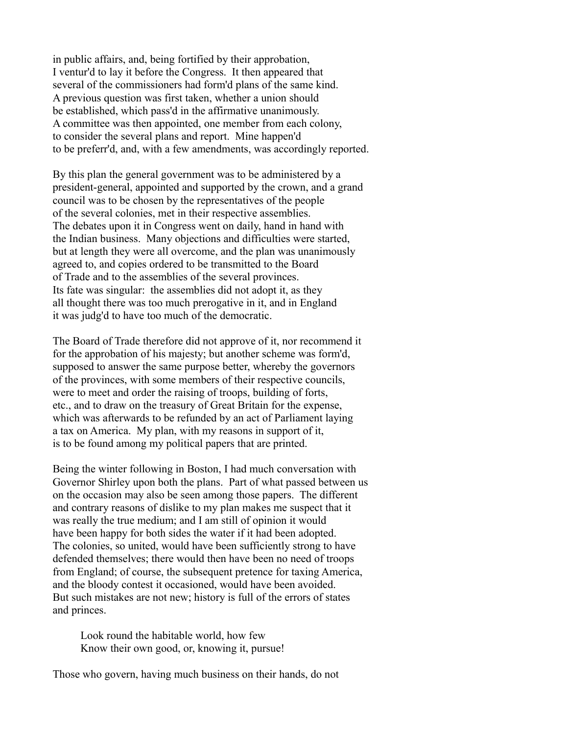in public affairs, and, being fortified by their approbation, I ventur'd to lay it before the Congress. It then appeared that several of the commissioners had form'd plans of the same kind. A previous question was first taken, whether a union should be established, which pass'd in the affirmative unanimously. A committee was then appointed, one member from each colony, to consider the several plans and report. Mine happen'd to be preferr'd, and, with a few amendments, was accordingly reported.

By this plan the general government was to be administered by a president-general, appointed and supported by the crown, and a grand council was to be chosen by the representatives of the people of the several colonies, met in their respective assemblies. The debates upon it in Congress went on daily, hand in hand with the Indian business. Many objections and difficulties were started, but at length they were all overcome, and the plan was unanimously agreed to, and copies ordered to be transmitted to the Board of Trade and to the assemblies of the several provinces. Its fate was singular: the assemblies did not adopt it, as they all thought there was too much prerogative in it, and in England it was judg'd to have too much of the democratic.

The Board of Trade therefore did not approve of it, nor recommend it for the approbation of his majesty; but another scheme was form'd, supposed to answer the same purpose better, whereby the governors of the provinces, with some members of their respective councils, were to meet and order the raising of troops, building of forts, etc., and to draw on the treasury of Great Britain for the expense, which was afterwards to be refunded by an act of Parliament laying a tax on America. My plan, with my reasons in support of it, is to be found among my political papers that are printed.

Being the winter following in Boston, I had much conversation with Governor Shirley upon both the plans. Part of what passed between us on the occasion may also be seen among those papers. The different and contrary reasons of dislike to my plan makes me suspect that it was really the true medium; and I am still of opinion it would have been happy for both sides the water if it had been adopted. The colonies, so united, would have been sufficiently strong to have defended themselves; there would then have been no need of troops from England; of course, the subsequent pretence for taxing America, and the bloody contest it occasioned, would have been avoided. But such mistakes are not new; history is full of the errors of states and princes.

 Look round the habitable world, how few Know their own good, or, knowing it, pursue!

Those who govern, having much business on their hands, do not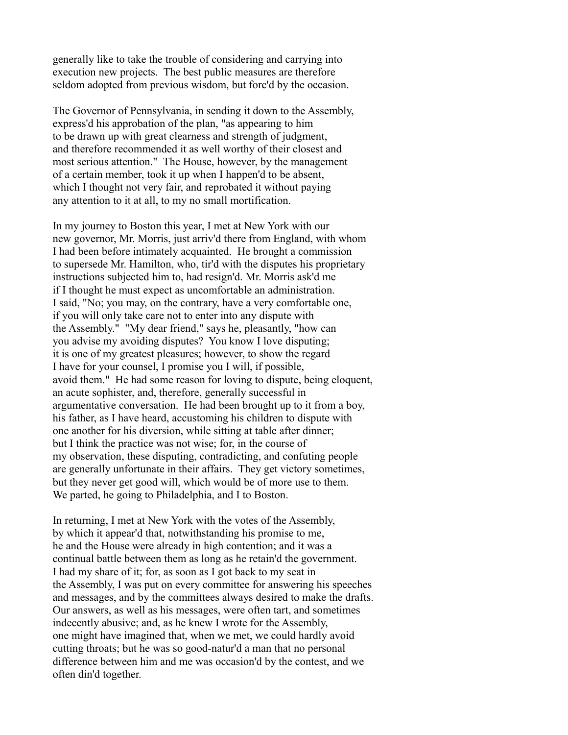generally like to take the trouble of considering and carrying into execution new projects. The best public measures are therefore seldom adopted from previous wisdom, but forc'd by the occasion.

The Governor of Pennsylvania, in sending it down to the Assembly, express'd his approbation of the plan, "as appearing to him to be drawn up with great clearness and strength of judgment, and therefore recommended it as well worthy of their closest and most serious attention." The House, however, by the management of a certain member, took it up when I happen'd to be absent, which I thought not very fair, and reprobated it without paying any attention to it at all, to my no small mortification.

In my journey to Boston this year, I met at New York with our new governor, Mr. Morris, just arriv'd there from England, with whom I had been before intimately acquainted. He brought a commission to supersede Mr. Hamilton, who, tir'd with the disputes his proprietary instructions subjected him to, had resign'd. Mr. Morris ask'd me if I thought he must expect as uncomfortable an administration. I said, "No; you may, on the contrary, have a very comfortable one, if you will only take care not to enter into any dispute with the Assembly." "My dear friend," says he, pleasantly, "how can you advise my avoiding disputes? You know I love disputing; it is one of my greatest pleasures; however, to show the regard I have for your counsel, I promise you I will, if possible, avoid them." He had some reason for loving to dispute, being eloquent, an acute sophister, and, therefore, generally successful in argumentative conversation. He had been brought up to it from a boy, his father, as I have heard, accustoming his children to dispute with one another for his diversion, while sitting at table after dinner; but I think the practice was not wise; for, in the course of my observation, these disputing, contradicting, and confuting people are generally unfortunate in their affairs. They get victory sometimes, but they never get good will, which would be of more use to them. We parted, he going to Philadelphia, and I to Boston.

In returning, I met at New York with the votes of the Assembly, by which it appear'd that, notwithstanding his promise to me, he and the House were already in high contention; and it was a continual battle between them as long as he retain'd the government. I had my share of it; for, as soon as I got back to my seat in the Assembly, I was put on every committee for answering his speeches and messages, and by the committees always desired to make the drafts. Our answers, as well as his messages, were often tart, and sometimes indecently abusive; and, as he knew I wrote for the Assembly, one might have imagined that, when we met, we could hardly avoid cutting throats; but he was so good-natur'd a man that no personal difference between him and me was occasion'd by the contest, and we often din'd together.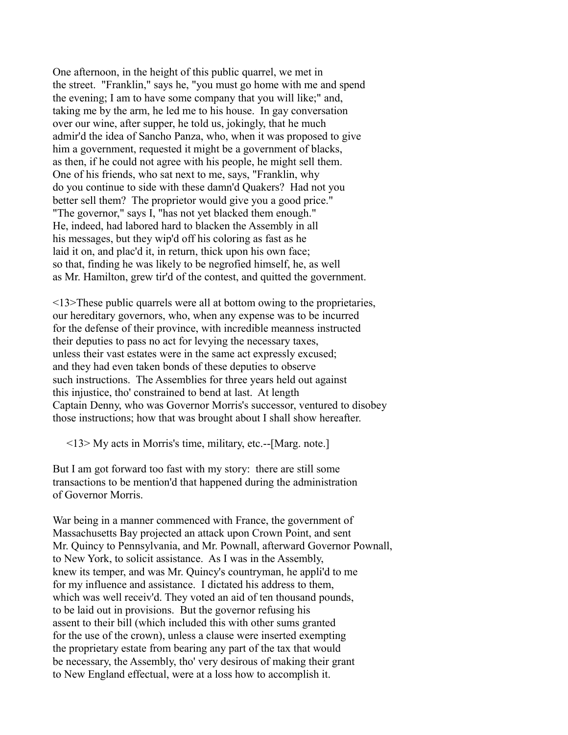One afternoon, in the height of this public quarrel, we met in the street. "Franklin," says he, "you must go home with me and spend the evening; I am to have some company that you will like;" and, taking me by the arm, he led me to his house. In gay conversation over our wine, after supper, he told us, jokingly, that he much admir'd the idea of Sancho Panza, who, when it was proposed to give him a government, requested it might be a government of blacks, as then, if he could not agree with his people, he might sell them. One of his friends, who sat next to me, says, "Franklin, why do you continue to side with these damn'd Quakers? Had not you better sell them? The proprietor would give you a good price." "The governor," says I, "has not yet blacked them enough." He, indeed, had labored hard to blacken the Assembly in all his messages, but they wip'd off his coloring as fast as he laid it on, and plac'd it, in return, thick upon his own face; so that, finding he was likely to be negrofied himself, he, as well as Mr. Hamilton, grew tir'd of the contest, and quitted the government.

<13>These public quarrels were all at bottom owing to the proprietaries, our hereditary governors, who, when any expense was to be incurred for the defense of their province, with incredible meanness instructed their deputies to pass no act for levying the necessary taxes, unless their vast estates were in the same act expressly excused; and they had even taken bonds of these deputies to observe such instructions. The Assemblies for three years held out against this injustice, tho' constrained to bend at last. At length Captain Denny, who was Governor Morris's successor, ventured to disobey those instructions; how that was brought about I shall show hereafter.

<13> My acts in Morris's time, military, etc.--[Marg. note.]

But I am got forward too fast with my story: there are still some transactions to be mention'd that happened during the administration of Governor Morris.

War being in a manner commenced with France, the government of Massachusetts Bay projected an attack upon Crown Point, and sent Mr. Quincy to Pennsylvania, and Mr. Pownall, afterward Governor Pownall, to New York, to solicit assistance. As I was in the Assembly, knew its temper, and was Mr. Quincy's countryman, he appli'd to me for my influence and assistance. I dictated his address to them, which was well receiv'd. They voted an aid of ten thousand pounds, to be laid out in provisions. But the governor refusing his assent to their bill (which included this with other sums granted for the use of the crown), unless a clause were inserted exempting the proprietary estate from bearing any part of the tax that would be necessary, the Assembly, tho' very desirous of making their grant to New England effectual, were at a loss how to accomplish it.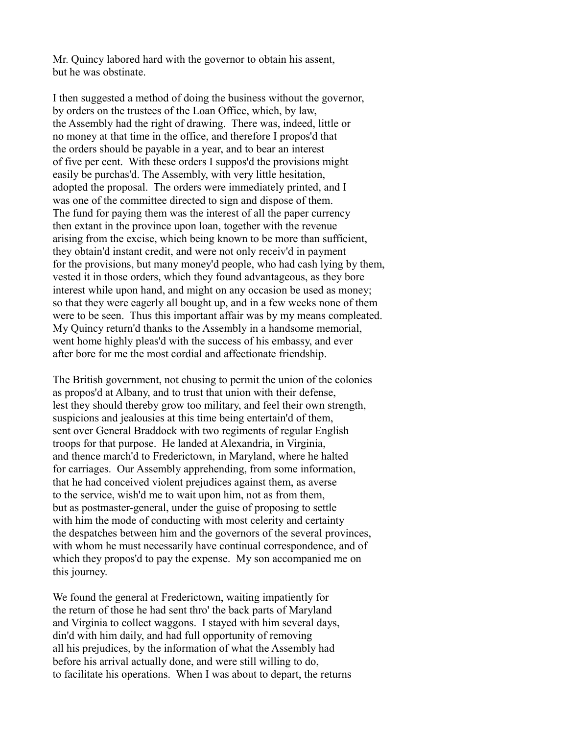Mr. Quincy labored hard with the governor to obtain his assent, but he was obstinate.

I then suggested a method of doing the business without the governor, by orders on the trustees of the Loan Office, which, by law, the Assembly had the right of drawing. There was, indeed, little or no money at that time in the office, and therefore I propos'd that the orders should be payable in a year, and to bear an interest of five per cent. With these orders I suppos'd the provisions might easily be purchas'd. The Assembly, with very little hesitation, adopted the proposal. The orders were immediately printed, and I was one of the committee directed to sign and dispose of them. The fund for paying them was the interest of all the paper currency then extant in the province upon loan, together with the revenue arising from the excise, which being known to be more than sufficient, they obtain'd instant credit, and were not only receiv'd in payment for the provisions, but many money'd people, who had cash lying by them, vested it in those orders, which they found advantageous, as they bore interest while upon hand, and might on any occasion be used as money; so that they were eagerly all bought up, and in a few weeks none of them were to be seen. Thus this important affair was by my means compleated. My Quincy return'd thanks to the Assembly in a handsome memorial, went home highly pleas'd with the success of his embassy, and ever after bore for me the most cordial and affectionate friendship.

The British government, not chusing to permit the union of the colonies as propos'd at Albany, and to trust that union with their defense, lest they should thereby grow too military, and feel their own strength, suspicions and jealousies at this time being entertain'd of them, sent over General Braddock with two regiments of regular English troops for that purpose. He landed at Alexandria, in Virginia, and thence march'd to Frederictown, in Maryland, where he halted for carriages. Our Assembly apprehending, from some information, that he had conceived violent prejudices against them, as averse to the service, wish'd me to wait upon him, not as from them, but as postmaster-general, under the guise of proposing to settle with him the mode of conducting with most celerity and certainty the despatches between him and the governors of the several provinces, with whom he must necessarily have continual correspondence, and of which they propos'd to pay the expense. My son accompanied me on this journey.

We found the general at Frederictown, waiting impatiently for the return of those he had sent thro' the back parts of Maryland and Virginia to collect waggons. I stayed with him several days, din'd with him daily, and had full opportunity of removing all his prejudices, by the information of what the Assembly had before his arrival actually done, and were still willing to do, to facilitate his operations. When I was about to depart, the returns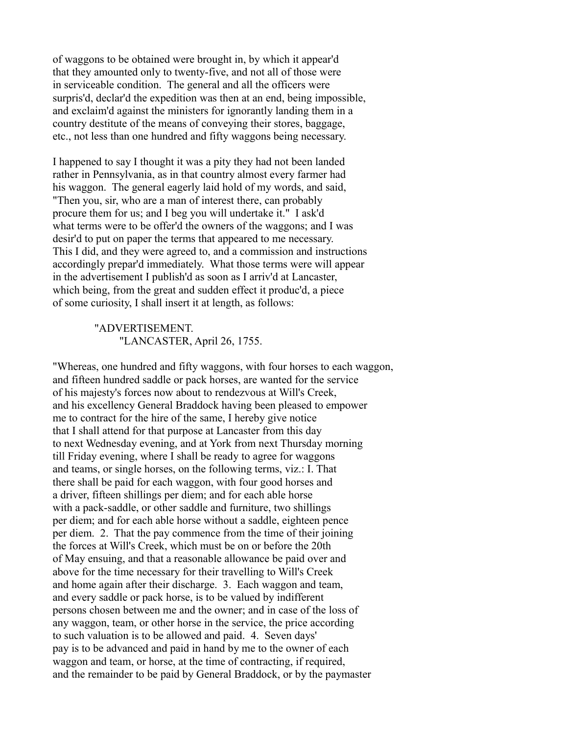of waggons to be obtained were brought in, by which it appear'd that they amounted only to twenty-five, and not all of those were in serviceable condition. The general and all the officers were surpris'd, declar'd the expedition was then at an end, being impossible, and exclaim'd against the ministers for ignorantly landing them in a country destitute of the means of conveying their stores, baggage, etc., not less than one hundred and fifty waggons being necessary.

I happened to say I thought it was a pity they had not been landed rather in Pennsylvania, as in that country almost every farmer had his waggon. The general eagerly laid hold of my words, and said, "Then you, sir, who are a man of interest there, can probably procure them for us; and I beg you will undertake it." I ask'd what terms were to be offer'd the owners of the waggons; and I was desir'd to put on paper the terms that appeared to me necessary. This I did, and they were agreed to, and a commission and instructions accordingly prepar'd immediately. What those terms were will appear in the advertisement I publish'd as soon as I arriv'd at Lancaster, which being, from the great and sudden effect it produc'd, a piece of some curiosity, I shall insert it at length, as follows:

## "ADVERTISEMENT. "LANCASTER, April 26, 1755.

"Whereas, one hundred and fifty waggons, with four horses to each waggon, and fifteen hundred saddle or pack horses, are wanted for the service of his majesty's forces now about to rendezvous at Will's Creek, and his excellency General Braddock having been pleased to empower me to contract for the hire of the same, I hereby give notice that I shall attend for that purpose at Lancaster from this day to next Wednesday evening, and at York from next Thursday morning till Friday evening, where I shall be ready to agree for waggons and teams, or single horses, on the following terms, viz.: I. That there shall be paid for each waggon, with four good horses and a driver, fifteen shillings per diem; and for each able horse with a pack-saddle, or other saddle and furniture, two shillings per diem; and for each able horse without a saddle, eighteen pence per diem. 2. That the pay commence from the time of their joining the forces at Will's Creek, which must be on or before the 20th of May ensuing, and that a reasonable allowance be paid over and above for the time necessary for their travelling to Will's Creek and home again after their discharge. 3. Each waggon and team, and every saddle or pack horse, is to be valued by indifferent persons chosen between me and the owner; and in case of the loss of any waggon, team, or other horse in the service, the price according to such valuation is to be allowed and paid. 4. Seven days' pay is to be advanced and paid in hand by me to the owner of each waggon and team, or horse, at the time of contracting, if required, and the remainder to be paid by General Braddock, or by the paymaster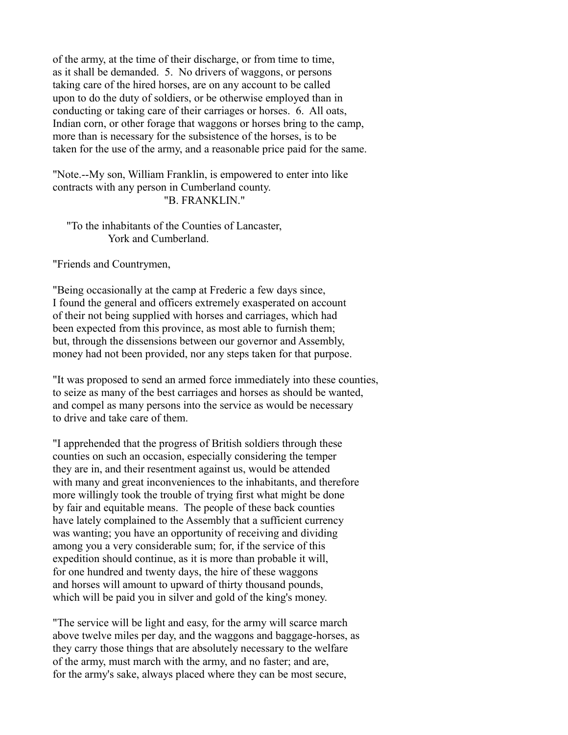of the army, at the time of their discharge, or from time to time, as it shall be demanded. 5. No drivers of waggons, or persons taking care of the hired horses, are on any account to be called upon to do the duty of soldiers, or be otherwise employed than in conducting or taking care of their carriages or horses. 6. All oats, Indian corn, or other forage that waggons or horses bring to the camp, more than is necessary for the subsistence of the horses, is to be taken for the use of the army, and a reasonable price paid for the same.

"Note.--My son, William Franklin, is empowered to enter into like contracts with any person in Cumberland county. "B. FRANKLIN."

 "To the inhabitants of the Counties of Lancaster, York and Cumberland.

"Friends and Countrymen,

"Being occasionally at the camp at Frederic a few days since, I found the general and officers extremely exasperated on account of their not being supplied with horses and carriages, which had been expected from this province, as most able to furnish them; but, through the dissensions between our governor and Assembly, money had not been provided, nor any steps taken for that purpose.

"It was proposed to send an armed force immediately into these counties, to seize as many of the best carriages and horses as should be wanted, and compel as many persons into the service as would be necessary to drive and take care of them.

"I apprehended that the progress of British soldiers through these counties on such an occasion, especially considering the temper they are in, and their resentment against us, would be attended with many and great inconveniences to the inhabitants, and therefore more willingly took the trouble of trying first what might be done by fair and equitable means. The people of these back counties have lately complained to the Assembly that a sufficient currency was wanting; you have an opportunity of receiving and dividing among you a very considerable sum; for, if the service of this expedition should continue, as it is more than probable it will, for one hundred and twenty days, the hire of these waggons and horses will amount to upward of thirty thousand pounds, which will be paid you in silver and gold of the king's money.

"The service will be light and easy, for the army will scarce march above twelve miles per day, and the waggons and baggage-horses, as they carry those things that are absolutely necessary to the welfare of the army, must march with the army, and no faster; and are, for the army's sake, always placed where they can be most secure,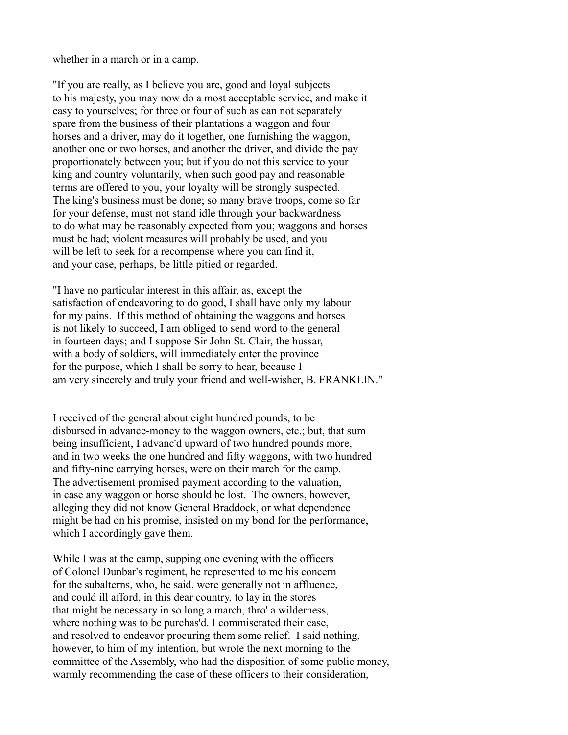whether in a march or in a camp.

"If you are really, as I believe you are, good and loyal subjects to his majesty, you may now do a most acceptable service, and make it easy to yourselves; for three or four of such as can not separately spare from the business of their plantations a waggon and four horses and a driver, may do it together, one furnishing the waggon, another one or two horses, and another the driver, and divide the pay proportionately between you; but if you do not this service to your king and country voluntarily, when such good pay and reasonable terms are offered to you, your loyalty will be strongly suspected. The king's business must be done; so many brave troops, come so far for your defense, must not stand idle through your backwardness to do what may be reasonably expected from you; waggons and horses must be had; violent measures will probably be used, and you will be left to seek for a recompense where you can find it, and your case, perhaps, be little pitied or regarded.

"I have no particular interest in this affair, as, except the satisfaction of endeavoring to do good, I shall have only my labour for my pains. If this method of obtaining the waggons and horses is not likely to succeed, I am obliged to send word to the general in fourteen days; and I suppose Sir John St. Clair, the hussar, with a body of soldiers, will immediately enter the province for the purpose, which I shall be sorry to hear, because I am very sincerely and truly your friend and well-wisher, B. FRANKLIN."

I received of the general about eight hundred pounds, to be disbursed in advance-money to the waggon owners, etc.; but, that sum being insufficient, I advanc'd upward of two hundred pounds more, and in two weeks the one hundred and fifty waggons, with two hundred and fifty-nine carrying horses, were on their march for the camp. The advertisement promised payment according to the valuation, in case any waggon or horse should be lost. The owners, however, alleging they did not know General Braddock, or what dependence might be had on his promise, insisted on my bond for the performance, which I accordingly gave them.

While I was at the camp, supping one evening with the officers of Colonel Dunbar's regiment, he represented to me his concern for the subalterns, who, he said, were generally not in affluence, and could ill afford, in this dear country, to lay in the stores that might be necessary in so long a march, thro' a wilderness, where nothing was to be purchas'd. I commiserated their case, and resolved to endeavor procuring them some relief. I said nothing, however, to him of my intention, but wrote the next morning to the committee of the Assembly, who had the disposition of some public money, warmly recommending the case of these officers to their consideration,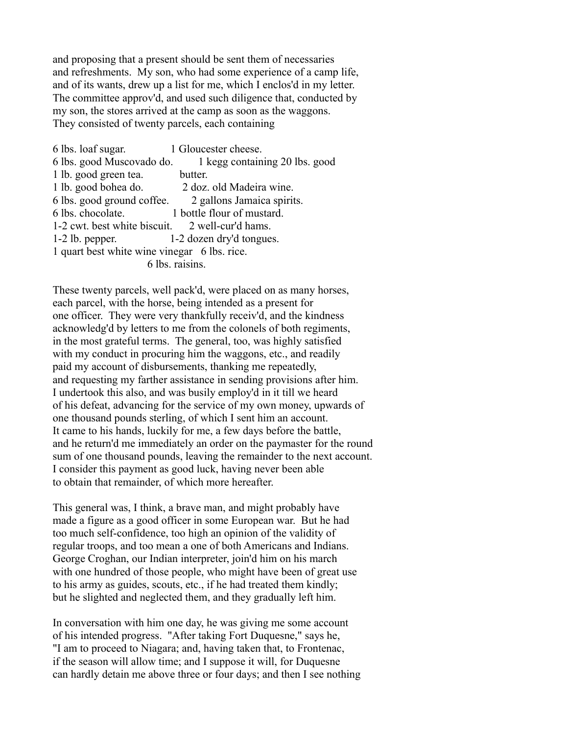and proposing that a present should be sent them of necessaries and refreshments. My son, who had some experience of a camp life, and of its wants, drew up a list for me, which I enclos'd in my letter. The committee approv'd, and used such diligence that, conducted by my son, the stores arrived at the camp as soon as the waggons. They consisted of twenty parcels, each containing

6 lbs. loaf sugar. 1 Gloucester cheese. 6 lbs. good Muscovado do. 1 kegg containing 20 lbs. good 1 lb. good green tea. butter. 1 lb. good bohea do. 2 doz. old Madeira wine. 6 lbs. good ground coffee. 2 gallons Jamaica spirits. 6 lbs. chocolate. 1 bottle flour of mustard. 1-2 cwt. best white biscuit. 2 well-cur'd hams. 1-2 lb. pepper. 1-2 dozen dry'd tongues. 1 quart best white wine vinegar 6 lbs. rice. 6 lbs. raisins.

These twenty parcels, well pack'd, were placed on as many horses, each parcel, with the horse, being intended as a present for one officer. They were very thankfully receiv'd, and the kindness acknowledg'd by letters to me from the colonels of both regiments, in the most grateful terms. The general, too, was highly satisfied with my conduct in procuring him the waggons, etc., and readily paid my account of disbursements, thanking me repeatedly, and requesting my farther assistance in sending provisions after him. I undertook this also, and was busily employ'd in it till we heard of his defeat, advancing for the service of my own money, upwards of one thousand pounds sterling, of which I sent him an account. It came to his hands, luckily for me, a few days before the battle, and he return'd me immediately an order on the paymaster for the round sum of one thousand pounds, leaving the remainder to the next account. I consider this payment as good luck, having never been able to obtain that remainder, of which more hereafter.

This general was, I think, a brave man, and might probably have made a figure as a good officer in some European war. But he had too much self-confidence, too high an opinion of the validity of regular troops, and too mean a one of both Americans and Indians. George Croghan, our Indian interpreter, join'd him on his march with one hundred of those people, who might have been of great use to his army as guides, scouts, etc., if he had treated them kindly; but he slighted and neglected them, and they gradually left him.

In conversation with him one day, he was giving me some account of his intended progress. "After taking Fort Duquesne," says he, "I am to proceed to Niagara; and, having taken that, to Frontenac, if the season will allow time; and I suppose it will, for Duquesne can hardly detain me above three or four days; and then I see nothing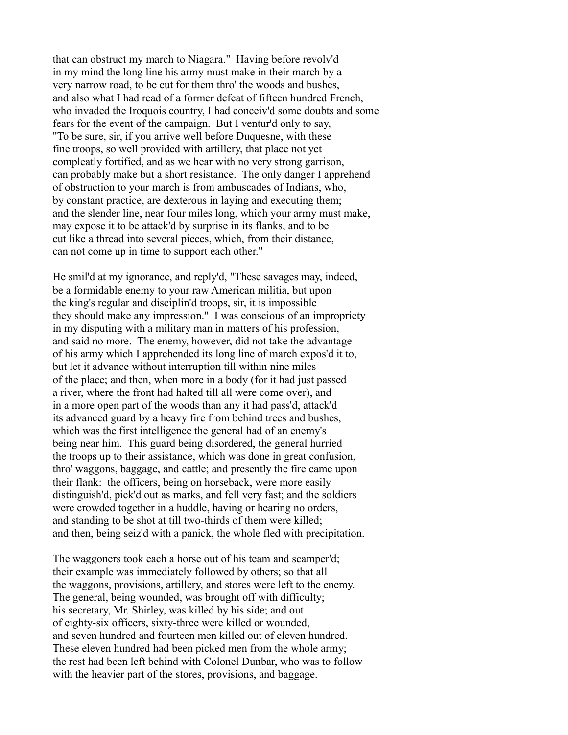that can obstruct my march to Niagara." Having before revolv'd in my mind the long line his army must make in their march by a very narrow road, to be cut for them thro' the woods and bushes, and also what I had read of a former defeat of fifteen hundred French, who invaded the Iroquois country, I had conceiv'd some doubts and some fears for the event of the campaign. But I ventur'd only to say, "To be sure, sir, if you arrive well before Duquesne, with these fine troops, so well provided with artillery, that place not yet compleatly fortified, and as we hear with no very strong garrison, can probably make but a short resistance. The only danger I apprehend of obstruction to your march is from ambuscades of Indians, who, by constant practice, are dexterous in laying and executing them; and the slender line, near four miles long, which your army must make, may expose it to be attack'd by surprise in its flanks, and to be cut like a thread into several pieces, which, from their distance, can not come up in time to support each other."

He smil'd at my ignorance, and reply'd, "These savages may, indeed, be a formidable enemy to your raw American militia, but upon the king's regular and disciplin'd troops, sir, it is impossible they should make any impression." I was conscious of an impropriety in my disputing with a military man in matters of his profession, and said no more. The enemy, however, did not take the advantage of his army which I apprehended its long line of march expos'd it to, but let it advance without interruption till within nine miles of the place; and then, when more in a body (for it had just passed a river, where the front had halted till all were come over), and in a more open part of the woods than any it had pass'd, attack'd its advanced guard by a heavy fire from behind trees and bushes, which was the first intelligence the general had of an enemy's being near him. This guard being disordered, the general hurried the troops up to their assistance, which was done in great confusion, thro' waggons, baggage, and cattle; and presently the fire came upon their flank: the officers, being on horseback, were more easily distinguish'd, pick'd out as marks, and fell very fast; and the soldiers were crowded together in a huddle, having or hearing no orders, and standing to be shot at till two-thirds of them were killed; and then, being seiz'd with a panick, the whole fled with precipitation.

The waggoners took each a horse out of his team and scamper'd; their example was immediately followed by others; so that all the waggons, provisions, artillery, and stores were left to the enemy. The general, being wounded, was brought off with difficulty; his secretary, Mr. Shirley, was killed by his side; and out of eighty-six officers, sixty-three were killed or wounded, and seven hundred and fourteen men killed out of eleven hundred. These eleven hundred had been picked men from the whole army; the rest had been left behind with Colonel Dunbar, who was to follow with the heavier part of the stores, provisions, and baggage.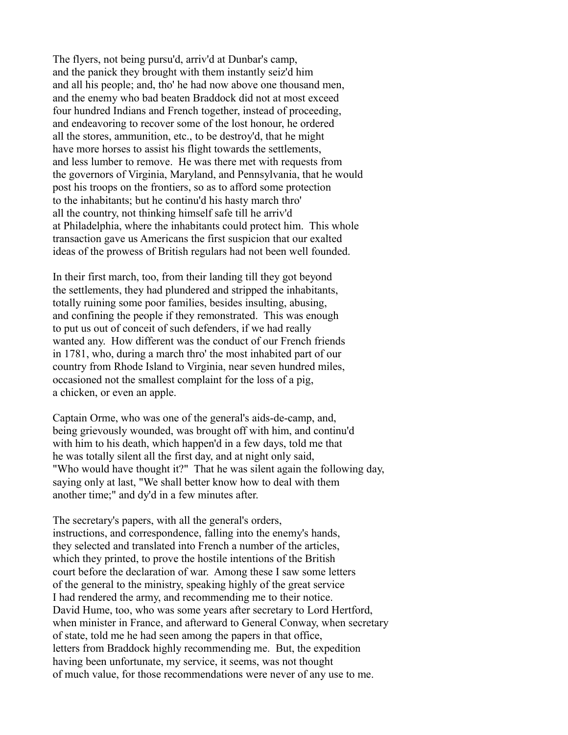The flyers, not being pursu'd, arriv'd at Dunbar's camp, and the panick they brought with them instantly seiz'd him and all his people; and, tho' he had now above one thousand men, and the enemy who bad beaten Braddock did not at most exceed four hundred Indians and French together, instead of proceeding, and endeavoring to recover some of the lost honour, he ordered all the stores, ammunition, etc., to be destroy'd, that he might have more horses to assist his flight towards the settlements, and less lumber to remove. He was there met with requests from the governors of Virginia, Maryland, and Pennsylvania, that he would post his troops on the frontiers, so as to afford some protection to the inhabitants; but he continu'd his hasty march thro' all the country, not thinking himself safe till he arriv'd at Philadelphia, where the inhabitants could protect him. This whole transaction gave us Americans the first suspicion that our exalted ideas of the prowess of British regulars had not been well founded.

In their first march, too, from their landing till they got beyond the settlements, they had plundered and stripped the inhabitants, totally ruining some poor families, besides insulting, abusing, and confining the people if they remonstrated. This was enough to put us out of conceit of such defenders, if we had really wanted any. How different was the conduct of our French friends in 1781, who, during a march thro' the most inhabited part of our country from Rhode Island to Virginia, near seven hundred miles, occasioned not the smallest complaint for the loss of a pig, a chicken, or even an apple.

Captain Orme, who was one of the general's aids-de-camp, and, being grievously wounded, was brought off with him, and continu'd with him to his death, which happen'd in a few days, told me that he was totally silent all the first day, and at night only said, "Who would have thought it?" That he was silent again the following day, saying only at last, "We shall better know how to deal with them another time;" and dy'd in a few minutes after.

The secretary's papers, with all the general's orders, instructions, and correspondence, falling into the enemy's hands, they selected and translated into French a number of the articles, which they printed, to prove the hostile intentions of the British court before the declaration of war. Among these I saw some letters of the general to the ministry, speaking highly of the great service I had rendered the army, and recommending me to their notice. David Hume, too, who was some years after secretary to Lord Hertford, when minister in France, and afterward to General Conway, when secretary of state, told me he had seen among the papers in that office, letters from Braddock highly recommending me. But, the expedition having been unfortunate, my service, it seems, was not thought of much value, for those recommendations were never of any use to me.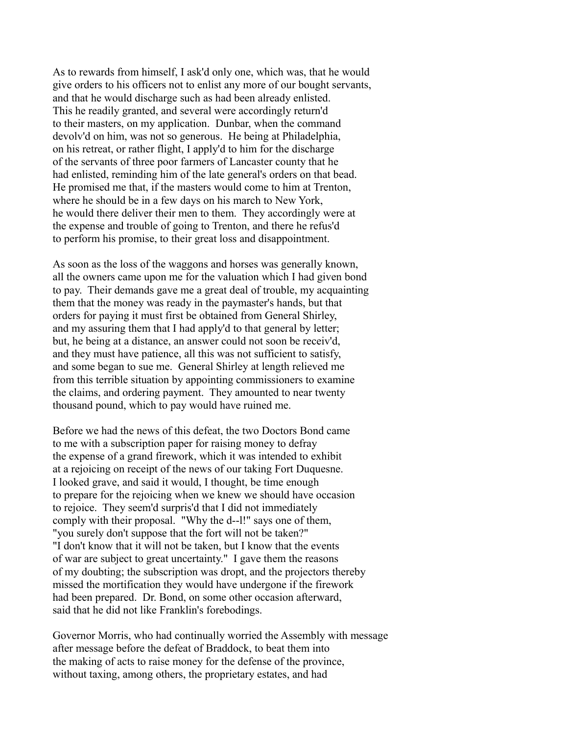As to rewards from himself, I ask'd only one, which was, that he would give orders to his officers not to enlist any more of our bought servants, and that he would discharge such as had been already enlisted. This he readily granted, and several were accordingly return'd to their masters, on my application. Dunbar, when the command devolv'd on him, was not so generous. He being at Philadelphia, on his retreat, or rather flight, I apply'd to him for the discharge of the servants of three poor farmers of Lancaster county that he had enlisted, reminding him of the late general's orders on that bead. He promised me that, if the masters would come to him at Trenton, where he should be in a few days on his march to New York, he would there deliver their men to them. They accordingly were at the expense and trouble of going to Trenton, and there he refus'd to perform his promise, to their great loss and disappointment.

As soon as the loss of the waggons and horses was generally known, all the owners came upon me for the valuation which I had given bond to pay. Their demands gave me a great deal of trouble, my acquainting them that the money was ready in the paymaster's hands, but that orders for paying it must first be obtained from General Shirley, and my assuring them that I had apply'd to that general by letter; but, he being at a distance, an answer could not soon be receiv'd, and they must have patience, all this was not sufficient to satisfy, and some began to sue me. General Shirley at length relieved me from this terrible situation by appointing commissioners to examine the claims, and ordering payment. They amounted to near twenty thousand pound, which to pay would have ruined me.

Before we had the news of this defeat, the two Doctors Bond came to me with a subscription paper for raising money to defray the expense of a grand firework, which it was intended to exhibit at a rejoicing on receipt of the news of our taking Fort Duquesne. I looked grave, and said it would, I thought, be time enough to prepare for the rejoicing when we knew we should have occasion to rejoice. They seem'd surpris'd that I did not immediately comply with their proposal. "Why the d--l!" says one of them, "you surely don't suppose that the fort will not be taken?" "I don't know that it will not be taken, but I know that the events of war are subject to great uncertainty." I gave them the reasons of my doubting; the subscription was dropt, and the projectors thereby missed the mortification they would have undergone if the firework had been prepared. Dr. Bond, on some other occasion afterward, said that he did not like Franklin's forebodings.

Governor Morris, who had continually worried the Assembly with message after message before the defeat of Braddock, to beat them into the making of acts to raise money for the defense of the province, without taxing, among others, the proprietary estates, and had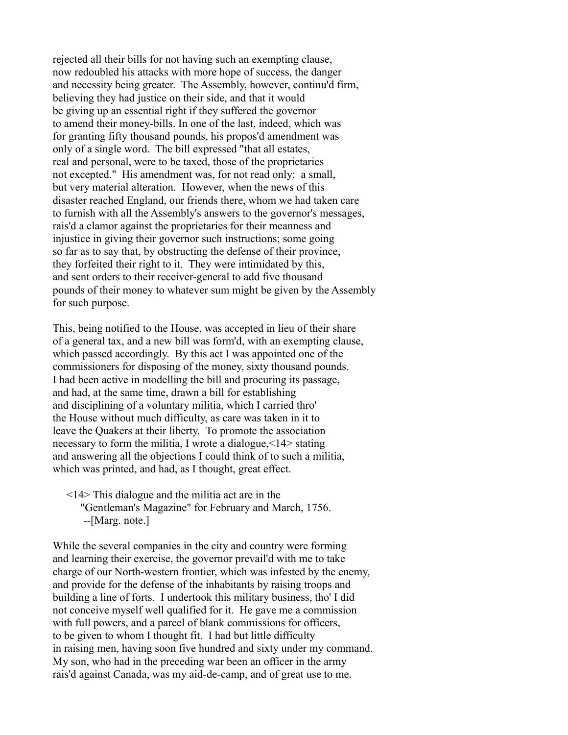rejected all their bills for not having such an exempting clause, now redoubled his attacks with more hope of success, the danger and necessity being greater. The Assembly, however, continu'd firm, believing they had justice on their side, and that it would be giving up an essential right if they suffered the governor to amend their money-bills. In one of the last, indeed, which was for granting fifty thousand pounds, his propos'd amendment was only of a single word. The bill expressed "that all estates, real and personal, were to be taxed, those of the proprietaries not excepted." His amendment was, for not read only: a small, but very material alteration. However, when the news of this disaster reached England, our friends there, whom we had taken care to furnish with all the Assembly's answers to the governor's messages, rais'd a clamor against the proprietaries for their meanness and injustice in giving their governor such instructions; some going so far as to say that, by obstructing the defense of their province, they forfeited their right to it. They were intimidated by this, and sent orders to their receiver-general to add five thousand pounds of their money to whatever sum might be given by the Assembly for such purpose.

This, being notified to the House, was accepted in lieu of their share of a general tax, and a new bill was form'd, with an exempting clause, which passed accordingly. By this act I was appointed one of the commissioners for disposing of the money, sixty thousand pounds. I had been active in modelling the bill and procuring its passage, and had, at the same time, drawn a bill for establishing and disciplining of a voluntary militia, which I carried thro' the House without much difficulty, as care was taken in it to leave the Quakers at their liberty. To promote the association necessary to form the militia, I wrote a dialogue,<14> stating and answering all the objections I could think of to such a militia, which was printed, and had, as I thought, great effect.

## <14> This dialogue and the militia act are in the "Gentleman's Magazine" for February and March, 1756. --[Marg. note.]

While the several companies in the city and country were forming and learning their exercise, the governor prevail'd with me to take charge of our North-western frontier, which was infested by the enemy, and provide for the defense of the inhabitants by raising troops and building a line of forts. I undertook this military business, tho' I did not conceive myself well qualified for it. He gave me a commission with full powers, and a parcel of blank commissions for officers, to be given to whom I thought fit. I had but little difficulty in raising men, having soon five hundred and sixty under my command. My son, who had in the preceding war been an officer in the army rais'd against Canada, was my aid-de-camp, and of great use to me.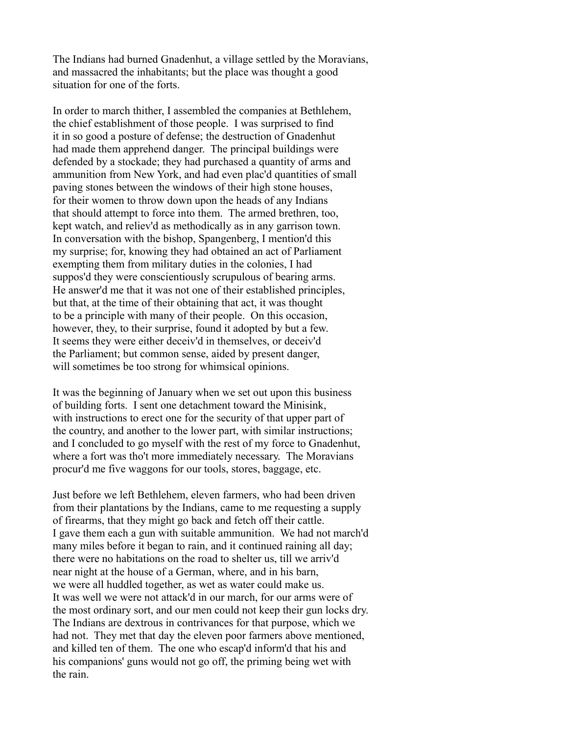The Indians had burned Gnadenhut, a village settled by the Moravians, and massacred the inhabitants; but the place was thought a good situation for one of the forts.

In order to march thither, I assembled the companies at Bethlehem, the chief establishment of those people. I was surprised to find it in so good a posture of defense; the destruction of Gnadenhut had made them apprehend danger. The principal buildings were defended by a stockade; they had purchased a quantity of arms and ammunition from New York, and had even plac'd quantities of small paving stones between the windows of their high stone houses, for their women to throw down upon the heads of any Indians that should attempt to force into them. The armed brethren, too, kept watch, and reliev'd as methodically as in any garrison town. In conversation with the bishop, Spangenberg, I mention'd this my surprise; for, knowing they had obtained an act of Parliament exempting them from military duties in the colonies, I had suppos'd they were conscientiously scrupulous of bearing arms. He answer'd me that it was not one of their established principles, but that, at the time of their obtaining that act, it was thought to be a principle with many of their people. On this occasion, however, they, to their surprise, found it adopted by but a few. It seems they were either deceiv'd in themselves, or deceiv'd the Parliament; but common sense, aided by present danger, will sometimes be too strong for whimsical opinions.

It was the beginning of January when we set out upon this business of building forts. I sent one detachment toward the Minisink, with instructions to erect one for the security of that upper part of the country, and another to the lower part, with similar instructions; and I concluded to go myself with the rest of my force to Gnadenhut, where a fort was tho't more immediately necessary. The Moravians procur'd me five waggons for our tools, stores, baggage, etc.

Just before we left Bethlehem, eleven farmers, who had been driven from their plantations by the Indians, came to me requesting a supply of firearms, that they might go back and fetch off their cattle. I gave them each a gun with suitable ammunition. We had not march'd many miles before it began to rain, and it continued raining all day; there were no habitations on the road to shelter us, till we arriv'd near night at the house of a German, where, and in his barn, we were all huddled together, as wet as water could make us. It was well we were not attack'd in our march, for our arms were of the most ordinary sort, and our men could not keep their gun locks dry. The Indians are dextrous in contrivances for that purpose, which we had not. They met that day the eleven poor farmers above mentioned, and killed ten of them. The one who escap'd inform'd that his and his companions' guns would not go off, the priming being wet with the rain.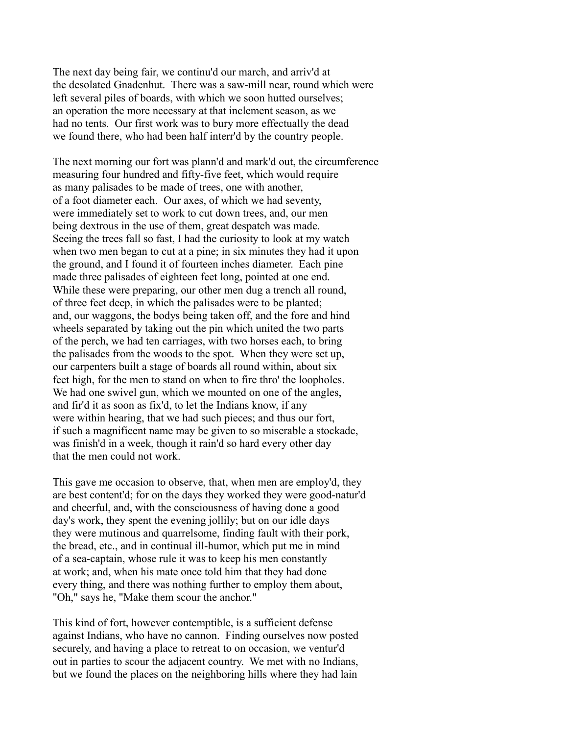The next day being fair, we continu'd our march, and arriv'd at the desolated Gnadenhut. There was a saw-mill near, round which were left several piles of boards, with which we soon hutted ourselves; an operation the more necessary at that inclement season, as we had no tents. Our first work was to bury more effectually the dead we found there, who had been half interr'd by the country people.

The next morning our fort was plann'd and mark'd out, the circumference measuring four hundred and fifty-five feet, which would require as many palisades to be made of trees, one with another, of a foot diameter each. Our axes, of which we had seventy, were immediately set to work to cut down trees, and, our men being dextrous in the use of them, great despatch was made. Seeing the trees fall so fast, I had the curiosity to look at my watch when two men began to cut at a pine; in six minutes they had it upon the ground, and I found it of fourteen inches diameter. Each pine made three palisades of eighteen feet long, pointed at one end. While these were preparing, our other men dug a trench all round, of three feet deep, in which the palisades were to be planted; and, our waggons, the bodys being taken off, and the fore and hind wheels separated by taking out the pin which united the two parts of the perch, we had ten carriages, with two horses each, to bring the palisades from the woods to the spot. When they were set up, our carpenters built a stage of boards all round within, about six feet high, for the men to stand on when to fire thro' the loopholes. We had one swivel gun, which we mounted on one of the angles, and fir'd it as soon as fix'd, to let the Indians know, if any were within hearing, that we had such pieces; and thus our fort, if such a magnificent name may be given to so miserable a stockade, was finish'd in a week, though it rain'd so hard every other day that the men could not work.

This gave me occasion to observe, that, when men are employ'd, they are best content'd; for on the days they worked they were good-natur'd and cheerful, and, with the consciousness of having done a good day's work, they spent the evening jollily; but on our idle days they were mutinous and quarrelsome, finding fault with their pork, the bread, etc., and in continual ill-humor, which put me in mind of a sea-captain, whose rule it was to keep his men constantly at work; and, when his mate once told him that they had done every thing, and there was nothing further to employ them about, "Oh," says he, "Make them scour the anchor."

This kind of fort, however contemptible, is a sufficient defense against Indians, who have no cannon. Finding ourselves now posted securely, and having a place to retreat to on occasion, we ventur'd out in parties to scour the adjacent country. We met with no Indians, but we found the places on the neighboring hills where they had lain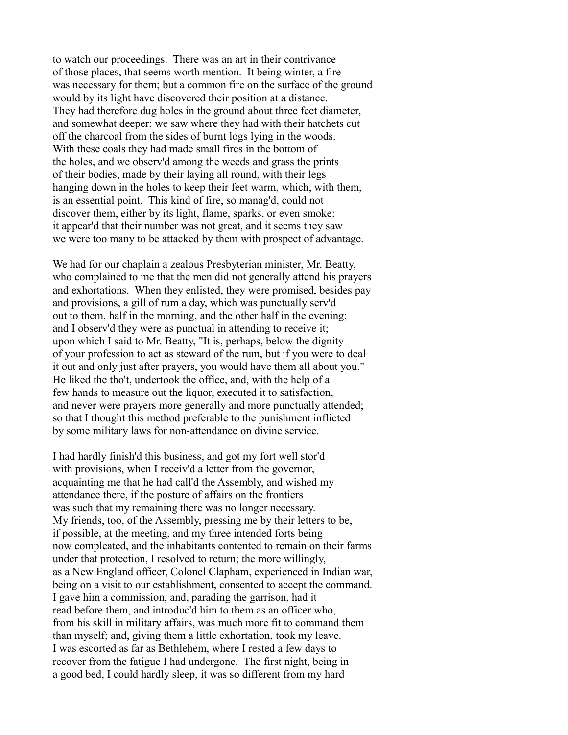to watch our proceedings. There was an art in their contrivance of those places, that seems worth mention. It being winter, a fire was necessary for them; but a common fire on the surface of the ground would by its light have discovered their position at a distance. They had therefore dug holes in the ground about three feet diameter, and somewhat deeper; we saw where they had with their hatchets cut off the charcoal from the sides of burnt logs lying in the woods. With these coals they had made small fires in the bottom of the holes, and we observ'd among the weeds and grass the prints of their bodies, made by their laying all round, with their legs hanging down in the holes to keep their feet warm, which, with them, is an essential point. This kind of fire, so manag'd, could not discover them, either by its light, flame, sparks, or even smoke: it appear'd that their number was not great, and it seems they saw we were too many to be attacked by them with prospect of advantage.

We had for our chaplain a zealous Presbyterian minister, Mr. Beatty, who complained to me that the men did not generally attend his prayers and exhortations. When they enlisted, they were promised, besides pay and provisions, a gill of rum a day, which was punctually serv'd out to them, half in the morning, and the other half in the evening; and I observ'd they were as punctual in attending to receive it; upon which I said to Mr. Beatty, "It is, perhaps, below the dignity of your profession to act as steward of the rum, but if you were to deal it out and only just after prayers, you would have them all about you." He liked the tho't, undertook the office, and, with the help of a few hands to measure out the liquor, executed it to satisfaction, and never were prayers more generally and more punctually attended; so that I thought this method preferable to the punishment inflicted by some military laws for non-attendance on divine service.

I had hardly finish'd this business, and got my fort well stor'd with provisions, when I receiv'd a letter from the governor, acquainting me that he had call'd the Assembly, and wished my attendance there, if the posture of affairs on the frontiers was such that my remaining there was no longer necessary. My friends, too, of the Assembly, pressing me by their letters to be, if possible, at the meeting, and my three intended forts being now compleated, and the inhabitants contented to remain on their farms under that protection, I resolved to return; the more willingly, as a New England officer, Colonel Clapham, experienced in Indian war, being on a visit to our establishment, consented to accept the command. I gave him a commission, and, parading the garrison, had it read before them, and introduc'd him to them as an officer who, from his skill in military affairs, was much more fit to command them than myself; and, giving them a little exhortation, took my leave. I was escorted as far as Bethlehem, where I rested a few days to recover from the fatigue I had undergone. The first night, being in a good bed, I could hardly sleep, it was so different from my hard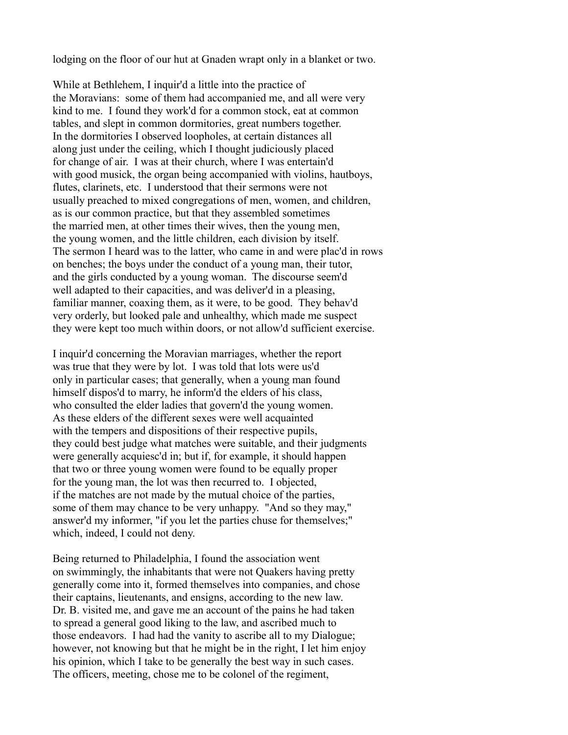lodging on the floor of our hut at Gnaden wrapt only in a blanket or two.

While at Bethlehem, I inquir'd a little into the practice of the Moravians: some of them had accompanied me, and all were very kind to me. I found they work'd for a common stock, eat at common tables, and slept in common dormitories, great numbers together. In the dormitories I observed loopholes, at certain distances all along just under the ceiling, which I thought judiciously placed for change of air. I was at their church, where I was entertain'd with good musick, the organ being accompanied with violins, hautboys, flutes, clarinets, etc. I understood that their sermons were not usually preached to mixed congregations of men, women, and children, as is our common practice, but that they assembled sometimes the married men, at other times their wives, then the young men, the young women, and the little children, each division by itself. The sermon I heard was to the latter, who came in and were plac'd in rows on benches; the boys under the conduct of a young man, their tutor, and the girls conducted by a young woman. The discourse seem'd well adapted to their capacities, and was deliver'd in a pleasing, familiar manner, coaxing them, as it were, to be good. They behav'd very orderly, but looked pale and unhealthy, which made me suspect they were kept too much within doors, or not allow'd sufficient exercise.

I inquir'd concerning the Moravian marriages, whether the report was true that they were by lot. I was told that lots were us'd only in particular cases; that generally, when a young man found himself dispos'd to marry, he inform'd the elders of his class, who consulted the elder ladies that govern'd the young women. As these elders of the different sexes were well acquainted with the tempers and dispositions of their respective pupils, they could best judge what matches were suitable, and their judgments were generally acquiesc'd in; but if, for example, it should happen that two or three young women were found to be equally proper for the young man, the lot was then recurred to. I objected, if the matches are not made by the mutual choice of the parties, some of them may chance to be very unhappy. "And so they may," answer'd my informer, "if you let the parties chuse for themselves;" which, indeed, I could not deny.

Being returned to Philadelphia, I found the association went on swimmingly, the inhabitants that were not Quakers having pretty generally come into it, formed themselves into companies, and chose their captains, lieutenants, and ensigns, according to the new law. Dr. B. visited me, and gave me an account of the pains he had taken to spread a general good liking to the law, and ascribed much to those endeavors. I had had the vanity to ascribe all to my Dialogue; however, not knowing but that he might be in the right, I let him enjoy his opinion, which I take to be generally the best way in such cases. The officers, meeting, chose me to be colonel of the regiment,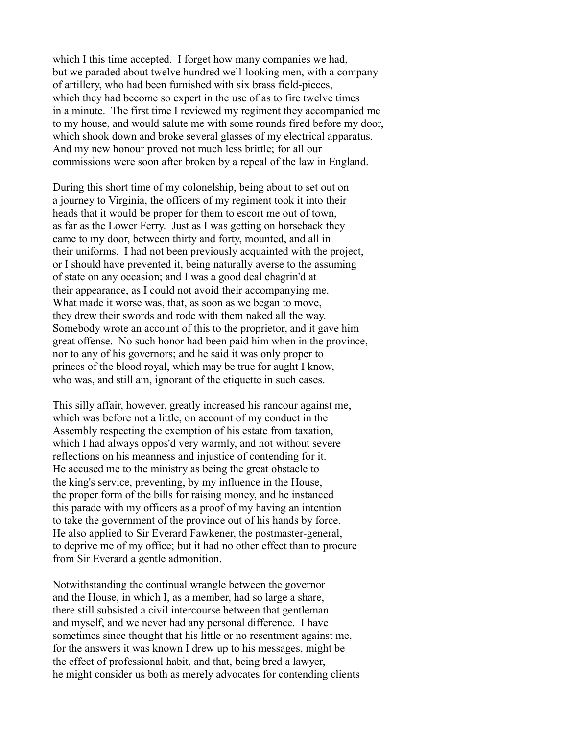which I this time accepted. I forget how many companies we had, but we paraded about twelve hundred well-looking men, with a company of artillery, who had been furnished with six brass field-pieces, which they had become so expert in the use of as to fire twelve times in a minute. The first time I reviewed my regiment they accompanied me to my house, and would salute me with some rounds fired before my door, which shook down and broke several glasses of my electrical apparatus. And my new honour proved not much less brittle; for all our commissions were soon after broken by a repeal of the law in England.

During this short time of my colonelship, being about to set out on a journey to Virginia, the officers of my regiment took it into their heads that it would be proper for them to escort me out of town, as far as the Lower Ferry. Just as I was getting on horseback they came to my door, between thirty and forty, mounted, and all in their uniforms. I had not been previously acquainted with the project, or I should have prevented it, being naturally averse to the assuming of state on any occasion; and I was a good deal chagrin'd at their appearance, as I could not avoid their accompanying me. What made it worse was, that, as soon as we began to move, they drew their swords and rode with them naked all the way. Somebody wrote an account of this to the proprietor, and it gave him great offense. No such honor had been paid him when in the province, nor to any of his governors; and he said it was only proper to princes of the blood royal, which may be true for aught I know, who was, and still am, ignorant of the etiquette in such cases.

This silly affair, however, greatly increased his rancour against me, which was before not a little, on account of my conduct in the Assembly respecting the exemption of his estate from taxation, which I had always oppos'd very warmly, and not without severe reflections on his meanness and injustice of contending for it. He accused me to the ministry as being the great obstacle to the king's service, preventing, by my influence in the House, the proper form of the bills for raising money, and he instanced this parade with my officers as a proof of my having an intention to take the government of the province out of his hands by force. He also applied to Sir Everard Fawkener, the postmaster-general, to deprive me of my office; but it had no other effect than to procure from Sir Everard a gentle admonition.

Notwithstanding the continual wrangle between the governor and the House, in which I, as a member, had so large a share, there still subsisted a civil intercourse between that gentleman and myself, and we never had any personal difference. I have sometimes since thought that his little or no resentment against me, for the answers it was known I drew up to his messages, might be the effect of professional habit, and that, being bred a lawyer, he might consider us both as merely advocates for contending clients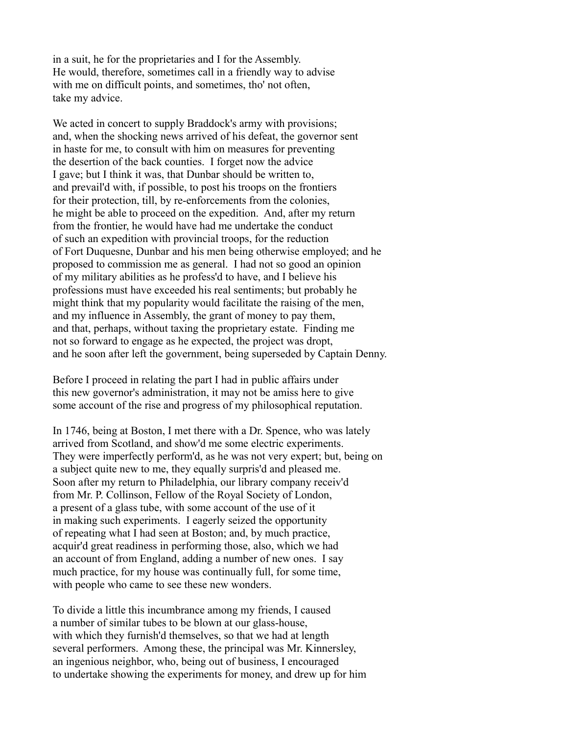in a suit, he for the proprietaries and I for the Assembly. He would, therefore, sometimes call in a friendly way to advise with me on difficult points, and sometimes, tho' not often, take my advice.

We acted in concert to supply Braddock's army with provisions; and, when the shocking news arrived of his defeat, the governor sent in haste for me, to consult with him on measures for preventing the desertion of the back counties. I forget now the advice I gave; but I think it was, that Dunbar should be written to, and prevail'd with, if possible, to post his troops on the frontiers for their protection, till, by re-enforcements from the colonies, he might be able to proceed on the expedition. And, after my return from the frontier, he would have had me undertake the conduct of such an expedition with provincial troops, for the reduction of Fort Duquesne, Dunbar and his men being otherwise employed; and he proposed to commission me as general. I had not so good an opinion of my military abilities as he profess'd to have, and I believe his professions must have exceeded his real sentiments; but probably he might think that my popularity would facilitate the raising of the men, and my influence in Assembly, the grant of money to pay them, and that, perhaps, without taxing the proprietary estate. Finding me not so forward to engage as he expected, the project was dropt, and he soon after left the government, being superseded by Captain Denny.

Before I proceed in relating the part I had in public affairs under this new governor's administration, it may not be amiss here to give some account of the rise and progress of my philosophical reputation.

In 1746, being at Boston, I met there with a Dr. Spence, who was lately arrived from Scotland, and show'd me some electric experiments. They were imperfectly perform'd, as he was not very expert; but, being on a subject quite new to me, they equally surpris'd and pleased me. Soon after my return to Philadelphia, our library company receiv'd from Mr. P. Collinson, Fellow of the Royal Society of London, a present of a glass tube, with some account of the use of it in making such experiments. I eagerly seized the opportunity of repeating what I had seen at Boston; and, by much practice, acquir'd great readiness in performing those, also, which we had an account of from England, adding a number of new ones. I say much practice, for my house was continually full, for some time, with people who came to see these new wonders.

To divide a little this incumbrance among my friends, I caused a number of similar tubes to be blown at our glass-house, with which they furnish'd themselves, so that we had at length several performers. Among these, the principal was Mr. Kinnersley, an ingenious neighbor, who, being out of business, I encouraged to undertake showing the experiments for money, and drew up for him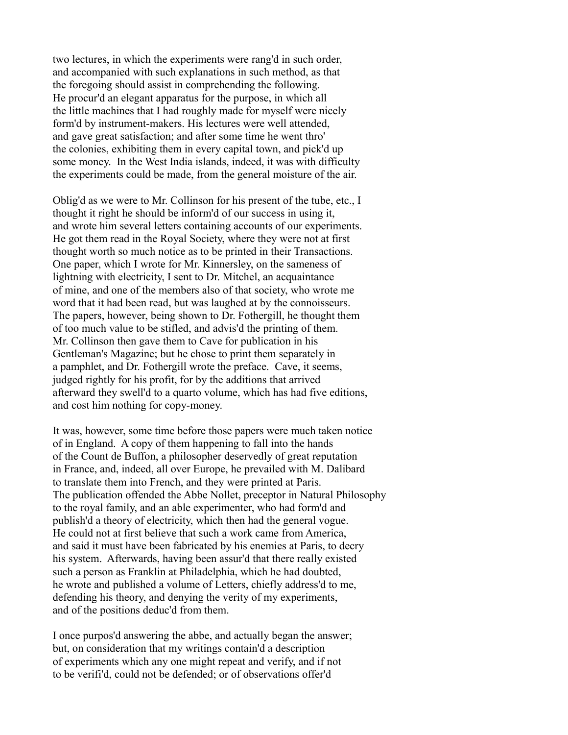two lectures, in which the experiments were rang'd in such order, and accompanied with such explanations in such method, as that the foregoing should assist in comprehending the following. He procur'd an elegant apparatus for the purpose, in which all the little machines that I had roughly made for myself were nicely form'd by instrument-makers. His lectures were well attended, and gave great satisfaction; and after some time he went thro' the colonies, exhibiting them in every capital town, and pick'd up some money. In the West India islands, indeed, it was with difficulty the experiments could be made, from the general moisture of the air.

Oblig'd as we were to Mr. Collinson for his present of the tube, etc., I thought it right he should be inform'd of our success in using it, and wrote him several letters containing accounts of our experiments. He got them read in the Royal Society, where they were not at first thought worth so much notice as to be printed in their Transactions. One paper, which I wrote for Mr. Kinnersley, on the sameness of lightning with electricity, I sent to Dr. Mitchel, an acquaintance of mine, and one of the members also of that society, who wrote me word that it had been read, but was laughed at by the connoisseurs. The papers, however, being shown to Dr. Fothergill, he thought them of too much value to be stifled, and advis'd the printing of them. Mr. Collinson then gave them to Cave for publication in his Gentleman's Magazine; but he chose to print them separately in a pamphlet, and Dr. Fothergill wrote the preface. Cave, it seems, judged rightly for his profit, for by the additions that arrived afterward they swell'd to a quarto volume, which has had five editions, and cost him nothing for copy-money.

It was, however, some time before those papers were much taken notice of in England. A copy of them happening to fall into the hands of the Count de Buffon, a philosopher deservedly of great reputation in France, and, indeed, all over Europe, he prevailed with M. Dalibard to translate them into French, and they were printed at Paris. The publication offended the Abbe Nollet, preceptor in Natural Philosophy to the royal family, and an able experimenter, who had form'd and publish'd a theory of electricity, which then had the general vogue. He could not at first believe that such a work came from America, and said it must have been fabricated by his enemies at Paris, to decry his system. Afterwards, having been assur'd that there really existed such a person as Franklin at Philadelphia, which he had doubted, he wrote and published a volume of Letters, chiefly address'd to me, defending his theory, and denying the verity of my experiments, and of the positions deduc'd from them.

I once purpos'd answering the abbe, and actually began the answer; but, on consideration that my writings contain'd a description of experiments which any one might repeat and verify, and if not to be verifi'd, could not be defended; or of observations offer'd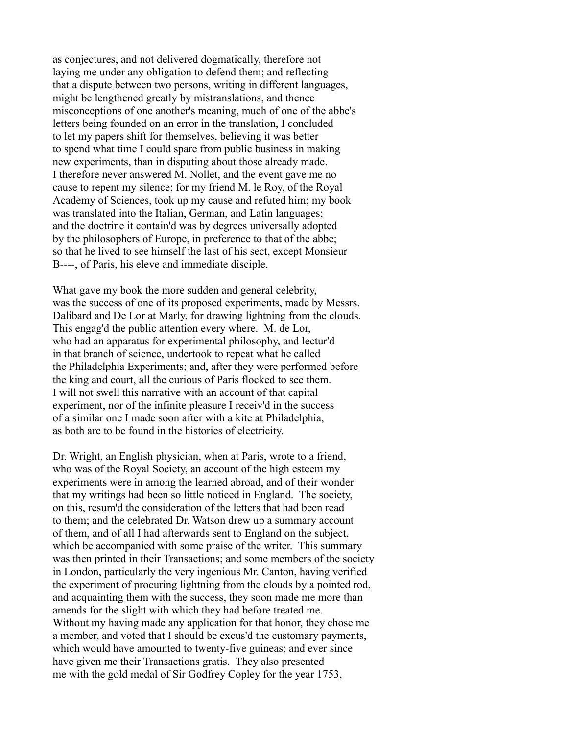as conjectures, and not delivered dogmatically, therefore not laying me under any obligation to defend them; and reflecting that a dispute between two persons, writing in different languages, might be lengthened greatly by mistranslations, and thence misconceptions of one another's meaning, much of one of the abbe's letters being founded on an error in the translation, I concluded to let my papers shift for themselves, believing it was better to spend what time I could spare from public business in making new experiments, than in disputing about those already made. I therefore never answered M. Nollet, and the event gave me no cause to repent my silence; for my friend M. le Roy, of the Royal Academy of Sciences, took up my cause and refuted him; my book was translated into the Italian, German, and Latin languages; and the doctrine it contain'd was by degrees universally adopted by the philosophers of Europe, in preference to that of the abbe; so that he lived to see himself the last of his sect, except Monsieur B----, of Paris, his eleve and immediate disciple.

What gave my book the more sudden and general celebrity, was the success of one of its proposed experiments, made by Messrs. Dalibard and De Lor at Marly, for drawing lightning from the clouds. This engag'd the public attention every where. M. de Lor, who had an apparatus for experimental philosophy, and lectur'd in that branch of science, undertook to repeat what he called the Philadelphia Experiments; and, after they were performed before the king and court, all the curious of Paris flocked to see them. I will not swell this narrative with an account of that capital experiment, nor of the infinite pleasure I receiv'd in the success of a similar one I made soon after with a kite at Philadelphia, as both are to be found in the histories of electricity.

Dr. Wright, an English physician, when at Paris, wrote to a friend, who was of the Royal Society, an account of the high esteem my experiments were in among the learned abroad, and of their wonder that my writings had been so little noticed in England. The society, on this, resum'd the consideration of the letters that had been read to them; and the celebrated Dr. Watson drew up a summary account of them, and of all I had afterwards sent to England on the subject, which be accompanied with some praise of the writer. This summary was then printed in their Transactions; and some members of the society in London, particularly the very ingenious Mr. Canton, having verified the experiment of procuring lightning from the clouds by a pointed rod, and acquainting them with the success, they soon made me more than amends for the slight with which they had before treated me. Without my having made any application for that honor, they chose me a member, and voted that I should be excus'd the customary payments, which would have amounted to twenty-five guineas; and ever since have given me their Transactions gratis. They also presented me with the gold medal of Sir Godfrey Copley for the year 1753,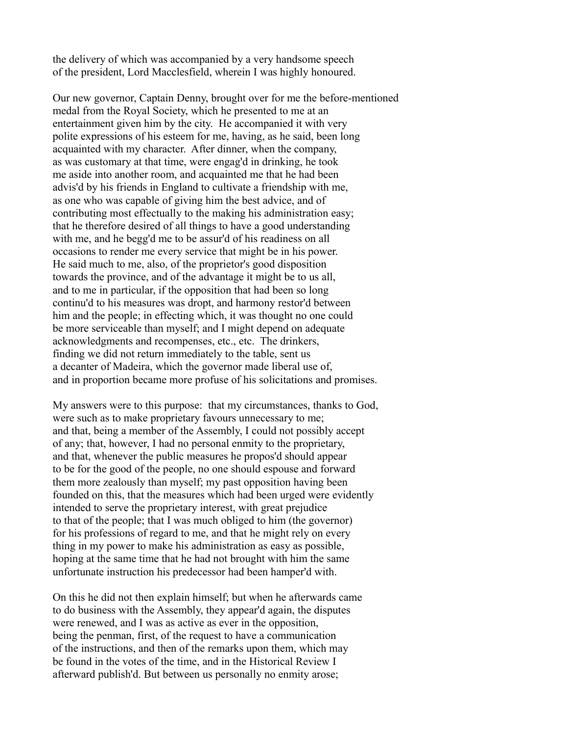the delivery of which was accompanied by a very handsome speech of the president, Lord Macclesfield, wherein I was highly honoured.

Our new governor, Captain Denny, brought over for me the before-mentioned medal from the Royal Society, which he presented to me at an entertainment given him by the city. He accompanied it with very polite expressions of his esteem for me, having, as he said, been long acquainted with my character. After dinner, when the company, as was customary at that time, were engag'd in drinking, he took me aside into another room, and acquainted me that he had been advis'd by his friends in England to cultivate a friendship with me, as one who was capable of giving him the best advice, and of contributing most effectually to the making his administration easy; that he therefore desired of all things to have a good understanding with me, and he begg'd me to be assur'd of his readiness on all occasions to render me every service that might be in his power. He said much to me, also, of the proprietor's good disposition towards the province, and of the advantage it might be to us all, and to me in particular, if the opposition that had been so long continu'd to his measures was dropt, and harmony restor'd between him and the people; in effecting which, it was thought no one could be more serviceable than myself; and I might depend on adequate acknowledgments and recompenses, etc., etc. The drinkers, finding we did not return immediately to the table, sent us a decanter of Madeira, which the governor made liberal use of, and in proportion became more profuse of his solicitations and promises.

My answers were to this purpose: that my circumstances, thanks to God, were such as to make proprietary favours unnecessary to me; and that, being a member of the Assembly, I could not possibly accept of any; that, however, I had no personal enmity to the proprietary, and that, whenever the public measures he propos'd should appear to be for the good of the people, no one should espouse and forward them more zealously than myself; my past opposition having been founded on this, that the measures which had been urged were evidently intended to serve the proprietary interest, with great prejudice to that of the people; that I was much obliged to him (the governor) for his professions of regard to me, and that he might rely on every thing in my power to make his administration as easy as possible, hoping at the same time that he had not brought with him the same unfortunate instruction his predecessor had been hamper'd with.

On this he did not then explain himself; but when he afterwards came to do business with the Assembly, they appear'd again, the disputes were renewed, and I was as active as ever in the opposition, being the penman, first, of the request to have a communication of the instructions, and then of the remarks upon them, which may be found in the votes of the time, and in the Historical Review I afterward publish'd. But between us personally no enmity arose;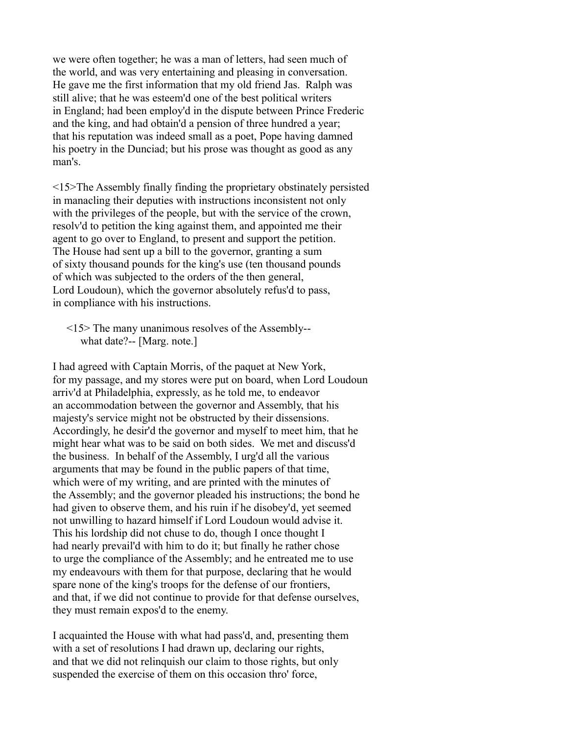we were often together; he was a man of letters, had seen much of the world, and was very entertaining and pleasing in conversation. He gave me the first information that my old friend Jas. Ralph was still alive; that he was esteem'd one of the best political writers in England; had been employ'd in the dispute between Prince Frederic and the king, and had obtain'd a pension of three hundred a year; that his reputation was indeed small as a poet, Pope having damned his poetry in the Dunciad; but his prose was thought as good as any man's.

<15>The Assembly finally finding the proprietary obstinately persisted in manacling their deputies with instructions inconsistent not only with the privileges of the people, but with the service of the crown, resolv'd to petition the king against them, and appointed me their agent to go over to England, to present and support the petition. The House had sent up a bill to the governor, granting a sum of sixty thousand pounds for the king's use (ten thousand pounds of which was subjected to the orders of the then general, Lord Loudoun), which the governor absolutely refus'd to pass, in compliance with his instructions.

 <15> The many unanimous resolves of the Assembly- what date?-- [Marg. note.]

I had agreed with Captain Morris, of the paquet at New York, for my passage, and my stores were put on board, when Lord Loudoun arriv'd at Philadelphia, expressly, as he told me, to endeavor an accommodation between the governor and Assembly, that his majesty's service might not be obstructed by their dissensions. Accordingly, he desir'd the governor and myself to meet him, that he might hear what was to be said on both sides. We met and discuss'd the business. In behalf of the Assembly, I urg'd all the various arguments that may be found in the public papers of that time, which were of my writing, and are printed with the minutes of the Assembly; and the governor pleaded his instructions; the bond he had given to observe them, and his ruin if he disobey'd, yet seemed not unwilling to hazard himself if Lord Loudoun would advise it. This his lordship did not chuse to do, though I once thought I had nearly prevail'd with him to do it; but finally he rather chose to urge the compliance of the Assembly; and he entreated me to use my endeavours with them for that purpose, declaring that he would spare none of the king's troops for the defense of our frontiers, and that, if we did not continue to provide for that defense ourselves, they must remain expos'd to the enemy.

I acquainted the House with what had pass'd, and, presenting them with a set of resolutions I had drawn up, declaring our rights, and that we did not relinquish our claim to those rights, but only suspended the exercise of them on this occasion thro' force,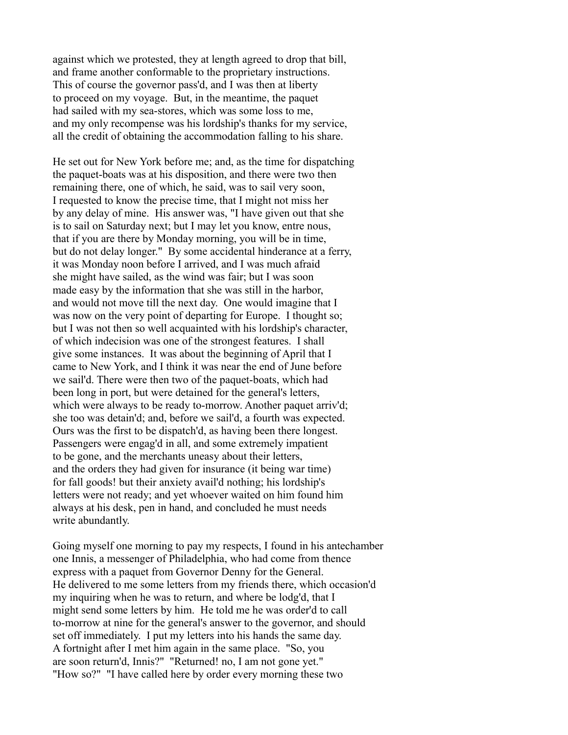against which we protested, they at length agreed to drop that bill, and frame another conformable to the proprietary instructions. This of course the governor pass'd, and I was then at liberty to proceed on my voyage. But, in the meantime, the paquet had sailed with my sea-stores, which was some loss to me, and my only recompense was his lordship's thanks for my service, all the credit of obtaining the accommodation falling to his share.

He set out for New York before me; and, as the time for dispatching the paquet-boats was at his disposition, and there were two then remaining there, one of which, he said, was to sail very soon, I requested to know the precise time, that I might not miss her by any delay of mine. His answer was, "I have given out that she is to sail on Saturday next; but I may let you know, entre nous, that if you are there by Monday morning, you will be in time, but do not delay longer." By some accidental hinderance at a ferry, it was Monday noon before I arrived, and I was much afraid she might have sailed, as the wind was fair; but I was soon made easy by the information that she was still in the harbor, and would not move till the next day. One would imagine that I was now on the very point of departing for Europe. I thought so; but I was not then so well acquainted with his lordship's character, of which indecision was one of the strongest features. I shall give some instances. It was about the beginning of April that I came to New York, and I think it was near the end of June before we sail'd. There were then two of the paquet-boats, which had been long in port, but were detained for the general's letters, which were always to be ready to-morrow. Another paquet arriv'd; she too was detain'd; and, before we sail'd, a fourth was expected. Ours was the first to be dispatch'd, as having been there longest. Passengers were engag'd in all, and some extremely impatient to be gone, and the merchants uneasy about their letters, and the orders they had given for insurance (it being war time) for fall goods! but their anxiety avail'd nothing; his lordship's letters were not ready; and yet whoever waited on him found him always at his desk, pen in hand, and concluded he must needs write abundantly.

Going myself one morning to pay my respects, I found in his antechamber one Innis, a messenger of Philadelphia, who had come from thence express with a paquet from Governor Denny for the General. He delivered to me some letters from my friends there, which occasion'd my inquiring when he was to return, and where be lodg'd, that I might send some letters by him. He told me he was order'd to call to-morrow at nine for the general's answer to the governor, and should set off immediately. I put my letters into his hands the same day. A fortnight after I met him again in the same place. "So, you are soon return'd, Innis?" "Returned! no, I am not gone yet." "How so?" "I have called here by order every morning these two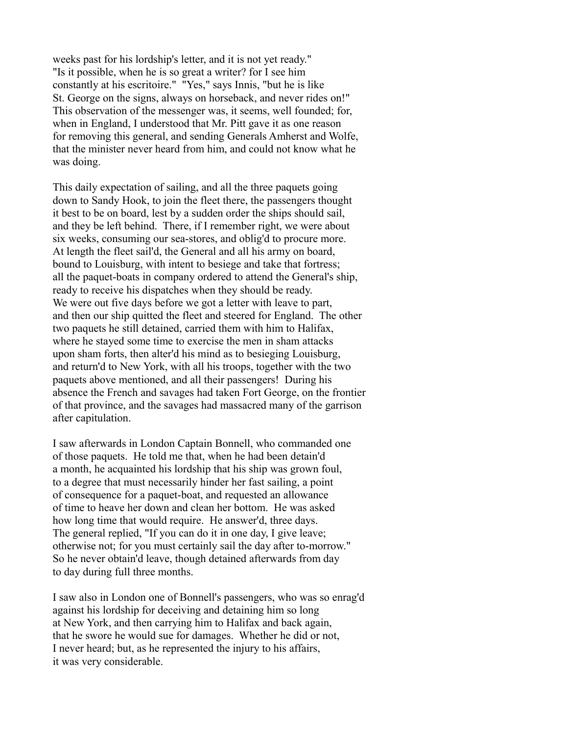weeks past for his lordship's letter, and it is not yet ready." "Is it possible, when he is so great a writer? for I see him constantly at his escritoire." "Yes," says Innis, "but he is like St. George on the signs, always on horseback, and never rides on!" This observation of the messenger was, it seems, well founded; for, when in England, I understood that Mr. Pitt gave it as one reason for removing this general, and sending Generals Amherst and Wolfe, that the minister never heard from him, and could not know what he was doing.

This daily expectation of sailing, and all the three paquets going down to Sandy Hook, to join the fleet there, the passengers thought it best to be on board, lest by a sudden order the ships should sail, and they be left behind. There, if I remember right, we were about six weeks, consuming our sea-stores, and oblig'd to procure more. At length the fleet sail'd, the General and all his army on board, bound to Louisburg, with intent to besiege and take that fortress; all the paquet-boats in company ordered to attend the General's ship, ready to receive his dispatches when they should be ready. We were out five days before we got a letter with leave to part, and then our ship quitted the fleet and steered for England. The other two paquets he still detained, carried them with him to Halifax, where he stayed some time to exercise the men in sham attacks upon sham forts, then alter'd his mind as to besieging Louisburg, and return'd to New York, with all his troops, together with the two paquets above mentioned, and all their passengers! During his absence the French and savages had taken Fort George, on the frontier of that province, and the savages had massacred many of the garrison after capitulation.

I saw afterwards in London Captain Bonnell, who commanded one of those paquets. He told me that, when he had been detain'd a month, he acquainted his lordship that his ship was grown foul, to a degree that must necessarily hinder her fast sailing, a point of consequence for a paquet-boat, and requested an allowance of time to heave her down and clean her bottom. He was asked how long time that would require. He answer'd, three days. The general replied, "If you can do it in one day, I give leave; otherwise not; for you must certainly sail the day after to-morrow." So he never obtain'd leave, though detained afterwards from day to day during full three months.

I saw also in London one of Bonnell's passengers, who was so enrag'd against his lordship for deceiving and detaining him so long at New York, and then carrying him to Halifax and back again, that he swore he would sue for damages. Whether he did or not, I never heard; but, as he represented the injury to his affairs, it was very considerable.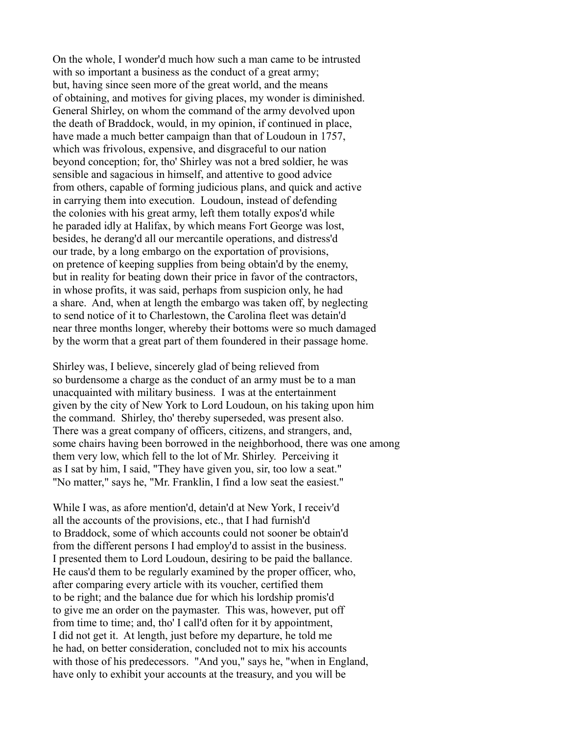On the whole, I wonder'd much how such a man came to be intrusted with so important a business as the conduct of a great army; but, having since seen more of the great world, and the means of obtaining, and motives for giving places, my wonder is diminished. General Shirley, on whom the command of the army devolved upon the death of Braddock, would, in my opinion, if continued in place, have made a much better campaign than that of Loudoun in 1757, which was frivolous, expensive, and disgraceful to our nation beyond conception; for, tho' Shirley was not a bred soldier, he was sensible and sagacious in himself, and attentive to good advice from others, capable of forming judicious plans, and quick and active in carrying them into execution. Loudoun, instead of defending the colonies with his great army, left them totally expos'd while he paraded idly at Halifax, by which means Fort George was lost, besides, he derang'd all our mercantile operations, and distress'd our trade, by a long embargo on the exportation of provisions, on pretence of keeping supplies from being obtain'd by the enemy, but in reality for beating down their price in favor of the contractors, in whose profits, it was said, perhaps from suspicion only, he had a share. And, when at length the embargo was taken off, by neglecting to send notice of it to Charlestown, the Carolina fleet was detain'd near three months longer, whereby their bottoms were so much damaged by the worm that a great part of them foundered in their passage home.

Shirley was, I believe, sincerely glad of being relieved from so burdensome a charge as the conduct of an army must be to a man unacquainted with military business. I was at the entertainment given by the city of New York to Lord Loudoun, on his taking upon him the command. Shirley, tho' thereby superseded, was present also. There was a great company of officers, citizens, and strangers, and, some chairs having been borrowed in the neighborhood, there was one among them very low, which fell to the lot of Mr. Shirley. Perceiving it as I sat by him, I said, "They have given you, sir, too low a seat." "No matter," says he, "Mr. Franklin, I find a low seat the easiest."

While I was, as afore mention'd, detain'd at New York, I receiv'd all the accounts of the provisions, etc., that I had furnish'd to Braddock, some of which accounts could not sooner be obtain'd from the different persons I had employ'd to assist in the business. I presented them to Lord Loudoun, desiring to be paid the ballance. He caus'd them to be regularly examined by the proper officer, who, after comparing every article with its voucher, certified them to be right; and the balance due for which his lordship promis'd to give me an order on the paymaster. This was, however, put off from time to time; and, tho' I call'd often for it by appointment, I did not get it. At length, just before my departure, he told me he had, on better consideration, concluded not to mix his accounts with those of his predecessors. "And you," says he, "when in England, have only to exhibit your accounts at the treasury, and you will be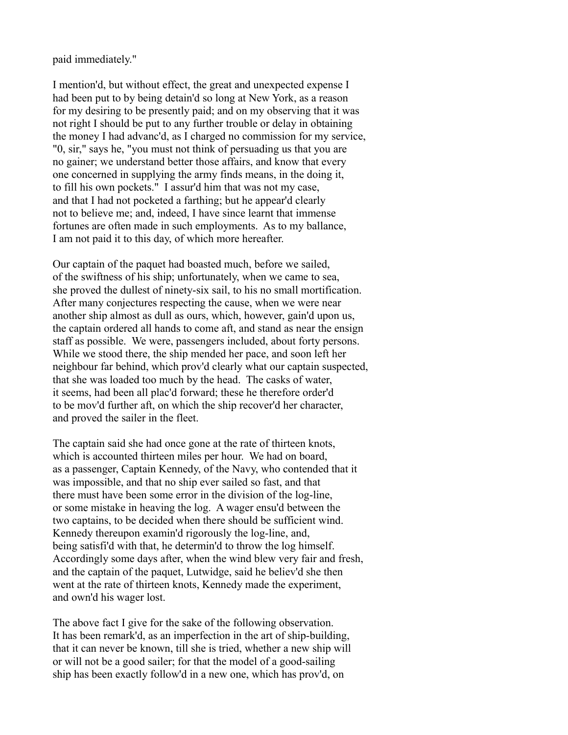paid immediately."

I mention'd, but without effect, the great and unexpected expense I had been put to by being detain'd so long at New York, as a reason for my desiring to be presently paid; and on my observing that it was not right I should be put to any further trouble or delay in obtaining the money I had advanc'd, as I charged no commission for my service, "0, sir," says he, "you must not think of persuading us that you are no gainer; we understand better those affairs, and know that every one concerned in supplying the army finds means, in the doing it, to fill his own pockets." I assur'd him that was not my case, and that I had not pocketed a farthing; but he appear'd clearly not to believe me; and, indeed, I have since learnt that immense fortunes are often made in such employments. As to my ballance, I am not paid it to this day, of which more hereafter.

Our captain of the paquet had boasted much, before we sailed, of the swiftness of his ship; unfortunately, when we came to sea, she proved the dullest of ninety-six sail, to his no small mortification. After many conjectures respecting the cause, when we were near another ship almost as dull as ours, which, however, gain'd upon us, the captain ordered all hands to come aft, and stand as near the ensign staff as possible. We were, passengers included, about forty persons. While we stood there, the ship mended her pace, and soon left her neighbour far behind, which prov'd clearly what our captain suspected, that she was loaded too much by the head. The casks of water, it seems, had been all plac'd forward; these he therefore order'd to be mov'd further aft, on which the ship recover'd her character, and proved the sailer in the fleet.

The captain said she had once gone at the rate of thirteen knots, which is accounted thirteen miles per hour. We had on board, as a passenger, Captain Kennedy, of the Navy, who contended that it was impossible, and that no ship ever sailed so fast, and that there must have been some error in the division of the log-line, or some mistake in heaving the log. A wager ensu'd between the two captains, to be decided when there should be sufficient wind. Kennedy thereupon examin'd rigorously the log-line, and, being satisfi'd with that, he determin'd to throw the log himself. Accordingly some days after, when the wind blew very fair and fresh, and the captain of the paquet, Lutwidge, said he believ'd she then went at the rate of thirteen knots, Kennedy made the experiment, and own'd his wager lost.

The above fact I give for the sake of the following observation. It has been remark'd, as an imperfection in the art of ship-building, that it can never be known, till she is tried, whether a new ship will or will not be a good sailer; for that the model of a good-sailing ship has been exactly follow'd in a new one, which has prov'd, on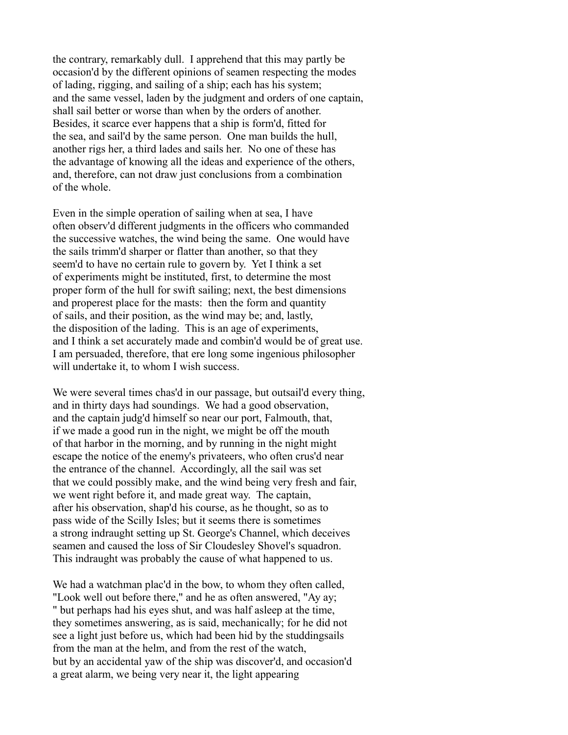the contrary, remarkably dull. I apprehend that this may partly be occasion'd by the different opinions of seamen respecting the modes of lading, rigging, and sailing of a ship; each has his system; and the same vessel, laden by the judgment and orders of one captain, shall sail better or worse than when by the orders of another. Besides, it scarce ever happens that a ship is form'd, fitted for the sea, and sail'd by the same person. One man builds the hull, another rigs her, a third lades and sails her. No one of these has the advantage of knowing all the ideas and experience of the others, and, therefore, can not draw just conclusions from a combination of the whole.

Even in the simple operation of sailing when at sea, I have often observ'd different judgments in the officers who commanded the successive watches, the wind being the same. One would have the sails trimm'd sharper or flatter than another, so that they seem'd to have no certain rule to govern by. Yet I think a set of experiments might be instituted, first, to determine the most proper form of the hull for swift sailing; next, the best dimensions and properest place for the masts: then the form and quantity of sails, and their position, as the wind may be; and, lastly, the disposition of the lading. This is an age of experiments, and I think a set accurately made and combin'd would be of great use. I am persuaded, therefore, that ere long some ingenious philosopher will undertake it, to whom I wish success.

We were several times chas'd in our passage, but outsail'd every thing, and in thirty days had soundings. We had a good observation, and the captain judg'd himself so near our port, Falmouth, that, if we made a good run in the night, we might be off the mouth of that harbor in the morning, and by running in the night might escape the notice of the enemy's privateers, who often crus'd near the entrance of the channel. Accordingly, all the sail was set that we could possibly make, and the wind being very fresh and fair, we went right before it, and made great way. The captain, after his observation, shap'd his course, as he thought, so as to pass wide of the Scilly Isles; but it seems there is sometimes a strong indraught setting up St. George's Channel, which deceives seamen and caused the loss of Sir Cloudesley Shovel's squadron. This indraught was probably the cause of what happened to us.

We had a watchman plac'd in the bow, to whom they often called, "Look well out before there," and he as often answered, "Ay ay; " but perhaps had his eyes shut, and was half asleep at the time, they sometimes answering, as is said, mechanically; for he did not see a light just before us, which had been hid by the studdingsails from the man at the helm, and from the rest of the watch, but by an accidental yaw of the ship was discover'd, and occasion'd a great alarm, we being very near it, the light appearing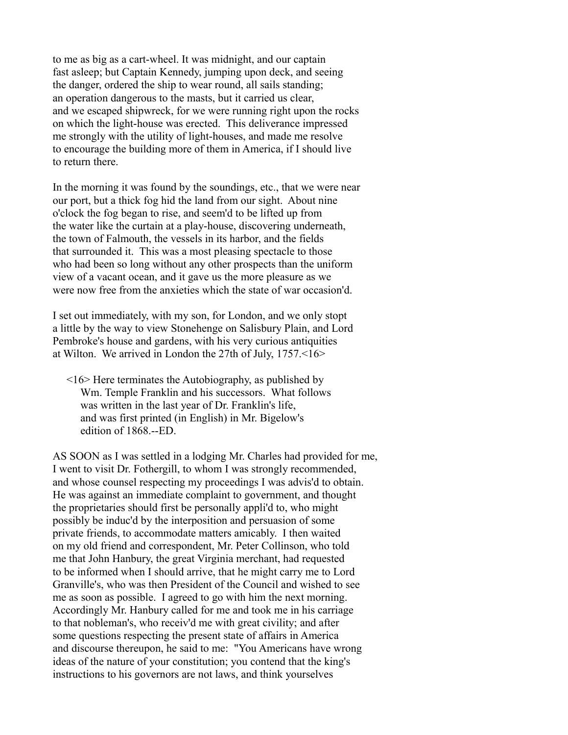to me as big as a cart-wheel. It was midnight, and our captain fast asleep; but Captain Kennedy, jumping upon deck, and seeing the danger, ordered the ship to wear round, all sails standing; an operation dangerous to the masts, but it carried us clear, and we escaped shipwreck, for we were running right upon the rocks on which the light-house was erected. This deliverance impressed me strongly with the utility of light-houses, and made me resolve to encourage the building more of them in America, if I should live to return there.

In the morning it was found by the soundings, etc., that we were near our port, but a thick fog hid the land from our sight. About nine o'clock the fog began to rise, and seem'd to be lifted up from the water like the curtain at a play-house, discovering underneath, the town of Falmouth, the vessels in its harbor, and the fields that surrounded it. This was a most pleasing spectacle to those who had been so long without any other prospects than the uniform view of a vacant ocean, and it gave us the more pleasure as we were now free from the anxieties which the state of war occasion'd.

I set out immediately, with my son, for London, and we only stopt a little by the way to view Stonehenge on Salisbury Plain, and Lord Pembroke's house and gardens, with his very curious antiquities at Wilton. We arrived in London the 27th of July, 1757.<16>

 <16> Here terminates the Autobiography, as published by Wm. Temple Franklin and his successors. What follows was written in the last year of Dr. Franklin's life, and was first printed (in English) in Mr. Bigelow's edition of 1868.--ED.

AS SOON as I was settled in a lodging Mr. Charles had provided for me, I went to visit Dr. Fothergill, to whom I was strongly recommended, and whose counsel respecting my proceedings I was advis'd to obtain. He was against an immediate complaint to government, and thought the proprietaries should first be personally appli'd to, who might possibly be induc'd by the interposition and persuasion of some private friends, to accommodate matters amicably. I then waited on my old friend and correspondent, Mr. Peter Collinson, who told me that John Hanbury, the great Virginia merchant, had requested to be informed when I should arrive, that he might carry me to Lord Granville's, who was then President of the Council and wished to see me as soon as possible. I agreed to go with him the next morning. Accordingly Mr. Hanbury called for me and took me in his carriage to that nobleman's, who receiv'd me with great civility; and after some questions respecting the present state of affairs in America and discourse thereupon, he said to me: "You Americans have wrong ideas of the nature of your constitution; you contend that the king's instructions to his governors are not laws, and think yourselves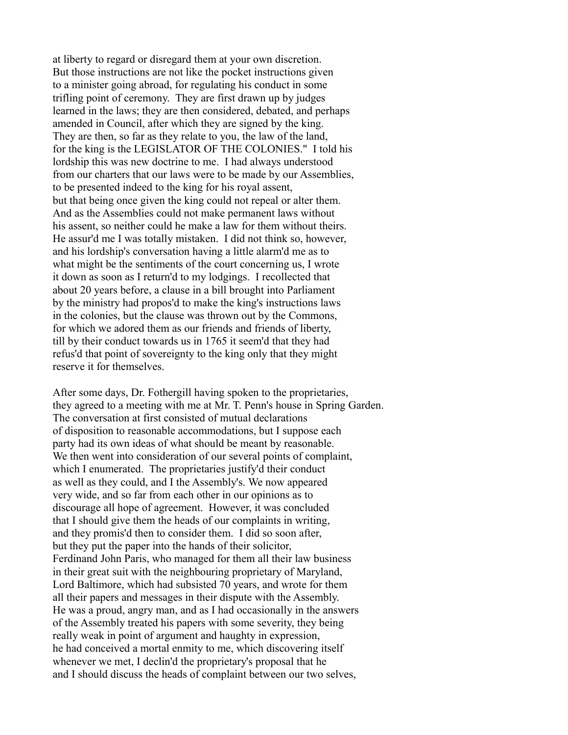at liberty to regard or disregard them at your own discretion. But those instructions are not like the pocket instructions given to a minister going abroad, for regulating his conduct in some trifling point of ceremony. They are first drawn up by judges learned in the laws; they are then considered, debated, and perhaps amended in Council, after which they are signed by the king. They are then, so far as they relate to you, the law of the land, for the king is the LEGISLATOR OF THE COLONIES." I told his lordship this was new doctrine to me. I had always understood from our charters that our laws were to be made by our Assemblies, to be presented indeed to the king for his royal assent, but that being once given the king could not repeal or alter them. And as the Assemblies could not make permanent laws without his assent, so neither could he make a law for them without theirs. He assur'd me I was totally mistaken. I did not think so, however, and his lordship's conversation having a little alarm'd me as to what might be the sentiments of the court concerning us, I wrote it down as soon as I return'd to my lodgings. I recollected that about 20 years before, a clause in a bill brought into Parliament by the ministry had propos'd to make the king's instructions laws in the colonies, but the clause was thrown out by the Commons, for which we adored them as our friends and friends of liberty, till by their conduct towards us in 1765 it seem'd that they had refus'd that point of sovereignty to the king only that they might reserve it for themselves.

After some days, Dr. Fothergill having spoken to the proprietaries, they agreed to a meeting with me at Mr. T. Penn's house in Spring Garden. The conversation at first consisted of mutual declarations of disposition to reasonable accommodations, but I suppose each party had its own ideas of what should be meant by reasonable. We then went into consideration of our several points of complaint, which I enumerated. The proprietaries justify'd their conduct as well as they could, and I the Assembly's. We now appeared very wide, and so far from each other in our opinions as to discourage all hope of agreement. However, it was concluded that I should give them the heads of our complaints in writing, and they promis'd then to consider them. I did so soon after, but they put the paper into the hands of their solicitor, Ferdinand John Paris, who managed for them all their law business in their great suit with the neighbouring proprietary of Maryland, Lord Baltimore, which had subsisted 70 years, and wrote for them all their papers and messages in their dispute with the Assembly. He was a proud, angry man, and as I had occasionally in the answers of the Assembly treated his papers with some severity, they being really weak in point of argument and haughty in expression, he had conceived a mortal enmity to me, which discovering itself whenever we met, I declin'd the proprietary's proposal that he and I should discuss the heads of complaint between our two selves,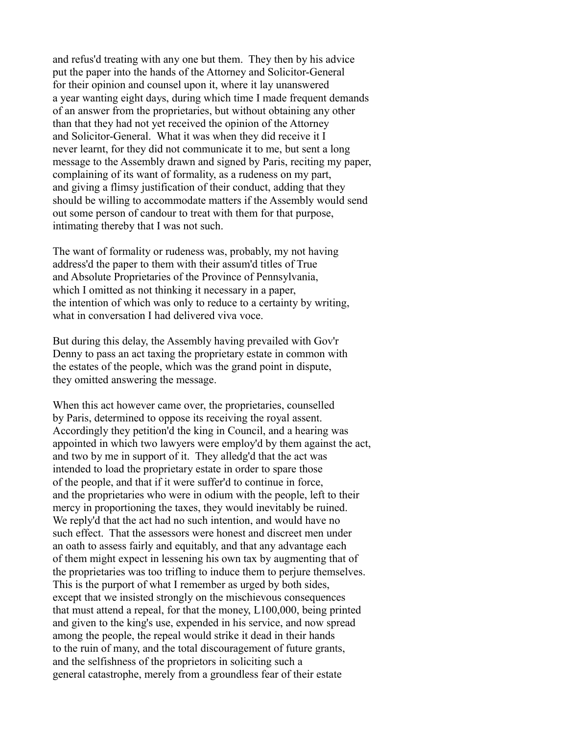and refus'd treating with any one but them. They then by his advice put the paper into the hands of the Attorney and Solicitor-General for their opinion and counsel upon it, where it lay unanswered a year wanting eight days, during which time I made frequent demands of an answer from the proprietaries, but without obtaining any other than that they had not yet received the opinion of the Attorney and Solicitor-General. What it was when they did receive it I never learnt, for they did not communicate it to me, but sent a long message to the Assembly drawn and signed by Paris, reciting my paper, complaining of its want of formality, as a rudeness on my part, and giving a flimsy justification of their conduct, adding that they should be willing to accommodate matters if the Assembly would send out some person of candour to treat with them for that purpose, intimating thereby that I was not such.

The want of formality or rudeness was, probably, my not having address'd the paper to them with their assum'd titles of True and Absolute Proprietaries of the Province of Pennsylvania, which I omitted as not thinking it necessary in a paper, the intention of which was only to reduce to a certainty by writing, what in conversation I had delivered viva voce.

But during this delay, the Assembly having prevailed with Gov'r Denny to pass an act taxing the proprietary estate in common with the estates of the people, which was the grand point in dispute, they omitted answering the message.

When this act however came over, the proprietaries, counselled by Paris, determined to oppose its receiving the royal assent. Accordingly they petition'd the king in Council, and a hearing was appointed in which two lawyers were employ'd by them against the act, and two by me in support of it. They alledg'd that the act was intended to load the proprietary estate in order to spare those of the people, and that if it were suffer'd to continue in force, and the proprietaries who were in odium with the people, left to their mercy in proportioning the taxes, they would inevitably be ruined. We reply'd that the act had no such intention, and would have no such effect. That the assessors were honest and discreet men under an oath to assess fairly and equitably, and that any advantage each of them might expect in lessening his own tax by augmenting that of the proprietaries was too trifling to induce them to perjure themselves. This is the purport of what I remember as urged by both sides, except that we insisted strongly on the mischievous consequences that must attend a repeal, for that the money, L100,000, being printed and given to the king's use, expended in his service, and now spread among the people, the repeal would strike it dead in their hands to the ruin of many, and the total discouragement of future grants, and the selfishness of the proprietors in soliciting such a general catastrophe, merely from a groundless fear of their estate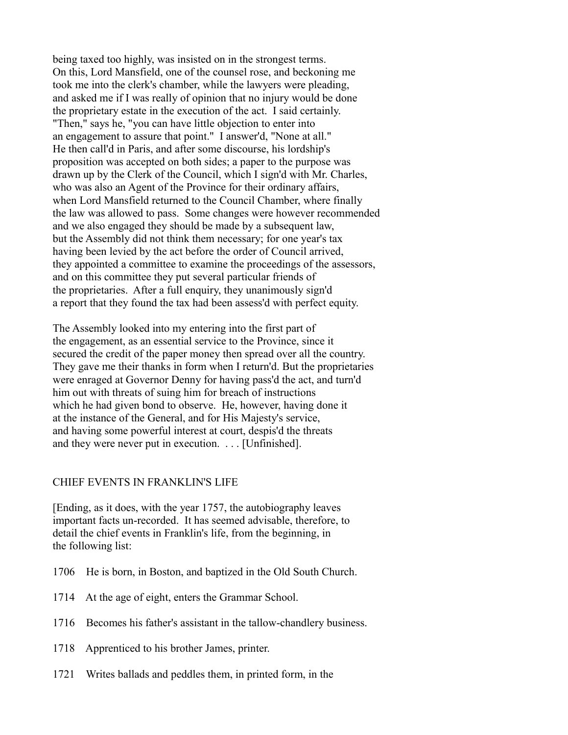being taxed too highly, was insisted on in the strongest terms. On this, Lord Mansfield, one of the counsel rose, and beckoning me took me into the clerk's chamber, while the lawyers were pleading, and asked me if I was really of opinion that no injury would be done the proprietary estate in the execution of the act. I said certainly. "Then," says he, "you can have little objection to enter into an engagement to assure that point." I answer'd, "None at all." He then call'd in Paris, and after some discourse, his lordship's proposition was accepted on both sides; a paper to the purpose was drawn up by the Clerk of the Council, which I sign'd with Mr. Charles, who was also an Agent of the Province for their ordinary affairs, when Lord Mansfield returned to the Council Chamber, where finally the law was allowed to pass. Some changes were however recommended and we also engaged they should be made by a subsequent law, but the Assembly did not think them necessary; for one year's tax having been levied by the act before the order of Council arrived, they appointed a committee to examine the proceedings of the assessors, and on this committee they put several particular friends of the proprietaries. After a full enquiry, they unanimously sign'd a report that they found the tax had been assess'd with perfect equity.

The Assembly looked into my entering into the first part of the engagement, as an essential service to the Province, since it secured the credit of the paper money then spread over all the country. They gave me their thanks in form when I return'd. But the proprietaries were enraged at Governor Denny for having pass'd the act, and turn'd him out with threats of suing him for breach of instructions which he had given bond to observe. He, however, having done it at the instance of the General, and for His Majesty's service, and having some powerful interest at court, despis'd the threats and they were never put in execution. . . . [Unfinished].

## CHIEF EVENTS IN FRANKLIN'S LIFE

[Ending, as it does, with the year 1757, the autobiography leaves important facts un-recorded. It has seemed advisable, therefore, to detail the chief events in Franklin's life, from the beginning, in the following list:

- 1706 He is born, in Boston, and baptized in the Old South Church.
- 1714 At the age of eight, enters the Grammar School.
- 1716 Becomes his father's assistant in the tallow-chandlery business.
- 1718 Apprenticed to his brother James, printer.
- 1721 Writes ballads and peddles them, in printed form, in the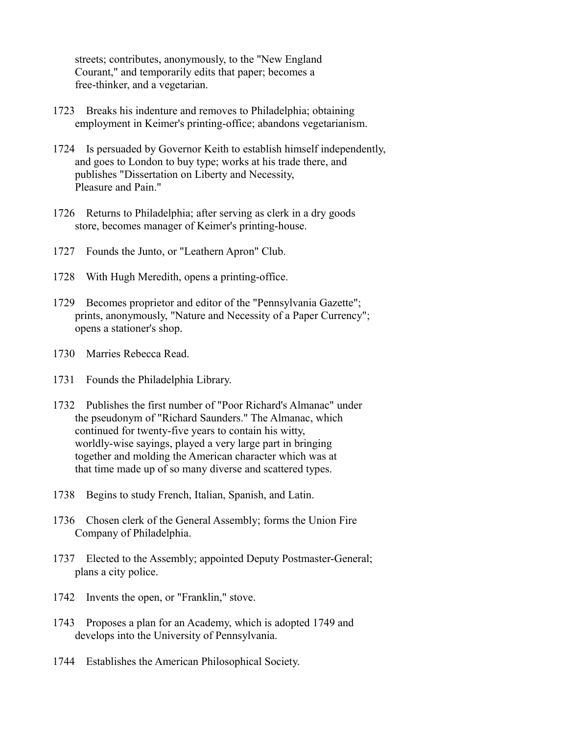streets; contributes, anonymously, to the "New England Courant," and temporarily edits that paper; becomes a free-thinker, and a vegetarian.

- 1723 Breaks his indenture and removes to Philadelphia; obtaining employment in Keimer's printing-office; abandons vegetarianism.
- 1724 Is persuaded by Governor Keith to establish himself independently, and goes to London to buy type; works at his trade there, and publishes "Dissertation on Liberty and Necessity, Pleasure and Pain."
- 1726 Returns to Philadelphia; after serving as clerk in a dry goods store, becomes manager of Keimer's printing-house.
- 1727 Founds the Junto, or "Leathern Apron" Club.
- 1728 With Hugh Meredith, opens a printing-office.
- 1729 Becomes proprietor and editor of the "Pennsylvania Gazette"; prints, anonymously, "Nature and Necessity of a Paper Currency"; opens a stationer's shop.
- 1730 Marries Rebecca Read.
- 1731 Founds the Philadelphia Library.
- 1732 Publishes the first number of "Poor Richard's Almanac" under the pseudonym of "Richard Saunders." The Almanac, which continued for twenty-five years to contain his witty, worldly-wise sayings, played a very large part in bringing together and molding the American character which was at that time made up of so many diverse and scattered types.
- 1738 Begins to study French, Italian, Spanish, and Latin.
- 1736 Chosen clerk of the General Assembly; forms the Union Fire Company of Philadelphia.
- 1737 Elected to the Assembly; appointed Deputy Postmaster-General; plans a city police.
- 1742 Invents the open, or "Franklin," stove.
- 1743 Proposes a plan for an Academy, which is adopted 1749 and develops into the University of Pennsylvania.
- 1744 Establishes the American Philosophical Society.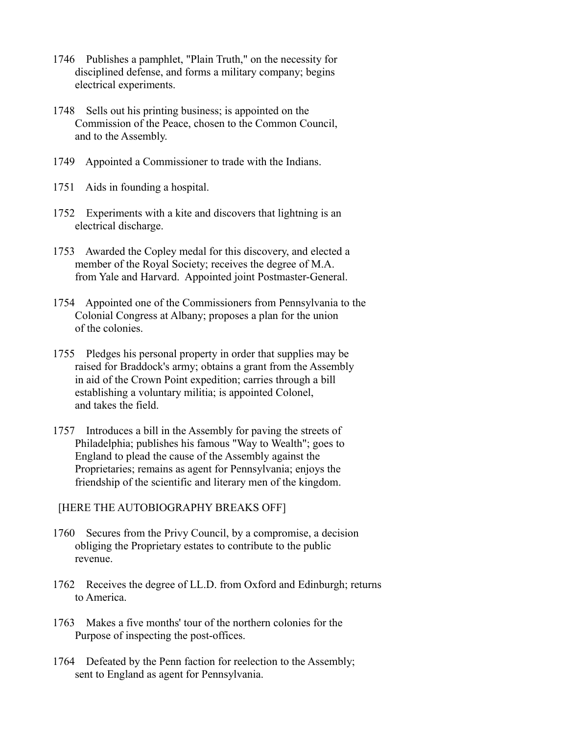- 1746 Publishes a pamphlet, "Plain Truth," on the necessity for disciplined defense, and forms a military company; begins electrical experiments.
- 1748 Sells out his printing business; is appointed on the Commission of the Peace, chosen to the Common Council, and to the Assembly.
- 1749 Appointed a Commissioner to trade with the Indians.
- 1751 Aids in founding a hospital.
- 1752 Experiments with a kite and discovers that lightning is an electrical discharge.
- 1753 Awarded the Copley medal for this discovery, and elected a member of the Royal Society; receives the degree of M.A. from Yale and Harvard. Appointed joint Postmaster-General.
- 1754 Appointed one of the Commissioners from Pennsylvania to the Colonial Congress at Albany; proposes a plan for the union of the colonies.
- 1755 Pledges his personal property in order that supplies may be raised for Braddock's army; obtains a grant from the Assembly in aid of the Crown Point expedition; carries through a bill establishing a voluntary militia; is appointed Colonel, and takes the field.
- 1757 Introduces a bill in the Assembly for paving the streets of Philadelphia; publishes his famous "Way to Wealth"; goes to England to plead the cause of the Assembly against the Proprietaries; remains as agent for Pennsylvania; enjoys the friendship of the scientific and literary men of the kingdom.

[HERE THE AUTOBIOGRAPHY BREAKS OFF]

- 1760 Secures from the Privy Council, by a compromise, a decision obliging the Proprietary estates to contribute to the public revenue.
- 1762 Receives the degree of LL.D. from Oxford and Edinburgh; returns to America.
- 1763 Makes a five months' tour of the northern colonies for the Purpose of inspecting the post-offices.
- 1764 Defeated by the Penn faction for reelection to the Assembly; sent to England as agent for Pennsylvania.